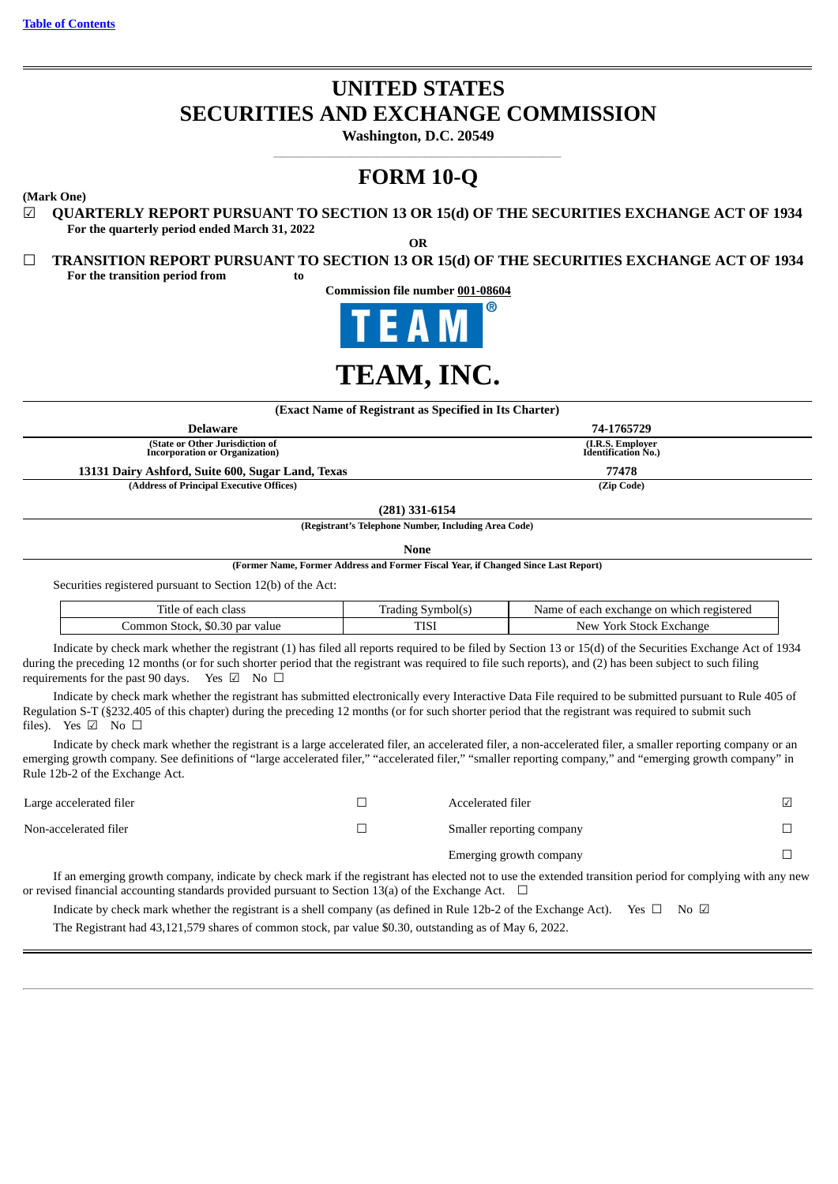# **UNITED STATES SECURITIES AND EXCHANGE COMMISSION**

**Washington, D.C. 20549** \_\_\_\_\_\_\_\_\_\_\_\_\_\_\_\_\_\_\_\_\_\_\_\_\_\_\_\_\_\_\_\_\_\_\_\_\_\_\_\_\_\_\_\_\_\_\_\_\_\_\_\_\_\_\_\_\_\_\_\_\_\_\_\_\_\_\_\_\_\_\_\_\_\_\_\_\_\_

## **FORM 10-Q**

**(Mark One)**

☑ **QUARTERLY REPORT PURSUANT TO SECTION 13 OR 15(d) OF THE SECURITIES EXCHANGE ACT OF 1934 For the quarterly period ended March 31, 2022**

**OR**

#### ☐ **TRANSITION REPORT PURSUANT TO SECTION 13 OR 15(d) OF THE SECURITIES EXCHANGE ACT OF 1934 For the transition period from to**

**Commission file number 001-08604**



# **TEAM, INC.**

| (Exact Name of Registrant as Specified in Its Charter)            |                                         |  |  |  |  |  |  |  |
|-------------------------------------------------------------------|-----------------------------------------|--|--|--|--|--|--|--|
| <b>Delaware</b>                                                   | 74-1765729                              |  |  |  |  |  |  |  |
| (State or Other Jurisdiction of<br>Incorporation or Organization) | (I.R.S. Employer<br>Identification No.) |  |  |  |  |  |  |  |
| 13131 Dairy Ashford, Suite 600, Sugar Land, Texas                 | 77478                                   |  |  |  |  |  |  |  |
| (Address of Principal Executive Offices)                          | (Zip Code)                              |  |  |  |  |  |  |  |

**(281) 331-6154**

**(Registrant's Telephone Number, Including Area Code)**

**None**

**(Former Name, Former Address and Former Fiscal Year, if Changed Since Last Report)**

Securities registered pursuant to Section 12(b) of the Act:

| $\overline{\phantom{a}}$<br>Title of each-<br>. class | Symbol(s)<br>radıng | t each exchange on which registered<br>Name of |
|-------------------------------------------------------|---------------------|------------------------------------------------|
| Common Stock, \$0.30 par value                        | <b>TISI</b>         | <b>New</b><br>York Stock Exchange              |

Indicate by check mark whether the registrant (1) has filed all reports required to be filed by Section 13 or 15(d) of the Securities Exchange Act of 1934 during the preceding 12 months (or for such shorter period that the registrant was required to file such reports), and (2) has been subject to such filing requirements for the past 90 days. Yes ☑ No □

Indicate by check mark whether the registrant has submitted electronically every Interactive Data File required to be submitted pursuant to Rule 405 of Regulation S-T (§232.405 of this chapter) during the preceding 12 months (or for such shorter period that the registrant was required to submit such files). Yes ☑ No □

Indicate by check mark whether the registrant is a large accelerated filer, an accelerated filer, a non-accelerated filer, a smaller reporting company or an emerging growth company. See definitions of "large accelerated filer," "accelerated filer," "smaller reporting company," and "emerging growth company" in Rule 12b-2 of the Exchange Act.

| Large accelerated filer | Accelerated filer                                                                                                                                        | ☑ |
|-------------------------|----------------------------------------------------------------------------------------------------------------------------------------------------------|---|
| Non-accelerated filer   | Smaller reporting company                                                                                                                                |   |
|                         | Emerging growth company                                                                                                                                  |   |
|                         | If an emerging growth company, indicate by check mark if the registrant has elected not to use the extended transition period for complying with any new |   |

or revised financial accounting standards provided pursuant to Section 13(a) of the Exchange Act.  $\Box$ 

Indicate by check mark whether the registrant is a shell company (as defined in Rule 12b-2 of the Exchange Act). Yes  $\Box$  No  $\Box$ 

<span id="page-0-0"></span>The Registrant had 43,121,579 shares of common stock, par value \$0.30, outstanding as of May 6, 2022.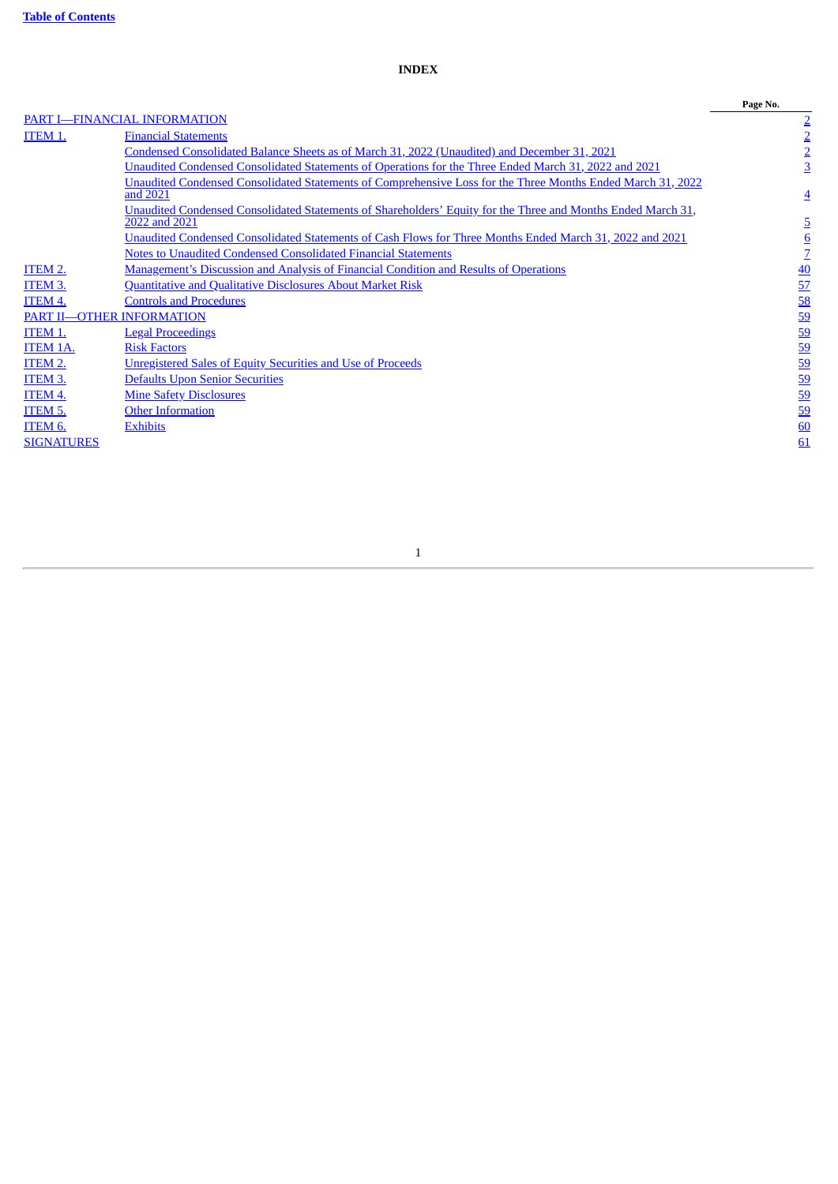## **INDEX**

<span id="page-1-0"></span>

|                   |                                                                                                                               | Page No.        |
|-------------------|-------------------------------------------------------------------------------------------------------------------------------|-----------------|
|                   | PART I-FINANCIAL INFORMATION                                                                                                  | $\overline{2}$  |
| ITEM 1.           | <b>Financial Statements</b>                                                                                                   |                 |
|                   | Condensed Consolidated Balance Sheets as of March 31, 2022 (Unaudited) and December 31, 2021                                  |                 |
|                   | Unaudited Condensed Consolidated Statements of Operations for the Three Ended March 31, 2022 and 2021                         |                 |
|                   | Unaudited Condensed Consolidated Statements of Comprehensive Loss for the Three Months Ended March 31, 2022                   |                 |
|                   | and 2021                                                                                                                      | $\overline{4}$  |
|                   | Unaudited Condensed Consolidated Statements of Shareholders' Equity for the Three and Months Ended March 31,<br>2022 and 2021 |                 |
|                   | Unaudited Condensed Consolidated Statements of Cash Flows for Three Months Ended March 31, 2022 and 2021                      | <u>5</u>        |
|                   | <b>Notes to Unaudited Condensed Consolidated Financial Statements</b>                                                         | $6\overline{6}$ |
|                   |                                                                                                                               |                 |
| ITEM 2.           | Management's Discussion and Analysis of Financial Condition and Results of Operations                                         | $\overline{40}$ |
| ITEM 3.           | <b>Quantitative and Qualitative Disclosures About Market Risk</b>                                                             | 57              |
| ITEM 4.           | <b>Controls and Procedures</b>                                                                                                | 58              |
| <b>PART II-</b>   | -OTHER INFORMATION                                                                                                            | 59              |
| ITEM 1.           | <b>Legal Proceedings</b>                                                                                                      | 59              |
| ITEM 1A.          | <b>Risk Factors</b>                                                                                                           | 59              |
| ITEM 2.           | <b>Unregistered Sales of Equity Securities and Use of Proceeds</b>                                                            | 59              |
| ITEM 3.           | <b>Defaults Upon Senior Securities</b>                                                                                        | 59              |
| ITEM 4.           | <b>Mine Safety Disclosures</b>                                                                                                | 59              |
| ITEM 5.           | <b>Other Information</b>                                                                                                      | 59              |
| ITEM 6.           | Exhibits                                                                                                                      | 60              |
| <b>SIGNATURES</b> |                                                                                                                               | 61              |
|                   |                                                                                                                               |                 |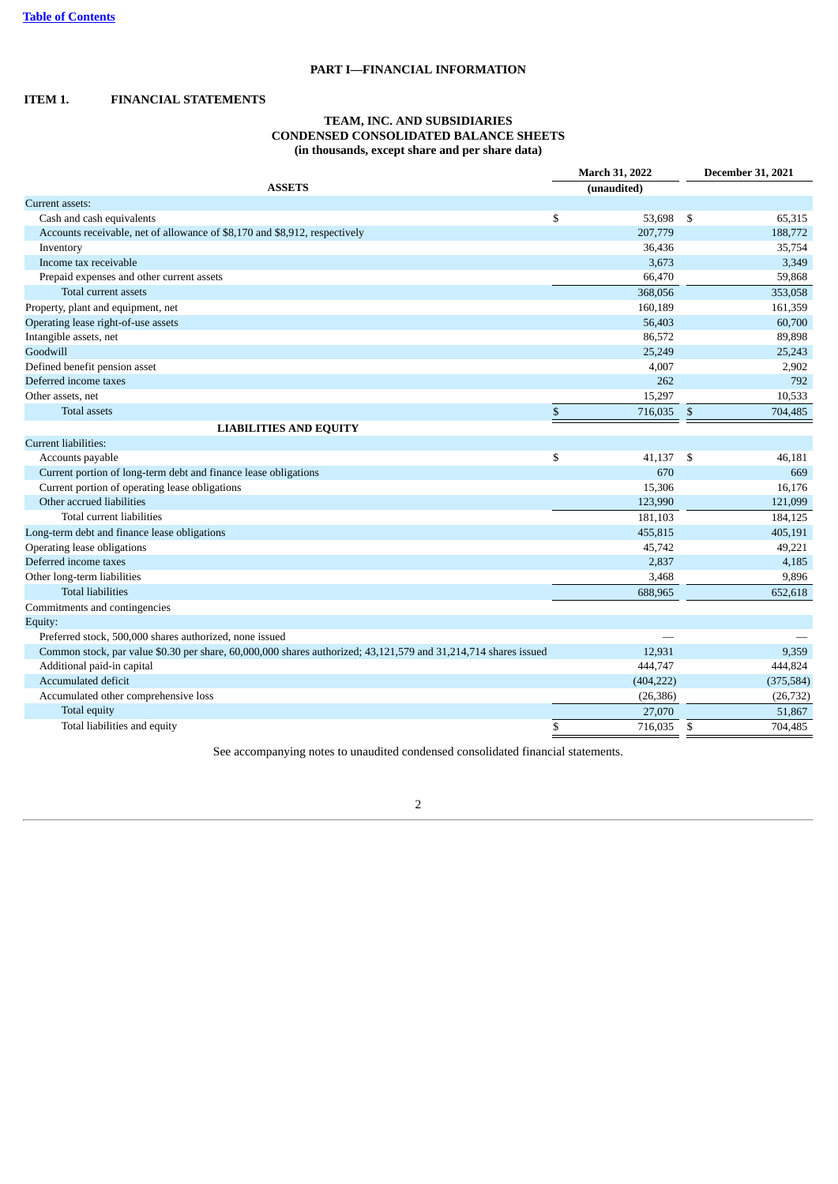## **PART I—FINANCIAL INFORMATION**

## <span id="page-2-1"></span><span id="page-2-0"></span>**ITEM 1. FINANCIAL STATEMENTS**

## **TEAM, INC. AND SUBSIDIARIES CONDENSED CONSOLIDATED BALANCE SHEETS (in thousands, except share and per share data)**

|                                                                                                                 | March 31, 2022 | <b>December 31, 2021</b> |            |  |
|-----------------------------------------------------------------------------------------------------------------|----------------|--------------------------|------------|--|
| <b>ASSETS</b>                                                                                                   | (unaudited)    |                          |            |  |
| Current assets:                                                                                                 |                |                          |            |  |
| Cash and cash equivalents                                                                                       | \$<br>53,698   | \$                       | 65,315     |  |
| Accounts receivable, net of allowance of \$8,170 and \$8,912, respectively                                      | 207,779        |                          | 188,772    |  |
| Inventory                                                                                                       | 36,436         |                          | 35,754     |  |
| Income tax receivable                                                                                           | 3,673          |                          | 3,349      |  |
| Prepaid expenses and other current assets                                                                       | 66,470         |                          | 59,868     |  |
| Total current assets                                                                                            | 368,056        |                          | 353,058    |  |
| Property, plant and equipment, net                                                                              | 160,189        |                          | 161,359    |  |
| Operating lease right-of-use assets                                                                             | 56,403         |                          | 60,700     |  |
| Intangible assets, net                                                                                          | 86,572         |                          | 89,898     |  |
| Goodwill                                                                                                        | 25,249         |                          | 25,243     |  |
| Defined benefit pension asset                                                                                   | 4,007          |                          | 2,902      |  |
| Deferred income taxes                                                                                           | 262            |                          | 792        |  |
| Other assets, net                                                                                               | 15,297         |                          | 10,533     |  |
| <b>Total assets</b>                                                                                             | \$<br>716,035  | $\mathfrak{S}$           | 704,485    |  |
| <b>LIABILITIES AND EQUITY</b>                                                                                   |                |                          |            |  |
| <b>Current liabilities:</b>                                                                                     |                |                          |            |  |
| Accounts payable                                                                                                | \$<br>41,137   | \$                       | 46,181     |  |
| Current portion of long-term debt and finance lease obligations                                                 | 670            |                          | 669        |  |
| Current portion of operating lease obligations                                                                  | 15,306         |                          | 16,176     |  |
| Other accrued liabilities                                                                                       | 123,990        |                          | 121,099    |  |
| Total current liabilities                                                                                       | 181,103        |                          | 184,125    |  |
| Long-term debt and finance lease obligations                                                                    | 455,815        |                          | 405,191    |  |
| Operating lease obligations                                                                                     | 45,742         |                          | 49,221     |  |
| Deferred income taxes                                                                                           | 2,837          |                          | 4,185      |  |
| Other long-term liabilities                                                                                     | 3,468          |                          | 9,896      |  |
| <b>Total liabilities</b>                                                                                        | 688,965        |                          | 652,618    |  |
| Commitments and contingencies                                                                                   |                |                          |            |  |
| Equity:                                                                                                         |                |                          |            |  |
| Preferred stock, 500,000 shares authorized, none issued                                                         |                |                          |            |  |
| Common stock, par value \$0.30 per share, 60,000,000 shares authorized; 43,121,579 and 31,214,714 shares issued | 12,931         |                          | 9,359      |  |
| Additional paid-in capital                                                                                      | 444,747        |                          | 444,824    |  |
| Accumulated deficit                                                                                             | (404, 222)     |                          | (375, 584) |  |
| Accumulated other comprehensive loss                                                                            | (26, 386)      |                          | (26, 732)  |  |
| Total equity                                                                                                    | 27,070         |                          | 51,867     |  |
| Total liabilities and equity                                                                                    | \$<br>716,035  | \$                       | 704,485    |  |

<span id="page-2-2"></span>See accompanying notes to unaudited condensed consolidated financial statements.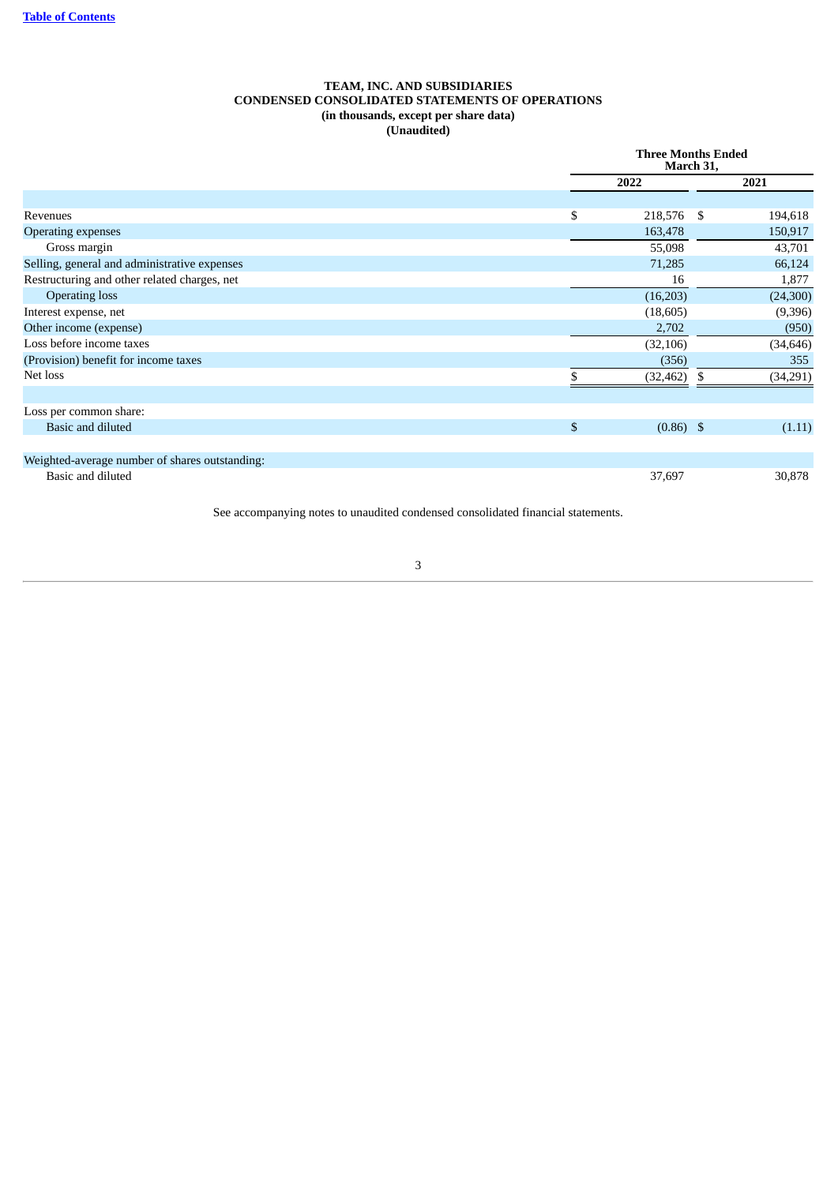## **TEAM, INC. AND SUBSIDIARIES CONDENSED CONSOLIDATED STATEMENTS OF OPERATIONS (in thousands, except per share data) (Unaudited)**

|                                                |      | <b>Three Months Ended</b><br>March 31, |           |  |  |  |
|------------------------------------------------|------|----------------------------------------|-----------|--|--|--|
|                                                | 2022 |                                        | 2021      |  |  |  |
|                                                |      |                                        |           |  |  |  |
| Revenues                                       | \$   | 218,576 \$                             | 194,618   |  |  |  |
| <b>Operating expenses</b>                      |      | 163,478                                | 150,917   |  |  |  |
| Gross margin                                   |      | 55,098                                 | 43,701    |  |  |  |
| Selling, general and administrative expenses   |      | 71,285                                 | 66,124    |  |  |  |
| Restructuring and other related charges, net   |      | 16                                     | 1,877     |  |  |  |
| <b>Operating loss</b>                          |      | (16,203)                               | (24, 300) |  |  |  |
| Interest expense, net                          |      | (18,605)                               | (9,396)   |  |  |  |
| Other income (expense)                         |      | 2,702                                  | (950)     |  |  |  |
| Loss before income taxes                       |      | (32, 106)                              | (34, 646) |  |  |  |
| (Provision) benefit for income taxes           |      | (356)                                  | 355       |  |  |  |
| Net loss                                       |      | (32, 462)<br>S.                        | (34,291)  |  |  |  |
|                                                |      |                                        |           |  |  |  |
| Loss per common share:                         |      |                                        |           |  |  |  |
| Basic and diluted                              | \$   | $(0.86)$ \$                            | (1.11)    |  |  |  |
|                                                |      |                                        |           |  |  |  |
| Weighted-average number of shares outstanding: |      |                                        |           |  |  |  |
| Basic and diluted                              |      | 37,697                                 | 30,878    |  |  |  |

<span id="page-3-0"></span>See accompanying notes to unaudited condensed consolidated financial statements.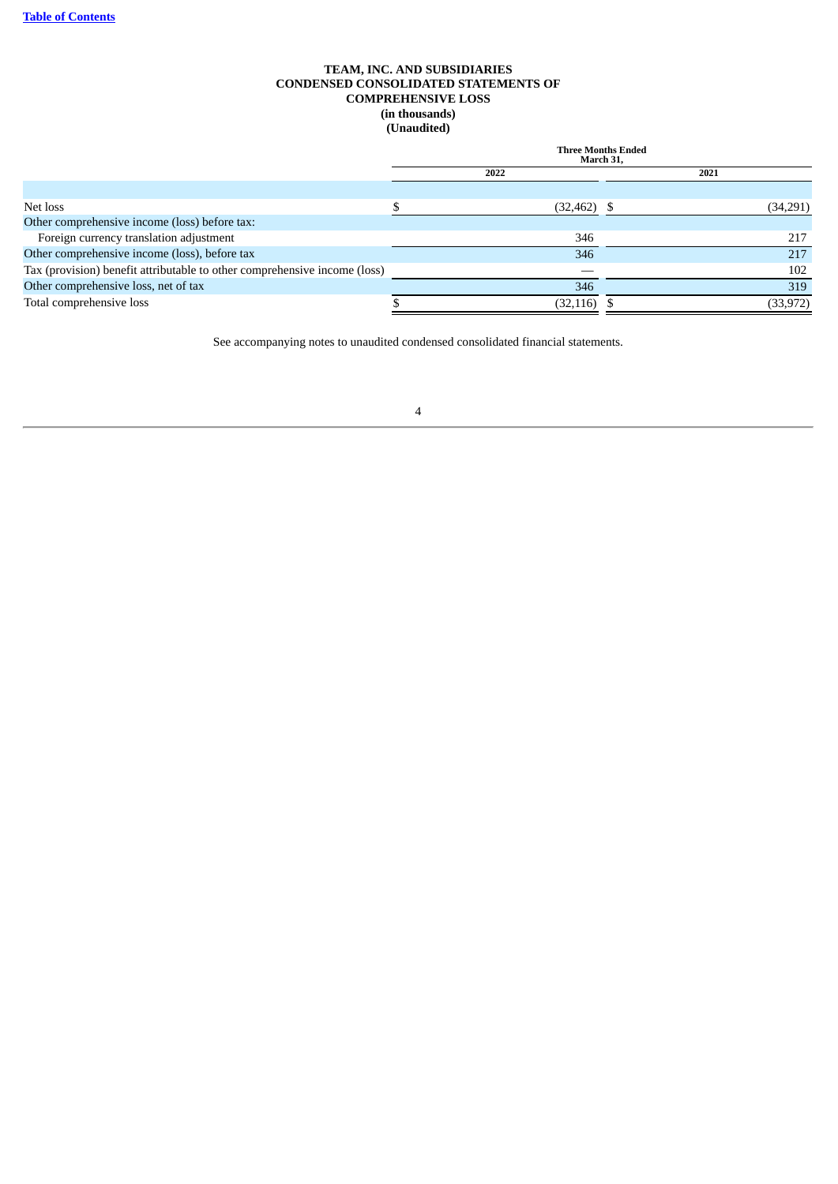## **TEAM, INC. AND SUBSIDIARIES CONDENSED CONSOLIDATED STATEMENTS OF COMPREHENSIVE LOSS (in thousands) (Unaudited)**

|                                                                           | March 31.      | <b>Three Months Ended</b> |           |
|---------------------------------------------------------------------------|----------------|---------------------------|-----------|
|                                                                           | 2022           |                           | 2021      |
|                                                                           |                |                           |           |
| Net loss                                                                  | $(32, 462)$ \$ |                           | (34,291)  |
| Other comprehensive income (loss) before tax:                             |                |                           |           |
| Foreign currency translation adjustment                                   | 346            |                           | 217       |
| Other comprehensive income (loss), before tax                             | 346            |                           | 217       |
| Tax (provision) benefit attributable to other comprehensive income (loss) |                |                           | 102       |
| Other comprehensive loss, net of tax                                      | 346            |                           | 319       |
| Total comprehensive loss                                                  | (32, 116)      |                           | (33, 972) |

<span id="page-4-0"></span>See accompanying notes to unaudited condensed consolidated financial statements.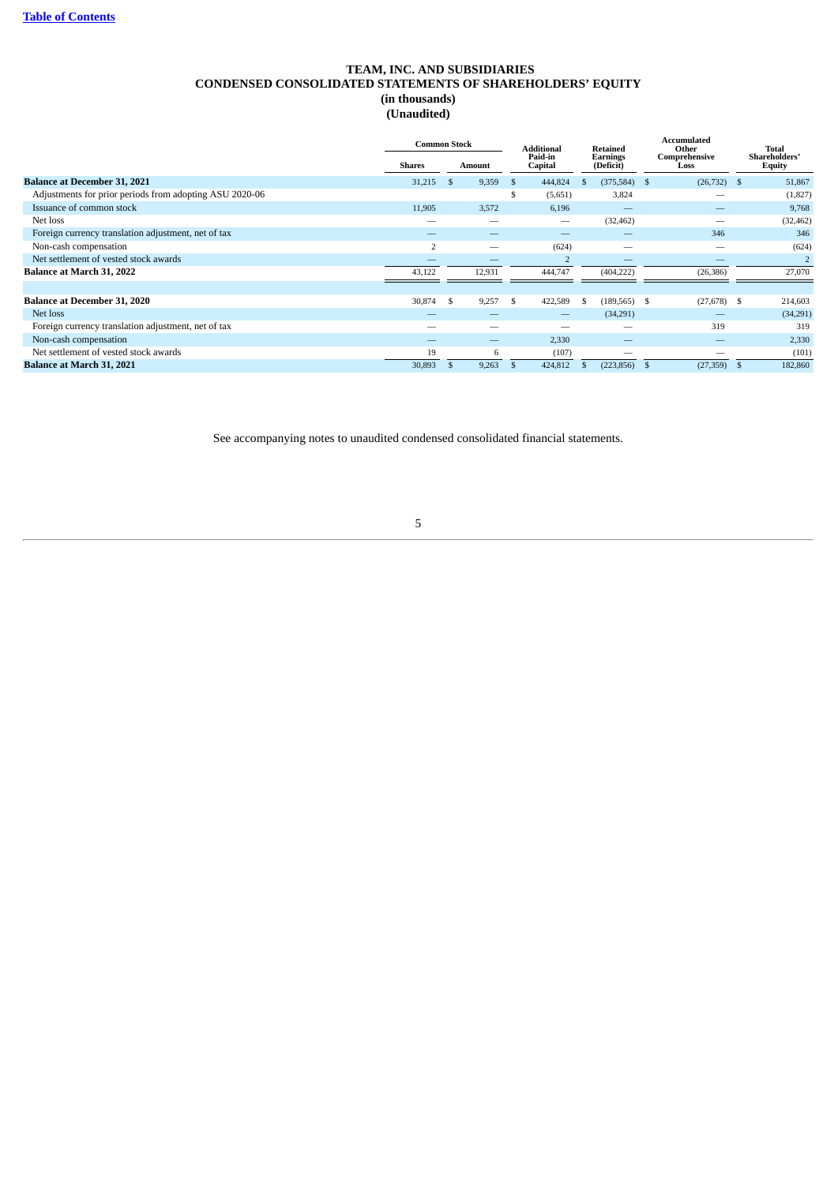### **TEAM, INC. AND SUBSIDIARIES CONDENSED CONSOLIDATED STATEMENTS OF SHAREHOLDERS' EQUITY (in thousands) (Unaudited)**

|                                                         | <b>Common Stock</b> |      |        |               | Additional         |               | <b>Retained</b>       |     | <b>Accumulated</b><br>Other | <b>Total</b>            |
|---------------------------------------------------------|---------------------|------|--------|---------------|--------------------|---------------|-----------------------|-----|-----------------------------|-------------------------|
|                                                         | <b>Shares</b>       |      | Amount |               | Paid-in<br>Capital |               | Earnings<br>(Deficit) |     | Comprehensive<br>Loss       | Shareholders'<br>Equity |
| <b>Balance at December 31, 2021</b>                     | 31,215              | - \$ | 9,359  | -S            | 444,824            | $\mathcal{L}$ | (375,584)             | - S | $(26,732)$ \$               | 51,867                  |
| Adjustments for prior periods from adopting ASU 2020-06 |                     |      |        | S             | (5,651)            |               | 3,824                 |     |                             | (1,827)                 |
| Issuance of common stock                                | 11,905              |      | 3,572  |               | 6,196              |               | -                     |     | _                           | 9,768                   |
| Net loss                                                |                     |      | -      |               |                    |               | (32, 462)             |     | -                           | (32, 462)               |
| Foreign currency translation adjustment, net of tax     |                     |      |        |               | _                  |               |                       |     | 346                         | 346                     |
| Non-cash compensation                                   |                     |      | -      |               | (624)              |               |                       |     | -                           | (624)                   |
| Net settlement of vested stock awards                   |                     |      |        |               |                    |               |                       |     |                             |                         |
| Balance at March 31, 2022                               | 43,122              |      | 12,931 |               | 444,747            |               | (404, 222)            |     | (26, 386)                   | 27,070                  |
|                                                         |                     |      |        |               |                    |               |                       |     |                             |                         |
| <b>Balance at December 31, 2020</b>                     | 30,874              | -S   | 9,257  | -S            | 422,589            | S             | (189, 565)            | -S  | $(27, 678)$ \$              | 214,603                 |
| Net loss                                                |                     |      |        |               |                    |               | (34,291)              |     |                             | (34,291)                |
| Foreign currency translation adjustment, net of tax     |                     |      |        |               |                    |               |                       |     | 319                         | 319                     |
| Non-cash compensation                                   |                     |      | -      |               | 2,330              |               | _                     |     |                             | 2,330                   |
| Net settlement of vested stock awards                   | 19                  |      | 6      |               | (107)              |               | -                     |     |                             | (101)                   |
| Balance at March 31, 2021                               | 30,893              |      | 9,263  | $\mathcal{S}$ | 424,812            |               | (223, 856)            | J.  | (27, 359)                   | 182,860                 |

<span id="page-5-0"></span>See accompanying notes to unaudited condensed consolidated financial statements.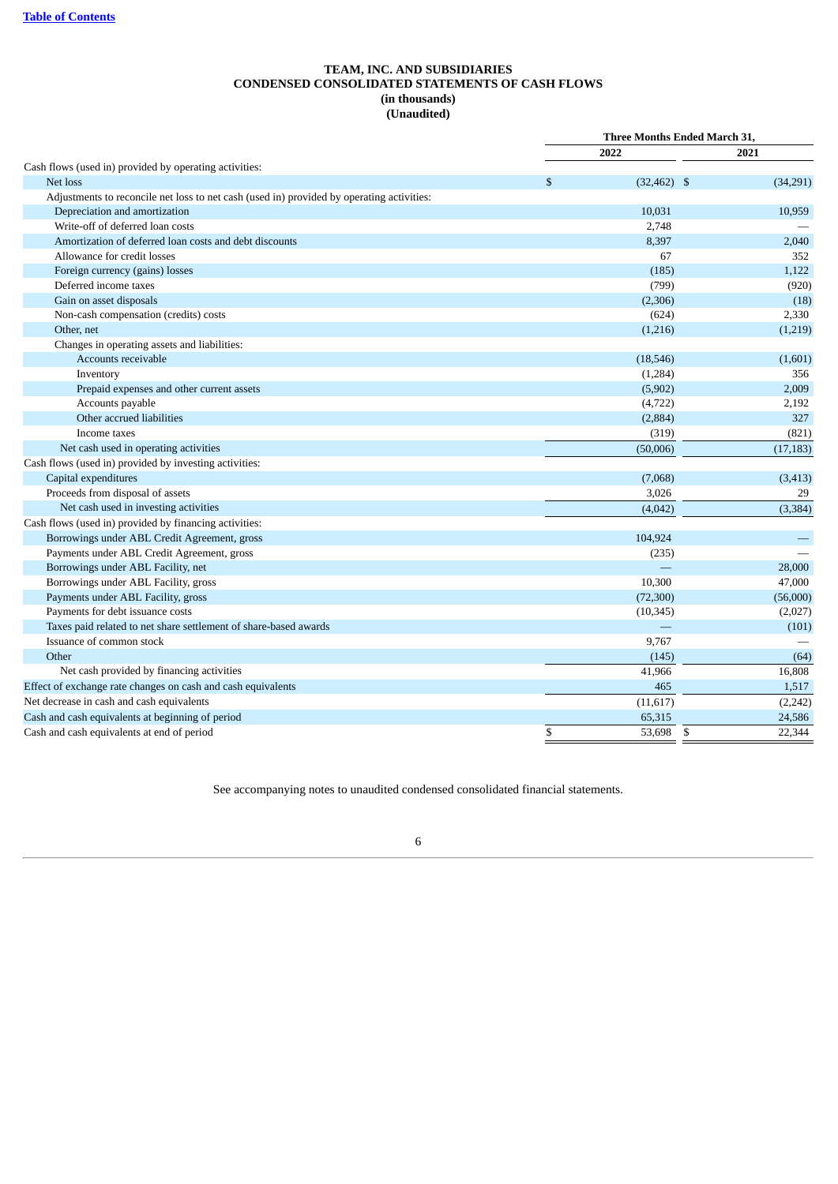## **TEAM, INC. AND SUBSIDIARIES CONDENSED CONSOLIDATED STATEMENTS OF CASH FLOWS (in thousands) (Unaudited)**

|                                                                                           | Three Months Ended March 31, |               |           |  |  |
|-------------------------------------------------------------------------------------------|------------------------------|---------------|-----------|--|--|
|                                                                                           |                              | 2022          | 2021      |  |  |
| Cash flows (used in) provided by operating activities:                                    |                              |               |           |  |  |
| Net loss                                                                                  | \$                           | $(32,462)$ \$ | (34,291)  |  |  |
| Adjustments to reconcile net loss to net cash (used in) provided by operating activities: |                              |               |           |  |  |
| Depreciation and amortization                                                             |                              | 10.031        | 10,959    |  |  |
| Write-off of deferred loan costs                                                          |                              | 2,748         |           |  |  |
| Amortization of deferred loan costs and debt discounts                                    |                              | 8,397         | 2,040     |  |  |
| Allowance for credit losses                                                               |                              | 67            | 352       |  |  |
| Foreign currency (gains) losses                                                           |                              | (185)         | 1,122     |  |  |
| Deferred income taxes                                                                     |                              | (799)         | (920)     |  |  |
| Gain on asset disposals                                                                   |                              | (2,306)       | (18)      |  |  |
| Non-cash compensation (credits) costs                                                     |                              | (624)         | 2,330     |  |  |
| Other, net                                                                                |                              | (1,216)       | (1,219)   |  |  |
| Changes in operating assets and liabilities:                                              |                              |               |           |  |  |
| Accounts receivable                                                                       |                              | (18, 546)     | (1,601)   |  |  |
| Inventory                                                                                 |                              | (1,284)       | 356       |  |  |
| Prepaid expenses and other current assets                                                 |                              | (5,902)       | 2,009     |  |  |
| Accounts payable                                                                          |                              | (4, 722)      | 2,192     |  |  |
| Other accrued liabilities                                                                 |                              | (2,884)       | 327       |  |  |
| Income taxes                                                                              |                              | (319)         | (821)     |  |  |
| Net cash used in operating activities                                                     |                              | (50,006)      | (17, 183) |  |  |
| Cash flows (used in) provided by investing activities:                                    |                              |               |           |  |  |
| Capital expenditures                                                                      |                              | (7,068)       | (3, 413)  |  |  |
| Proceeds from disposal of assets                                                          |                              | 3,026         | 29        |  |  |
| Net cash used in investing activities                                                     |                              | (4,042)       | (3, 384)  |  |  |
| Cash flows (used in) provided by financing activities:                                    |                              |               |           |  |  |
| Borrowings under ABL Credit Agreement, gross                                              |                              | 104,924       |           |  |  |
| Payments under ABL Credit Agreement, gross                                                |                              | (235)         |           |  |  |
| Borrowings under ABL Facility, net                                                        |                              |               | 28,000    |  |  |
| Borrowings under ABL Facility, gross                                                      |                              | 10,300        | 47,000    |  |  |
| Payments under ABL Facility, gross                                                        |                              | (72, 300)     | (56,000)  |  |  |
| Payments for debt issuance costs                                                          |                              | (10, 345)     | (2,027)   |  |  |
| Taxes paid related to net share settlement of share-based awards                          |                              |               | (101)     |  |  |
| Issuance of common stock                                                                  |                              | 9,767         |           |  |  |
| Other                                                                                     |                              | (145)         | (64)      |  |  |
| Net cash provided by financing activities                                                 |                              | 41,966        | 16,808    |  |  |
| Effect of exchange rate changes on cash and cash equivalents                              |                              | 465           | 1,517     |  |  |
| Net decrease in cash and cash equivalents                                                 |                              | (11, 617)     | (2, 242)  |  |  |
| Cash and cash equivalents at beginning of period                                          |                              | 65,315        | 24,586    |  |  |
| Cash and cash equivalents at end of period                                                | \$                           | \$<br>53,698  | 22,344    |  |  |

<span id="page-6-0"></span>See accompanying notes to unaudited condensed consolidated financial statements.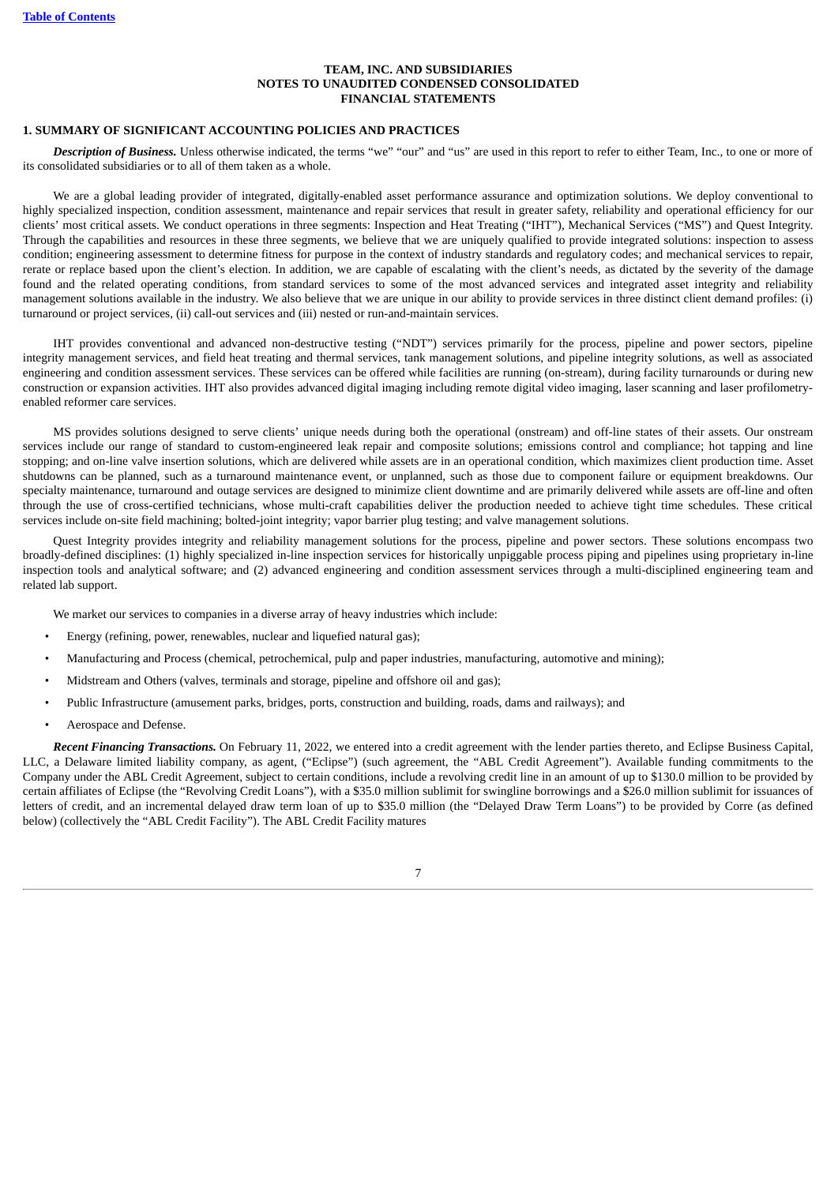#### **TEAM, INC. AND SUBSIDIARIES NOTES TO UNAUDITED CONDENSED CONSOLIDATED FINANCIAL STATEMENTS**

## **1. SUMMARY OF SIGNIFICANT ACCOUNTING POLICIES AND PRACTICES**

*Description of Business.* Unless otherwise indicated, the terms "we" "our" and "us" are used in this report to refer to either Team, Inc., to one or more of its consolidated subsidiaries or to all of them taken as a whole.

We are a global leading provider of integrated, digitally-enabled asset performance assurance and optimization solutions. We deploy conventional to highly specialized inspection, condition assessment, maintenance and repair services that result in greater safety, reliability and operational efficiency for our clients' most critical assets. We conduct operations in three segments: Inspection and Heat Treating ("IHT"), Mechanical Services ("MS") and Quest Integrity. Through the capabilities and resources in these three segments, we believe that we are uniquely qualified to provide integrated solutions: inspection to assess condition; engineering assessment to determine fitness for purpose in the context of industry standards and regulatory codes; and mechanical services to repair, rerate or replace based upon the client's election. In addition, we are capable of escalating with the client's needs, as dictated by the severity of the damage found and the related operating conditions, from standard services to some of the most advanced services and integrated asset integrity and reliability management solutions available in the industry. We also believe that we are unique in our ability to provide services in three distinct client demand profiles: (i) turnaround or project services, (ii) call-out services and (iii) nested or run-and-maintain services.

IHT provides conventional and advanced non-destructive testing ("NDT") services primarily for the process, pipeline and power sectors, pipeline integrity management services, and field heat treating and thermal services, tank management solutions, and pipeline integrity solutions, as well as associated engineering and condition assessment services. These services can be offered while facilities are running (on-stream), during facility turnarounds or during new construction or expansion activities. IHT also provides advanced digital imaging including remote digital video imaging, laser scanning and laser profilometryenabled reformer care services.

MS provides solutions designed to serve clients' unique needs during both the operational (onstream) and off-line states of their assets. Our onstream services include our range of standard to custom-engineered leak repair and composite solutions; emissions control and compliance; hot tapping and line stopping; and on-line valve insertion solutions, which are delivered while assets are in an operational condition, which maximizes client production time. Asset shutdowns can be planned, such as a turnaround maintenance event, or unplanned, such as those due to component failure or equipment breakdowns. Our specialty maintenance, turnaround and outage services are designed to minimize client downtime and are primarily delivered while assets are off-line and often through the use of cross-certified technicians, whose multi-craft capabilities deliver the production needed to achieve tight time schedules. These critical services include on-site field machining; bolted-joint integrity; vapor barrier plug testing; and valve management solutions.

Quest Integrity provides integrity and reliability management solutions for the process, pipeline and power sectors. These solutions encompass two broadly-defined disciplines: (1) highly specialized in-line inspection services for historically unpiggable process piping and pipelines using proprietary in-line inspection tools and analytical software; and (2) advanced engineering and condition assessment services through a multi-disciplined engineering team and related lab support.

We market our services to companies in a diverse array of heavy industries which include:

- Energy (refining, power, renewables, nuclear and liquefied natural gas);
- Manufacturing and Process (chemical, petrochemical, pulp and paper industries, manufacturing, automotive and mining);
- Midstream and Others (valves, terminals and storage, pipeline and offshore oil and gas);
- Public Infrastructure (amusement parks, bridges, ports, construction and building, roads, dams and railways); and
- Aerospace and Defense.

*Recent Financing Transactions.* On February 11, 2022, we entered into a credit agreement with the lender parties thereto, and Eclipse Business Capital, LLC, a Delaware limited liability company, as agent, ("Eclipse") (such agreement, the "ABL Credit Agreement"). Available funding commitments to the Company under the ABL Credit Agreement, subject to certain conditions, include a revolving credit line in an amount of up to \$130.0 million to be provided by certain affiliates of Eclipse (the "Revolving Credit Loans"), with a \$35.0 million sublimit for swingline borrowings and a \$26.0 million sublimit for issuances of letters of credit, and an incremental delayed draw term loan of up to \$35.0 million (the "Delayed Draw Term Loans") to be provided by Corre (as defined below) (collectively the "ABL Credit Facility"). The ABL Credit Facility matures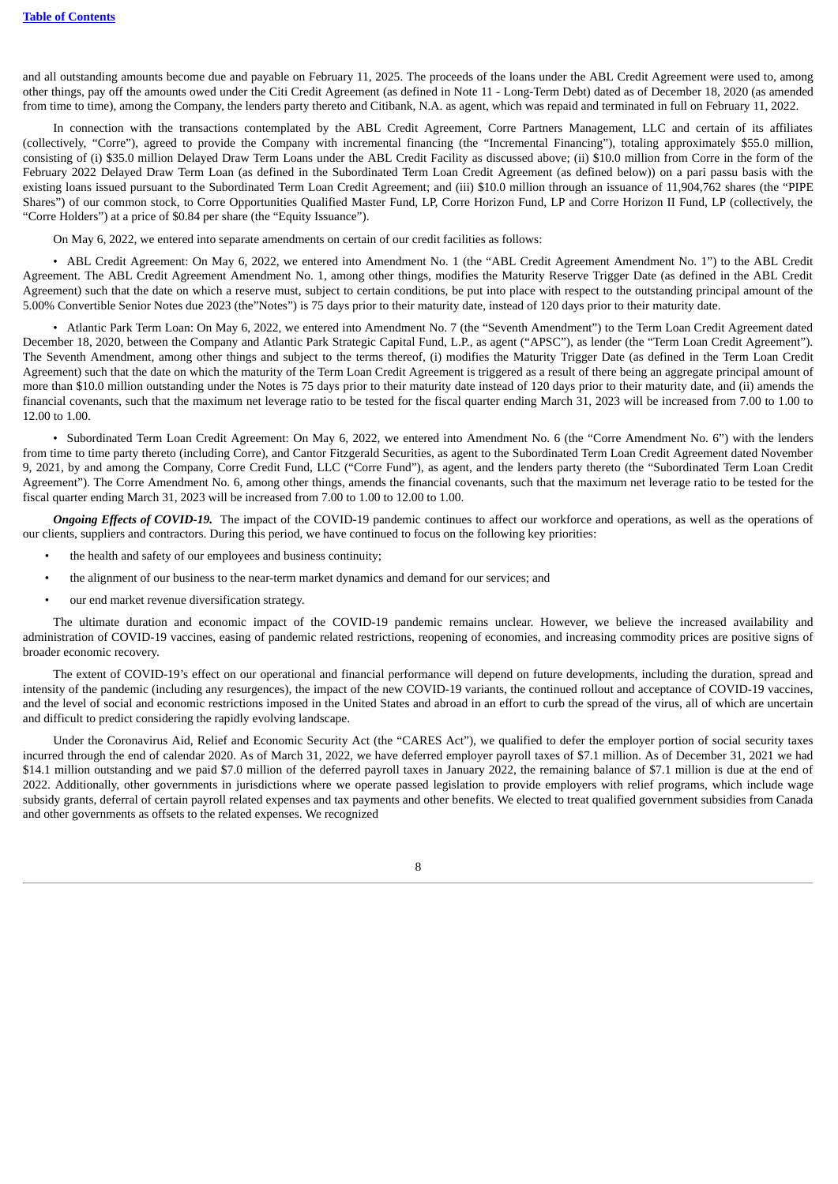and all outstanding amounts become due and payable on February 11, 2025. The proceeds of the loans under the ABL Credit Agreement were used to, among other things, pay off the amounts owed under the Citi Credit Agreement (as defined in Note 11 - Long-Term Debt) dated as of December 18, 2020 (as amended from time to time), among the Company, the lenders party thereto and Citibank, N.A. as agent, which was repaid and terminated in full on February 11, 2022.

In connection with the transactions contemplated by the ABL Credit Agreement, Corre Partners Management, LLC and certain of its affiliates (collectively, "Corre"), agreed to provide the Company with incremental financing (the "Incremental Financing"), totaling approximately \$55.0 million, consisting of (i) \$35.0 million Delayed Draw Term Loans under the ABL Credit Facility as discussed above; (ii) \$10.0 million from Corre in the form of the February 2022 Delayed Draw Term Loan (as defined in the Subordinated Term Loan Credit Agreement (as defined below)) on a pari passu basis with the existing loans issued pursuant to the Subordinated Term Loan Credit Agreement; and (iii) \$10.0 million through an issuance of 11,904,762 shares (the "PIPE Shares") of our common stock, to Corre Opportunities Qualified Master Fund, LP, Corre Horizon Fund, LP and Corre Horizon II Fund, LP (collectively, the "Corre Holders") at a price of \$0.84 per share (the "Equity Issuance").

On May 6, 2022, we entered into separate amendments on certain of our credit facilities as follows:

• ABL Credit Agreement: On May 6, 2022, we entered into Amendment No. 1 (the "ABL Credit Agreement Amendment No. 1") to the ABL Credit Agreement. The ABL Credit Agreement Amendment No. 1, among other things, modifies the Maturity Reserve Trigger Date (as defined in the ABL Credit Agreement) such that the date on which a reserve must, subject to certain conditions, be put into place with respect to the outstanding principal amount of the 5.00% Convertible Senior Notes due 2023 (the"Notes") is 75 days prior to their maturity date, instead of 120 days prior to their maturity date.

• Atlantic Park Term Loan: On May 6, 2022, we entered into Amendment No. 7 (the "Seventh Amendment") to the Term Loan Credit Agreement dated December 18, 2020, between the Company and Atlantic Park Strategic Capital Fund, L.P., as agent ("APSC"), as lender (the "Term Loan Credit Agreement"). The Seventh Amendment, among other things and subject to the terms thereof, (i) modifies the Maturity Trigger Date (as defined in the Term Loan Credit Agreement) such that the date on which the maturity of the Term Loan Credit Agreement is triggered as a result of there being an aggregate principal amount of more than \$10.0 million outstanding under the Notes is 75 days prior to their maturity date instead of 120 days prior to their maturity date, and (ii) amends the financial covenants, such that the maximum net leverage ratio to be tested for the fiscal quarter ending March 31, 2023 will be increased from 7.00 to 1.00 to 12.00 to 1.00.

• Subordinated Term Loan Credit Agreement: On May 6, 2022, we entered into Amendment No. 6 (the "Corre Amendment No. 6") with the lenders from time to time party thereto (including Corre), and Cantor Fitzgerald Securities, as agent to the Subordinated Term Loan Credit Agreement dated November 9, 2021, by and among the Company, Corre Credit Fund, LLC ("Corre Fund"), as agent, and the lenders party thereto (the "Subordinated Term Loan Credit Agreement"). The Corre Amendment No. 6, among other things, amends the financial covenants, such that the maximum net leverage ratio to be tested for the fiscal quarter ending March 31, 2023 will be increased from 7.00 to 1.00 to 12.00 to 1.00.

*Ongoing Effects of COVID-19.* The impact of the COVID-19 pandemic continues to affect our workforce and operations, as well as the operations of our clients, suppliers and contractors. During this period, we have continued to focus on the following key priorities:

- the health and safety of our employees and business continuity;
- the alignment of our business to the near-term market dynamics and demand for our services; and
- our end market revenue diversification strategy.

The ultimate duration and economic impact of the COVID-19 pandemic remains unclear. However, we believe the increased availability and administration of COVID-19 vaccines, easing of pandemic related restrictions, reopening of economies, and increasing commodity prices are positive signs of broader economic recovery.

The extent of COVID-19's effect on our operational and financial performance will depend on future developments, including the duration, spread and intensity of the pandemic (including any resurgences), the impact of the new COVID-19 variants, the continued rollout and acceptance of COVID-19 vaccines, and the level of social and economic restrictions imposed in the United States and abroad in an effort to curb the spread of the virus, all of which are uncertain and difficult to predict considering the rapidly evolving landscape.

Under the Coronavirus Aid, Relief and Economic Security Act (the "CARES Act"), we qualified to defer the employer portion of social security taxes incurred through the end of calendar 2020. As of March 31, 2022, we have deferred employer payroll taxes of \$7.1 million. As of December 31, 2021 we had \$14.1 million outstanding and we paid \$7.0 million of the deferred payroll taxes in January 2022, the remaining balance of \$7.1 million is due at the end of 2022. Additionally, other governments in jurisdictions where we operate passed legislation to provide employers with relief programs, which include wage subsidy grants, deferral of certain payroll related expenses and tax payments and other benefits. We elected to treat qualified government subsidies from Canada and other governments as offsets to the related expenses. We recognized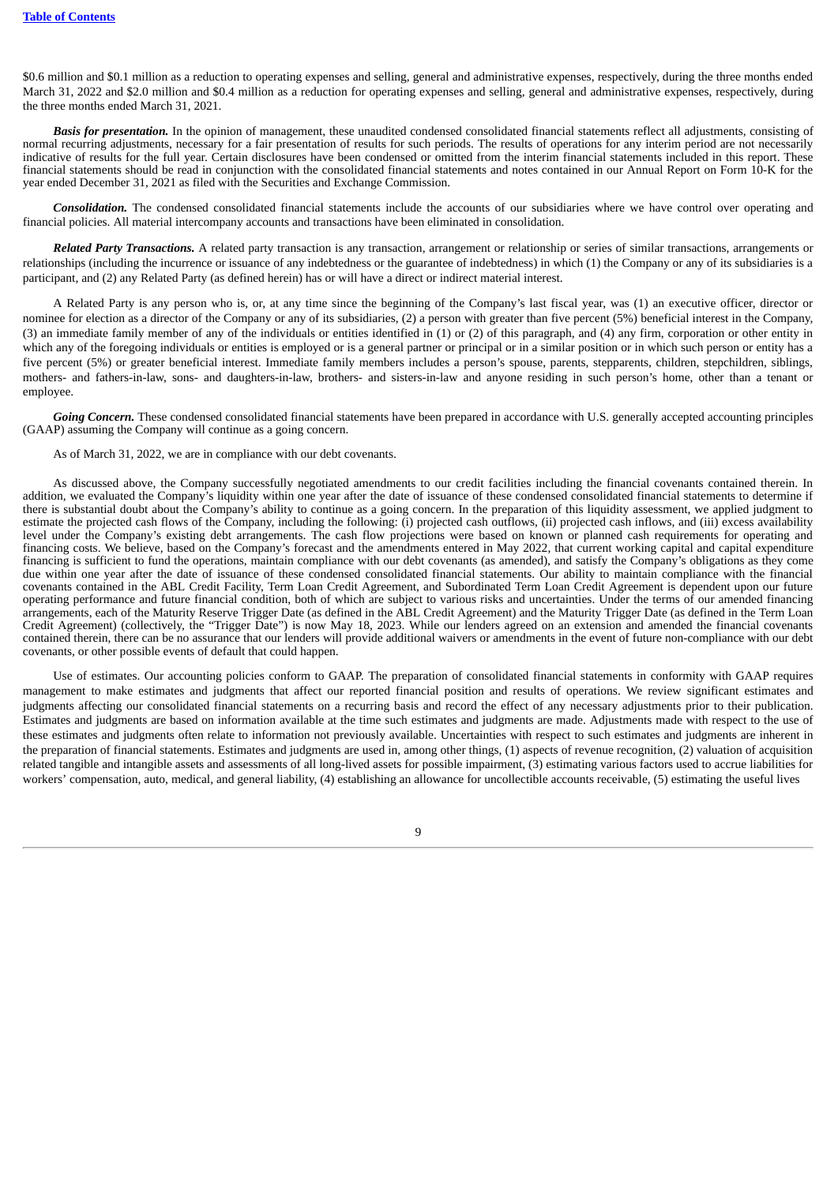\$0.6 million and \$0.1 million as a reduction to operating expenses and selling, general and administrative expenses, respectively, during the three months ended March 31, 2022 and \$2.0 million and \$0.4 million as a reduction for operating expenses and selling, general and administrative expenses, respectively, during the three months ended March 31, 2021.

*Basis for presentation.* In the opinion of management, these unaudited condensed consolidated financial statements reflect all adjustments, consisting of normal recurring adjustments, necessary for a fair presentation of results for such periods. The results of operations for any interim period are not necessarily indicative of results for the full year. Certain disclosures have been condensed or omitted from the interim financial statements included in this report. These financial statements should be read in conjunction with the consolidated financial statements and notes contained in our Annual Report on Form 10-K for the year ended December 31, 2021 as filed with the Securities and Exchange Commission.

*Consolidation.* The condensed consolidated financial statements include the accounts of our subsidiaries where we have control over operating and financial policies. All material intercompany accounts and transactions have been eliminated in consolidation.

*Related Party Transactions.* A related party transaction is any transaction, arrangement or relationship or series of similar transactions, arrangements or relationships (including the incurrence or issuance of any indebtedness or the guarantee of indebtedness) in which (1) the Company or any of its subsidiaries is a participant, and (2) any Related Party (as defined herein) has or will have a direct or indirect material interest.

A Related Party is any person who is, or, at any time since the beginning of the Company's last fiscal year, was (1) an executive officer, director or nominee for election as a director of the Company or any of its subsidiaries, (2) a person with greater than five percent (5%) beneficial interest in the Company, (3) an immediate family member of any of the individuals or entities identified in (1) or (2) of this paragraph, and (4) any firm, corporation or other entity in which any of the foregoing individuals or entities is employed or is a general partner or principal or in a similar position or in which such person or entity has a five percent (5%) or greater beneficial interest. Immediate family members includes a person's spouse, parents, stepparents, children, stepchildren, siblings, mothers- and fathers-in-law, sons- and daughters-in-law, brothers- and sisters-in-law and anyone residing in such person's home, other than a tenant or employee.

*Going Concern.* These condensed consolidated financial statements have been prepared in accordance with U.S. generally accepted accounting principles (GAAP) assuming the Company will continue as a going concern.

As of March 31, 2022, we are in compliance with our debt covenants.

As discussed above, the Company successfully negotiated amendments to our credit facilities including the financial covenants contained therein. In addition, we evaluated the Company's liquidity within one year after the date of issuance of these condensed consolidated financial statements to determine if there is substantial doubt about the Company's ability to continue as a going concern. In the preparation of this liquidity assessment, we applied judgment to estimate the projected cash flows of the Company, including the following: (i) projected cash outflows, (ii) projected cash inflows, and (iii) excess availability level under the Company's existing debt arrangements. The cash flow projections were based on known or planned cash requirements for operating and financing costs. We believe, based on the Company's forecast and the amendments entered in May 2022, that current working capital and capital expenditure financing is sufficient to fund the operations, maintain compliance with our debt covenants (as amended), and satisfy the Company's obligations as they come due within one year after the date of issuance of these condensed consolidated financial statements. Our ability to maintain compliance with the financial covenants contained in the ABL Credit Facility, Term Loan Credit Agreement, and Subordinated Term Loan Credit Agreement is dependent upon our future operating performance and future financial condition, both of which are subject to various risks and uncertainties. Under the terms of our amended financing arrangements, each of the Maturity Reserve Trigger Date (as defined in the ABL Credit Agreement) and the Maturity Trigger Date (as defined in the Term Loan Credit Agreement) (collectively, the "Trigger Date") is now May 18, 2023. While our lenders agreed on an extension and amended the financial covenants contained therein, there can be no assurance that our lenders will provide additional waivers or amendments in the event of future non-compliance with our debt covenants, or other possible events of default that could happen.

Use of estimates. Our accounting policies conform to GAAP. The preparation of consolidated financial statements in conformity with GAAP requires management to make estimates and judgments that affect our reported financial position and results of operations. We review significant estimates and judgments affecting our consolidated financial statements on a recurring basis and record the effect of any necessary adjustments prior to their publication. Estimates and judgments are based on information available at the time such estimates and judgments are made. Adjustments made with respect to the use of these estimates and judgments often relate to information not previously available. Uncertainties with respect to such estimates and judgments are inherent in the preparation of financial statements. Estimates and judgments are used in, among other things, (1) aspects of revenue recognition, (2) valuation of acquisition related tangible and intangible assets and assessments of all long-lived assets for possible impairment, (3) estimating various factors used to accrue liabilities for workers' compensation, auto, medical, and general liability, (4) establishing an allowance for uncollectible accounts receivable, (5) estimating the useful lives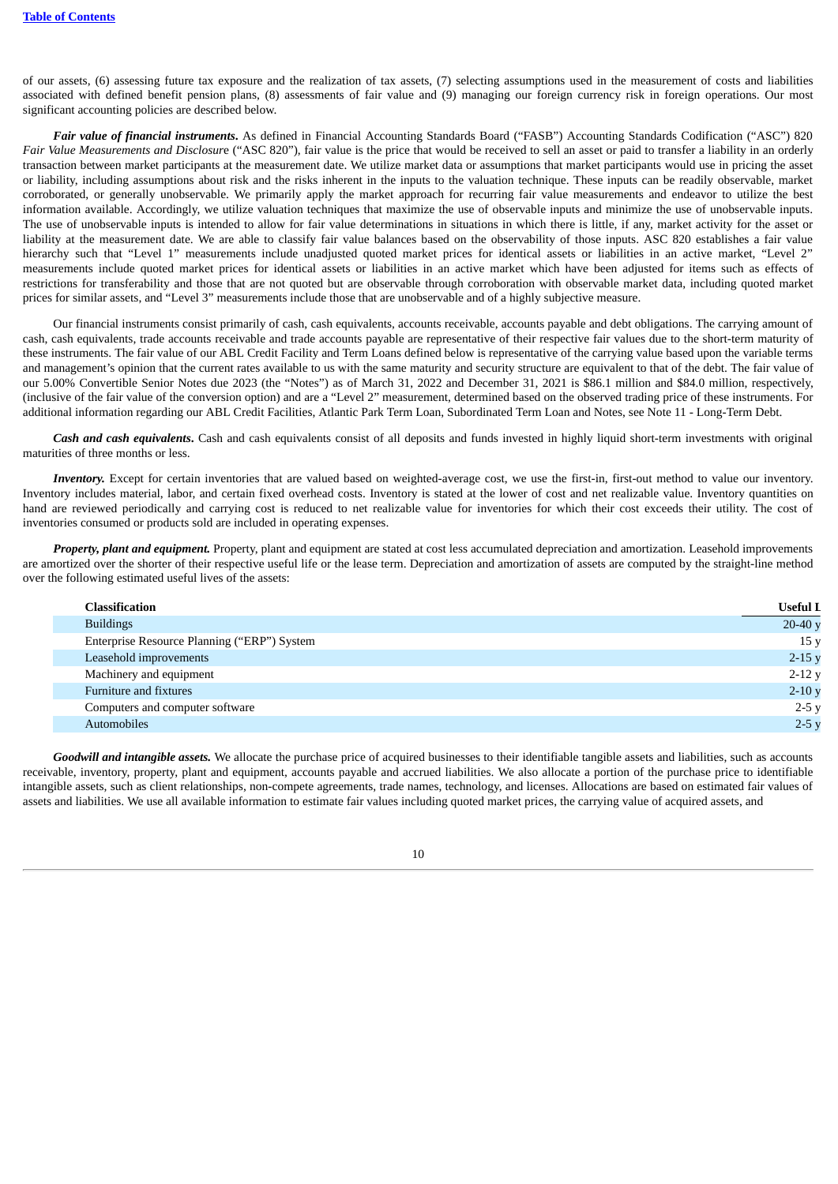of our assets, (6) assessing future tax exposure and the realization of tax assets, (7) selecting assumptions used in the measurement of costs and liabilities associated with defined benefit pension plans, (8) assessments of fair value and (9) managing our foreign currency risk in foreign operations. Our most significant accounting policies are described below.

*Fair value of financial instruments***.** As defined in Financial Accounting Standards Board ("FASB") Accounting Standards Codification ("ASC") 820 *Fair Value Measurements and Disclosur*e ("ASC 820"), fair value is the price that would be received to sell an asset or paid to transfer a liability in an orderly transaction between market participants at the measurement date. We utilize market data or assumptions that market participants would use in pricing the asset or liability, including assumptions about risk and the risks inherent in the inputs to the valuation technique. These inputs can be readily observable, market corroborated, or generally unobservable. We primarily apply the market approach for recurring fair value measurements and endeavor to utilize the best information available. Accordingly, we utilize valuation techniques that maximize the use of observable inputs and minimize the use of unobservable inputs. The use of unobservable inputs is intended to allow for fair value determinations in situations in which there is little, if any, market activity for the asset or liability at the measurement date. We are able to classify fair value balances based on the observability of those inputs. ASC 820 establishes a fair value hierarchy such that "Level 1" measurements include unadjusted quoted market prices for identical assets or liabilities in an active market, "Level 2" measurements include quoted market prices for identical assets or liabilities in an active market which have been adjusted for items such as effects of restrictions for transferability and those that are not quoted but are observable through corroboration with observable market data, including quoted market prices for similar assets, and "Level 3" measurements include those that are unobservable and of a highly subjective measure.

Our financial instruments consist primarily of cash, cash equivalents, accounts receivable, accounts payable and debt obligations. The carrying amount of cash, cash equivalents, trade accounts receivable and trade accounts payable are representative of their respective fair values due to the short-term maturity of these instruments. The fair value of our ABL Credit Facility and Term Loans defined below is representative of the carrying value based upon the variable terms and management's opinion that the current rates available to us with the same maturity and security structure are equivalent to that of the debt. The fair value of our 5.00% Convertible Senior Notes due 2023 (the "Notes") as of March 31, 2022 and December 31, 2021 is \$86.1 million and \$84.0 million, respectively, (inclusive of the fair value of the conversion option) and are a "Level 2" measurement, determined based on the observed trading price of these instruments. For additional information regarding our ABL Credit Facilities, Atlantic Park Term Loan, Subordinated Term Loan and Notes, see Note 11 - Long-Term Debt.

*Cash and cash equivalents***.** Cash and cash equivalents consist of all deposits and funds invested in highly liquid short-term investments with original maturities of three months or less.

*Inventory.* Except for certain inventories that are valued based on weighted-average cost, we use the first-in, first-out method to value our inventory. Inventory includes material, labor, and certain fixed overhead costs. Inventory is stated at the lower of cost and net realizable value. Inventory quantities on hand are reviewed periodically and carrying cost is reduced to net realizable value for inventories for which their cost exceeds their utility. The cost of inventories consumed or products sold are included in operating expenses.

*Property, plant and equipment.* Property, plant and equipment are stated at cost less accumulated depreciation and amortization. Leasehold improvements are amortized over the shorter of their respective useful life or the lease term. Depreciation and amortization of assets are computed by the straight-line method over the following estimated useful lives of the assets:

| <b>Useful L</b> |
|-----------------|
| $20-40y$        |
| 15y             |
| $2-15y$         |
| $2-12y$         |
| $2-10y$         |
| $2-5y$          |
| $2-5y$          |
|                 |

*Goodwill and intangible assets.* We allocate the purchase price of acquired businesses to their identifiable tangible assets and liabilities, such as accounts receivable, inventory, property, plant and equipment, accounts payable and accrued liabilities. We also allocate a portion of the purchase price to identifiable intangible assets, such as client relationships, non-compete agreements, trade names, technology, and licenses. Allocations are based on estimated fair values of assets and liabilities. We use all available information to estimate fair values including quoted market prices, the carrying value of acquired assets, and

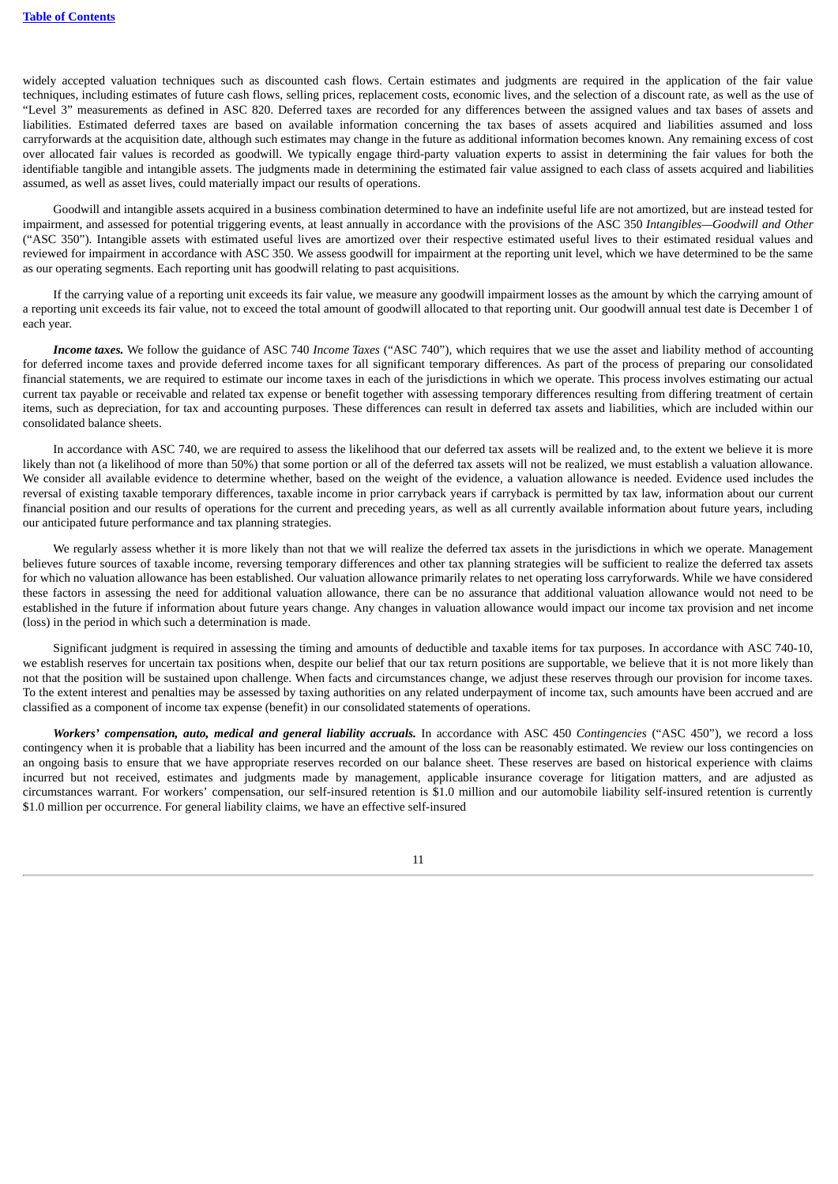widely accepted valuation techniques such as discounted cash flows. Certain estimates and judgments are required in the application of the fair value techniques, including estimates of future cash flows, selling prices, replacement costs, economic lives, and the selection of a discount rate, as well as the use of "Level 3" measurements as defined in ASC 820. Deferred taxes are recorded for any differences between the assigned values and tax bases of assets and liabilities. Estimated deferred taxes are based on available information concerning the tax bases of assets acquired and liabilities assumed and loss carryforwards at the acquisition date, although such estimates may change in the future as additional information becomes known. Any remaining excess of cost over allocated fair values is recorded as goodwill. We typically engage third-party valuation experts to assist in determining the fair values for both the identifiable tangible and intangible assets. The judgments made in determining the estimated fair value assigned to each class of assets acquired and liabilities assumed, as well as asset lives, could materially impact our results of operations.

Goodwill and intangible assets acquired in a business combination determined to have an indefinite useful life are not amortized, but are instead tested for impairment, and assessed for potential triggering events, at least annually in accordance with the provisions of the ASC 350 *Intangibles—Goodwill and Other* ("ASC 350"). Intangible assets with estimated useful lives are amortized over their respective estimated useful lives to their estimated residual values and reviewed for impairment in accordance with ASC 350. We assess goodwill for impairment at the reporting unit level, which we have determined to be the same as our operating segments. Each reporting unit has goodwill relating to past acquisitions.

If the carrying value of a reporting unit exceeds its fair value, we measure any goodwill impairment losses as the amount by which the carrying amount of a reporting unit exceeds its fair value, not to exceed the total amount of goodwill allocated to that reporting unit. Our goodwill annual test date is December 1 of each year.

*Income taxes.* We follow the guidance of ASC 740 *Income Taxes* ("ASC 740"), which requires that we use the asset and liability method of accounting for deferred income taxes and provide deferred income taxes for all significant temporary differences. As part of the process of preparing our consolidated financial statements, we are required to estimate our income taxes in each of the jurisdictions in which we operate. This process involves estimating our actual current tax payable or receivable and related tax expense or benefit together with assessing temporary differences resulting from differing treatment of certain items, such as depreciation, for tax and accounting purposes. These differences can result in deferred tax assets and liabilities, which are included within our consolidated balance sheets.

In accordance with ASC 740, we are required to assess the likelihood that our deferred tax assets will be realized and, to the extent we believe it is more likely than not (a likelihood of more than 50%) that some portion or all of the deferred tax assets will not be realized, we must establish a valuation allowance. We consider all available evidence to determine whether, based on the weight of the evidence, a valuation allowance is needed. Evidence used includes the reversal of existing taxable temporary differences, taxable income in prior carryback years if carryback is permitted by tax law, information about our current financial position and our results of operations for the current and preceding years, as well as all currently available information about future years, including our anticipated future performance and tax planning strategies.

We regularly assess whether it is more likely than not that we will realize the deferred tax assets in the jurisdictions in which we operate. Management believes future sources of taxable income, reversing temporary differences and other tax planning strategies will be sufficient to realize the deferred tax assets for which no valuation allowance has been established. Our valuation allowance primarily relates to net operating loss carryforwards. While we have considered these factors in assessing the need for additional valuation allowance, there can be no assurance that additional valuation allowance would not need to be established in the future if information about future years change. Any changes in valuation allowance would impact our income tax provision and net income (loss) in the period in which such a determination is made.

Significant judgment is required in assessing the timing and amounts of deductible and taxable items for tax purposes. In accordance with ASC 740-10, we establish reserves for uncertain tax positions when, despite our belief that our tax return positions are supportable, we believe that it is not more likely than not that the position will be sustained upon challenge. When facts and circumstances change, we adjust these reserves through our provision for income taxes. To the extent interest and penalties may be assessed by taxing authorities on any related underpayment of income tax, such amounts have been accrued and are classified as a component of income tax expense (benefit) in our consolidated statements of operations.

*Workers' compensation, auto, medical and general liability accruals.* In accordance with ASC 450 *Contingencies* ("ASC 450"), we record a loss contingency when it is probable that a liability has been incurred and the amount of the loss can be reasonably estimated. We review our loss contingencies on an ongoing basis to ensure that we have appropriate reserves recorded on our balance sheet. These reserves are based on historical experience with claims incurred but not received, estimates and judgments made by management, applicable insurance coverage for litigation matters, and are adjusted as circumstances warrant. For workers' compensation, our self-insured retention is \$1.0 million and our automobile liability self-insured retention is currently \$1.0 million per occurrence. For general liability claims, we have an effective self-insured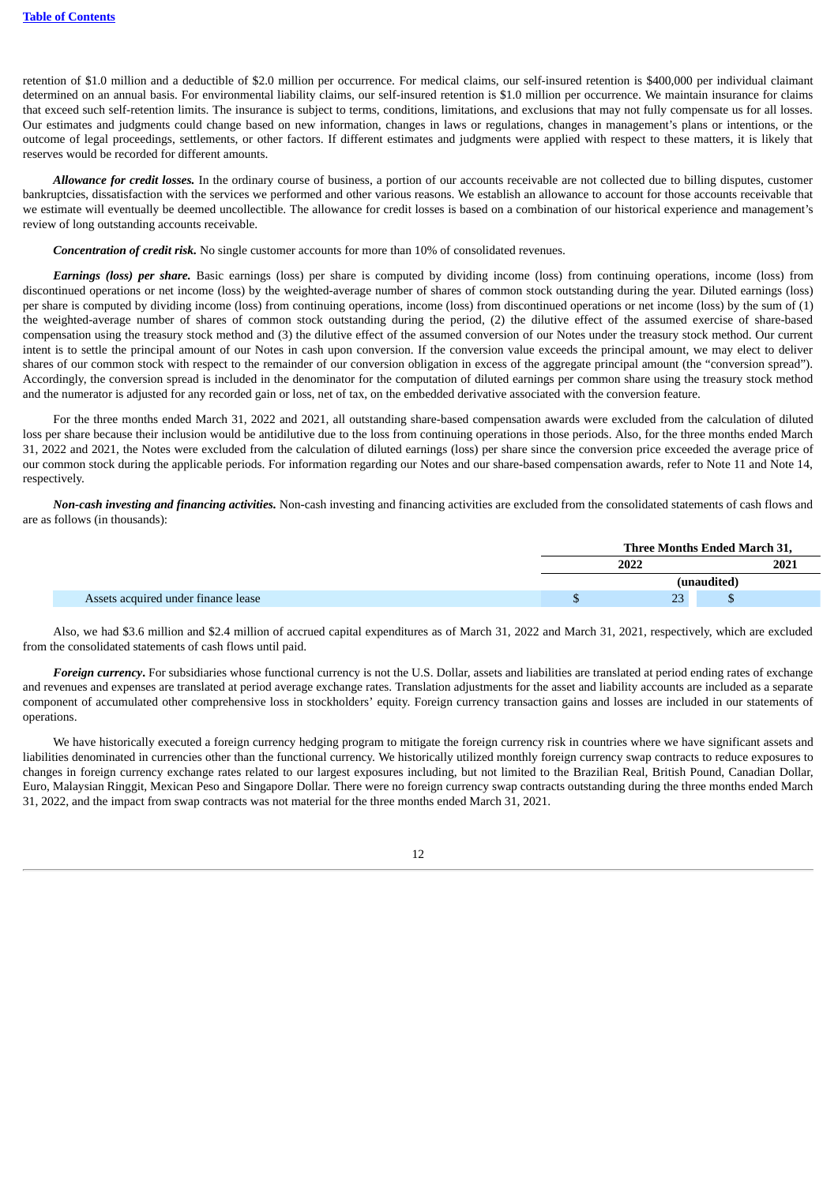retention of \$1.0 million and a deductible of \$2.0 million per occurrence. For medical claims, our self-insured retention is \$400,000 per individual claimant determined on an annual basis. For environmental liability claims, our self-insured retention is \$1.0 million per occurrence. We maintain insurance for claims that exceed such self-retention limits. The insurance is subject to terms, conditions, limitations, and exclusions that may not fully compensate us for all losses. Our estimates and judgments could change based on new information, changes in laws or regulations, changes in management's plans or intentions, or the outcome of legal proceedings, settlements, or other factors. If different estimates and judgments were applied with respect to these matters, it is likely that reserves would be recorded for different amounts.

*Allowance for credit losses.* In the ordinary course of business, a portion of our accounts receivable are not collected due to billing disputes, customer bankruptcies, dissatisfaction with the services we performed and other various reasons. We establish an allowance to account for those accounts receivable that we estimate will eventually be deemed uncollectible. The allowance for credit losses is based on a combination of our historical experience and management's review of long outstanding accounts receivable.

*Concentration of credit risk.* No single customer accounts for more than 10% of consolidated revenues.

*Earnings (loss) per share.* Basic earnings (loss) per share is computed by dividing income (loss) from continuing operations, income (loss) from discontinued operations or net income (loss) by the weighted-average number of shares of common stock outstanding during the year. Diluted earnings (loss) per share is computed by dividing income (loss) from continuing operations, income (loss) from discontinued operations or net income (loss) by the sum of (1) the weighted-average number of shares of common stock outstanding during the period, (2) the dilutive effect of the assumed exercise of share-based compensation using the treasury stock method and (3) the dilutive effect of the assumed conversion of our Notes under the treasury stock method. Our current intent is to settle the principal amount of our Notes in cash upon conversion. If the conversion value exceeds the principal amount, we may elect to deliver shares of our common stock with respect to the remainder of our conversion obligation in excess of the aggregate principal amount (the "conversion spread"). Accordingly, the conversion spread is included in the denominator for the computation of diluted earnings per common share using the treasury stock method and the numerator is adjusted for any recorded gain or loss, net of tax, on the embedded derivative associated with the conversion feature.

For the three months ended March 31, 2022 and 2021, all outstanding share-based compensation awards were excluded from the calculation of diluted loss per share because their inclusion would be antidilutive due to the loss from continuing operations in those periods. Also, for the three months ended March 31, 2022 and 2021, the Notes were excluded from the calculation of diluted earnings (loss) per share since the conversion price exceeded the average price of our common stock during the applicable periods. For information regarding our Notes and our share-based compensation awards, refer to Note 11 and Note 14, respectively.

*Non-cash investing and financing activities.* Non-cash investing and financing activities are excluded from the consolidated statements of cash flows and are as follows (in thousands):

|                                     |      | Three Months Ended March 31, |   |      |  |  |  |
|-------------------------------------|------|------------------------------|---|------|--|--|--|
|                                     | 2022 |                              |   | 2021 |  |  |  |
|                                     |      | (unaudited)                  |   |      |  |  |  |
| Assets acquired under finance lease |      | 23                           | w |      |  |  |  |

Also, we had \$3.6 million and \$2.4 million of accrued capital expenditures as of March 31, 2022 and March 31, 2021, respectively, which are excluded from the consolidated statements of cash flows until paid.

*Foreign currency***.** For subsidiaries whose functional currency is not the U.S. Dollar, assets and liabilities are translated at period ending rates of exchange and revenues and expenses are translated at period average exchange rates. Translation adjustments for the asset and liability accounts are included as a separate component of accumulated other comprehensive loss in stockholders' equity. Foreign currency transaction gains and losses are included in our statements of operations.

We have historically executed a foreign currency hedging program to mitigate the foreign currency risk in countries where we have significant assets and liabilities denominated in currencies other than the functional currency. We historically utilized monthly foreign currency swap contracts to reduce exposures to changes in foreign currency exchange rates related to our largest exposures including, but not limited to the Brazilian Real, British Pound, Canadian Dollar, Euro, Malaysian Ringgit, Mexican Peso and Singapore Dollar. There were no foreign currency swap contracts outstanding during the three months ended March 31, 2022, and the impact from swap contracts was not material for the three months ended March 31, 2021.

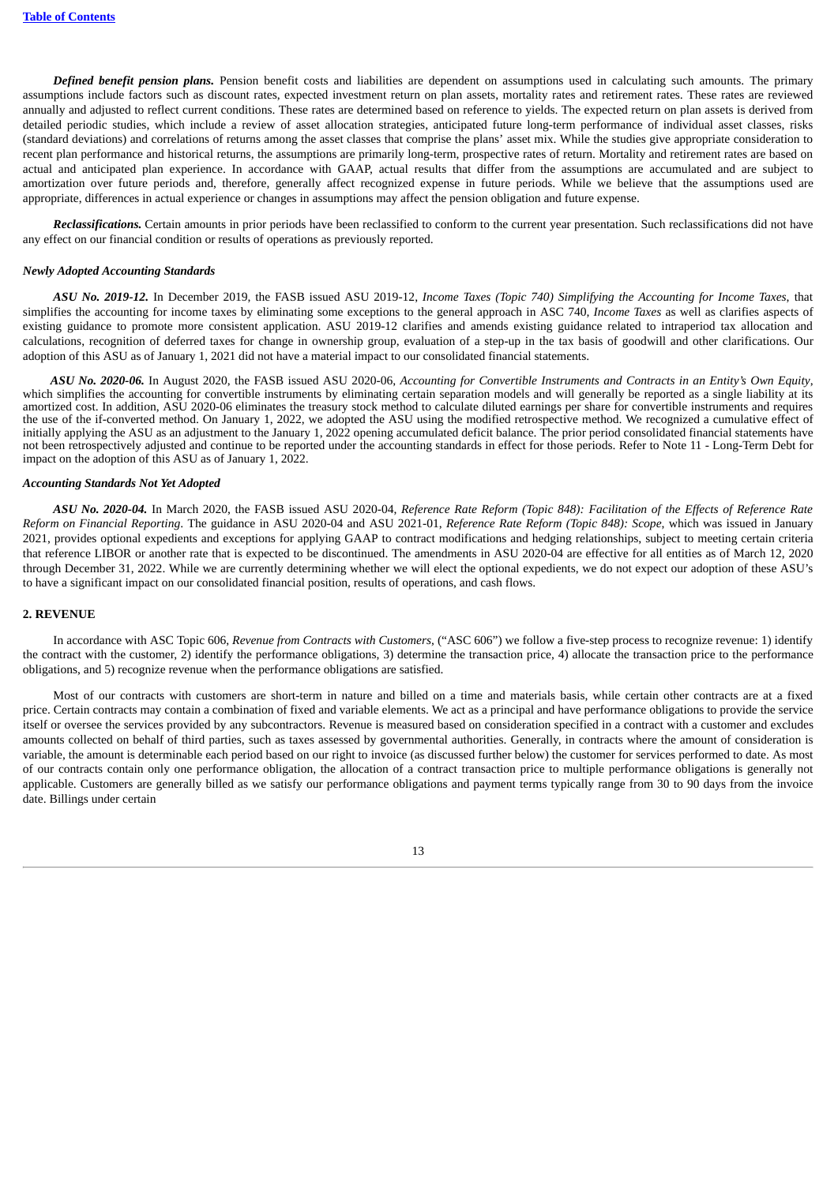*Defined benefit pension plans.* Pension benefit costs and liabilities are dependent on assumptions used in calculating such amounts. The primary assumptions include factors such as discount rates, expected investment return on plan assets, mortality rates and retirement rates. These rates are reviewed annually and adjusted to reflect current conditions. These rates are determined based on reference to yields. The expected return on plan assets is derived from detailed periodic studies, which include a review of asset allocation strategies, anticipated future long-term performance of individual asset classes, risks (standard deviations) and correlations of returns among the asset classes that comprise the plans' asset mix. While the studies give appropriate consideration to recent plan performance and historical returns, the assumptions are primarily long-term, prospective rates of return. Mortality and retirement rates are based on actual and anticipated plan experience. In accordance with GAAP, actual results that differ from the assumptions are accumulated and are subject to amortization over future periods and, therefore, generally affect recognized expense in future periods. While we believe that the assumptions used are appropriate, differences in actual experience or changes in assumptions may affect the pension obligation and future expense.

*Reclassifications.* Certain amounts in prior periods have been reclassified to conform to the current year presentation. Such reclassifications did not have any effect on our financial condition or results of operations as previously reported.

#### *Newly Adopted Accounting Standards*

ASU No. 2019-12. In December 2019, the FASB issued ASU 2019-12, Income Taxes (Topic 740) Simplifying the Accounting for Income Taxes, that simplifies the accounting for income taxes by eliminating some exceptions to the general approach in ASC 740, *Income Taxes* as well as clarifies aspects of existing guidance to promote more consistent application. ASU 2019-12 clarifies and amends existing guidance related to intraperiod tax allocation and calculations, recognition of deferred taxes for change in ownership group, evaluation of a step-up in the tax basis of goodwill and other clarifications. Our adoption of this ASU as of January 1, 2021 did not have a material impact to our consolidated financial statements.

ASU No. 2020-06. In August 2020, the FASB issued ASU 2020-06, Accounting for Convertible Instruments and Contracts in an Entity's Own Equity, which simplifies the accounting for convertible instruments by eliminating certain separation models and will generally be reported as a single liability at its amortized cost. In addition, ASU 2020-06 eliminates the treasury stock method to calculate diluted earnings per share for convertible instruments and requires the use of the if-converted method. On January 1, 2022, we adopted the ASU using the modified retrospective method. We recognized a cumulative effect of initially applying the ASU as an adjustment to the January 1, 2022 opening accumulated deficit balance. The prior period consolidated financial statements have not been retrospectively adjusted and continue to be reported under the accounting standards in effect for those periods. Refer to Note 11 - Long-Term Debt for impact on the adoption of this ASU as of January 1, 2022.

#### *Accounting Standards Not Yet Adopted*

ASU No. 2020-04. In March 2020, the FASB issued ASU 2020-04, Reference Rate Reform (Topic 848): Facilitation of the Effects of Reference Rate *Reform on Financial Reporting*. The guidance in ASU 2020-04 and ASU 2021-01, *Reference Rate Reform (Topic 848): Scope*, which was issued in January 2021, provides optional expedients and exceptions for applying GAAP to contract modifications and hedging relationships, subject to meeting certain criteria that reference LIBOR or another rate that is expected to be discontinued. The amendments in ASU 2020-04 are effective for all entities as of March 12, 2020 through December 31, 2022. While we are currently determining whether we will elect the optional expedients, we do not expect our adoption of these ASU's to have a significant impact on our consolidated financial position, results of operations, and cash flows.

#### **2. REVENUE**

In accordance with ASC Topic 606, *Revenue from Contracts with Customers*, ("ASC 606") we follow a five-step process to recognize revenue: 1) identify the contract with the customer, 2) identify the performance obligations, 3) determine the transaction price, 4) allocate the transaction price to the performance obligations, and 5) recognize revenue when the performance obligations are satisfied.

Most of our contracts with customers are short-term in nature and billed on a time and materials basis, while certain other contracts are at a fixed price. Certain contracts may contain a combination of fixed and variable elements. We act as a principal and have performance obligations to provide the service itself or oversee the services provided by any subcontractors. Revenue is measured based on consideration specified in a contract with a customer and excludes amounts collected on behalf of third parties, such as taxes assessed by governmental authorities. Generally, in contracts where the amount of consideration is variable, the amount is determinable each period based on our right to invoice (as discussed further below) the customer for services performed to date. As most of our contracts contain only one performance obligation, the allocation of a contract transaction price to multiple performance obligations is generally not applicable. Customers are generally billed as we satisfy our performance obligations and payment terms typically range from 30 to 90 days from the invoice date. Billings under certain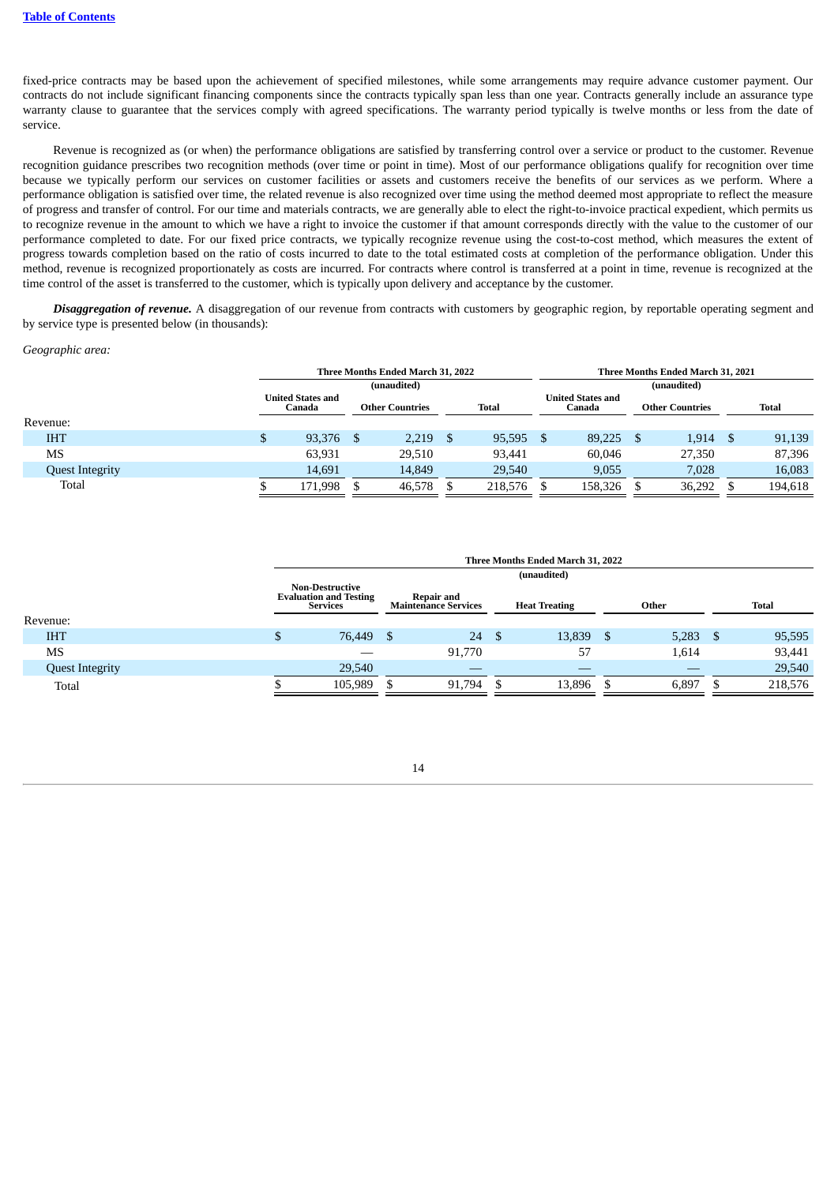fixed-price contracts may be based upon the achievement of specified milestones, while some arrangements may require advance customer payment. Our contracts do not include significant financing components since the contracts typically span less than one year. Contracts generally include an assurance type warranty clause to guarantee that the services comply with agreed specifications. The warranty period typically is twelve months or less from the date of service.

Revenue is recognized as (or when) the performance obligations are satisfied by transferring control over a service or product to the customer. Revenue recognition guidance prescribes two recognition methods (over time or point in time). Most of our performance obligations qualify for recognition over time because we typically perform our services on customer facilities or assets and customers receive the benefits of our services as we perform. Where a performance obligation is satisfied over time, the related revenue is also recognized over time using the method deemed most appropriate to reflect the measure of progress and transfer of control. For our time and materials contracts, we are generally able to elect the right-to-invoice practical expedient, which permits us to recognize revenue in the amount to which we have a right to invoice the customer if that amount corresponds directly with the value to the customer of our performance completed to date. For our fixed price contracts, we typically recognize revenue using the cost-to-cost method, which measures the extent of progress towards completion based on the ratio of costs incurred to date to the total estimated costs at completion of the performance obligation. Under this method, revenue is recognized proportionately as costs are incurred. For contracts where control is transferred at a point in time, revenue is recognized at the time control of the asset is transferred to the customer, which is typically upon delivery and acceptance by the customer.

*Disaggregation of revenue.* A disaggregation of our revenue from contracts with customers by geographic region, by reportable operating segment and by service type is presented below (in thousands):

#### *Geographic area:*

|                        |   |                                    | Three Months Ended March 31, 2022      |        | Three Months Ended March 31, 2021 |         |                        |             |  |              |  |         |
|------------------------|---|------------------------------------|----------------------------------------|--------|-----------------------------------|---------|------------------------|-------------|--|--------------|--|---------|
|                        |   |                                    | (unaudited)                            |        |                                   |         |                        | (unaudited) |  |              |  |         |
|                        |   | <b>United States and</b><br>Canada | <b>Total</b><br><b>Other Countries</b> |        | United States and<br>Canada       |         | <b>Other Countries</b> |             |  | <b>Total</b> |  |         |
| Revenue:               |   |                                    |                                        |        |                                   |         |                        |             |  |              |  |         |
| <b>IHT</b>             | ъ | 93,376                             | - \$                                   | 2,219  | - \$                              | 95,595  | <sup>\$</sup>          | 89,225      |  | 1,914        |  | 91,139  |
| <b>MS</b>              |   | 63,931                             |                                        | 29,510 |                                   | 93.441  |                        | 60,046      |  | 27,350       |  | 87,396  |
| <b>Quest Integrity</b> |   | 14.691                             |                                        | 14.849 |                                   | 29,540  |                        | 9,055       |  | 7.028        |  | 16,083  |
| Total                  |   | 171.998                            |                                        | 46,578 |                                   | 218,576 |                        | 158,326     |  | 36,292       |  | 194.618 |

|                 |                                                                            |  |                                           |     | Three Months Ended March 31, 2022 |   |       |      |              |  |  |  |  |
|-----------------|----------------------------------------------------------------------------|--|-------------------------------------------|-----|-----------------------------------|---|-------|------|--------------|--|--|--|--|
|                 | (unaudited)                                                                |  |                                           |     |                                   |   |       |      |              |  |  |  |  |
|                 | <b>Non-Destructive</b><br><b>Evaluation and Testing</b><br><b>Services</b> |  | Repair and<br><b>Maintenance Services</b> |     | <b>Heat Treating</b>              |   | Other |      | <b>Total</b> |  |  |  |  |
| Revenue:        |                                                                            |  |                                           |     |                                   |   |       |      |              |  |  |  |  |
| <b>IHT</b>      | 76,449 \$                                                                  |  | 24                                        | ∣S. | 13,839                            | S | 5,283 | - \$ | 95,595       |  |  |  |  |
| <b>MS</b>       |                                                                            |  | 91,770                                    |     | 57                                |   | 1,614 |      | 93,441       |  |  |  |  |
| Quest Integrity | 29,540                                                                     |  |                                           |     |                                   |   |       |      | 29,540       |  |  |  |  |
| Total           | 105,989                                                                    |  | 91,794                                    |     | 13,896                            |   | 6,897 |      | 218,576      |  |  |  |  |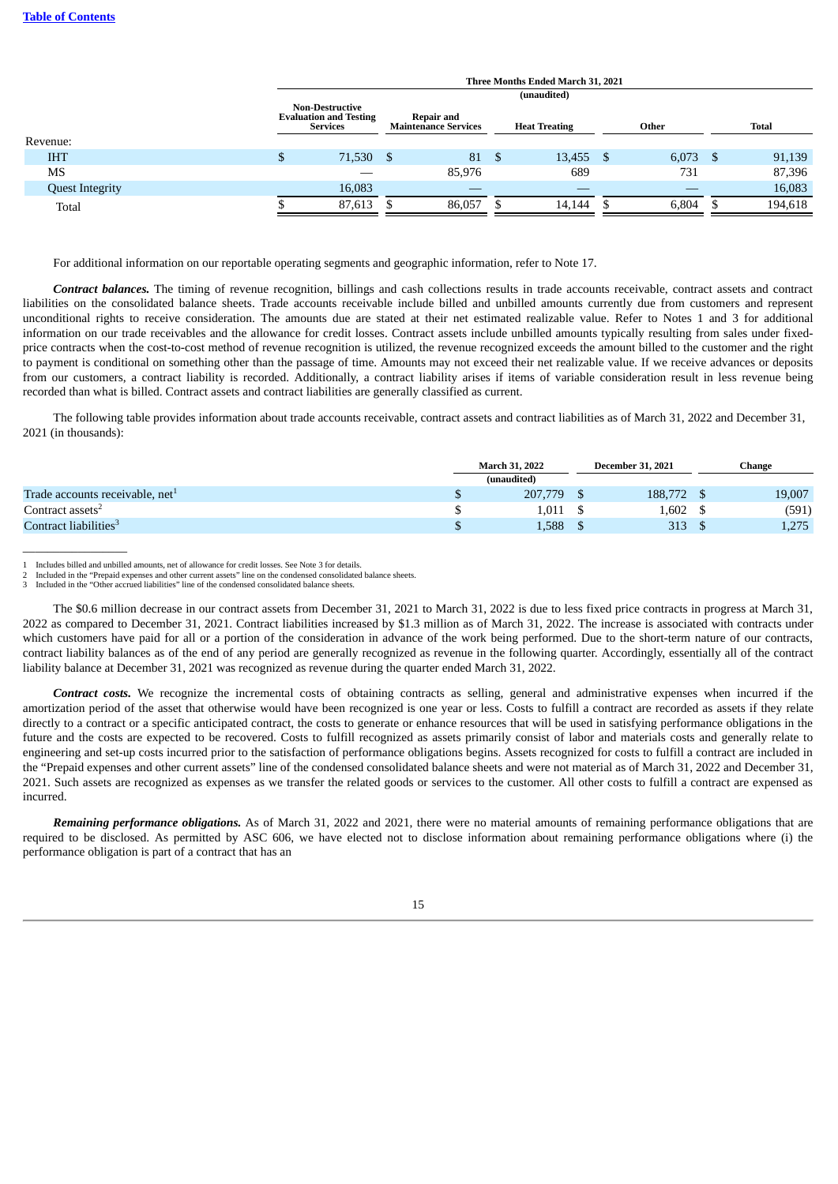*\_\_\_\_\_\_\_\_\_\_\_\_\_\_\_\_\_*

|  |                        |                                                                            |           |                                           |        |                      | Three Months Ended March 31, 2021 |       |            |              |         |
|--|------------------------|----------------------------------------------------------------------------|-----------|-------------------------------------------|--------|----------------------|-----------------------------------|-------|------------|--------------|---------|
|  |                        |                                                                            |           |                                           |        |                      | (unaudited)                       |       |            |              |         |
|  |                        | <b>Non-Destructive</b><br><b>Evaluation and Testing</b><br><b>Services</b> |           | Repair and<br><b>Maintenance Services</b> |        | <b>Heat Treating</b> |                                   | Other |            | <b>Total</b> |         |
|  | Revenue:               |                                                                            |           |                                           |        |                      |                                   |       |            |              |         |
|  | <b>IHT</b>             | D                                                                          | 71,530 \$ |                                           | 81     | - S                  | 13,455                            | - \$  | $6,073$ \$ |              | 91,139  |
|  | MS                     |                                                                            |           |                                           | 85,976 |                      | 689                               |       | 731        |              | 87,396  |
|  | <b>Quest Integrity</b> |                                                                            | 16,083    |                                           |        |                      |                                   |       |            |              | 16,083  |
|  | Total                  |                                                                            | 87,613    |                                           | 86,057 |                      | 14,144                            | -5    | 6,804      |              | 194,618 |
|  |                        |                                                                            |           |                                           |        |                      |                                   |       |            |              |         |

For additional information on our reportable operating segments and geographic information, refer to Note 17.

*Contract balances.* The timing of revenue recognition, billings and cash collections results in trade accounts receivable, contract assets and contract liabilities on the consolidated balance sheets. Trade accounts receivable include billed and unbilled amounts currently due from customers and represent unconditional rights to receive consideration. The amounts due are stated at their net estimated realizable value. Refer to Notes 1 and 3 for additional information on our trade receivables and the allowance for credit losses. Contract assets include unbilled amounts typically resulting from sales under fixedprice contracts when the cost-to-cost method of revenue recognition is utilized, the revenue recognized exceeds the amount billed to the customer and the right to payment is conditional on something other than the passage of time. Amounts may not exceed their net realizable value. If we receive advances or deposits from our customers, a contract liability is recorded. Additionally, a contract liability arises if items of variable consideration result in less revenue being recorded than what is billed. Contract assets and contract liabilities are generally classified as current.

The following table provides information about trade accounts receivable, contract assets and contract liabilities as of March 31, 2022 and December 31, 2021 (in thousands):

|                                             | <b>March 31, 2022</b> | <b>December 31, 2021</b> |         |  | Change |  |  |
|---------------------------------------------|-----------------------|--------------------------|---------|--|--------|--|--|
|                                             | (unaudited)           |                          |         |  |        |  |  |
| Trade accounts receivable, net <sup>1</sup> | 207,779               |                          | 188,772 |  | 19,007 |  |  |
| Contract assets <sup>2</sup>                | 1,011                 |                          | 1,602   |  | (591)  |  |  |
| Contract liabilities <sup>3</sup>           | 1,588                 |                          | 313     |  | 1,275  |  |  |

<sup>1</sup> Includes billed and unbilled amounts, net of allowance for credit losses. See Note 3 for details<br>2 Included in the "Prepaid expenses and other current assets" line on the condensed consolidate

The \$0.6 million decrease in our contract assets from December 31, 2021 to March 31, 2022 is due to less fixed price contracts in progress at March 31, 2022 as compared to December 31, 2021. Contract liabilities increased by \$1.3 million as of March 31, 2022. The increase is associated with contracts under which customers have paid for all or a portion of the consideration in advance of the work being performed. Due to the short-term nature of our contracts, contract liability balances as of the end of any period are generally recognized as revenue in the following quarter. Accordingly, essentially all of the contract liability balance at December 31, 2021 was recognized as revenue during the quarter ended March 31, 2022.

*Contract costs.* We recognize the incremental costs of obtaining contracts as selling, general and administrative expenses when incurred if the amortization period of the asset that otherwise would have been recognized is one year or less. Costs to fulfill a contract are recorded as assets if they relate directly to a contract or a specific anticipated contract, the costs to generate or enhance resources that will be used in satisfying performance obligations in the future and the costs are expected to be recovered. Costs to fulfill recognized as assets primarily consist of labor and materials costs and generally relate to engineering and set-up costs incurred prior to the satisfaction of performance obligations begins. Assets recognized for costs to fulfill a contract are included in the "Prepaid expenses and other current assets" line of the condensed consolidated balance sheets and were not material as of March 31, 2022 and December 31, 2021. Such assets are recognized as expenses as we transfer the related goods or services to the customer. All other costs to fulfill a contract are expensed as incurred.

*Remaining performance obligations.* As of March 31, 2022 and 2021, there were no material amounts of remaining performance obligations that are required to be disclosed. As permitted by ASC 606, we have elected not to disclose information about remaining performance obligations where (i) the performance obligation is part of a contract that has an

<sup>2</sup> Included in the "Prepaid expenses and other current assets" line on the condensed consolidated balance sheets.<br>3 Included in the "Other accrued liabilities" line of the condensed consolidated balance sheets. 3 Included in the "Other accrued liabilities" line of the condensed consolidated balance sheets.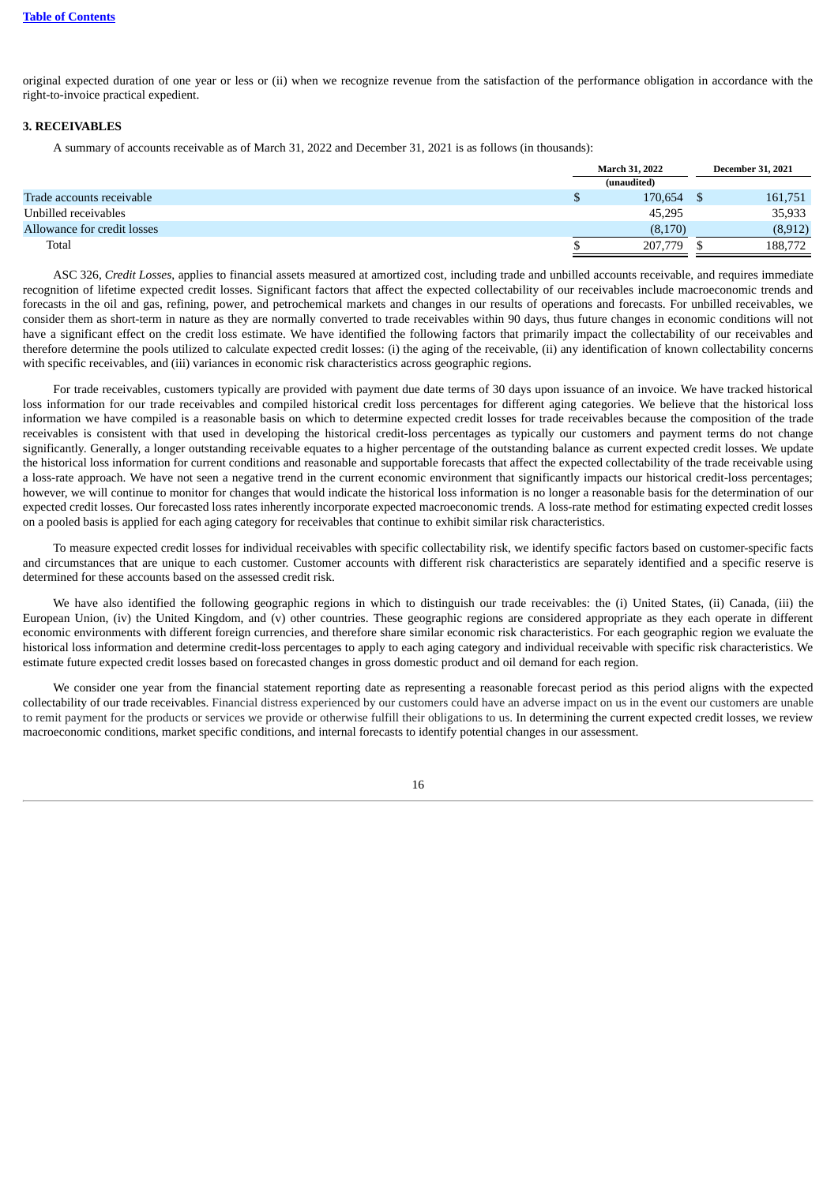original expected duration of one year or less or (ii) when we recognize revenue from the satisfaction of the performance obligation in accordance with the right-to-invoice practical expedient.

#### **3. RECEIVABLES**

A summary of accounts receivable as of March 31, 2022 and December 31, 2021 is as follows (in thousands):

|                             | <b>March 31, 2022</b> | <b>December 31, 2021</b> |
|-----------------------------|-----------------------|--------------------------|
|                             | (unaudited)           |                          |
| Trade accounts receivable   | 170.654               | 161,751                  |
| Unbilled receivables        | 45,295                | 35,933                   |
| Allowance for credit losses | (8,170)               | (8,912)                  |
| Total                       | 207,779               | 188.772                  |

ASC 326, *Credit Losses*, applies to financial assets measured at amortized cost, including trade and unbilled accounts receivable, and requires immediate recognition of lifetime expected credit losses. Significant factors that affect the expected collectability of our receivables include macroeconomic trends and forecasts in the oil and gas, refining, power, and petrochemical markets and changes in our results of operations and forecasts. For unbilled receivables, we consider them as short-term in nature as they are normally converted to trade receivables within 90 days, thus future changes in economic conditions will not have a significant effect on the credit loss estimate. We have identified the following factors that primarily impact the collectability of our receivables and therefore determine the pools utilized to calculate expected credit losses: (i) the aging of the receivable, (ii) any identification of known collectability concerns with specific receivables, and (iii) variances in economic risk characteristics across geographic regions.

For trade receivables, customers typically are provided with payment due date terms of 30 days upon issuance of an invoice. We have tracked historical loss information for our trade receivables and compiled historical credit loss percentages for different aging categories. We believe that the historical loss information we have compiled is a reasonable basis on which to determine expected credit losses for trade receivables because the composition of the trade receivables is consistent with that used in developing the historical credit-loss percentages as typically our customers and payment terms do not change significantly. Generally, a longer outstanding receivable equates to a higher percentage of the outstanding balance as current expected credit losses. We update the historical loss information for current conditions and reasonable and supportable forecasts that affect the expected collectability of the trade receivable using a loss-rate approach. We have not seen a negative trend in the current economic environment that significantly impacts our historical credit-loss percentages; however, we will continue to monitor for changes that would indicate the historical loss information is no longer a reasonable basis for the determination of our expected credit losses. Our forecasted loss rates inherently incorporate expected macroeconomic trends. A loss-rate method for estimating expected credit losses on a pooled basis is applied for each aging category for receivables that continue to exhibit similar risk characteristics.

To measure expected credit losses for individual receivables with specific collectability risk, we identify specific factors based on customer-specific facts and circumstances that are unique to each customer. Customer accounts with different risk characteristics are separately identified and a specific reserve is determined for these accounts based on the assessed credit risk.

We have also identified the following geographic regions in which to distinguish our trade receivables: the (i) United States, (ii) Canada, (iii) the European Union, (iv) the United Kingdom, and (v) other countries. These geographic regions are considered appropriate as they each operate in different economic environments with different foreign currencies, and therefore share similar economic risk characteristics. For each geographic region we evaluate the historical loss information and determine credit-loss percentages to apply to each aging category and individual receivable with specific risk characteristics. We estimate future expected credit losses based on forecasted changes in gross domestic product and oil demand for each region.

We consider one year from the financial statement reporting date as representing a reasonable forecast period as this period aligns with the expected collectability of our trade receivables. Financial distress experienced by our customers could have an adverse impact on us in the event our customers are unable to remit payment for the products or services we provide or otherwise fulfill their obligations to us. In determining the current expected credit losses, we review macroeconomic conditions, market specific conditions, and internal forecasts to identify potential changes in our assessment.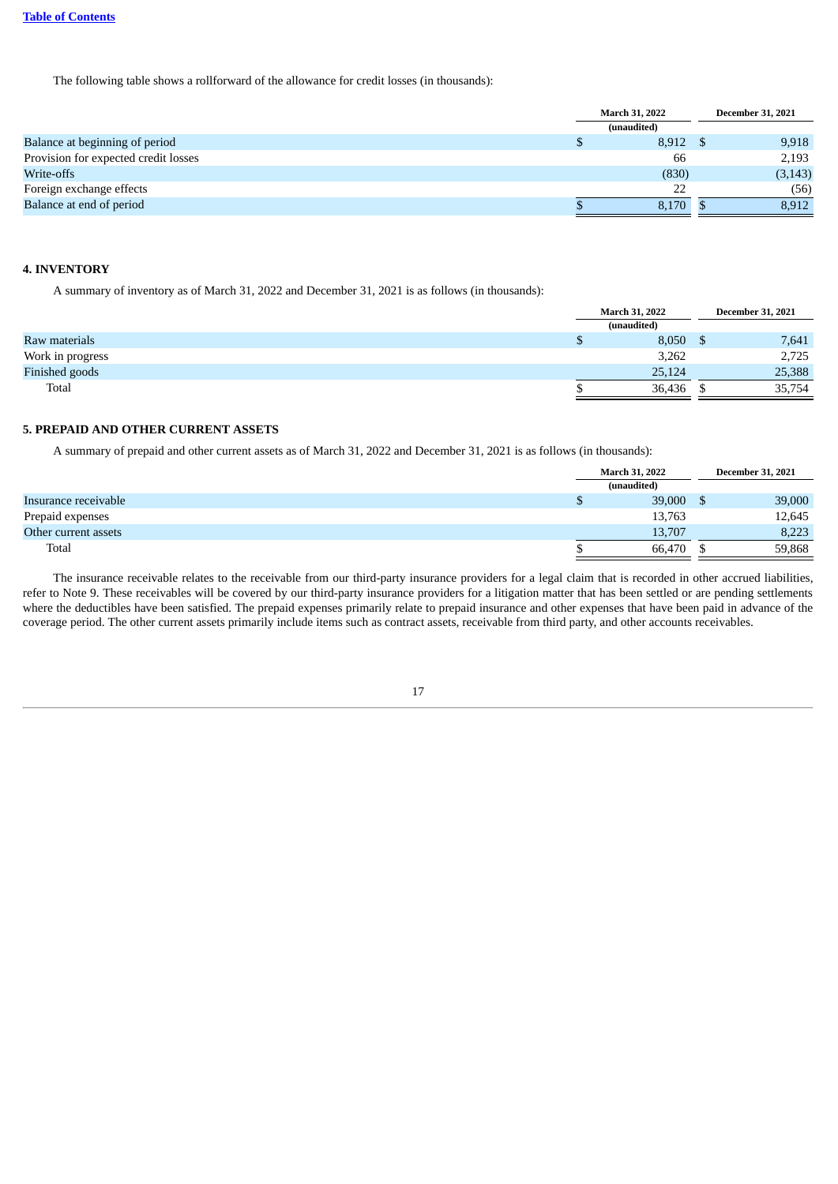The following table shows a rollforward of the allowance for credit losses (in thousands):

|                                      | <b>March 31, 2022</b> | <b>December 31, 2021</b> |
|--------------------------------------|-----------------------|--------------------------|
|                                      | (unaudited)           |                          |
| Balance at beginning of period       | 8.912                 | 9,918                    |
| Provision for expected credit losses | 66                    | 2,193                    |
| Write-offs                           | (830)                 | (3, 143)                 |
| Foreign exchange effects             | 22                    | (56)                     |
| Balance at end of period             | 8,170                 | 8,912                    |

#### **4. INVENTORY**

A summary of inventory as of March 31, 2022 and December 31, 2021 is as follows (in thousands):

|        |                                      | <b>December 31, 2021</b> |
|--------|--------------------------------------|--------------------------|
|        |                                      |                          |
| 8,050  |                                      | 7,641                    |
| 3,262  |                                      | 2,725                    |
| 25,124 |                                      | 25,388                   |
| 36,436 |                                      | 35,754                   |
|        | <b>March 31, 2022</b><br>(unaudited) |                          |

#### **5. PREPAID AND OTHER CURRENT ASSETS**

A summary of prepaid and other current assets as of March 31, 2022 and December 31, 2021 is as follows (in thousands):

|                      | <b>March 31, 2022</b> | <b>December 31, 2021</b> |
|----------------------|-----------------------|--------------------------|
|                      | (unaudited)           |                          |
| Insurance receivable | 39,000                | 39,000                   |
| Prepaid expenses     | 13,763                | 12,645                   |
| Other current assets | 13,707                | 8,223                    |
| Total                | 66.470                | 59,868                   |

The insurance receivable relates to the receivable from our third-party insurance providers for a legal claim that is recorded in other accrued liabilities, refer to Note 9. These receivables will be covered by our third-party insurance providers for a litigation matter that has been settled or are pending settlements where the deductibles have been satisfied. The prepaid expenses primarily relate to prepaid insurance and other expenses that have been paid in advance of the coverage period. The other current assets primarily include items such as contract assets, receivable from third party, and other accounts receivables.

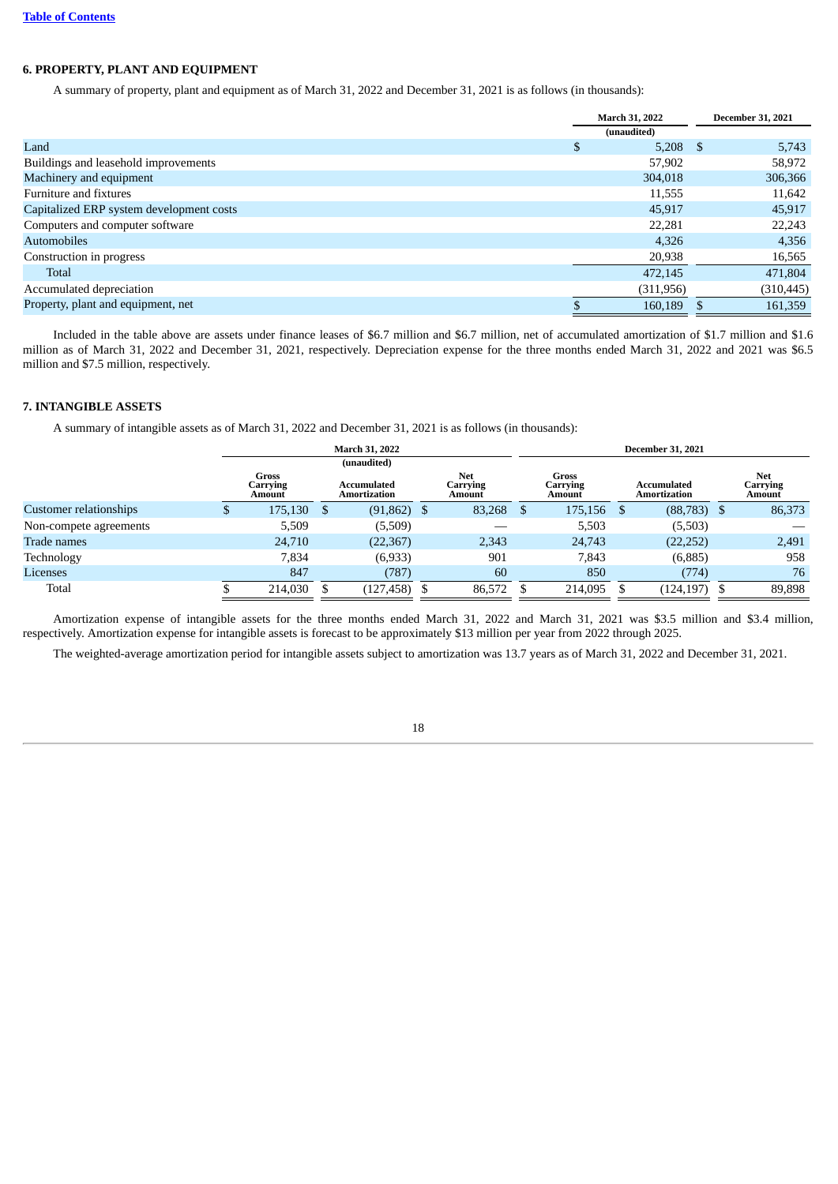## **6. PROPERTY, PLANT AND EQUIPMENT**

A summary of property, plant and equipment as of March 31, 2022 and December 31, 2021 is as follows (in thousands):

|                                          | March 31, 2022 |     | <b>December 31, 2021</b> |
|------------------------------------------|----------------|-----|--------------------------|
|                                          | (unaudited)    |     |                          |
| Land                                     | \$<br>5,208    | -\$ | 5,743                    |
| Buildings and leasehold improvements     | 57,902         |     | 58,972                   |
| Machinery and equipment                  | 304,018        |     | 306,366                  |
| Furniture and fixtures                   | 11,555         |     | 11,642                   |
| Capitalized ERP system development costs | 45,917         |     | 45,917                   |
| Computers and computer software          | 22,281         |     | 22,243                   |
| <b>Automobiles</b>                       | 4,326          |     | 4,356                    |
| Construction in progress                 | 20,938         |     | 16,565                   |
| Total                                    | 472,145        |     | 471,804                  |
| Accumulated depreciation                 | (311, 956)     |     | (310, 445)               |
| Property, plant and equipment, net       | 160,189        |     | 161,359                  |

Included in the table above are assets under finance leases of \$6.7 million and \$6.7 million, net of accumulated amortization of \$1.7 million and \$1.6 million as of March 31, 2022 and December 31, 2021, respectively. Depreciation expense for the three months ended March 31, 2022 and 2021 was \$6.5 million and \$7.5 million, respectively.

## **7. INTANGIBLE ASSETS**

A summary of intangible assets as of March 31, 2022 and December 31, 2021 is as follows (in thousands):

|                               |                             | March 31, 2022              |     |                                  |   |                             | <b>December 31, 2021</b>    |     |                                  |  |  |
|-------------------------------|-----------------------------|-----------------------------|-----|----------------------------------|---|-----------------------------|-----------------------------|-----|----------------------------------|--|--|
|                               |                             | (unaudited)                 |     |                                  |   |                             |                             |     |                                  |  |  |
|                               | Gross<br>Carrving<br>Amount | Accumulated<br>Amortization |     | <b>Net</b><br>Carrying<br>Amount |   | Gross<br>Carrying<br>Amount | Accumulated<br>Amortization |     | <b>Net</b><br>Carrying<br>Amount |  |  |
| <b>Customer relationships</b> | 175,130 \$                  | (91, 862)                   | - S | 83,268                           | S | 175,156 \$                  | $(88,783)$ \$               |     | 86,373                           |  |  |
| Non-compete agreements        | 5,509                       | (5,509)                     |     |                                  |   | 5,503                       | (5,503)                     |     |                                  |  |  |
| Trade names                   | 24,710                      | (22, 367)                   |     | 2,343                            |   | 24,743                      | (22, 252)                   |     | 2,491                            |  |  |
| Technology                    | 7,834                       | (6,933)                     |     | 901                              |   | 7.843                       | (6,885)                     |     | 958                              |  |  |
| Licenses                      | 847                         | (787)                       |     | 60                               |   | 850                         | (774)                       |     | 76                               |  |  |
| Total                         | 214,030                     | (127, 458)                  |     | 86,572                           |   | 214,095                     | (124,197)                   | - S | 89,898                           |  |  |

Amortization expense of intangible assets for the three months ended March 31, 2022 and March 31, 2021 was \$3.5 million and \$3.4 million, respectively. Amortization expense for intangible assets is forecast to be approximately \$13 million per year from 2022 through 2025.

The weighted-average amortization period for intangible assets subject to amortization was 13.7 years as of March 31, 2022 and December 31, 2021.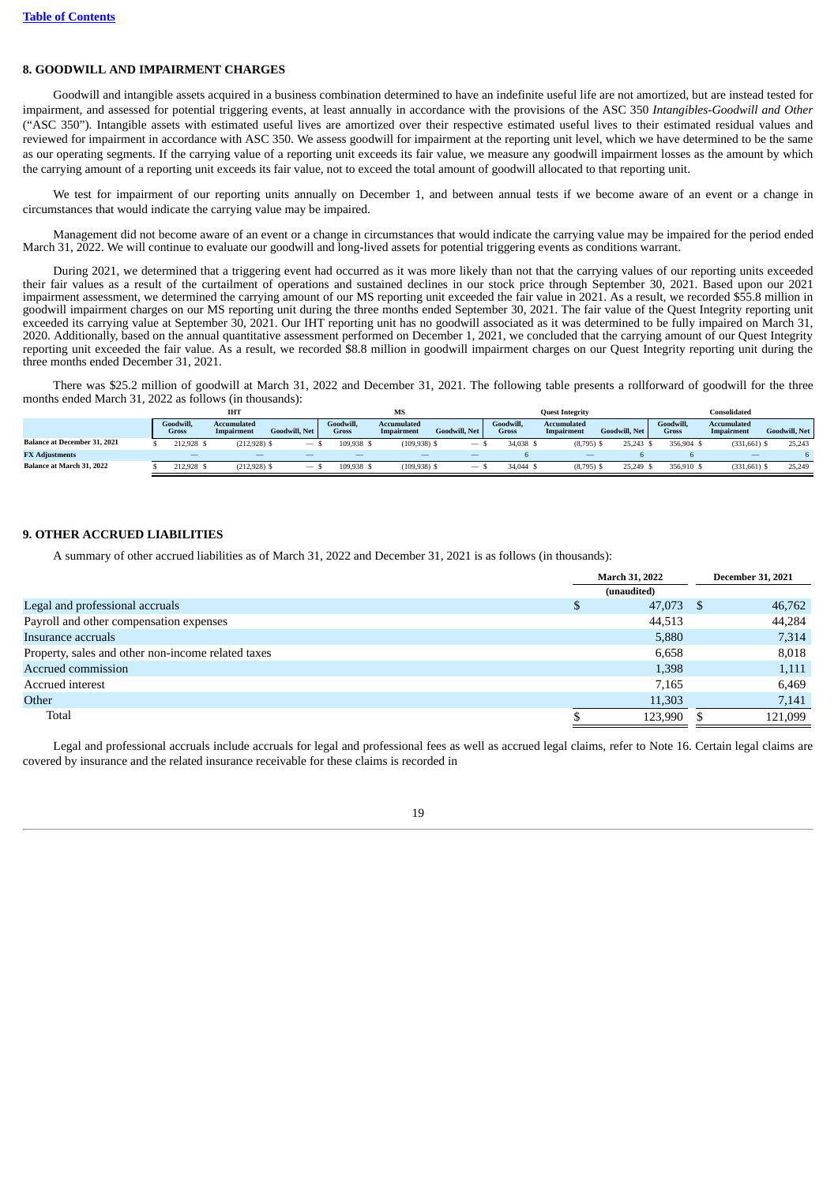#### **8. GOODWILL AND IMPAIRMENT CHARGES**

Goodwill and intangible assets acquired in a business combination determined to have an indefinite useful life are not amortized, but are instead tested for impairment, and assessed for potential triggering events, at least annually in accordance with the provisions of the ASC 350 *Intangibles-Goodwill and Other* ("ASC 350"). Intangible assets with estimated useful lives are amortized over their respective estimated useful lives to their estimated residual values and reviewed for impairment in accordance with ASC 350. We assess goodwill for impairment at the reporting unit level, which we have determined to be the same as our operating segments. If the carrying value of a reporting unit exceeds its fair value, we measure any goodwill impairment losses as the amount by which the carrying amount of a reporting unit exceeds its fair value, not to exceed the total amount of goodwill allocated to that reporting unit.

We test for impairment of our reporting units annually on December 1, and between annual tests if we become aware of an event or a change in circumstances that would indicate the carrying value may be impaired.

Management did not become aware of an event or a change in circumstances that would indicate the carrying value may be impaired for the period ended March 31, 2022. We will continue to evaluate our goodwill and long-lived assets for potential triggering events as conditions warrant.

During 2021, we determined that a triggering event had occurred as it was more likely than not that the carrying values of our reporting units exceeded their fair values as a result of the curtailment of operations and sustained declines in our stock price through September 30, 2021. Based upon our 2021 impairment assessment, we determined the carrying amount of our MS reporting unit exceeded the fair value in 2021. As a result, we recorded \$55.8 million in goodwill impairment charges on our MS reporting unit during the three months ended September 30, 2021. The fair value of the Quest Integrity reporting unit exceeded its carrying value at September 30, 2021. Our IHT reporting unit has no goodwill associated as it was determined to be fully impaired on March 31, 2020. Additionally, based on the annual quantitative assessment performed on December 1, 2021, we concluded that the carrying amount of our Quest Integrity reporting unit exceeded the fair value. As a result, we recorded \$8.8 million in goodwill impairment charges on our Quest Integrity reporting unit during the three months ended December 31, 2021.

There was \$25.2 million of goodwill at March 31, 2022 and December 31, 2021. The following table presents a rollforward of goodwill for the three months ended March 31, 2022 as follows (in thousands):

|                                     |                          | <b>IHT</b>                       |                      |                    | <b>MS</b>                        |                      |                    | <b>Ouest Integrity</b>           |                      | <b>Consolidated</b> |                           |                      |  |  |
|-------------------------------------|--------------------------|----------------------------------|----------------------|--------------------|----------------------------------|----------------------|--------------------|----------------------------------|----------------------|---------------------|---------------------------|----------------------|--|--|
|                                     | Goodwill.<br>Gross       | <b>Accumulated</b><br>Impairment | <b>Goodwill, Net</b> | Goodwill.<br>Gross | <b>Accumulated</b><br>Impairment | <b>Goodwill, Net</b> | Goodwill.<br>Gross | <b>Accumulated</b><br>Impairment | <b>Goodwill, Net</b> | Goodwill.<br>Gross  | Accumulated<br>Impairment | <b>Goodwill, Net</b> |  |  |
| <b>Balance at December 31, 2021</b> | 212.928 \$               | $(212,928)$ \$                   | _                    | 109.938 \$         | $(109, 938)$ \$                  | $-$                  | 34.038 \$          | $(8,795)$ \$                     | 25.243               | 356,904             | $(331,661)$ \$            | 25,243               |  |  |
| <b>FX Adjustments</b>               | $\overline{\phantom{0}}$ | $\overline{\phantom{0}}$         | _                    |                    | $\overline{\phantom{0}}$         |                      |                    | $\qquad \qquad \longleftarrow$   |                      |                     |                           |                      |  |  |
| <b>Balance at March 31, 2022</b>    | 212.928 \$               | $(212, 928)$ \$                  | _                    | 109.938 \$         | $(109, 938)$ \$                  | $-$                  | 34,044 \$          | $(8,795)$ \$                     | 25.249               | 356,910 \$          | $(331,661)$ \$            | 25.249               |  |  |

#### **9. OTHER ACCRUED LIABILITIES**

A summary of other accrued liabilities as of March 31, 2022 and December 31, 2021 is as follows (in thousands):

|                                                    |   | <b>March 31, 2022</b> |     | <b>December 31, 2021</b> |
|----------------------------------------------------|---|-----------------------|-----|--------------------------|
|                                                    |   | (unaudited)           |     |                          |
| Legal and professional accruals                    | S | 47,073                | - S | 46,762                   |
| Payroll and other compensation expenses            |   | 44,513                |     | 44,284                   |
| Insurance accruals                                 |   | 5,880                 |     | 7,314                    |
| Property, sales and other non-income related taxes |   | 6,658                 |     | 8,018                    |
| <b>Accrued commission</b>                          |   | 1,398                 |     | 1,111                    |
| Accrued interest                                   |   | 7,165                 |     | 6,469                    |
| Other                                              |   | 11,303                |     | 7,141                    |
| Total                                              |   | 123.990               |     | 121.099                  |
|                                                    |   |                       |     |                          |

Legal and professional accruals include accruals for legal and professional fees as well as accrued legal claims, refer to Note 16. Certain legal claims are covered by insurance and the related insurance receivable for these claims is recorded in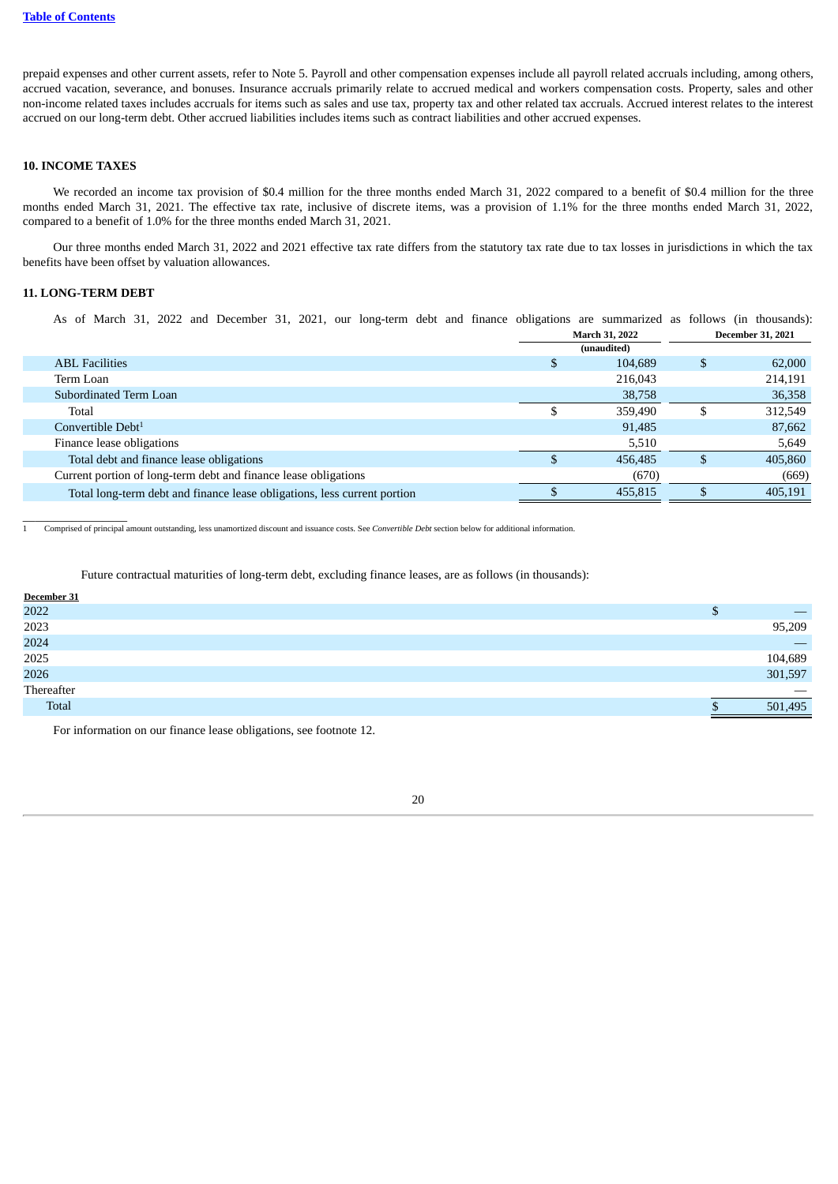prepaid expenses and other current assets, refer to Note 5. Payroll and other compensation expenses include all payroll related accruals including, among others, accrued vacation, severance, and bonuses. Insurance accruals primarily relate to accrued medical and workers compensation costs. Property, sales and other non-income related taxes includes accruals for items such as sales and use tax, property tax and other related tax accruals. Accrued interest relates to the interest accrued on our long-term debt. Other accrued liabilities includes items such as contract liabilities and other accrued expenses.

## **10. INCOME TAXES**

We recorded an income tax provision of \$0.4 million for the three months ended March 31, 2022 compared to a benefit of \$0.4 million for the three months ended March 31, 2021. The effective tax rate, inclusive of discrete items, was a provision of 1.1% for the three months ended March 31, 2022, compared to a benefit of 1.0% for the three months ended March 31, 2021.

Our three months ended March 31, 2022 and 2021 effective tax rate differs from the statutory tax rate due to tax losses in jurisdictions in which the tax benefits have been offset by valuation allowances.

#### **11. LONG-TERM DEBT**

As of March 31, 2022 and December 31, 2021, our long-term debt and finance obligations are summarized as follows (in thousands):

|                                                                          |   | <b>March 31, 2022</b> | <b>December 31, 2021</b> |         |  |
|--------------------------------------------------------------------------|---|-----------------------|--------------------------|---------|--|
|                                                                          |   | (unaudited)           |                          |         |  |
| <b>ABL Facilities</b>                                                    | D | 104,689               | \$                       | 62,000  |  |
| Term Loan                                                                |   | 216,043               |                          | 214,191 |  |
| Subordinated Term Loan                                                   |   | 38,758                |                          | 36,358  |  |
| Total                                                                    |   | 359,490               | J.                       | 312,549 |  |
| Convertible $Debt1$                                                      |   | 91,485                |                          | 87,662  |  |
| Finance lease obligations                                                |   | 5,510                 |                          | 5,649   |  |
| Total debt and finance lease obligations                                 |   | 456,485               | D                        | 405,860 |  |
| Current portion of long-term debt and finance lease obligations          |   | (670)                 |                          | (669)   |  |
| Total long-term debt and finance lease obligations, less current portion |   | 455,815               |                          | 405,191 |  |

*\_\_\_\_\_\_\_\_\_\_\_\_\_\_\_\_\_* 1 Comprised of principal amount outstanding, less unamortized discount and issuance costs. See *Convertible Debt* section below for additional information.

Future contractual maturities of long-term debt, excluding finance leases, are as follows (in thousands):

| December 31 |    |                          |
|-------------|----|--------------------------|
| 2022        | ۵D |                          |
| 2023        |    | 95,209                   |
| 2024        |    | $\overline{\phantom{m}}$ |
| 2025        |    | 104,689                  |
| 2026        |    | 301,597                  |
| Thereafter  |    |                          |
| Total       |    | 501,495                  |
|             |    |                          |

For information on our finance lease obligations, see footnote 12.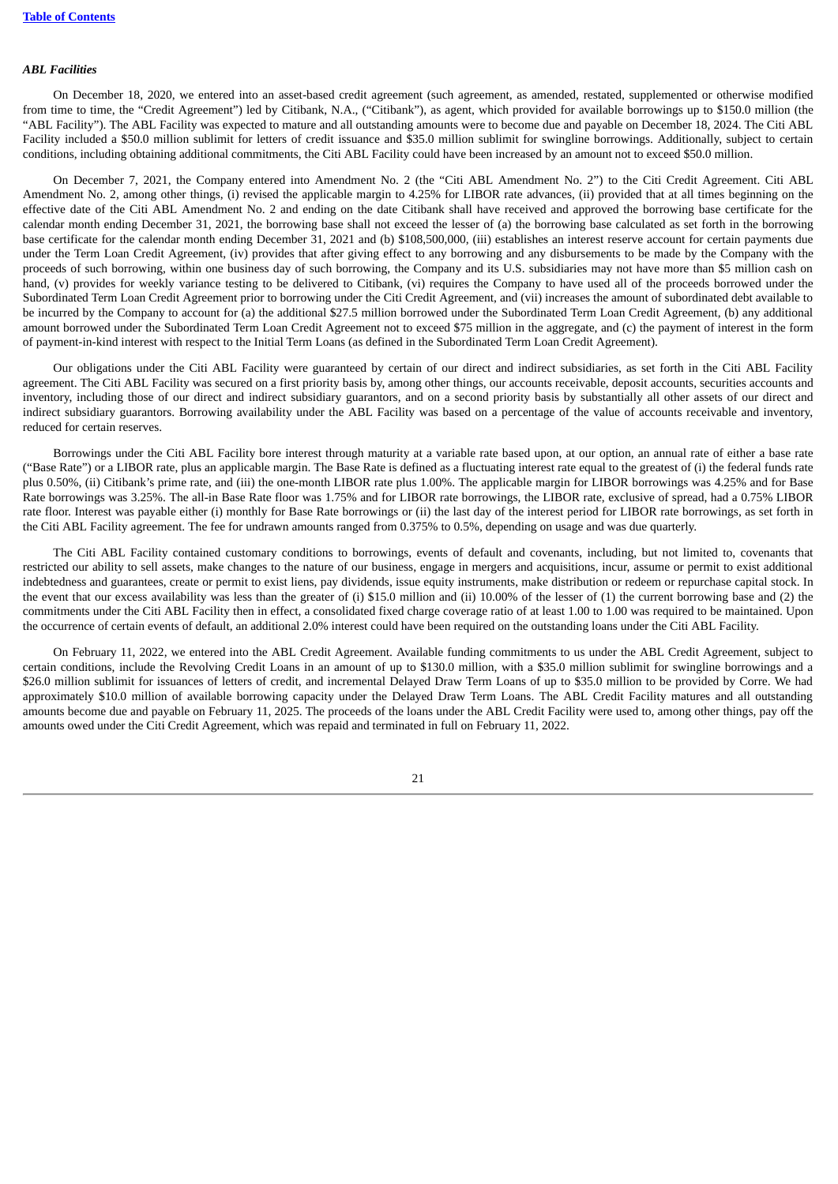#### *ABL Facilities*

On December 18, 2020, we entered into an asset-based credit agreement (such agreement, as amended, restated, supplemented or otherwise modified from time to time, the "Credit Agreement") led by Citibank, N.A., ("Citibank"), as agent, which provided for available borrowings up to \$150.0 million (the "ABL Facility"). The ABL Facility was expected to mature and all outstanding amounts were to become due and payable on December 18, 2024. The Citi ABL Facility included a \$50.0 million sublimit for letters of credit issuance and \$35.0 million sublimit for swingline borrowings. Additionally, subject to certain conditions, including obtaining additional commitments, the Citi ABL Facility could have been increased by an amount not to exceed \$50.0 million.

On December 7, 2021, the Company entered into Amendment No. 2 (the "Citi ABL Amendment No. 2") to the Citi Credit Agreement. Citi ABL Amendment No. 2, among other things, (i) revised the applicable margin to 4.25% for LIBOR rate advances, (ii) provided that at all times beginning on the effective date of the Citi ABL Amendment No. 2 and ending on the date Citibank shall have received and approved the borrowing base certificate for the calendar month ending December 31, 2021, the borrowing base shall not exceed the lesser of (a) the borrowing base calculated as set forth in the borrowing base certificate for the calendar month ending December 31, 2021 and (b) \$108,500,000, (iii) establishes an interest reserve account for certain payments due under the Term Loan Credit Agreement, (iv) provides that after giving effect to any borrowing and any disbursements to be made by the Company with the proceeds of such borrowing, within one business day of such borrowing, the Company and its U.S. subsidiaries may not have more than \$5 million cash on hand, (v) provides for weekly variance testing to be delivered to Citibank, (vi) requires the Company to have used all of the proceeds borrowed under the Subordinated Term Loan Credit Agreement prior to borrowing under the Citi Credit Agreement, and (vii) increases the amount of subordinated debt available to be incurred by the Company to account for (a) the additional \$27.5 million borrowed under the Subordinated Term Loan Credit Agreement, (b) any additional amount borrowed under the Subordinated Term Loan Credit Agreement not to exceed \$75 million in the aggregate, and (c) the payment of interest in the form of payment-in-kind interest with respect to the Initial Term Loans (as defined in the Subordinated Term Loan Credit Agreement).

Our obligations under the Citi ABL Facility were guaranteed by certain of our direct and indirect subsidiaries, as set forth in the Citi ABL Facility agreement. The Citi ABL Facility was secured on a first priority basis by, among other things, our accounts receivable, deposit accounts, securities accounts and inventory, including those of our direct and indirect subsidiary guarantors, and on a second priority basis by substantially all other assets of our direct and indirect subsidiary guarantors. Borrowing availability under the ABL Facility was based on a percentage of the value of accounts receivable and inventory, reduced for certain reserves.

Borrowings under the Citi ABL Facility bore interest through maturity at a variable rate based upon, at our option, an annual rate of either a base rate ("Base Rate") or a LIBOR rate, plus an applicable margin. The Base Rate is defined as a fluctuating interest rate equal to the greatest of (i) the federal funds rate plus 0.50%, (ii) Citibank's prime rate, and (iii) the one-month LIBOR rate plus 1.00%. The applicable margin for LIBOR borrowings was 4.25% and for Base Rate borrowings was 3.25%. The all-in Base Rate floor was 1.75% and for LIBOR rate borrowings, the LIBOR rate, exclusive of spread, had a 0.75% LIBOR rate floor. Interest was payable either (i) monthly for Base Rate borrowings or (ii) the last day of the interest period for LIBOR rate borrowings, as set forth in the Citi ABL Facility agreement. The fee for undrawn amounts ranged from 0.375% to 0.5%, depending on usage and was due quarterly.

The Citi ABL Facility contained customary conditions to borrowings, events of default and covenants, including, but not limited to, covenants that restricted our ability to sell assets, make changes to the nature of our business, engage in mergers and acquisitions, incur, assume or permit to exist additional indebtedness and guarantees, create or permit to exist liens, pay dividends, issue equity instruments, make distribution or redeem or repurchase capital stock. In the event that our excess availability was less than the greater of (i) \$15.0 million and (ii) 10.00% of the lesser of (1) the current borrowing base and (2) the commitments under the Citi ABL Facility then in effect, a consolidated fixed charge coverage ratio of at least 1.00 to 1.00 was required to be maintained. Upon the occurrence of certain events of default, an additional 2.0% interest could have been required on the outstanding loans under the Citi ABL Facility.

On February 11, 2022, we entered into the ABL Credit Agreement. Available funding commitments to us under the ABL Credit Agreement, subject to certain conditions, include the Revolving Credit Loans in an amount of up to \$130.0 million, with a \$35.0 million sublimit for swingline borrowings and a \$26.0 million sublimit for issuances of letters of credit, and incremental Delayed Draw Term Loans of up to \$35.0 million to be provided by Corre. We had approximately \$10.0 million of available borrowing capacity under the Delayed Draw Term Loans. The ABL Credit Facility matures and all outstanding amounts become due and payable on February 11, 2025. The proceeds of the loans under the ABL Credit Facility were used to, among other things, pay off the amounts owed under the Citi Credit Agreement, which was repaid and terminated in full on February 11, 2022.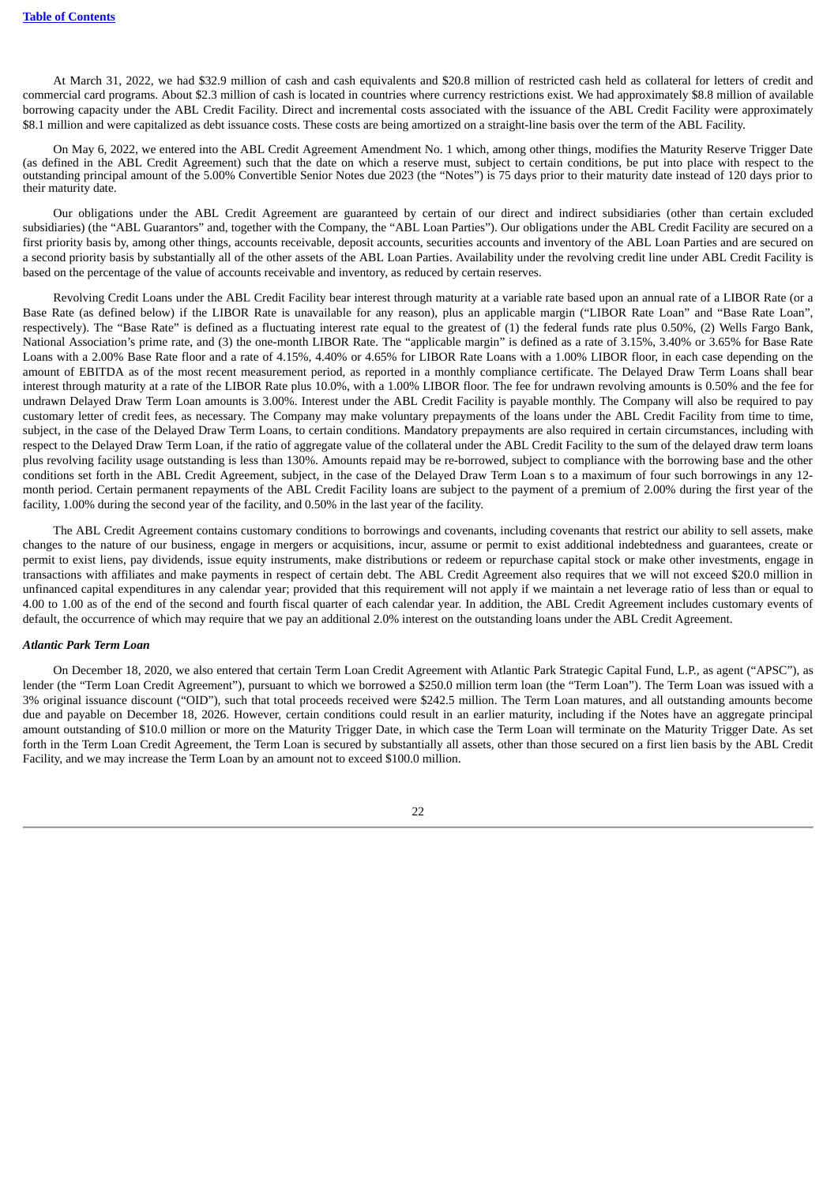At March 31, 2022, we had \$32.9 million of cash and cash equivalents and \$20.8 million of restricted cash held as collateral for letters of credit and commercial card programs. About \$2.3 million of cash is located in countries where currency restrictions exist. We had approximately \$8.8 million of available borrowing capacity under the ABL Credit Facility. Direct and incremental costs associated with the issuance of the ABL Credit Facility were approximately \$8.1 million and were capitalized as debt issuance costs. These costs are being amortized on a straight-line basis over the term of the ABL Facility.

On May 6, 2022, we entered into the ABL Credit Agreement Amendment No. 1 which, among other things, modifies the Maturity Reserve Trigger Date (as defined in the ABL Credit Agreement) such that the date on which a reserve must, subject to certain conditions, be put into place with respect to the outstanding principal amount of the 5.00% Convertible Senior Notes due 2023 (the "Notes") is 75 days prior to their maturity date instead of 120 days prior to their maturity date.

Our obligations under the ABL Credit Agreement are guaranteed by certain of our direct and indirect subsidiaries (other than certain excluded subsidiaries) (the "ABL Guarantors" and, together with the Company, the "ABL Loan Parties"). Our obligations under the ABL Credit Facility are secured on a first priority basis by, among other things, accounts receivable, deposit accounts, securities accounts and inventory of the ABL Loan Parties and are secured on a second priority basis by substantially all of the other assets of the ABL Loan Parties. Availability under the revolving credit line under ABL Credit Facility is based on the percentage of the value of accounts receivable and inventory, as reduced by certain reserves.

Revolving Credit Loans under the ABL Credit Facility bear interest through maturity at a variable rate based upon an annual rate of a LIBOR Rate (or a Base Rate (as defined below) if the LIBOR Rate is unavailable for any reason), plus an applicable margin ("LIBOR Rate Loan" and "Base Rate Loan", respectively). The "Base Rate" is defined as a fluctuating interest rate equal to the greatest of (1) the federal funds rate plus 0.50%, (2) Wells Fargo Bank, National Association's prime rate, and (3) the one-month LIBOR Rate. The "applicable margin" is defined as a rate of 3.15%, 3.40% or 3.65% for Base Rate Loans with a 2.00% Base Rate floor and a rate of 4.15%, 4.40% or 4.65% for LIBOR Rate Loans with a 1.00% LIBOR floor, in each case depending on the amount of EBITDA as of the most recent measurement period, as reported in a monthly compliance certificate. The Delayed Draw Term Loans shall bear interest through maturity at a rate of the LIBOR Rate plus 10.0%, with a 1.00% LIBOR floor. The fee for undrawn revolving amounts is 0.50% and the fee for undrawn Delayed Draw Term Loan amounts is 3.00%. Interest under the ABL Credit Facility is payable monthly. The Company will also be required to pay customary letter of credit fees, as necessary. The Company may make voluntary prepayments of the loans under the ABL Credit Facility from time to time, subject, in the case of the Delayed Draw Term Loans, to certain conditions. Mandatory prepayments are also required in certain circumstances, including with respect to the Delayed Draw Term Loan, if the ratio of aggregate value of the collateral under the ABL Credit Facility to the sum of the delayed draw term loans plus revolving facility usage outstanding is less than 130%. Amounts repaid may be re-borrowed, subject to compliance with the borrowing base and the other conditions set forth in the ABL Credit Agreement, subject, in the case of the Delayed Draw Term Loan s to a maximum of four such borrowings in any 12 month period. Certain permanent repayments of the ABL Credit Facility loans are subject to the payment of a premium of 2.00% during the first year of the facility, 1.00% during the second year of the facility, and 0.50% in the last year of the facility.

The ABL Credit Agreement contains customary conditions to borrowings and covenants, including covenants that restrict our ability to sell assets, make changes to the nature of our business, engage in mergers or acquisitions, incur, assume or permit to exist additional indebtedness and guarantees, create or permit to exist liens, pay dividends, issue equity instruments, make distributions or redeem or repurchase capital stock or make other investments, engage in transactions with affiliates and make payments in respect of certain debt. The ABL Credit Agreement also requires that we will not exceed \$20.0 million in unfinanced capital expenditures in any calendar year; provided that this requirement will not apply if we maintain a net leverage ratio of less than or equal to 4.00 to 1.00 as of the end of the second and fourth fiscal quarter of each calendar year. In addition, the ABL Credit Agreement includes customary events of default, the occurrence of which may require that we pay an additional 2.0% interest on the outstanding loans under the ABL Credit Agreement.

#### *Atlantic Park Term Loan*

On December 18, 2020, we also entered that certain Term Loan Credit Agreement with Atlantic Park Strategic Capital Fund, L.P., as agent ("APSC"), as lender (the "Term Loan Credit Agreement"), pursuant to which we borrowed a \$250.0 million term loan (the "Term Loan"). The Term Loan was issued with a 3% original issuance discount ("OID"), such that total proceeds received were \$242.5 million. The Term Loan matures, and all outstanding amounts become due and payable on December 18, 2026. However, certain conditions could result in an earlier maturity, including if the Notes have an aggregate principal amount outstanding of \$10.0 million or more on the Maturity Trigger Date, in which case the Term Loan will terminate on the Maturity Trigger Date. As set forth in the Term Loan Credit Agreement, the Term Loan is secured by substantially all assets, other than those secured on a first lien basis by the ABL Credit Facility, and we may increase the Term Loan by an amount not to exceed \$100.0 million.

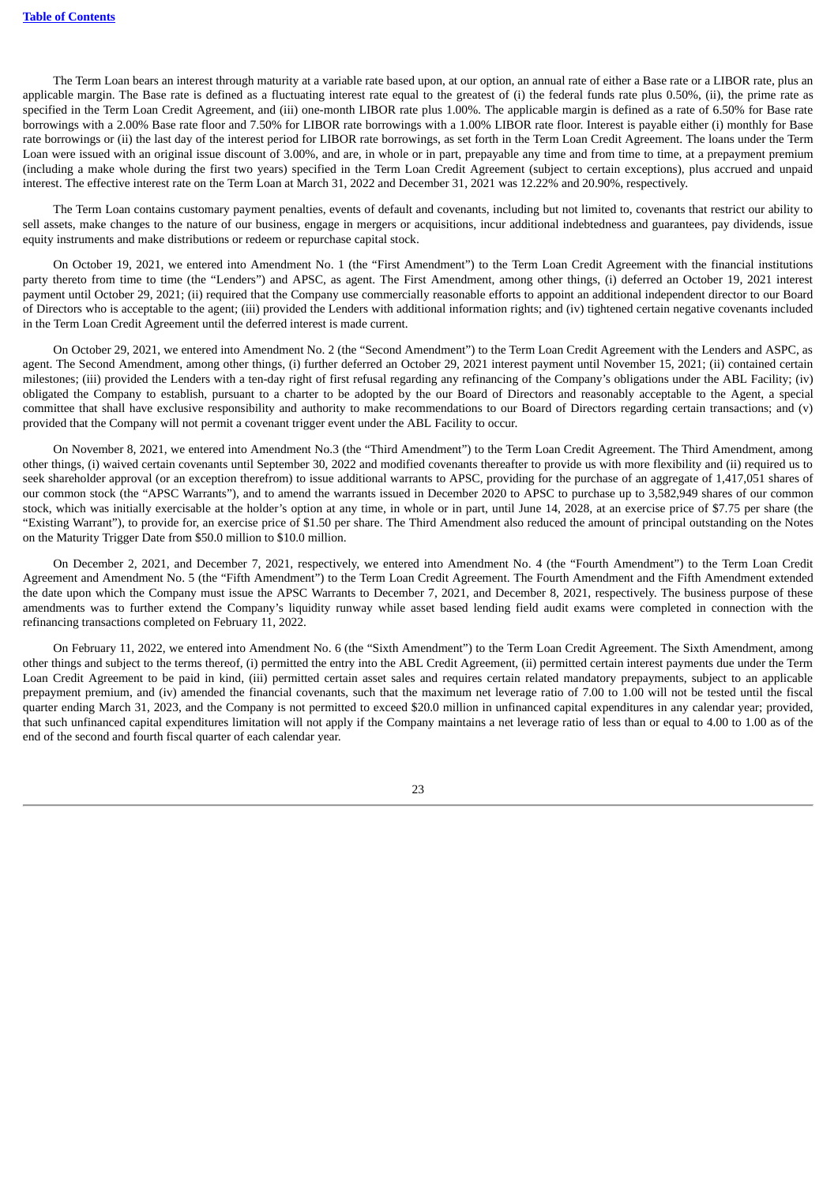The Term Loan bears an interest through maturity at a variable rate based upon, at our option, an annual rate of either a Base rate or a LIBOR rate, plus an applicable margin. The Base rate is defined as a fluctuating interest rate equal to the greatest of (i) the federal funds rate plus 0.50%, (ii), the prime rate as specified in the Term Loan Credit Agreement, and (iii) one-month LIBOR rate plus 1.00%. The applicable margin is defined as a rate of 6.50% for Base rate borrowings with a 2.00% Base rate floor and 7.50% for LIBOR rate borrowings with a 1.00% LIBOR rate floor. Interest is payable either (i) monthly for Base rate borrowings or (ii) the last day of the interest period for LIBOR rate borrowings, as set forth in the Term Loan Credit Agreement. The loans under the Term Loan were issued with an original issue discount of 3.00%, and are, in whole or in part, prepayable any time and from time to time, at a prepayment premium (including a make whole during the first two years) specified in the Term Loan Credit Agreement (subject to certain exceptions), plus accrued and unpaid interest. The effective interest rate on the Term Loan at March 31, 2022 and December 31, 2021 was 12.22% and 20.90%, respectively.

The Term Loan contains customary payment penalties, events of default and covenants, including but not limited to, covenants that restrict our ability to sell assets, make changes to the nature of our business, engage in mergers or acquisitions, incur additional indebtedness and guarantees, pay dividends, issue equity instruments and make distributions or redeem or repurchase capital stock.

On October 19, 2021, we entered into Amendment No. 1 (the "First Amendment") to the Term Loan Credit Agreement with the financial institutions party thereto from time to time (the "Lenders") and APSC, as agent. The First Amendment, among other things, (i) deferred an October 19, 2021 interest payment until October 29, 2021; (ii) required that the Company use commercially reasonable efforts to appoint an additional independent director to our Board of Directors who is acceptable to the agent; (iii) provided the Lenders with additional information rights; and (iv) tightened certain negative covenants included in the Term Loan Credit Agreement until the deferred interest is made current.

On October 29, 2021, we entered into Amendment No. 2 (the "Second Amendment") to the Term Loan Credit Agreement with the Lenders and ASPC, as agent. The Second Amendment, among other things, (i) further deferred an October 29, 2021 interest payment until November 15, 2021; (ii) contained certain milestones; (iii) provided the Lenders with a ten-day right of first refusal regarding any refinancing of the Company's obligations under the ABL Facility; (iv) obligated the Company to establish, pursuant to a charter to be adopted by the our Board of Directors and reasonably acceptable to the Agent, a special committee that shall have exclusive responsibility and authority to make recommendations to our Board of Directors regarding certain transactions; and (v) provided that the Company will not permit a covenant trigger event under the ABL Facility to occur.

On November 8, 2021, we entered into Amendment No.3 (the "Third Amendment") to the Term Loan Credit Agreement. The Third Amendment, among other things, (i) waived certain covenants until September 30, 2022 and modified covenants thereafter to provide us with more flexibility and (ii) required us to seek shareholder approval (or an exception therefrom) to issue additional warrants to APSC, providing for the purchase of an aggregate of 1,417,051 shares of our common stock (the "APSC Warrants"), and to amend the warrants issued in December 2020 to APSC to purchase up to 3,582,949 shares of our common stock, which was initially exercisable at the holder's option at any time, in whole or in part, until June 14, 2028, at an exercise price of \$7.75 per share (the "Existing Warrant"), to provide for, an exercise price of \$1.50 per share. The Third Amendment also reduced the amount of principal outstanding on the Notes on the Maturity Trigger Date from \$50.0 million to \$10.0 million.

On December 2, 2021, and December 7, 2021, respectively, we entered into Amendment No. 4 (the "Fourth Amendment") to the Term Loan Credit Agreement and Amendment No. 5 (the "Fifth Amendment") to the Term Loan Credit Agreement. The Fourth Amendment and the Fifth Amendment extended the date upon which the Company must issue the APSC Warrants to December 7, 2021, and December 8, 2021, respectively. The business purpose of these amendments was to further extend the Company's liquidity runway while asset based lending field audit exams were completed in connection with the refinancing transactions completed on February 11, 2022.

On February 11, 2022, we entered into Amendment No. 6 (the "Sixth Amendment") to the Term Loan Credit Agreement. The Sixth Amendment, among other things and subject to the terms thereof, (i) permitted the entry into the ABL Credit Agreement, (ii) permitted certain interest payments due under the Term Loan Credit Agreement to be paid in kind, (iii) permitted certain asset sales and requires certain related mandatory prepayments, subject to an applicable prepayment premium, and (iv) amended the financial covenants, such that the maximum net leverage ratio of 7.00 to 1.00 will not be tested until the fiscal quarter ending March 31, 2023, and the Company is not permitted to exceed \$20.0 million in unfinanced capital expenditures in any calendar year; provided, that such unfinanced capital expenditures limitation will not apply if the Company maintains a net leverage ratio of less than or equal to 4.00 to 1.00 as of the end of the second and fourth fiscal quarter of each calendar year.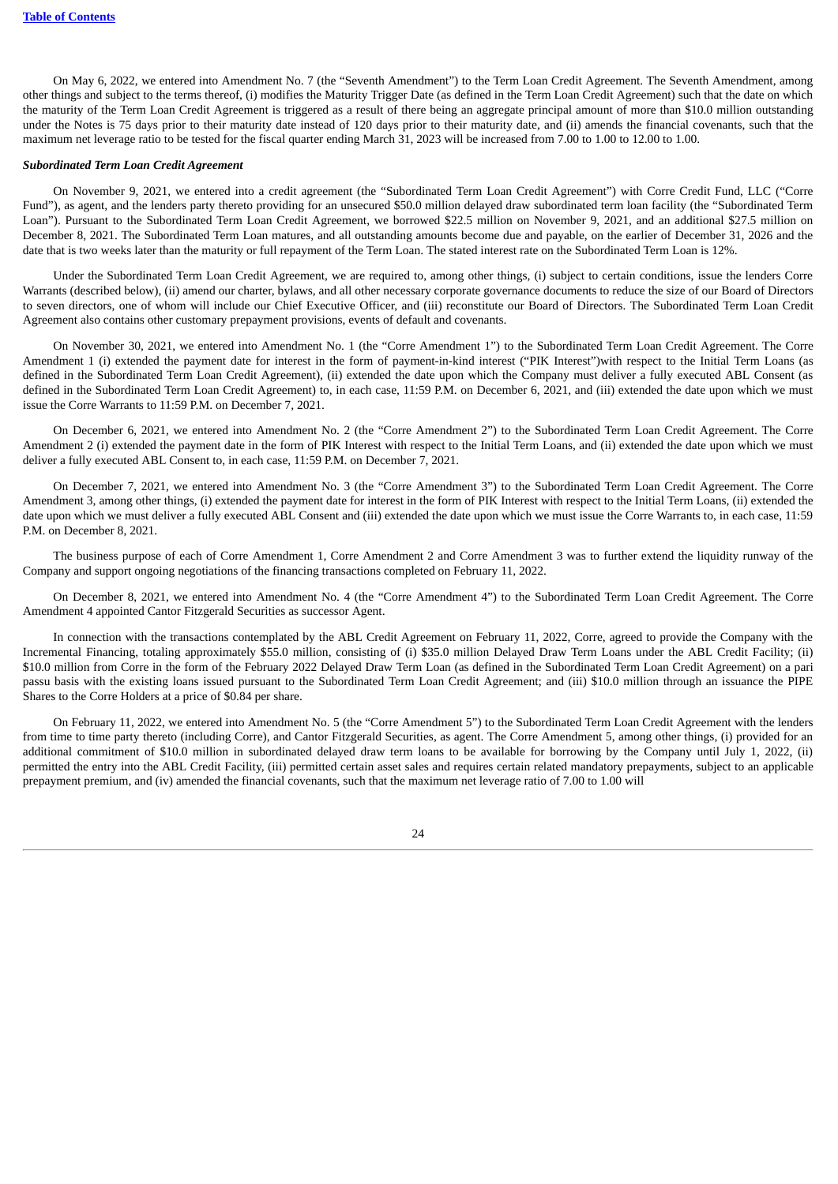On May 6, 2022, we entered into Amendment No. 7 (the "Seventh Amendment") to the Term Loan Credit Agreement. The Seventh Amendment, among other things and subject to the terms thereof, (i) modifies the Maturity Trigger Date (as defined in the Term Loan Credit Agreement) such that the date on which the maturity of the Term Loan Credit Agreement is triggered as a result of there being an aggregate principal amount of more than \$10.0 million outstanding under the Notes is 75 days prior to their maturity date instead of 120 days prior to their maturity date, and (ii) amends the financial covenants, such that the maximum net leverage ratio to be tested for the fiscal quarter ending March 31, 2023 will be increased from 7.00 to 1.00 to 12.00 to 1.00.

#### *Subordinated Term Loan Credit Agreement*

On November 9, 2021, we entered into a credit agreement (the "Subordinated Term Loan Credit Agreement") with Corre Credit Fund, LLC ("Corre Fund"), as agent, and the lenders party thereto providing for an unsecured \$50.0 million delayed draw subordinated term loan facility (the "Subordinated Term Loan"). Pursuant to the Subordinated Term Loan Credit Agreement, we borrowed \$22.5 million on November 9, 2021, and an additional \$27.5 million on December 8, 2021. The Subordinated Term Loan matures, and all outstanding amounts become due and payable, on the earlier of December 31, 2026 and the date that is two weeks later than the maturity or full repayment of the Term Loan. The stated interest rate on the Subordinated Term Loan is 12%.

Under the Subordinated Term Loan Credit Agreement, we are required to, among other things, (i) subject to certain conditions, issue the lenders Corre Warrants (described below), (ii) amend our charter, bylaws, and all other necessary corporate governance documents to reduce the size of our Board of Directors to seven directors, one of whom will include our Chief Executive Officer, and (iii) reconstitute our Board of Directors. The Subordinated Term Loan Credit Agreement also contains other customary prepayment provisions, events of default and covenants.

On November 30, 2021, we entered into Amendment No. 1 (the "Corre Amendment 1") to the Subordinated Term Loan Credit Agreement. The Corre Amendment 1 (i) extended the payment date for interest in the form of payment-in-kind interest ("PIK Interest")with respect to the Initial Term Loans (as defined in the Subordinated Term Loan Credit Agreement), (ii) extended the date upon which the Company must deliver a fully executed ABL Consent (as defined in the Subordinated Term Loan Credit Agreement) to, in each case, 11:59 P.M. on December 6, 2021, and (iii) extended the date upon which we must issue the Corre Warrants to 11:59 P.M. on December 7, 2021.

On December 6, 2021, we entered into Amendment No. 2 (the "Corre Amendment 2") to the Subordinated Term Loan Credit Agreement. The Corre Amendment 2 (i) extended the payment date in the form of PIK Interest with respect to the Initial Term Loans, and (ii) extended the date upon which we must deliver a fully executed ABL Consent to, in each case, 11:59 P.M. on December 7, 2021.

On December 7, 2021, we entered into Amendment No. 3 (the "Corre Amendment 3") to the Subordinated Term Loan Credit Agreement. The Corre Amendment 3, among other things, (i) extended the payment date for interest in the form of PIK Interest with respect to the Initial Term Loans, (ii) extended the date upon which we must deliver a fully executed ABL Consent and (iii) extended the date upon which we must issue the Corre Warrants to, in each case, 11:59 P.M. on December 8, 2021.

The business purpose of each of Corre Amendment 1, Corre Amendment 2 and Corre Amendment 3 was to further extend the liquidity runway of the Company and support ongoing negotiations of the financing transactions completed on February 11, 2022.

On December 8, 2021, we entered into Amendment No. 4 (the "Corre Amendment 4") to the Subordinated Term Loan Credit Agreement. The Corre Amendment 4 appointed Cantor Fitzgerald Securities as successor Agent.

In connection with the transactions contemplated by the ABL Credit Agreement on February 11, 2022, Corre, agreed to provide the Company with the Incremental Financing, totaling approximately \$55.0 million, consisting of (i) \$35.0 million Delayed Draw Term Loans under the ABL Credit Facility; (ii) \$10.0 million from Corre in the form of the February 2022 Delayed Draw Term Loan (as defined in the Subordinated Term Loan Credit Agreement) on a pari passu basis with the existing loans issued pursuant to the Subordinated Term Loan Credit Agreement; and (iii) \$10.0 million through an issuance the PIPE Shares to the Corre Holders at a price of \$0.84 per share.

On February 11, 2022, we entered into Amendment No. 5 (the "Corre Amendment 5") to the Subordinated Term Loan Credit Agreement with the lenders from time to time party thereto (including Corre), and Cantor Fitzgerald Securities, as agent. The Corre Amendment 5, among other things, (i) provided for an additional commitment of \$10.0 million in subordinated delayed draw term loans to be available for borrowing by the Company until July 1, 2022, (ii) permitted the entry into the ABL Credit Facility, (iii) permitted certain asset sales and requires certain related mandatory prepayments, subject to an applicable prepayment premium, and (iv) amended the financial covenants, such that the maximum net leverage ratio of 7.00 to 1.00 will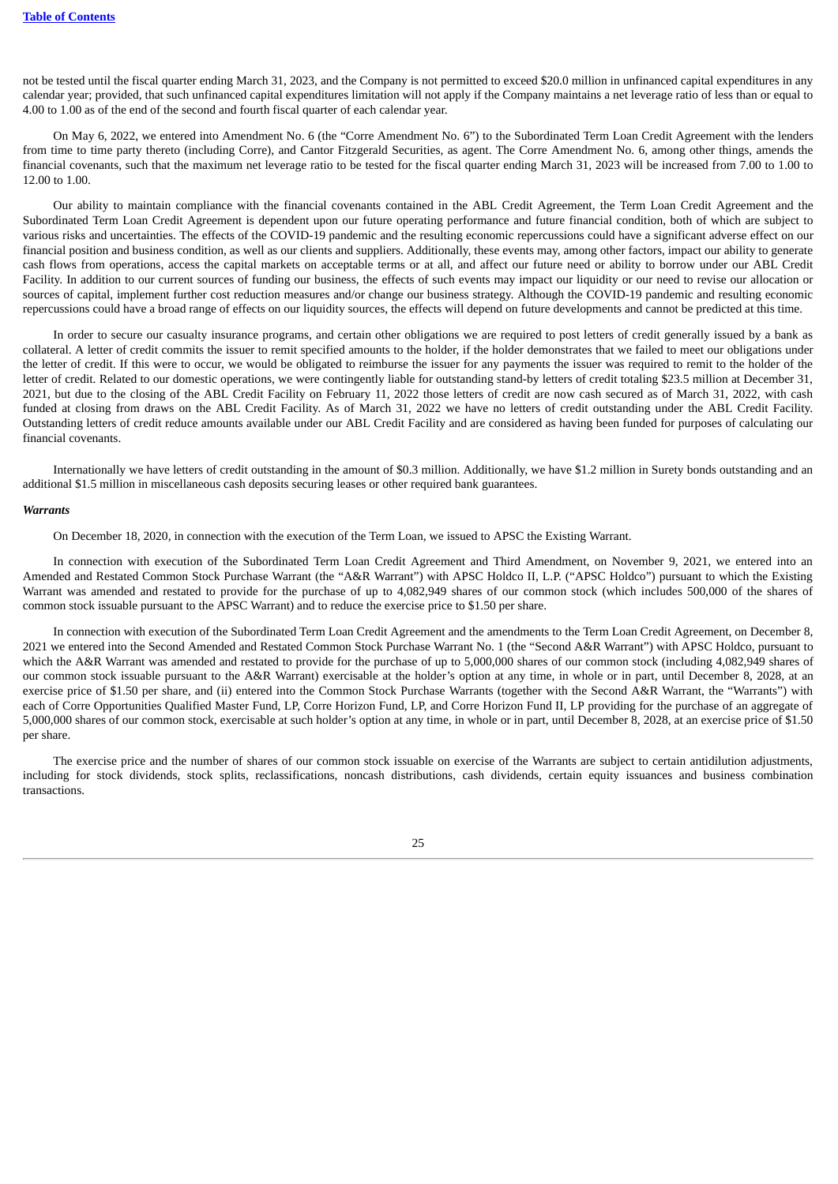not be tested until the fiscal quarter ending March 31, 2023, and the Company is not permitted to exceed \$20.0 million in unfinanced capital expenditures in any calendar year; provided, that such unfinanced capital expenditures limitation will not apply if the Company maintains a net leverage ratio of less than or equal to 4.00 to 1.00 as of the end of the second and fourth fiscal quarter of each calendar year.

On May 6, 2022, we entered into Amendment No. 6 (the "Corre Amendment No. 6") to the Subordinated Term Loan Credit Agreement with the lenders from time to time party thereto (including Corre), and Cantor Fitzgerald Securities, as agent. The Corre Amendment No. 6, among other things, amends the financial covenants, such that the maximum net leverage ratio to be tested for the fiscal quarter ending March 31, 2023 will be increased from 7.00 to 1.00 to 12.00 to 1.00.

Our ability to maintain compliance with the financial covenants contained in the ABL Credit Agreement, the Term Loan Credit Agreement and the Subordinated Term Loan Credit Agreement is dependent upon our future operating performance and future financial condition, both of which are subject to various risks and uncertainties. The effects of the COVID-19 pandemic and the resulting economic repercussions could have a significant adverse effect on our financial position and business condition, as well as our clients and suppliers. Additionally, these events may, among other factors, impact our ability to generate cash flows from operations, access the capital markets on acceptable terms or at all, and affect our future need or ability to borrow under our ABL Credit Facility. In addition to our current sources of funding our business, the effects of such events may impact our liquidity or our need to revise our allocation or sources of capital, implement further cost reduction measures and/or change our business strategy. Although the COVID-19 pandemic and resulting economic repercussions could have a broad range of effects on our liquidity sources, the effects will depend on future developments and cannot be predicted at this time.

In order to secure our casualty insurance programs, and certain other obligations we are required to post letters of credit generally issued by a bank as collateral. A letter of credit commits the issuer to remit specified amounts to the holder, if the holder demonstrates that we failed to meet our obligations under the letter of credit. If this were to occur, we would be obligated to reimburse the issuer for any payments the issuer was required to remit to the holder of the letter of credit. Related to our domestic operations, we were contingently liable for outstanding stand-by letters of credit totaling \$23.5 million at December 31, 2021, but due to the closing of the ABL Credit Facility on February 11, 2022 those letters of credit are now cash secured as of March 31, 2022, with cash funded at closing from draws on the ABL Credit Facility. As of March 31, 2022 we have no letters of credit outstanding under the ABL Credit Facility. Outstanding letters of credit reduce amounts available under our ABL Credit Facility and are considered as having been funded for purposes of calculating our financial covenants.

Internationally we have letters of credit outstanding in the amount of \$0.3 million. Additionally, we have \$1.2 million in Surety bonds outstanding and an additional \$1.5 million in miscellaneous cash deposits securing leases or other required bank guarantees.

#### *Warrants*

On December 18, 2020, in connection with the execution of the Term Loan, we issued to APSC the Existing Warrant.

In connection with execution of the Subordinated Term Loan Credit Agreement and Third Amendment, on November 9, 2021, we entered into an Amended and Restated Common Stock Purchase Warrant (the "A&R Warrant") with APSC Holdco II, L.P. ("APSC Holdco") pursuant to which the Existing Warrant was amended and restated to provide for the purchase of up to 4,082,949 shares of our common stock (which includes 500,000 of the shares of common stock issuable pursuant to the APSC Warrant) and to reduce the exercise price to \$1.50 per share.

In connection with execution of the Subordinated Term Loan Credit Agreement and the amendments to the Term Loan Credit Agreement, on December 8, 2021 we entered into the Second Amended and Restated Common Stock Purchase Warrant No. 1 (the "Second A&R Warrant") with APSC Holdco, pursuant to which the A&R Warrant was amended and restated to provide for the purchase of up to 5,000,000 shares of our common stock (including 4,082,949 shares of our common stock issuable pursuant to the A&R Warrant) exercisable at the holder's option at any time, in whole or in part, until December 8, 2028, at an exercise price of \$1.50 per share, and (ii) entered into the Common Stock Purchase Warrants (together with the Second A&R Warrant, the "Warrants") with each of Corre Opportunities Qualified Master Fund, LP, Corre Horizon Fund, LP, and Corre Horizon Fund II, LP providing for the purchase of an aggregate of 5,000,000 shares of our common stock, exercisable at such holder's option at any time, in whole or in part, until December 8, 2028, at an exercise price of \$1.50 per share.

The exercise price and the number of shares of our common stock issuable on exercise of the Warrants are subject to certain antidilution adjustments, including for stock dividends, stock splits, reclassifications, noncash distributions, cash dividends, certain equity issuances and business combination transactions.

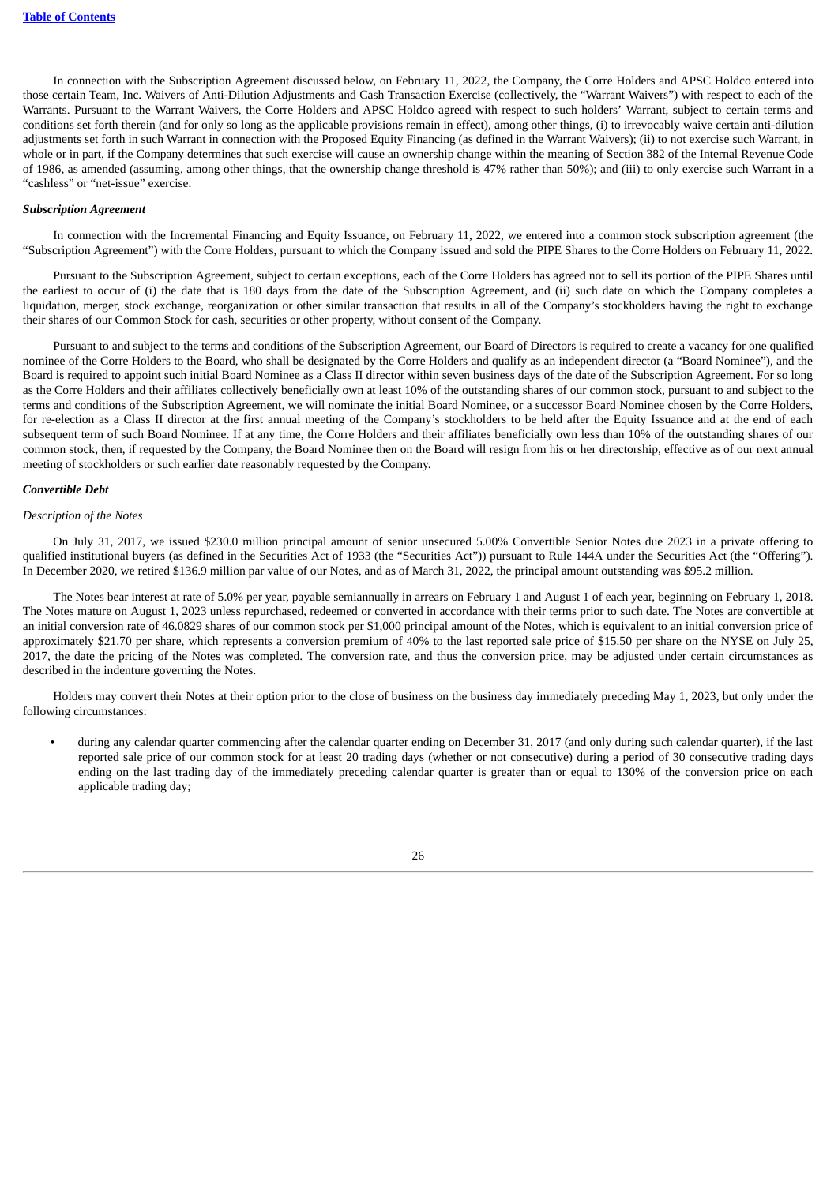In connection with the Subscription Agreement discussed below, on February 11, 2022, the Company, the Corre Holders and APSC Holdco entered into those certain Team, Inc. Waivers of Anti-Dilution Adjustments and Cash Transaction Exercise (collectively, the "Warrant Waivers") with respect to each of the Warrants. Pursuant to the Warrant Waivers, the Corre Holders and APSC Holdco agreed with respect to such holders' Warrant, subject to certain terms and conditions set forth therein (and for only so long as the applicable provisions remain in effect), among other things, (i) to irrevocably waive certain anti-dilution adjustments set forth in such Warrant in connection with the Proposed Equity Financing (as defined in the Warrant Waivers); (ii) to not exercise such Warrant, in whole or in part, if the Company determines that such exercise will cause an ownership change within the meaning of Section 382 of the Internal Revenue Code of 1986, as amended (assuming, among other things, that the ownership change threshold is 47% rather than 50%); and (iii) to only exercise such Warrant in a "cashless" or "net-issue" exercise.

#### *Subscription Agreement*

In connection with the Incremental Financing and Equity Issuance, on February 11, 2022, we entered into a common stock subscription agreement (the "Subscription Agreement") with the Corre Holders, pursuant to which the Company issued and sold the PIPE Shares to the Corre Holders on February 11, 2022.

Pursuant to the Subscription Agreement, subject to certain exceptions, each of the Corre Holders has agreed not to sell its portion of the PIPE Shares until the earliest to occur of (i) the date that is 180 days from the date of the Subscription Agreement, and (ii) such date on which the Company completes a liquidation, merger, stock exchange, reorganization or other similar transaction that results in all of the Company's stockholders having the right to exchange their shares of our Common Stock for cash, securities or other property, without consent of the Company.

Pursuant to and subject to the terms and conditions of the Subscription Agreement, our Board of Directors is required to create a vacancy for one qualified nominee of the Corre Holders to the Board, who shall be designated by the Corre Holders and qualify as an independent director (a "Board Nominee"), and the Board is required to appoint such initial Board Nominee as a Class II director within seven business days of the date of the Subscription Agreement. For so long as the Corre Holders and their affiliates collectively beneficially own at least 10% of the outstanding shares of our common stock, pursuant to and subject to the terms and conditions of the Subscription Agreement, we will nominate the initial Board Nominee, or a successor Board Nominee chosen by the Corre Holders, for re-election as a Class II director at the first annual meeting of the Company's stockholders to be held after the Equity Issuance and at the end of each subsequent term of such Board Nominee. If at any time, the Corre Holders and their affiliates beneficially own less than 10% of the outstanding shares of our common stock, then, if requested by the Company, the Board Nominee then on the Board will resign from his or her directorship, effective as of our next annual meeting of stockholders or such earlier date reasonably requested by the Company.

#### *Convertible Debt*

#### *Description of the Notes*

On July 31, 2017, we issued \$230.0 million principal amount of senior unsecured 5.00% Convertible Senior Notes due 2023 in a private offering to qualified institutional buyers (as defined in the Securities Act of 1933 (the "Securities Act")) pursuant to Rule 144A under the Securities Act (the "Offering"). In December 2020, we retired \$136.9 million par value of our Notes, and as of March 31, 2022, the principal amount outstanding was \$95.2 million.

The Notes bear interest at rate of 5.0% per year, payable semiannually in arrears on February 1 and August 1 of each year, beginning on February 1, 2018. The Notes mature on August 1, 2023 unless repurchased, redeemed or converted in accordance with their terms prior to such date. The Notes are convertible at an initial conversion rate of 46.0829 shares of our common stock per \$1,000 principal amount of the Notes, which is equivalent to an initial conversion price of approximately \$21.70 per share, which represents a conversion premium of 40% to the last reported sale price of \$15.50 per share on the NYSE on July 25, 2017, the date the pricing of the Notes was completed. The conversion rate, and thus the conversion price, may be adjusted under certain circumstances as described in the indenture governing the Notes.

Holders may convert their Notes at their option prior to the close of business on the business day immediately preceding May 1, 2023, but only under the following circumstances:

• during any calendar quarter commencing after the calendar quarter ending on December 31, 2017 (and only during such calendar quarter), if the last reported sale price of our common stock for at least 20 trading days (whether or not consecutive) during a period of 30 consecutive trading days ending on the last trading day of the immediately preceding calendar quarter is greater than or equal to 130% of the conversion price on each applicable trading day;

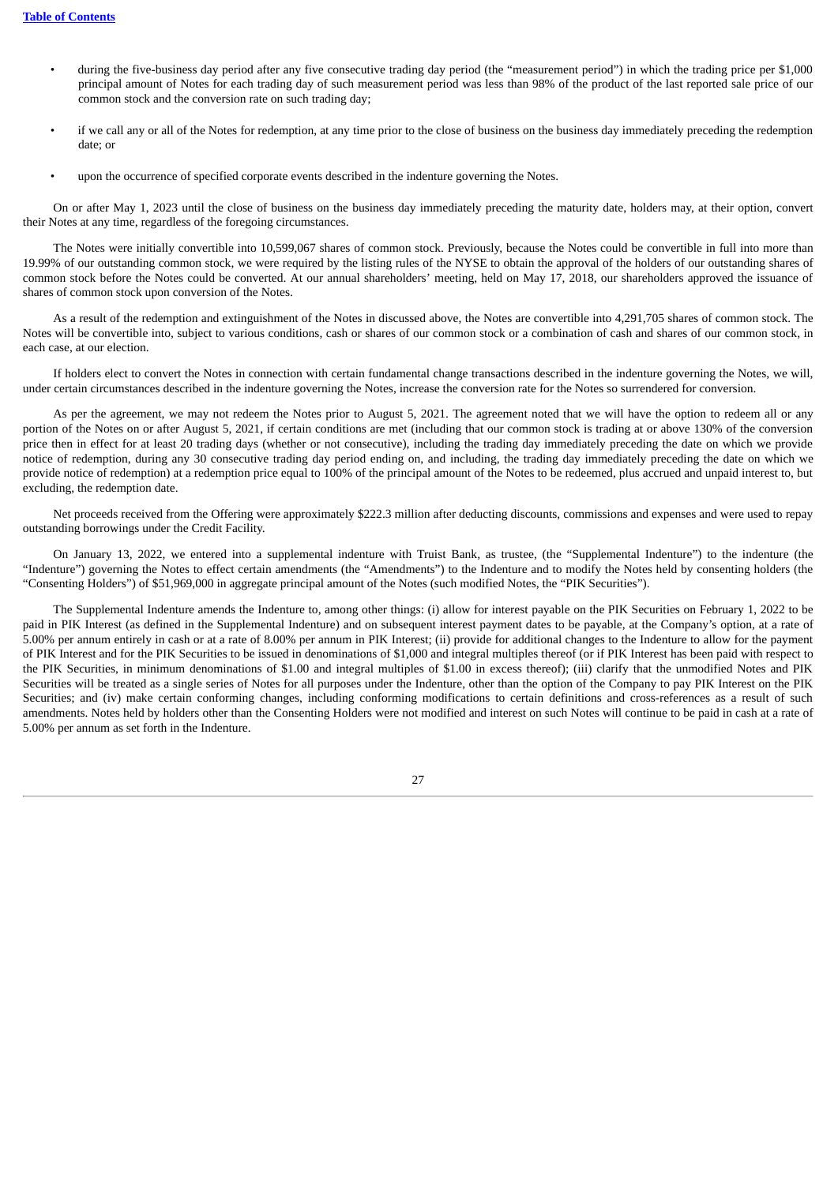- during the five-business day period after any five consecutive trading day period (the "measurement period") in which the trading price per \$1,000 principal amount of Notes for each trading day of such measurement period was less than 98% of the product of the last reported sale price of our common stock and the conversion rate on such trading day;
- if we call any or all of the Notes for redemption, at any time prior to the close of business on the business day immediately preceding the redemption date; or
- upon the occurrence of specified corporate events described in the indenture governing the Notes.

On or after May 1, 2023 until the close of business on the business day immediately preceding the maturity date, holders may, at their option, convert their Notes at any time, regardless of the foregoing circumstances.

The Notes were initially convertible into 10,599,067 shares of common stock. Previously, because the Notes could be convertible in full into more than 19.99% of our outstanding common stock, we were required by the listing rules of the NYSE to obtain the approval of the holders of our outstanding shares of common stock before the Notes could be converted. At our annual shareholders' meeting, held on May 17, 2018, our shareholders approved the issuance of shares of common stock upon conversion of the Notes.

As a result of the redemption and extinguishment of the Notes in discussed above, the Notes are convertible into 4,291,705 shares of common stock. The Notes will be convertible into, subject to various conditions, cash or shares of our common stock or a combination of cash and shares of our common stock, in each case, at our election.

If holders elect to convert the Notes in connection with certain fundamental change transactions described in the indenture governing the Notes, we will, under certain circumstances described in the indenture governing the Notes, increase the conversion rate for the Notes so surrendered for conversion.

As per the agreement, we may not redeem the Notes prior to August 5, 2021. The agreement noted that we will have the option to redeem all or any portion of the Notes on or after August 5, 2021, if certain conditions are met (including that our common stock is trading at or above 130% of the conversion price then in effect for at least 20 trading days (whether or not consecutive), including the trading day immediately preceding the date on which we provide notice of redemption, during any 30 consecutive trading day period ending on, and including, the trading day immediately preceding the date on which we provide notice of redemption) at a redemption price equal to 100% of the principal amount of the Notes to be redeemed, plus accrued and unpaid interest to, but excluding, the redemption date.

Net proceeds received from the Offering were approximately \$222.3 million after deducting discounts, commissions and expenses and were used to repay outstanding borrowings under the Credit Facility.

On January 13, 2022, we entered into a supplemental indenture with Truist Bank, as trustee, (the "Supplemental Indenture") to the indenture (the "Indenture") governing the Notes to effect certain amendments (the "Amendments") to the Indenture and to modify the Notes held by consenting holders (the "Consenting Holders") of \$51,969,000 in aggregate principal amount of the Notes (such modified Notes, the "PIK Securities").

The Supplemental Indenture amends the Indenture to, among other things: (i) allow for interest payable on the PIK Securities on February 1, 2022 to be paid in PIK Interest (as defined in the Supplemental Indenture) and on subsequent interest payment dates to be payable, at the Company's option, at a rate of 5.00% per annum entirely in cash or at a rate of 8.00% per annum in PIK Interest; (ii) provide for additional changes to the Indenture to allow for the payment of PIK Interest and for the PIK Securities to be issued in denominations of \$1,000 and integral multiples thereof (or if PIK Interest has been paid with respect to the PIK Securities, in minimum denominations of \$1.00 and integral multiples of \$1.00 in excess thereof); (iii) clarify that the unmodified Notes and PIK Securities will be treated as a single series of Notes for all purposes under the Indenture, other than the option of the Company to pay PIK Interest on the PIK Securities; and (iv) make certain conforming changes, including conforming modifications to certain definitions and cross-references as a result of such amendments. Notes held by holders other than the Consenting Holders were not modified and interest on such Notes will continue to be paid in cash at a rate of 5.00% per annum as set forth in the Indenture.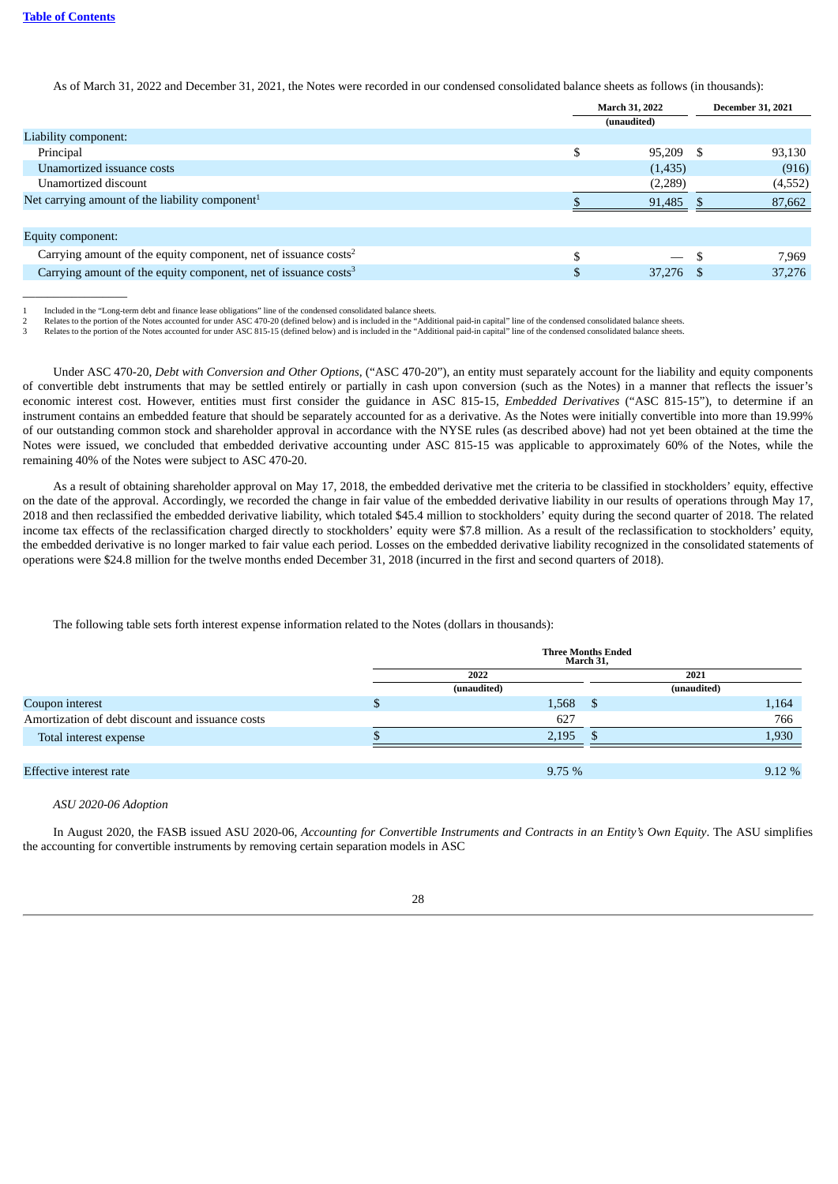*\_\_\_\_\_\_\_\_\_\_\_\_\_\_\_\_\_*

As of March 31, 2022 and December 31, 2021, the Notes were recorded in our condensed consolidated balance sheets as follows (in thousands):

|                                                                   | March 31, 2022           |    | <b>December 31, 2021</b> |
|-------------------------------------------------------------------|--------------------------|----|--------------------------|
|                                                                   | (unaudited)              |    |                          |
| Liability component:                                              |                          |    |                          |
| Principal                                                         | \$<br>95,209             | S  | 93,130                   |
| Unamortized issuance costs                                        | (1,435)                  |    | (916)                    |
| Unamortized discount                                              | (2,289)                  |    | (4, 552)                 |
| Net carrying amount of the liability component <sup>1</sup>       | 91,485                   |    | 87,662                   |
|                                                                   |                          |    |                          |
| Equity component:                                                 |                          |    |                          |
| Carrying amount of the equity component, net of issuance $costs2$ | $\overline{\phantom{0}}$ | \$ | 7.969                    |
| Carrying amount of the equity component, net of issuance $costs3$ | 37,276                   |    | 37,276                   |
|                                                                   |                          |    |                          |

1 Included in the "Long-term debt and finance lease obligations" line of the condensed consolidated balance sheets.

2 Relates to the portion of the Notes accounted for under ASC 470-20 (defined below) and is included in the "Additional paid-in capital" line of the condensed consolidated balance sheets.<br>Relates to the portion of the Note

Section of the Notes accounted for under ASC 815-15 (defined below) and is included in the "Additional paid-in capital" line of the condensed consolidated balance sheets.

Under ASC 470-20, *Debt with Conversion and Other Options*, ("ASC 470-20"), an entity must separately account for the liability and equity components of convertible debt instruments that may be settled entirely or partially in cash upon conversion (such as the Notes) in a manner that reflects the issuer's economic interest cost. However, entities must first consider the guidance in ASC 815-15, *Embedded Derivatives* ("ASC 815-15"), to determine if an instrument contains an embedded feature that should be separately accounted for as a derivative. As the Notes were initially convertible into more than 19.99% of our outstanding common stock and shareholder approval in accordance with the NYSE rules (as described above) had not yet been obtained at the time the Notes were issued, we concluded that embedded derivative accounting under ASC 815-15 was applicable to approximately 60% of the Notes, while the remaining 40% of the Notes were subject to ASC 470-20.

As a result of obtaining shareholder approval on May 17, 2018, the embedded derivative met the criteria to be classified in stockholders' equity, effective on the date of the approval. Accordingly, we recorded the change in fair value of the embedded derivative liability in our results of operations through May 17, 2018 and then reclassified the embedded derivative liability, which totaled \$45.4 million to stockholders' equity during the second quarter of 2018. The related income tax effects of the reclassification charged directly to stockholders' equity were \$7.8 million. As a result of the reclassification to stockholders' equity, the embedded derivative is no longer marked to fair value each period. Losses on the embedded derivative liability recognized in the consolidated statements of operations were \$24.8 million for the twelve months ended December 31, 2018 (incurred in the first and second quarters of 2018).

The following table sets forth interest expense information related to the Notes (dollars in thousands):

|                                                  |    | <b>Three Months Ended</b> | March 31, |             |       |
|--------------------------------------------------|----|---------------------------|-----------|-------------|-------|
|                                                  |    | 2022                      |           | 2021        |       |
|                                                  |    | (unaudited)               |           | (unaudited) |       |
| Coupon interest                                  | Ъ. | 1,568                     | - \$      |             | 1,164 |
| Amortization of debt discount and issuance costs |    | 627                       |           |             | 766   |
| Total interest expense                           |    | 2,195                     |           |             | 1,930 |
|                                                  |    |                           |           |             |       |
| Effective interest rate                          |    | 9.75%                     |           |             | 9.12% |

#### *ASU 2020-06 Adoption*

In August 2020, the FASB issued ASU 2020-06, *Accounting for Convertible Instruments and Contracts in an Entity's Own Equity*. The ASU simplifies the accounting for convertible instruments by removing certain separation models in ASC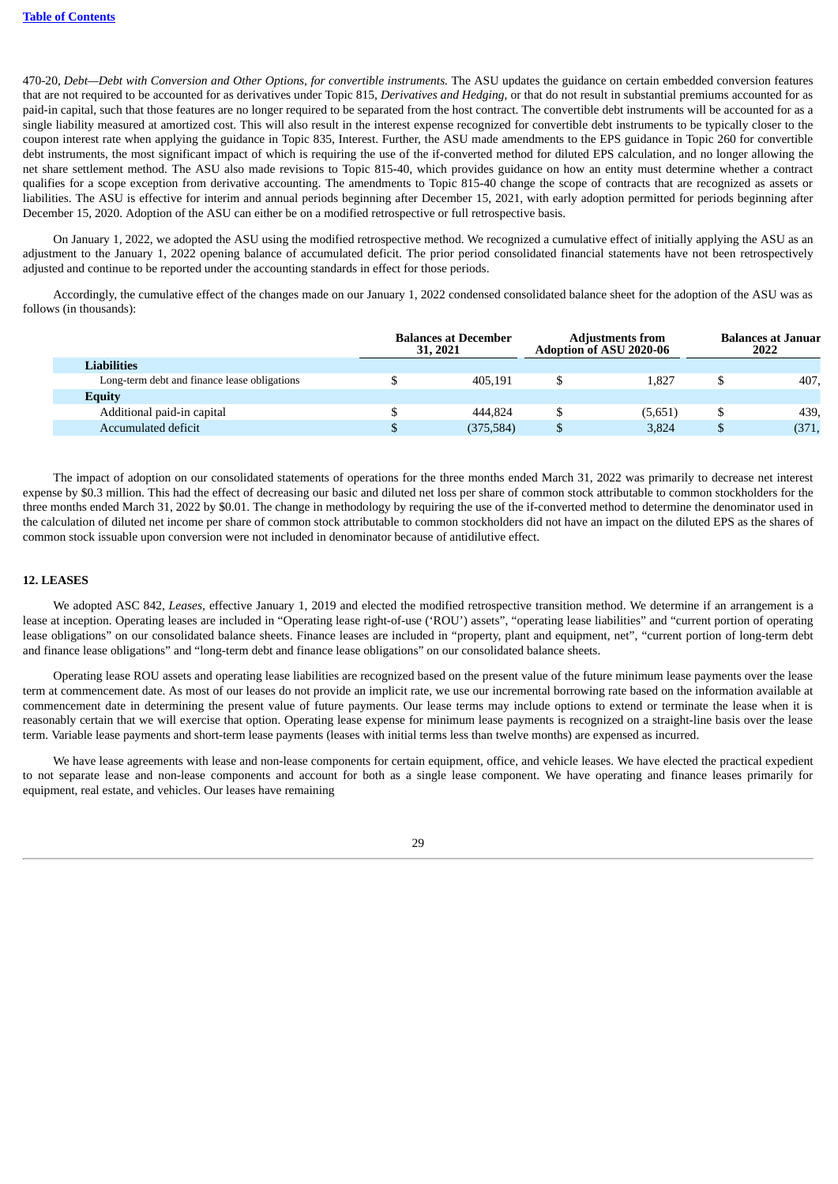470-20, *Debt—Debt with Conversion and Other Options, for convertible instruments.* The ASU updates the guidance on certain embedded conversion features that are not required to be accounted for as derivatives under Topic 815, *Derivatives and Hedging*, or that do not result in substantial premiums accounted for as paid-in capital, such that those features are no longer required to be separated from the host contract. The convertible debt instruments will be accounted for as a single liability measured at amortized cost. This will also result in the interest expense recognized for convertible debt instruments to be typically closer to the coupon interest rate when applying the guidance in Topic 835, Interest. Further, the ASU made amendments to the EPS guidance in Topic 260 for convertible debt instruments, the most significant impact of which is requiring the use of the if-converted method for diluted EPS calculation, and no longer allowing the net share settlement method. The ASU also made revisions to Topic 815-40, which provides guidance on how an entity must determine whether a contract qualifies for a scope exception from derivative accounting. The amendments to Topic 815-40 change the scope of contracts that are recognized as assets or liabilities. The ASU is effective for interim and annual periods beginning after December 15, 2021, with early adoption permitted for periods beginning after December 15, 2020. Adoption of the ASU can either be on a modified retrospective or full retrospective basis.

On January 1, 2022, we adopted the ASU using the modified retrospective method. We recognized a cumulative effect of initially applying the ASU as an adjustment to the January 1, 2022 opening balance of accumulated deficit. The prior period consolidated financial statements have not been retrospectively adjusted and continue to be reported under the accounting standards in effect for those periods.

Accordingly, the cumulative effect of the changes made on our January 1, 2022 condensed consolidated balance sheet for the adoption of the ASU was as follows (in thousands):

|                                              |    | <b>Balances at December</b><br>31, 2021 | <b>Adjustments from</b><br><b>Adoption of ASU 2020-06</b> |    | <b>Balances at Januar</b><br>2022 |
|----------------------------------------------|----|-----------------------------------------|-----------------------------------------------------------|----|-----------------------------------|
| Liabilities                                  |    |                                         |                                                           |    |                                   |
| Long-term debt and finance lease obligations |    | 405.191                                 | 1.827                                                     |    | 407.                              |
| Equity                                       |    |                                         |                                                           |    |                                   |
| Additional paid-in capital                   |    | 444.824                                 | (5,651)                                                   |    | 439,                              |
| Accumulated deficit                          | rU | (375,584)                               | 3.824                                                     | ۰D | (371,                             |
|                                              |    |                                         |                                                           |    |                                   |

The impact of adoption on our consolidated statements of operations for the three months ended March 31, 2022 was primarily to decrease net interest expense by \$0.3 million. This had the effect of decreasing our basic and diluted net loss per share of common stock attributable to common stockholders for the three months ended March 31, 2022 by \$0.01. The change in methodology by requiring the use of the if-converted method to determine the denominator used in the calculation of diluted net income per share of common stock attributable to common stockholders did not have an impact on the diluted EPS as the shares of common stock issuable upon conversion were not included in denominator because of antidilutive effect.

#### **12. LEASES**

We adopted ASC 842, *Leases,* effective January 1, 2019 and elected the modified retrospective transition method. We determine if an arrangement is a lease at inception. Operating leases are included in "Operating lease right-of-use ('ROU') assets", "operating lease liabilities" and "current portion of operating lease obligations" on our consolidated balance sheets. Finance leases are included in "property, plant and equipment, net", "current portion of long-term debt and finance lease obligations" and "long-term debt and finance lease obligations" on our consolidated balance sheets.

Operating lease ROU assets and operating lease liabilities are recognized based on the present value of the future minimum lease payments over the lease term at commencement date. As most of our leases do not provide an implicit rate, we use our incremental borrowing rate based on the information available at commencement date in determining the present value of future payments. Our lease terms may include options to extend or terminate the lease when it is reasonably certain that we will exercise that option. Operating lease expense for minimum lease payments is recognized on a straight-line basis over the lease term. Variable lease payments and short-term lease payments (leases with initial terms less than twelve months) are expensed as incurred.

We have lease agreements with lease and non-lease components for certain equipment, office, and vehicle leases. We have elected the practical expedient to not separate lease and non-lease components and account for both as a single lease component. We have operating and finance leases primarily for equipment, real estate, and vehicles. Our leases have remaining

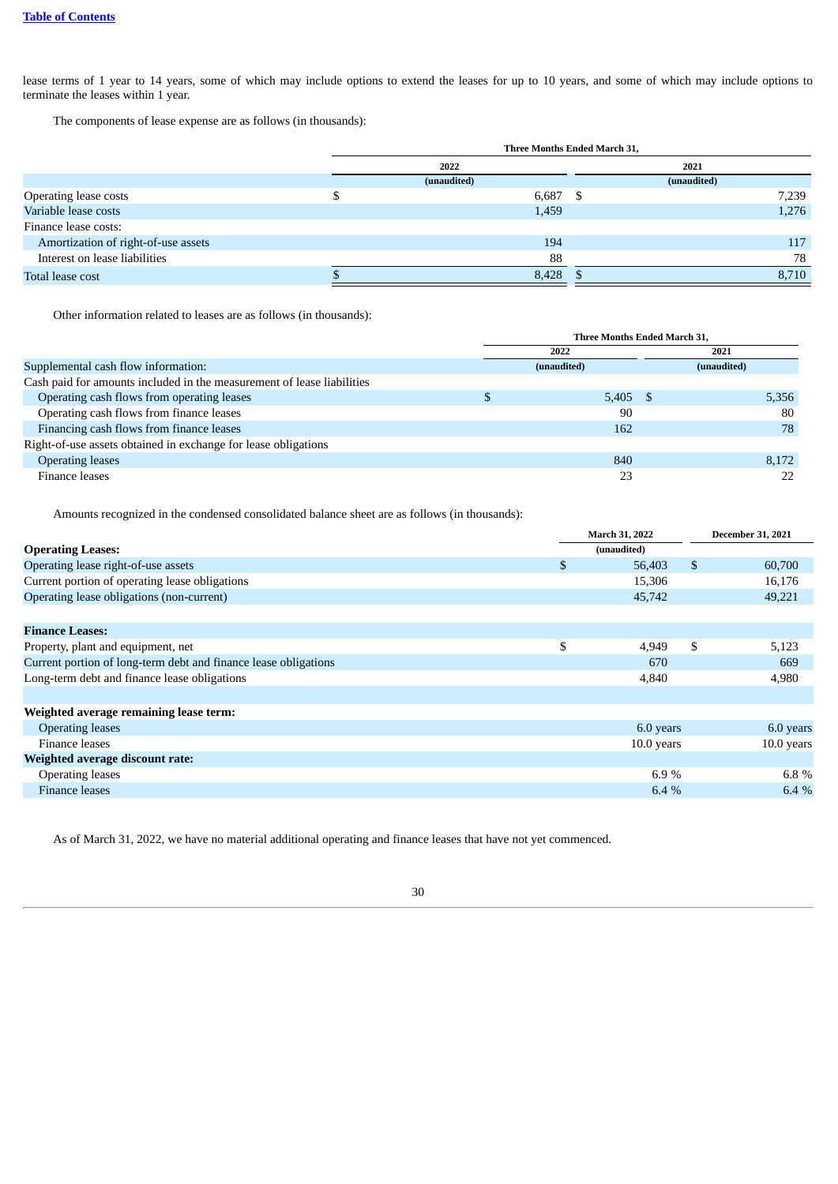lease terms of 1 year to 14 years, some of which may include options to extend the leases for up to 10 years, and some of which may include options to terminate the leases within 1 year.

The components of lease expense are as follows (in thousands):

| 2022        | 2021                                     |
|-------------|------------------------------------------|
| (unaudited) | (unaudited)                              |
| \$          | 7,239                                    |
| 1,459       | 1,276                                    |
|             |                                          |
| 194         | 117                                      |
| 88          | 78                                       |
| 8,428       | 8,710                                    |
|             | Three Months Ended March 31,<br>6,687 \$ |

Other information related to leases are as follows (in thousands):

|                                                                        | <b>Three Months Ended March 31.</b> |             |       |
|------------------------------------------------------------------------|-------------------------------------|-------------|-------|
|                                                                        | 2022                                | 2021        |       |
| Supplemental cash flow information:                                    | (unaudited)                         | (unaudited) |       |
| Cash paid for amounts included in the measurement of lease liabilities |                                     |             |       |
| Operating cash flows from operating leases                             | $5,405$ \$                          |             | 5,356 |
| Operating cash flows from finance leases                               | 90                                  |             | 80    |
| Financing cash flows from finance leases                               | 162                                 |             | 78    |
| Right-of-use assets obtained in exchange for lease obligations         |                                     |             |       |
| <b>Operating leases</b>                                                | 840                                 |             | 8.172 |
| Finance leases                                                         | 23                                  |             |       |

Amounts recognized in the condensed consolidated balance sheet are as follows (in thousands):

|                                                                 | March 31, 2022 |                | <b>December 31, 2021</b> |
|-----------------------------------------------------------------|----------------|----------------|--------------------------|
| <b>Operating Leases:</b>                                        | (unaudited)    |                |                          |
| Operating lease right-of-use assets                             | \$<br>56,403   | $\mathfrak{S}$ | 60,700                   |
| Current portion of operating lease obligations                  | 15,306         |                | 16,176                   |
| Operating lease obligations (non-current)                       | 45,742         |                | 49,221                   |
|                                                                 |                |                |                          |
| <b>Finance Leases:</b>                                          |                |                |                          |
| Property, plant and equipment, net                              | \$<br>4,949    | \$             | 5,123                    |
| Current portion of long-term debt and finance lease obligations | 670            |                | 669                      |
| Long-term debt and finance lease obligations                    | 4,840          |                | 4,980                    |
|                                                                 |                |                |                          |
| Weighted average remaining lease term:                          |                |                |                          |
| <b>Operating leases</b>                                         | 6.0 years      |                | 6.0 years                |
| <b>Finance leases</b>                                           | $10.0$ years   |                | $10.0$ years             |
| Weighted average discount rate:                                 |                |                |                          |
| <b>Operating leases</b>                                         | 6.9%           |                | 6.8 $%$                  |
| Finance leases                                                  | 6.4%           |                | 6.4 %                    |
|                                                                 |                |                |                          |

As of March 31, 2022, we have no material additional operating and finance leases that have not yet commenced.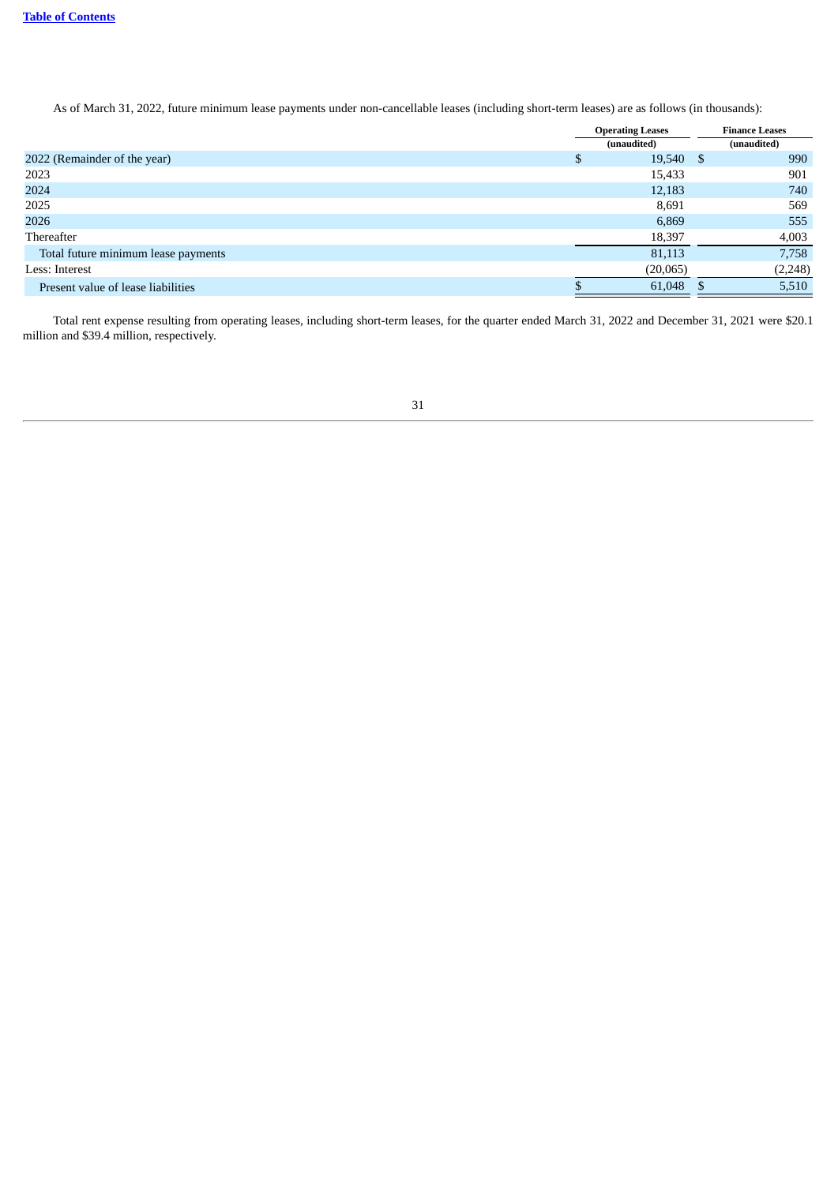As of March 31, 2022, future minimum lease payments under non-cancellable leases (including short-term leases) are as follows (in thousands):

|                                     | <b>Operating Leases</b> |    | <b>Finance Leases</b> |
|-------------------------------------|-------------------------|----|-----------------------|
|                                     | (unaudited)             |    | (unaudited)           |
| 2022 (Remainder of the year)        | \$<br>19,540            | -S | 990                   |
| 2023                                | 15,433                  |    | 901                   |
| 2024                                | 12,183                  |    | 740                   |
| 2025                                | 8,691                   |    | 569                   |
| 2026                                | 6,869                   |    | 555                   |
| Thereafter                          | 18,397                  |    | 4,003                 |
| Total future minimum lease payments | 81,113                  |    | 7,758                 |
| Less: Interest                      | (20,065)                |    | (2, 248)              |
| Present value of lease liabilities  | 61,048                  |    | 5,510                 |

Total rent expense resulting from operating leases, including short-term leases, for the quarter ended March 31, 2022 and December 31, 2021 were \$20.1 million and \$39.4 million, respectively.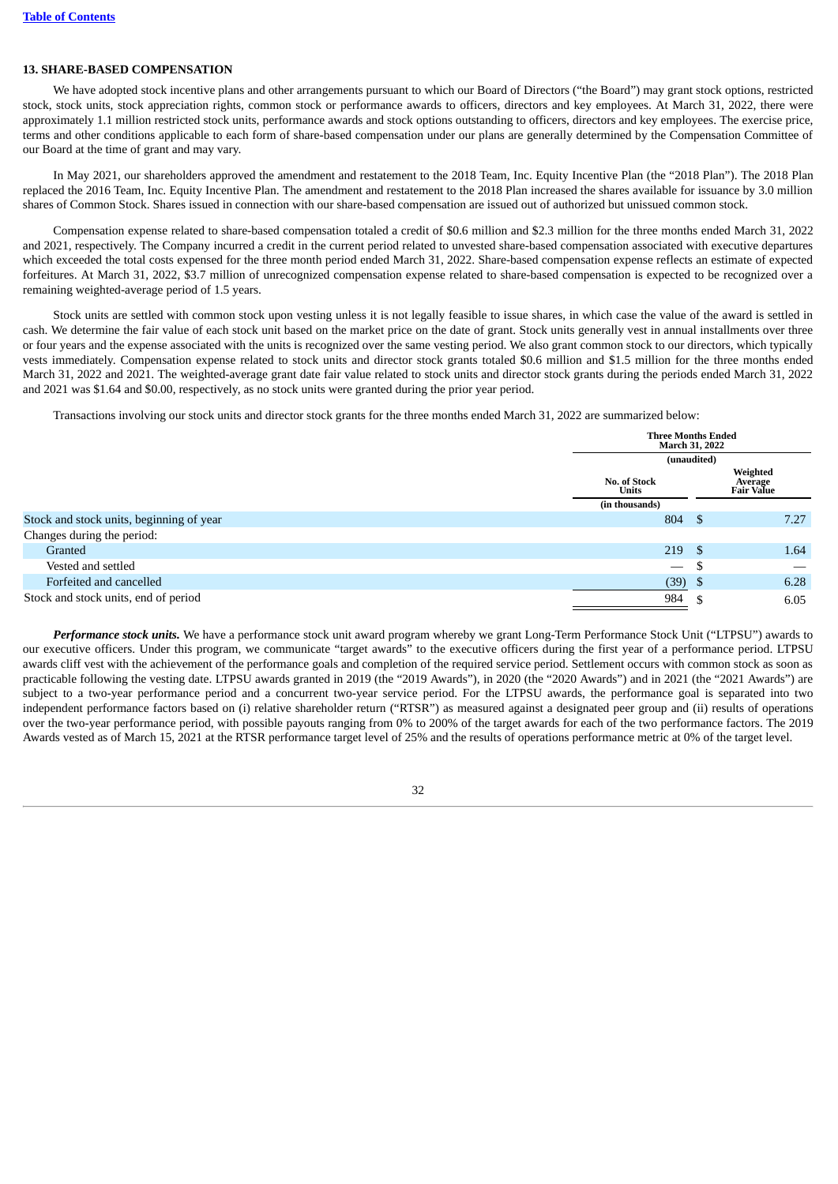#### **13. SHARE-BASED COMPENSATION**

We have adopted stock incentive plans and other arrangements pursuant to which our Board of Directors ("the Board") may grant stock options, restricted stock, stock units, stock appreciation rights, common stock or performance awards to officers, directors and key employees. At March 31, 2022, there were approximately 1.1 million restricted stock units, performance awards and stock options outstanding to officers, directors and key employees. The exercise price, terms and other conditions applicable to each form of share-based compensation under our plans are generally determined by the Compensation Committee of our Board at the time of grant and may vary.

In May 2021, our shareholders approved the amendment and restatement to the 2018 Team, Inc. Equity Incentive Plan (the "2018 Plan"). The 2018 Plan replaced the 2016 Team, Inc. Equity Incentive Plan. The amendment and restatement to the 2018 Plan increased the shares available for issuance by 3.0 million shares of Common Stock. Shares issued in connection with our share-based compensation are issued out of authorized but unissued common stock.

Compensation expense related to share-based compensation totaled a credit of \$0.6 million and \$2.3 million for the three months ended March 31, 2022 and 2021, respectively. The Company incurred a credit in the current period related to unvested share-based compensation associated with executive departures which exceeded the total costs expensed for the three month period ended March 31, 2022. Share-based compensation expense reflects an estimate of expected forfeitures. At March 31, 2022, \$3.7 million of unrecognized compensation expense related to share-based compensation is expected to be recognized over a remaining weighted-average period of 1.5 years.

Stock units are settled with common stock upon vesting unless it is not legally feasible to issue shares, in which case the value of the award is settled in cash. We determine the fair value of each stock unit based on the market price on the date of grant. Stock units generally vest in annual installments over three or four years and the expense associated with the units is recognized over the same vesting period. We also grant common stock to our directors, which typically vests immediately. Compensation expense related to stock units and director stock grants totaled \$0.6 million and \$1.5 million for the three months ended March 31, 2022 and 2021. The weighted-average grant date fair value related to stock units and director stock grants during the periods ended March 31, 2022 and 2021 was \$1.64 and \$0.00, respectively, as no stock units were granted during the prior year period.

Transactions involving our stock units and director stock grants for the three months ended March 31, 2022 are summarized below:

|                                          | <b>Three Months Ended</b><br>March 31, 2022 |             |                                          |
|------------------------------------------|---------------------------------------------|-------------|------------------------------------------|
|                                          |                                             | (unaudited) |                                          |
|                                          | No. of Stock<br><b>Units</b>                |             | Weighted<br>Average<br><b>Fair Value</b> |
|                                          | (in thousands)                              |             |                                          |
| Stock and stock units, beginning of year | 804 \$                                      |             | 7.27                                     |
| Changes during the period:               |                                             |             |                                          |
| Granted                                  | 219S                                        |             | 1.64                                     |
| Vested and settled                       | $\overline{\phantom{m}}$                    | S           |                                          |
| Forfeited and cancelled                  | $(39)$ \$                                   |             | 6.28                                     |
| Stock and stock units, end of period     | 984                                         |             | 6.05                                     |

*Performance stock units.* We have a performance stock unit award program whereby we grant Long-Term Performance Stock Unit ("LTPSU") awards to our executive officers. Under this program, we communicate "target awards" to the executive officers during the first year of a performance period. LTPSU awards cliff vest with the achievement of the performance goals and completion of the required service period. Settlement occurs with common stock as soon as practicable following the vesting date. LTPSU awards granted in 2019 (the "2019 Awards"), in 2020 (the "2020 Awards") and in 2021 (the "2021 Awards") are subject to a two-year performance period and a concurrent two-year service period. For the LTPSU awards, the performance goal is separated into two independent performance factors based on (i) relative shareholder return ("RTSR") as measured against a designated peer group and (ii) results of operations over the two-year performance period, with possible payouts ranging from 0% to 200% of the target awards for each of the two performance factors. The 2019 Awards vested as of March 15, 2021 at the RTSR performance target level of 25% and the results of operations performance metric at 0% of the target level.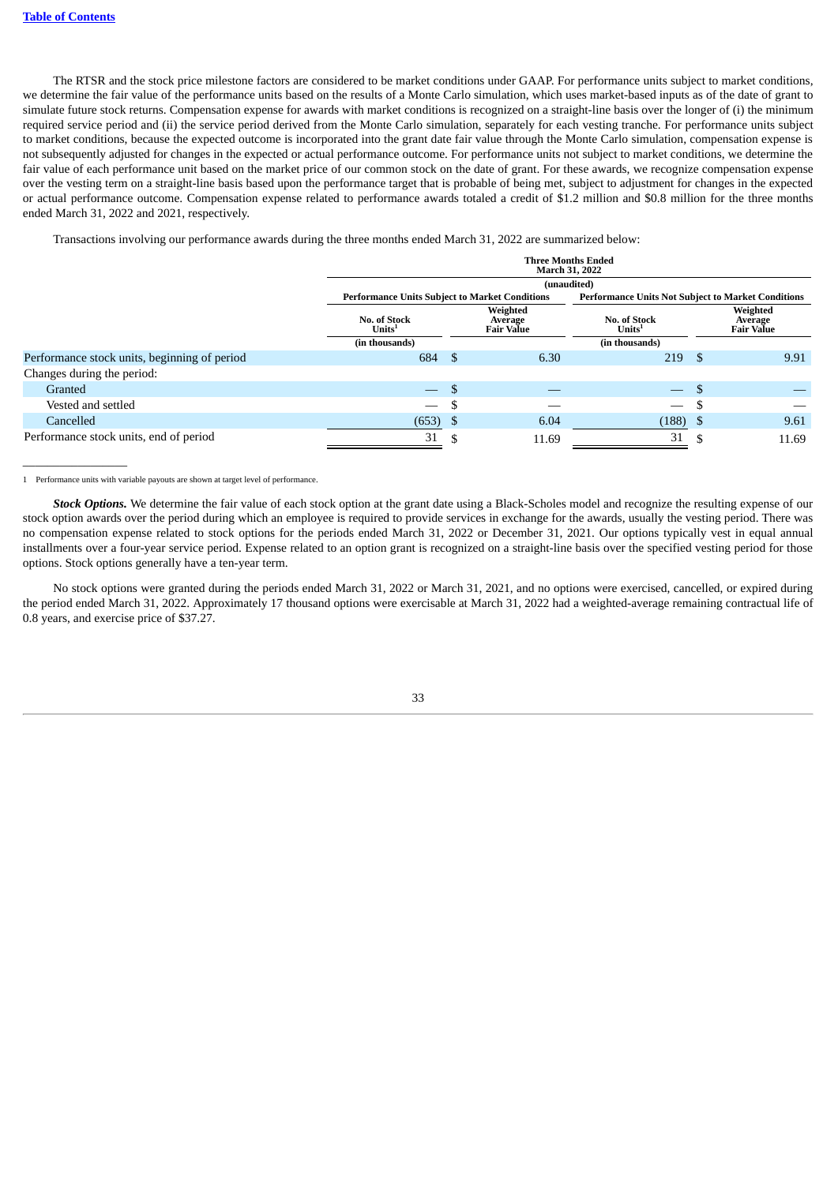*\_\_\_\_\_\_\_\_\_\_\_\_\_\_\_\_\_*

The RTSR and the stock price milestone factors are considered to be market conditions under GAAP. For performance units subject to market conditions, we determine the fair value of the performance units based on the results of a Monte Carlo simulation, which uses market-based inputs as of the date of grant to simulate future stock returns. Compensation expense for awards with market conditions is recognized on a straight-line basis over the longer of (i) the minimum required service period and (ii) the service period derived from the Monte Carlo simulation, separately for each vesting tranche. For performance units subject to market conditions, because the expected outcome is incorporated into the grant date fair value through the Monte Carlo simulation, compensation expense is not subsequently adjusted for changes in the expected or actual performance outcome. For performance units not subject to market conditions, we determine the fair value of each performance unit based on the market price of our common stock on the date of grant. For these awards, we recognize compensation expense over the vesting term on a straight-line basis based upon the performance target that is probable of being met, subject to adjustment for changes in the expected or actual performance outcome. Compensation expense related to performance awards totaled a credit of \$1.2 million and \$0.8 million for the three months ended March 31, 2022 and 2021, respectively.

Transactions involving our performance awards during the three months ended March 31, 2022 are summarized below:

|                                              |                                                       |          | <b>Three Months Ended</b><br><b>March 31, 2022</b><br>(unaudited) |                                    |      |                                          |  |
|----------------------------------------------|-------------------------------------------------------|----------|-------------------------------------------------------------------|------------------------------------|------|------------------------------------------|--|
|                                              | <b>Performance Units Subject to Market Conditions</b> |          | <b>Performance Units Not Subject to Market Conditions</b>         |                                    |      |                                          |  |
|                                              | No. of Stock<br>Units <sup>1</sup>                    |          | Weighted<br>Average<br><b>Fair Value</b>                          | No. of Stock<br>Units <sup>1</sup> |      | Weighted<br>Average<br><b>Fair Value</b> |  |
|                                              | (in thousands)                                        |          |                                                                   | (in thousands)                     |      |                                          |  |
| Performance stock units, beginning of period | 684                                                   | <b>S</b> | 6.30                                                              | 219                                | - \$ | 9.91                                     |  |
| Changes during the period:                   |                                                       |          |                                                                   |                                    |      |                                          |  |
| Granted                                      |                                                       | -S       |                                                                   | $\overline{\phantom{m}}$           | \$   |                                          |  |
| Vested and settled                           |                                                       |          |                                                                   |                                    |      |                                          |  |
| Cancelled                                    | $(653)$ \$                                            |          | 6.04                                                              | (188)                              | - 5  | 9.61                                     |  |
| Performance stock units, end of period       | 31                                                    |          | 11.69                                                             | 31                                 |      | 11.69                                    |  |

1 Performance units with variable payouts are shown at target level of performance.

*Stock Options.* We determine the fair value of each stock option at the grant date using a Black-Scholes model and recognize the resulting expense of our stock option awards over the period during which an employee is required to provide services in exchange for the awards, usually the vesting period. There was no compensation expense related to stock options for the periods ended March 31, 2022 or December 31, 2021. Our options typically vest in equal annual installments over a four-year service period. Expense related to an option grant is recognized on a straight-line basis over the specified vesting period for those options. Stock options generally have a ten-year term.

No stock options were granted during the periods ended March 31, 2022 or March 31, 2021, and no options were exercised, cancelled, or expired during the period ended March 31, 2022. Approximately 17 thousand options were exercisable at March 31, 2022 had a weighted-average remaining contractual life of 0.8 years, and exercise price of \$37.27.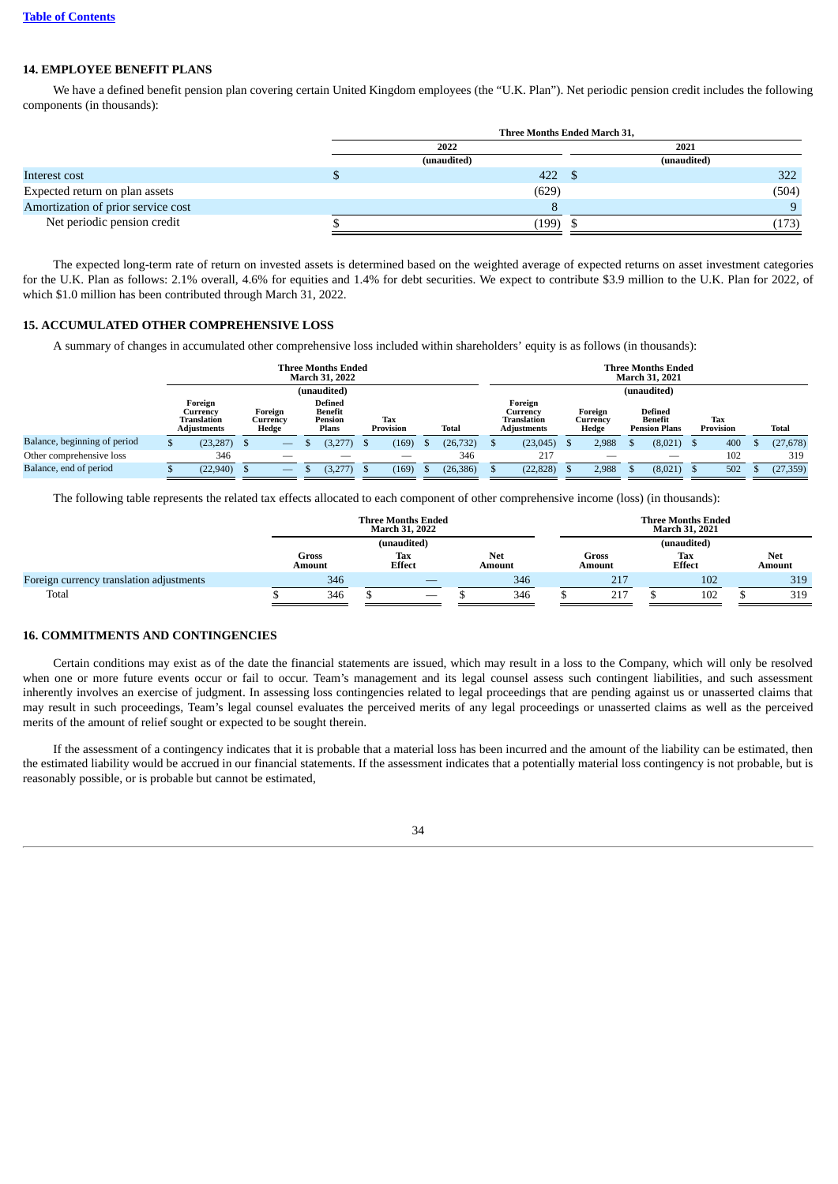## **14. EMPLOYEE BENEFIT PLANS**

We have a defined benefit pension plan covering certain United Kingdom employees (the "U.K. Plan"). Net periodic pension credit includes the following components (in thousands):

|                                    |               | Three Months Ended March 31, |              |
|------------------------------------|---------------|------------------------------|--------------|
|                                    | 2022          |                              | 2021         |
|                                    | (unaudited)   |                              | (unaudited)  |
| Interest cost                      | $422 \quad $$ |                              | 322          |
| Expected return on plan assets     | (629)         |                              | (504)        |
| Amortization of prior service cost |               |                              | $\mathbf{q}$ |
| Net periodic pension credit        | (199)         |                              | (173)        |

The expected long-term rate of return on invested assets is determined based on the weighted average of expected returns on asset investment categories for the U.K. Plan as follows: 2.1% overall, 4.6% for equities and 1.4% for debt securities. We expect to contribute \$3.9 million to the U.K. Plan for 2022, of which \$1.0 million has been contributed through March 31, 2022.

#### **15. ACCUMULATED OTHER COMPREHENSIVE LOSS**

A summary of changes in accumulated other comprehensive loss included within shareholders' equity is as follows (in thousands):

|                              | <b>Three Months Ended</b><br><b>March 31, 2022</b> |                                                   |  |                              |                                                      |                          |                  |        | Three Months Ended<br><b>March 31, 2021</b> |           |                                                   |           |                              |       |                                            |         |                  |     |              |           |
|------------------------------|----------------------------------------------------|---------------------------------------------------|--|------------------------------|------------------------------------------------------|--------------------------|------------------|--------|---------------------------------------------|-----------|---------------------------------------------------|-----------|------------------------------|-------|--------------------------------------------|---------|------------------|-----|--------------|-----------|
|                              |                                                    | (unaudited)                                       |  |                              |                                                      |                          |                  |        |                                             |           | (unaudited)                                       |           |                              |       |                                            |         |                  |     |              |           |
|                              |                                                    | Foreign<br>Currency<br>Translation<br>Adjustments |  | Foreign<br>Currency<br>Hedge | <b>Defined</b><br><b>Benefit</b><br>Pension<br>Plans |                          | Tax<br>Provision |        | <b>Total</b>                                |           | Foreign<br>Currencv<br>Translation<br>Adjustments |           | Foreign<br>Currencv<br>Hedge |       | Defined<br>Benefit<br><b>Pension Plans</b> |         | Tax<br>Provision |     | <b>Total</b> |           |
| Balance, beginning of period | S                                                  | (23, 287)                                         |  | $\overline{\phantom{0}}$     |                                                      | (3,277)                  |                  | (169)  |                                             | (26, 732) |                                                   | (23, 045) |                              | 2,988 |                                            | (8,021) |                  | 400 |              | (27, 678) |
| Other comprehensive loss     |                                                    | 346                                               |  | --                           |                                                      | $\overline{\phantom{a}}$ |                  | $\sim$ |                                             | 346       |                                                   | 217       |                              | __    |                                            |         |                  | 102 |              | 319       |
| Balance, end of period       |                                                    | (22,940)                                          |  |                              | Æ                                                    | (3,277)                  |                  | (169)  |                                             | (26, 386) |                                                   | (22, 828) |                              | 2,988 |                                            | (8,021) |                  | 502 |              | (27, 359) |

The following table represents the related tax effects allocated to each component of other comprehensive income (loss) (in thousands):

|                                          |  | <b>Three Months Ended</b><br><b>March 31, 2022</b><br>(unaudited) |  |                          |  |               |  | <b>Three Months Ended</b><br><b>March 31, 2021</b><br>(unaudited) |  |                      |  |               |  |
|------------------------------------------|--|-------------------------------------------------------------------|--|--------------------------|--|---------------|--|-------------------------------------------------------------------|--|----------------------|--|---------------|--|
|                                          |  |                                                                   |  |                          |  |               |  |                                                                   |  |                      |  |               |  |
|                                          |  | Gross<br>Amount                                                   |  | Tax<br>Effect            |  | Net<br>Amount |  | Gross<br>Amount                                                   |  | <b>Tax</b><br>Effect |  | Net<br>Amount |  |
| Foreign currency translation adjustments |  | 346                                                               |  |                          |  | 346           |  | 217                                                               |  | 102                  |  | 319           |  |
| Total                                    |  | 346                                                               |  | $\overline{\phantom{a}}$ |  | 346           |  | 217                                                               |  | 102                  |  | 319           |  |

#### **16. COMMITMENTS AND CONTINGENCIES**

Certain conditions may exist as of the date the financial statements are issued, which may result in a loss to the Company, which will only be resolved when one or more future events occur or fail to occur. Team's management and its legal counsel assess such contingent liabilities, and such assessment inherently involves an exercise of judgment. In assessing loss contingencies related to legal proceedings that are pending against us or unasserted claims that may result in such proceedings, Team's legal counsel evaluates the perceived merits of any legal proceedings or unasserted claims as well as the perceived merits of the amount of relief sought or expected to be sought therein.

If the assessment of a contingency indicates that it is probable that a material loss has been incurred and the amount of the liability can be estimated, then the estimated liability would be accrued in our financial statements. If the assessment indicates that a potentially material loss contingency is not probable, but is reasonably possible, or is probable but cannot be estimated,

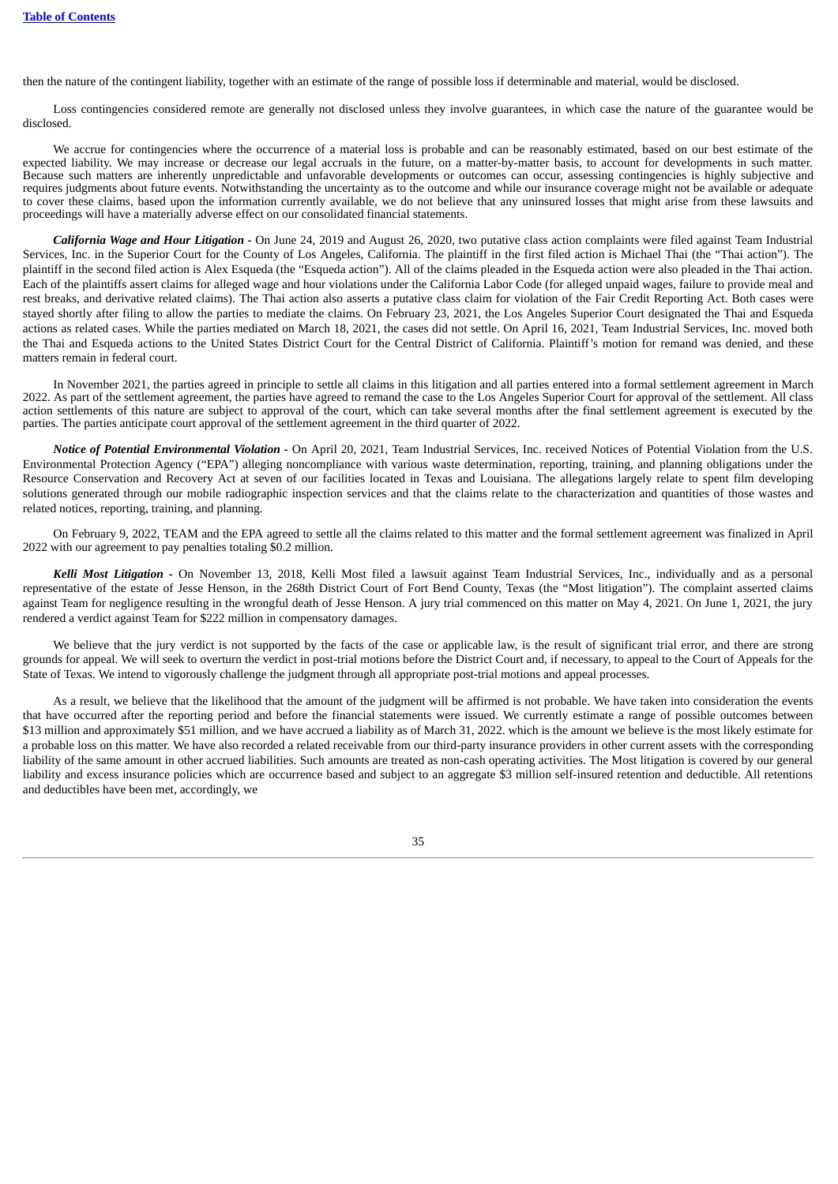then the nature of the contingent liability, together with an estimate of the range of possible loss if determinable and material, would be disclosed.

Loss contingencies considered remote are generally not disclosed unless they involve guarantees, in which case the nature of the guarantee would be disclosed.

We accrue for contingencies where the occurrence of a material loss is probable and can be reasonably estimated, based on our best estimate of the expected liability. We may increase or decrease our legal accruals in the future, on a matter-by-matter basis, to account for developments in such matter. Because such matters are inherently unpredictable and unfavorable developments or outcomes can occur, assessing contingencies is highly subjective and requires judgments about future events. Notwithstanding the uncertainty as to the outcome and while our insurance coverage might not be available or adequate to cover these claims, based upon the information currently available, we do not believe that any uninsured losses that might arise from these lawsuits and proceedings will have a materially adverse effect on our consolidated financial statements.

*California Wage and Hour Litigation -* On June 24, 2019 and August 26, 2020, two putative class action complaints were filed against Team Industrial Services, Inc. in the Superior Court for the County of Los Angeles, California. The plaintiff in the first filed action is Michael Thai (the "Thai action"). The plaintiff in the second filed action is Alex Esqueda (the "Esqueda action"). All of the claims pleaded in the Esqueda action were also pleaded in the Thai action. Each of the plaintiffs assert claims for alleged wage and hour violations under the California Labor Code (for alleged unpaid wages, failure to provide meal and rest breaks, and derivative related claims). The Thai action also asserts a putative class claim for violation of the Fair Credit Reporting Act. Both cases were stayed shortly after filing to allow the parties to mediate the claims. On February 23, 2021, the Los Angeles Superior Court designated the Thai and Esqueda actions as related cases. While the parties mediated on March 18, 2021, the cases did not settle. On April 16, 2021, Team Industrial Services, Inc. moved both the Thai and Esqueda actions to the United States District Court for the Central District of California. Plaintiff's motion for remand was denied, and these matters remain in federal court.

In November 2021, the parties agreed in principle to settle all claims in this litigation and all parties entered into a formal settlement agreement in March 2022. As part of the settlement agreement, the parties have agreed to remand the case to the Los Angeles Superior Court for approval of the settlement. All class action settlements of this nature are subject to approval of the court, which can take several months after the final settlement agreement is executed by the parties. The parties anticipate court approval of the settlement agreement in the third quarter of 2022.

*Notice of Potential Environmental Violation -* On April 20, 2021, Team Industrial Services, Inc. received Notices of Potential Violation from the U.S. Environmental Protection Agency ("EPA") alleging noncompliance with various waste determination, reporting, training, and planning obligations under the Resource Conservation and Recovery Act at seven of our facilities located in Texas and Louisiana. The allegations largely relate to spent film developing solutions generated through our mobile radiographic inspection services and that the claims relate to the characterization and quantities of those wastes and related notices, reporting, training, and planning.

On February 9, 2022, TEAM and the EPA agreed to settle all the claims related to this matter and the formal settlement agreement was finalized in April 2022 with our agreement to pay penalties totaling \$0.2 million.

*Kelli Most Litigation -* On November 13, 2018, Kelli Most filed a lawsuit against Team Industrial Services, Inc., individually and as a personal representative of the estate of Jesse Henson, in the 268th District Court of Fort Bend County, Texas (the "Most litigation"). The complaint asserted claims against Team for negligence resulting in the wrongful death of Jesse Henson. A jury trial commenced on this matter on May 4, 2021. On June 1, 2021, the jury rendered a verdict against Team for \$222 million in compensatory damages.

We believe that the jury verdict is not supported by the facts of the case or applicable law, is the result of significant trial error, and there are strong grounds for appeal. We will seek to overturn the verdict in post-trial motions before the District Court and, if necessary, to appeal to the Court of Appeals for the State of Texas. We intend to vigorously challenge the judgment through all appropriate post-trial motions and appeal processes.

As a result, we believe that the likelihood that the amount of the judgment will be affirmed is not probable. We have taken into consideration the events that have occurred after the reporting period and before the financial statements were issued. We currently estimate a range of possible outcomes between \$13 million and approximately \$51 million, and we have accrued a liability as of March 31, 2022. which is the amount we believe is the most likely estimate for a probable loss on this matter. We have also recorded a related receivable from our third-party insurance providers in other current assets with the corresponding liability of the same amount in other accrued liabilities. Such amounts are treated as non-cash operating activities. The Most litigation is covered by our general liability and excess insurance policies which are occurrence based and subject to an aggregate \$3 million self-insured retention and deductible. All retentions and deductibles have been met, accordingly, we

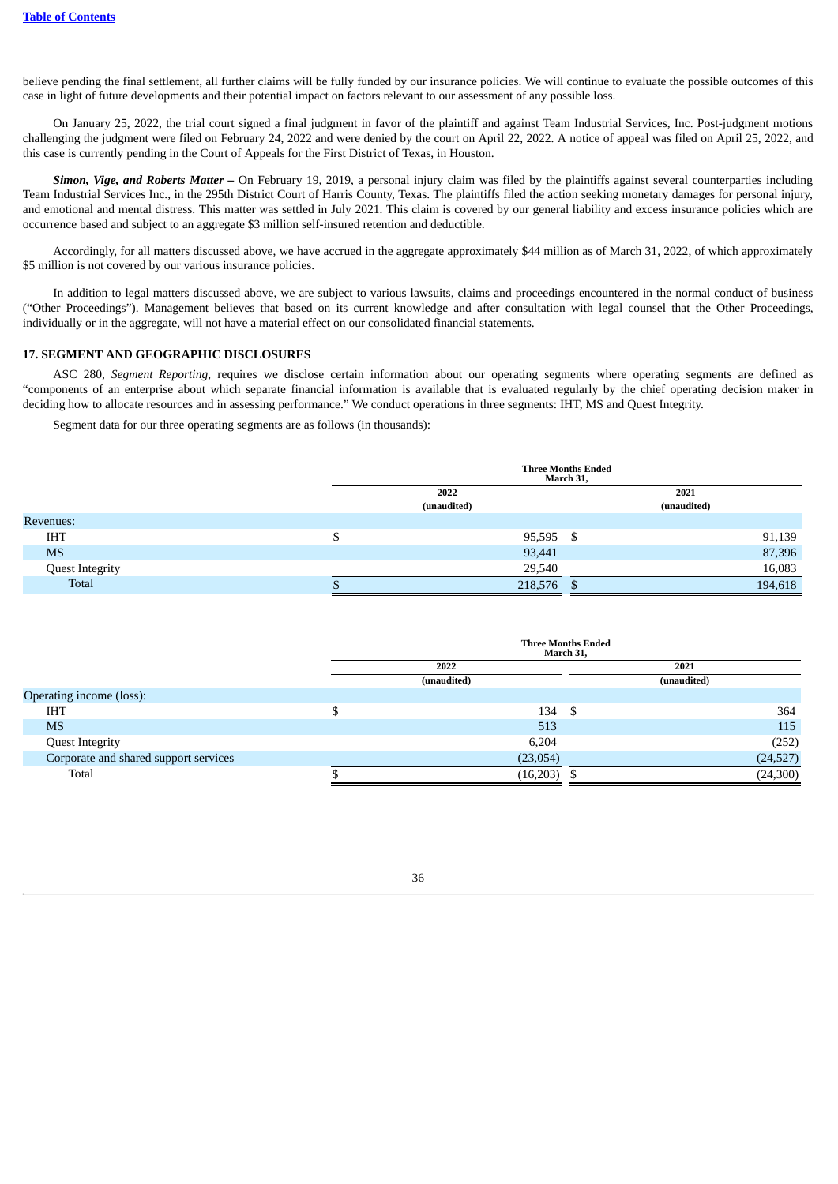believe pending the final settlement, all further claims will be fully funded by our insurance policies. We will continue to evaluate the possible outcomes of this case in light of future developments and their potential impact on factors relevant to our assessment of any possible loss.

On January 25, 2022, the trial court signed a final judgment in favor of the plaintiff and against Team Industrial Services, Inc. Post-judgment motions challenging the judgment were filed on February 24, 2022 and were denied by the court on April 22, 2022. A notice of appeal was filed on April 25, 2022, and this case is currently pending in the Court of Appeals for the First District of Texas, in Houston.

*Simon, Vige, and Roberts Matter –* On February 19, 2019, a personal injury claim was filed by the plaintiffs against several counterparties including Team Industrial Services Inc., in the 295th District Court of Harris County, Texas. The plaintiffs filed the action seeking monetary damages for personal injury, and emotional and mental distress. This matter was settled in July 2021. This claim is covered by our general liability and excess insurance policies which are occurrence based and subject to an aggregate \$3 million self-insured retention and deductible.

Accordingly, for all matters discussed above, we have accrued in the aggregate approximately \$44 million as of March 31, 2022, of which approximately \$5 million is not covered by our various insurance policies.

In addition to legal matters discussed above, we are subject to various lawsuits, claims and proceedings encountered in the normal conduct of business ("Other Proceedings"). Management believes that based on its current knowledge and after consultation with legal counsel that the Other Proceedings, individually or in the aggregate, will not have a material effect on our consolidated financial statements.

### **17. SEGMENT AND GEOGRAPHIC DISCLOSURES**

ASC 280, *Segment Reporting*, requires we disclose certain information about our operating segments where operating segments are defined as "components of an enterprise about which separate financial information is available that is evaluated regularly by the chief operating decision maker in deciding how to allocate resources and in assessing performance." We conduct operations in three segments: IHT, MS and Quest Integrity.

Segment data for our three operating segments are as follows (in thousands):

|                 | <b>Three Months Ended</b><br>March 31, |  |             |  |  |  |  |
|-----------------|----------------------------------------|--|-------------|--|--|--|--|
|                 | 2022                                   |  | 2021        |  |  |  |  |
|                 | (unaudited)                            |  | (unaudited) |  |  |  |  |
| Revenues:       |                                        |  |             |  |  |  |  |
| <b>IHT</b>      | 95,595 \$                              |  | 91,139      |  |  |  |  |
| <b>MS</b>       | 93,441                                 |  | 87,396      |  |  |  |  |
| Quest Integrity | 29,540                                 |  | 16,083      |  |  |  |  |
| Total           | 218,576                                |  | 194,618     |  |  |  |  |

|                                       | <b>Three Months Ended</b><br>March 31, |             |           |  |  |  |  |
|---------------------------------------|----------------------------------------|-------------|-----------|--|--|--|--|
|                                       | 2022                                   | 2021        |           |  |  |  |  |
|                                       | (unaudited)                            | (unaudited) |           |  |  |  |  |
| Operating income (loss):              |                                        |             |           |  |  |  |  |
| <b>IHT</b>                            | 134                                    | - \$        | 364       |  |  |  |  |
| <b>MS</b>                             | 513                                    |             | 115       |  |  |  |  |
| Quest Integrity                       | 6.204                                  |             | (252)     |  |  |  |  |
| Corporate and shared support services | (23,054)                               |             | (24, 527) |  |  |  |  |
| Total                                 | (16,203)                               |             | (24, 300) |  |  |  |  |
|                                       |                                        |             |           |  |  |  |  |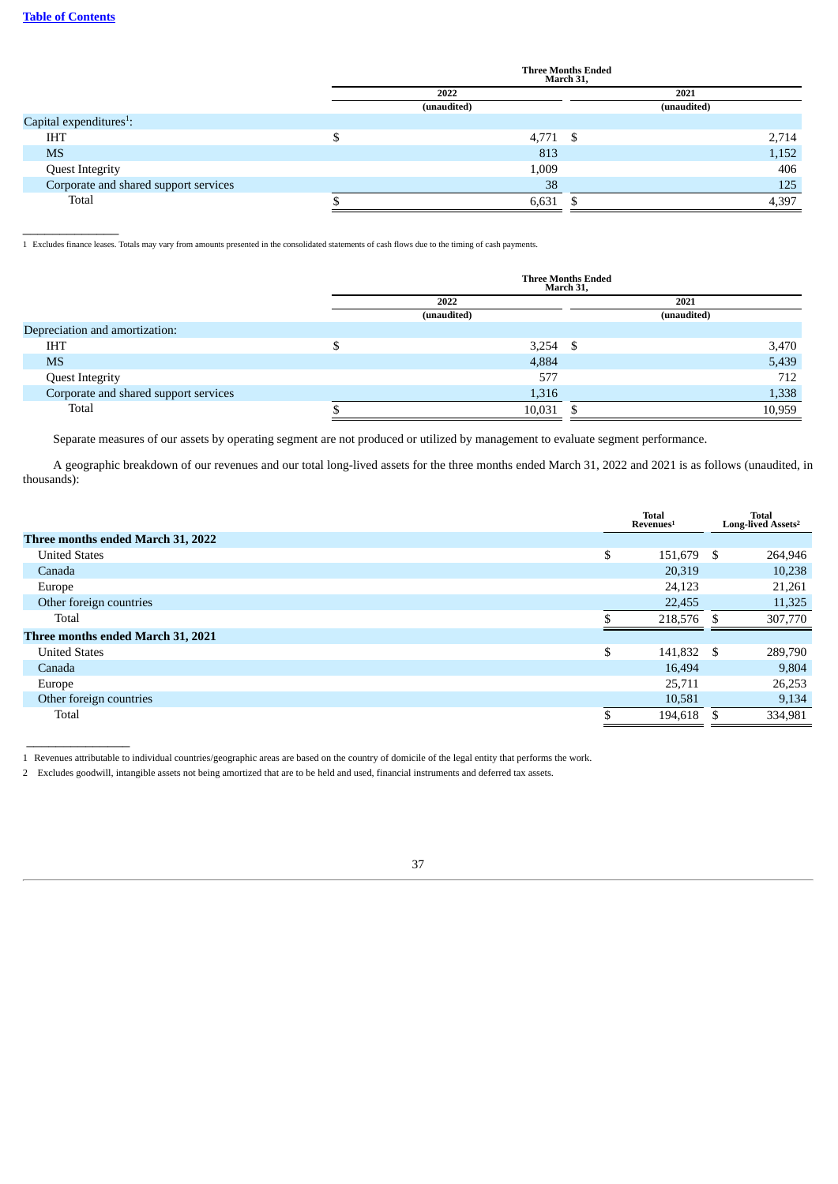\_\_\_\_\_\_\_\_\_\_\_\_\_

 $\overline{\phantom{a}}$  , where the contract of  $\overline{\phantom{a}}$ 

|                                       | <b>Three Months Ended</b><br>March 31, |  |             |       |  |  |  |
|---------------------------------------|----------------------------------------|--|-------------|-------|--|--|--|
|                                       | 2022                                   |  | 2021        |       |  |  |  |
|                                       | (unaudited)                            |  | (unaudited) |       |  |  |  |
| Capital expenditures $1$ :            |                                        |  |             |       |  |  |  |
| <b>IHT</b>                            | 4,771 \$                               |  |             | 2,714 |  |  |  |
| <b>MS</b>                             | 813                                    |  |             | 1,152 |  |  |  |
| <b>Quest Integrity</b>                | 1,009                                  |  |             | 406   |  |  |  |
| Corporate and shared support services | 38                                     |  |             | 125   |  |  |  |
| Total                                 | 6,631                                  |  |             | 4,397 |  |  |  |
|                                       |                                        |  |             |       |  |  |  |

1 Excludes finance leases. Totals may vary from amounts presented in the consolidated statements of cash flows due to the timing of cash payments.

|                                       | <b>Three Months Ended</b><br>March 31, |            |             |  |  |  |  |  |
|---------------------------------------|----------------------------------------|------------|-------------|--|--|--|--|--|
|                                       | 2022                                   |            | 2021        |  |  |  |  |  |
|                                       | (unaudited)                            |            | (unaudited) |  |  |  |  |  |
| Depreciation and amortization:        |                                        |            |             |  |  |  |  |  |
| <b>IHT</b>                            |                                        | $3,254$ \$ | 3,470       |  |  |  |  |  |
| <b>MS</b>                             | 4,884                                  |            | 5,439       |  |  |  |  |  |
| <b>Quest Integrity</b>                | 577                                    |            | 712         |  |  |  |  |  |
| Corporate and shared support services | 1,316                                  |            | 1,338       |  |  |  |  |  |
| Total                                 | 10,031                                 |            | 10,959      |  |  |  |  |  |

Separate measures of our assets by operating segment are not produced or utilized by management to evaluate segment performance.

A geographic breakdown of our revenues and our total long-lived assets for the three months ended March 31, 2022 and 2021 is as follows (unaudited, in thousands):

|                                   | <b>Total</b><br>$Re$ venues $1$ | <b>Total</b><br>Long-lived Assets <sup>2</sup> |
|-----------------------------------|---------------------------------|------------------------------------------------|
| Three months ended March 31, 2022 |                                 |                                                |
| <b>United States</b>              | \$<br>151,679 \$                | 264,946                                        |
| Canada                            | 20,319                          | 10,238                                         |
| Europe                            | 24,123                          | 21,261                                         |
| Other foreign countries           | 22,455                          | 11,325                                         |
| Total                             | 218,576                         | 307,770                                        |
| Three months ended March 31, 2021 |                                 |                                                |
| <b>United States</b>              | \$<br>141,832 \$                | 289,790                                        |
| Canada                            | 16,494                          | 9,804                                          |
| Europe                            | 25,711                          | 26,253                                         |
| Other foreign countries           | 10,581                          | 9,134                                          |
| Total                             | 194,618                         | 334,981                                        |

1 Revenues attributable to individual countries/geographic areas are based on the country of domicile of the legal entity that performs the work.

2 Excludes goodwill, intangible assets not being amortized that are to be held and used, financial instruments and deferred tax assets.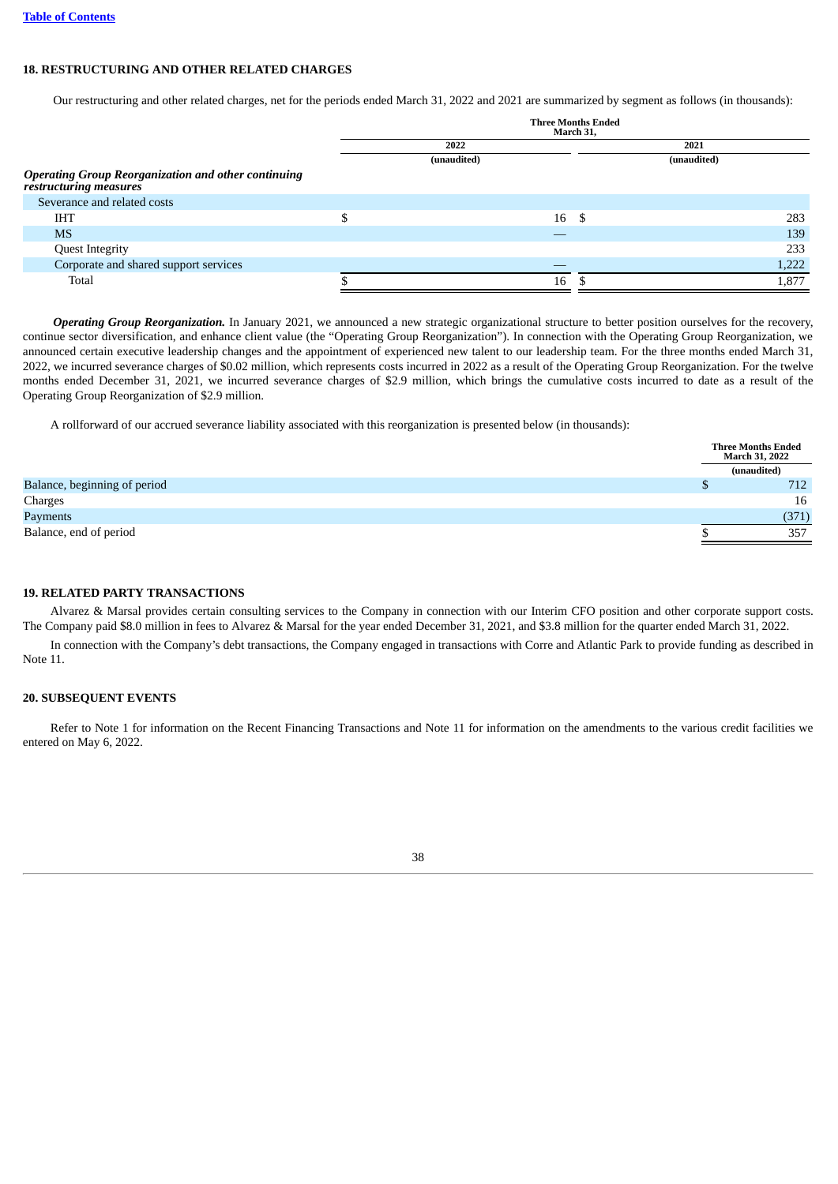# **18. RESTRUCTURING AND OTHER RELATED CHARGES**

Our restructuring and other related charges, net for the periods ended March 31, 2022 and 2021 are summarized by segment as follows (in thousands):

|                                                                                      | <b>Three Months Ended</b><br>March 31, |       |  |             |       |  |  |  |
|--------------------------------------------------------------------------------------|----------------------------------------|-------|--|-------------|-------|--|--|--|
|                                                                                      | 2022                                   |       |  | 2021        |       |  |  |  |
|                                                                                      | (unaudited)                            |       |  | (unaudited) |       |  |  |  |
| <b>Operating Group Reorganization and other continuing</b><br>restructuring measures |                                        |       |  |             |       |  |  |  |
| Severance and related costs                                                          |                                        |       |  |             |       |  |  |  |
| <b>IHT</b>                                                                           |                                        | 16 \$ |  |             | 283   |  |  |  |
| <b>MS</b>                                                                            |                                        |       |  |             | 139   |  |  |  |
| <b>Quest Integrity</b>                                                               |                                        |       |  |             | 233   |  |  |  |
| Corporate and shared support services                                                |                                        |       |  |             | 1,222 |  |  |  |
| Total                                                                                |                                        | 16    |  |             | 1,877 |  |  |  |

*Operating Group Reorganization.* In January 2021, we announced a new strategic organizational structure to better position ourselves for the recovery, continue sector diversification, and enhance client value (the "Operating Group Reorganization"). In connection with the Operating Group Reorganization, we announced certain executive leadership changes and the appointment of experienced new talent to our leadership team. For the three months ended March 31, 2022, we incurred severance charges of \$0.02 million, which represents costs incurred in 2022 as a result of the Operating Group Reorganization. For the twelve months ended December 31, 2021, we incurred severance charges of \$2.9 million, which brings the cumulative costs incurred to date as a result of the Operating Group Reorganization of \$2.9 million.

A rollforward of our accrued severance liability associated with this reorganization is presented below (in thousands):

|                              |   | <b>Three Months Ended</b><br><b>March 31, 2022</b> |
|------------------------------|---|----------------------------------------------------|
|                              |   | (unaudited)                                        |
| Balance, beginning of period | ω | 712                                                |
| Charges                      |   | 16                                                 |
| Payments                     |   | (371)                                              |
| Balance, end of period       |   | 357                                                |

# **19. RELATED PARTY TRANSACTIONS**

Alvarez & Marsal provides certain consulting services to the Company in connection with our Interim CFO position and other corporate support costs. The Company paid \$8.0 million in fees to Alvarez & Marsal for the year ended December 31, 2021, and \$3.8 million for the quarter ended March 31, 2022.

In connection with the Company's debt transactions, the Company engaged in transactions with Corre and Atlantic Park to provide funding as described in Note 11.

# **20. SUBSEQUENT EVENTS**

Refer to Note 1 for information on the Recent Financing Transactions and Note 11 for information on the amendments to the various credit facilities we entered on May 6, 2022.

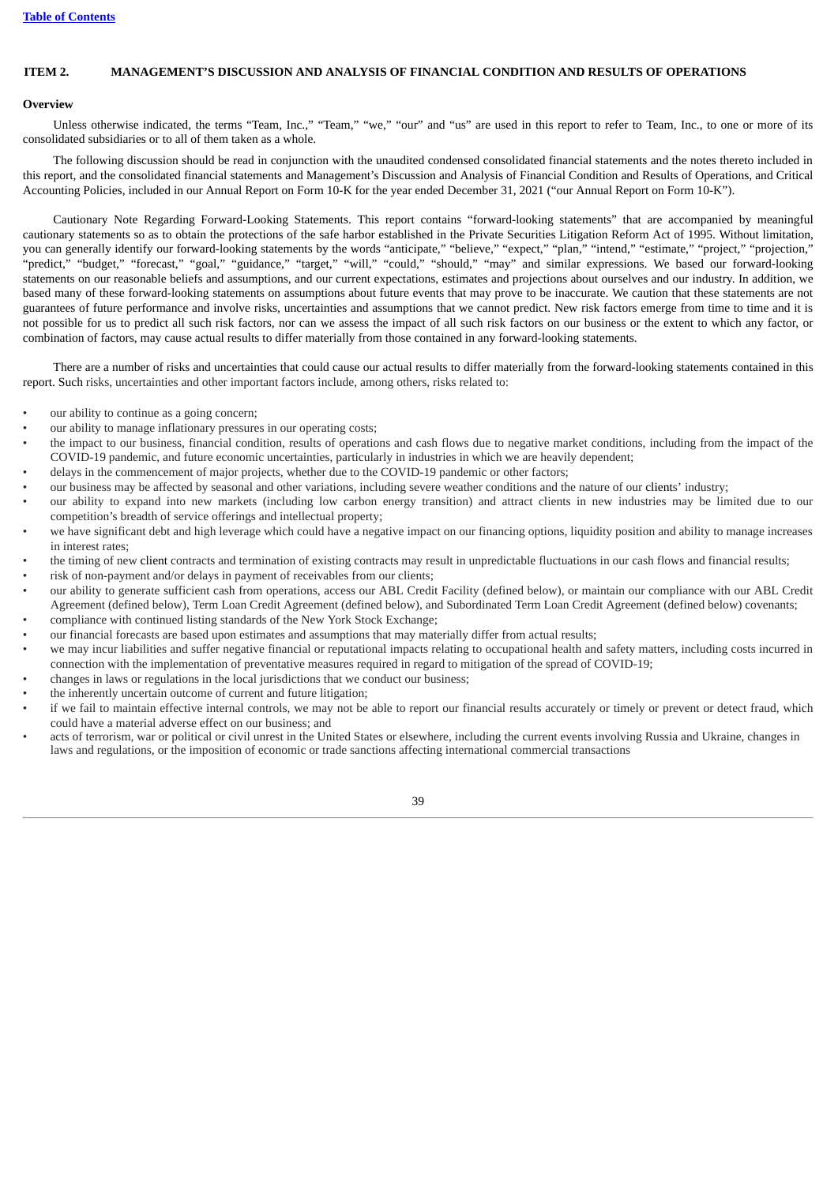# **ITEM 2. MANAGEMENT'S DISCUSSION AND ANALYSIS OF FINANCIAL CONDITION AND RESULTS OF OPERATIONS**

### **Overview**

Unless otherwise indicated, the terms "Team, Inc.," "Team," "we," "our" and "us" are used in this report to refer to Team, Inc., to one or more of its consolidated subsidiaries or to all of them taken as a whole.

The following discussion should be read in conjunction with the unaudited condensed consolidated financial statements and the notes thereto included in this report, and the consolidated financial statements and Management's Discussion and Analysis of Financial Condition and Results of Operations, and Critical Accounting Policies, included in our Annual Report on Form 10-K for the year ended December 31, 2021 ("our Annual Report on Form 10-K").

Cautionary Note Regarding Forward-Looking Statements. This report contains "forward-looking statements" that are accompanied by meaningful cautionary statements so as to obtain the protections of the safe harbor established in the Private Securities Litigation Reform Act of 1995. Without limitation, you can generally identify our forward-looking statements by the words "anticipate," "believe," "expect," "plan," "intend," "estimate," "project," "projection," "predict," "budget," "forecast," "goal," "guidance," "target," "will," "could," "should," "may" and similar expressions. We based our forward-looking statements on our reasonable beliefs and assumptions, and our current expectations, estimates and projections about ourselves and our industry. In addition, we based many of these forward-looking statements on assumptions about future events that may prove to be inaccurate. We caution that these statements are not guarantees of future performance and involve risks, uncertainties and assumptions that we cannot predict. New risk factors emerge from time to time and it is not possible for us to predict all such risk factors, nor can we assess the impact of all such risk factors on our business or the extent to which any factor, or combination of factors, may cause actual results to differ materially from those contained in any forward-looking statements.

There are a number of risks and uncertainties that could cause our actual results to differ materially from the forward-looking statements contained in this report. Such risks, uncertainties and other important factors include, among others, risks related to:

- our ability to continue as a going concern;
- our ability to manage inflationary pressures in our operating costs;
- the impact to our business, financial condition, results of operations and cash flows due to negative market conditions, including from the impact of the COVID-19 pandemic, and future economic uncertainties, particularly in industries in which we are heavily dependent;
- delays in the commencement of major projects, whether due to the COVID-19 pandemic or other factors;
- our business may be affected by seasonal and other variations, including severe weather conditions and the nature of our clients' industry;
- our ability to expand into new markets (including low carbon energy transition) and attract clients in new industries may be limited due to our competition's breadth of service offerings and intellectual property;
- we have significant debt and high leverage which could have a negative impact on our financing options, liquidity position and ability to manage increases in interest rates;
- the timing of new client contracts and termination of existing contracts may result in unpredictable fluctuations in our cash flows and financial results;
- risk of non-payment and/or delays in payment of receivables from our clients;
- our ability to generate sufficient cash from operations, access our ABL Credit Facility (defined below), or maintain our compliance with our ABL Credit Agreement (defined below), Term Loan Credit Agreement (defined below), and Subordinated Term Loan Credit Agreement (defined below) covenants;
- compliance with continued listing standards of the New York Stock Exchange;
- our financial forecasts are based upon estimates and assumptions that may materially differ from actual results;
- we may incur liabilities and suffer negative financial or reputational impacts relating to occupational health and safety matters, including costs incurred in connection with the implementation of preventative measures required in regard to mitigation of the spread of COVID-19;
- changes in laws or regulations in the local jurisdictions that we conduct our business;
- the inherently uncertain outcome of current and future litigation;
- if we fail to maintain effective internal controls, we may not be able to report our financial results accurately or timely or prevent or detect fraud, which could have a material adverse effect on our business; and
- acts of terrorism, war or political or civil unrest in the United States or elsewhere, including the current events involving Russia and Ukraine, changes in laws and regulations, or the imposition of economic or trade sanctions affecting international commercial transactions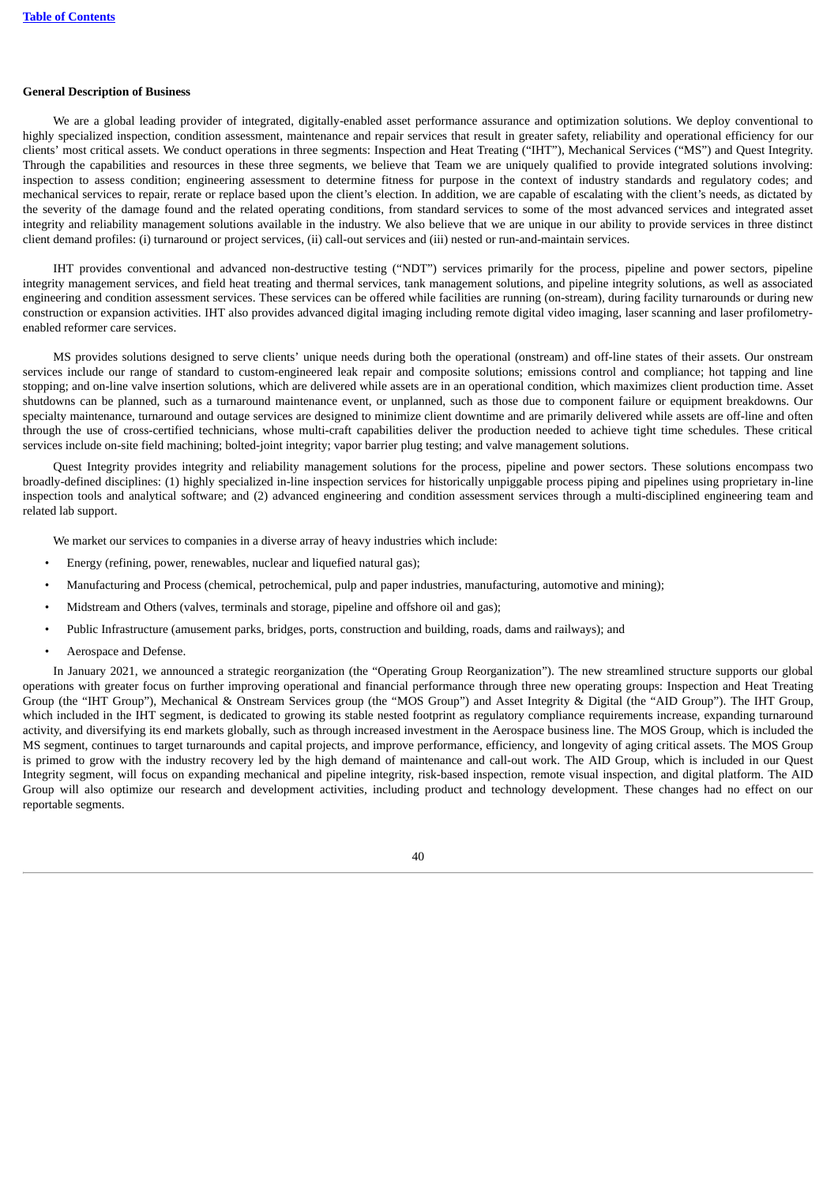#### **General Description of Business**

We are a global leading provider of integrated, digitally-enabled asset performance assurance and optimization solutions. We deploy conventional to highly specialized inspection, condition assessment, maintenance and repair services that result in greater safety, reliability and operational efficiency for our clients' most critical assets. We conduct operations in three segments: Inspection and Heat Treating ("IHT"), Mechanical Services ("MS") and Quest Integrity. Through the capabilities and resources in these three segments, we believe that Team we are uniquely qualified to provide integrated solutions involving: inspection to assess condition; engineering assessment to determine fitness for purpose in the context of industry standards and regulatory codes; and mechanical services to repair, rerate or replace based upon the client's election. In addition, we are capable of escalating with the client's needs, as dictated by the severity of the damage found and the related operating conditions, from standard services to some of the most advanced services and integrated asset integrity and reliability management solutions available in the industry. We also believe that we are unique in our ability to provide services in three distinct client demand profiles: (i) turnaround or project services, (ii) call-out services and (iii) nested or run-and-maintain services.

IHT provides conventional and advanced non-destructive testing ("NDT") services primarily for the process, pipeline and power sectors, pipeline integrity management services, and field heat treating and thermal services, tank management solutions, and pipeline integrity solutions, as well as associated engineering and condition assessment services. These services can be offered while facilities are running (on-stream), during facility turnarounds or during new construction or expansion activities. IHT also provides advanced digital imaging including remote digital video imaging, laser scanning and laser profilometryenabled reformer care services.

MS provides solutions designed to serve clients' unique needs during both the operational (onstream) and off-line states of their assets. Our onstream services include our range of standard to custom-engineered leak repair and composite solutions; emissions control and compliance; hot tapping and line stopping; and on-line valve insertion solutions, which are delivered while assets are in an operational condition, which maximizes client production time. Asset shutdowns can be planned, such as a turnaround maintenance event, or unplanned, such as those due to component failure or equipment breakdowns. Our specialty maintenance, turnaround and outage services are designed to minimize client downtime and are primarily delivered while assets are off-line and often through the use of cross-certified technicians, whose multi-craft capabilities deliver the production needed to achieve tight time schedules. These critical services include on-site field machining; bolted-joint integrity; vapor barrier plug testing; and valve management solutions.

Quest Integrity provides integrity and reliability management solutions for the process, pipeline and power sectors. These solutions encompass two broadly-defined disciplines: (1) highly specialized in-line inspection services for historically unpiggable process piping and pipelines using proprietary in-line inspection tools and analytical software; and (2) advanced engineering and condition assessment services through a multi-disciplined engineering team and related lab support.

We market our services to companies in a diverse array of heavy industries which include:

- Energy (refining, power, renewables, nuclear and liquefied natural gas);
- Manufacturing and Process (chemical, petrochemical, pulp and paper industries, manufacturing, automotive and mining);
- Midstream and Others (valves, terminals and storage, pipeline and offshore oil and gas);
- Public Infrastructure (amusement parks, bridges, ports, construction and building, roads, dams and railways); and
- Aerospace and Defense.

In January 2021, we announced a strategic reorganization (the "Operating Group Reorganization"). The new streamlined structure supports our global operations with greater focus on further improving operational and financial performance through three new operating groups: Inspection and Heat Treating Group (the "IHT Group"), Mechanical & Onstream Services group (the "MOS Group") and Asset Integrity & Digital (the "AID Group"). The IHT Group, which included in the IHT segment, is dedicated to growing its stable nested footprint as regulatory compliance requirements increase, expanding turnaround activity, and diversifying its end markets globally, such as through increased investment in the Aerospace business line. The MOS Group, which is included the MS segment, continues to target turnarounds and capital projects, and improve performance, efficiency, and longevity of aging critical assets. The MOS Group is primed to grow with the industry recovery led by the high demand of maintenance and call-out work. The AID Group, which is included in our Quest Integrity segment, will focus on expanding mechanical and pipeline integrity, risk-based inspection, remote visual inspection, and digital platform. The AID Group will also optimize our research and development activities, including product and technology development. These changes had no effect on our reportable segments.

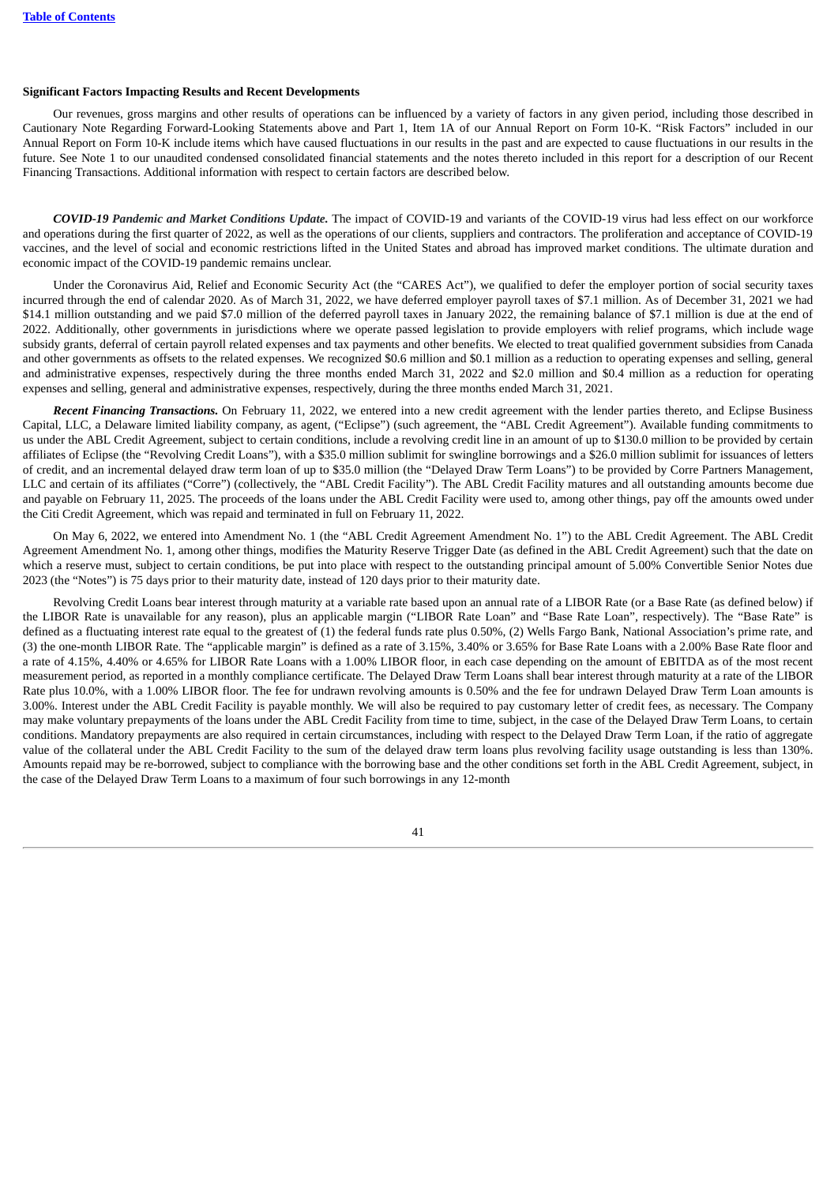# **Significant Factors Impacting Results and Recent Developments**

Our revenues, gross margins and other results of operations can be influenced by a variety of factors in any given period, including those described in Cautionary Note Regarding Forward-Looking Statements above and Part 1, Item 1A of our Annual Report on Form 10-K. "Risk Factors" included in our Annual Report on Form 10-K include items which have caused fluctuations in our results in the past and are expected to cause fluctuations in our results in the future. See Note 1 to our unaudited condensed consolidated financial statements and the notes thereto included in this report for a description of our Recent Financing Transactions. Additional information with respect to certain factors are described below.

*COVID-19 Pandemic and Market Conditions Update.* The impact of COVID-19 and variants of the COVID-19 virus had less effect on our workforce and operations during the first quarter of 2022, as well as the operations of our clients, suppliers and contractors. The proliferation and acceptance of COVID-19 vaccines, and the level of social and economic restrictions lifted in the United States and abroad has improved market conditions. The ultimate duration and economic impact of the COVID-19 pandemic remains unclear.

Under the Coronavirus Aid, Relief and Economic Security Act (the "CARES Act"), we qualified to defer the employer portion of social security taxes incurred through the end of calendar 2020. As of March 31, 2022, we have deferred employer payroll taxes of \$7.1 million. As of December 31, 2021 we had \$14.1 million outstanding and we paid \$7.0 million of the deferred payroll taxes in January 2022, the remaining balance of \$7.1 million is due at the end of 2022. Additionally, other governments in jurisdictions where we operate passed legislation to provide employers with relief programs, which include wage subsidy grants, deferral of certain payroll related expenses and tax payments and other benefits. We elected to treat qualified government subsidies from Canada and other governments as offsets to the related expenses. We recognized \$0.6 million and \$0.1 million as a reduction to operating expenses and selling, general and administrative expenses, respectively during the three months ended March 31, 2022 and \$2.0 million and \$0.4 million as a reduction for operating expenses and selling, general and administrative expenses, respectively, during the three months ended March 31, 2021.

*Recent Financing Transactions.* On February 11, 2022, we entered into a new credit agreement with the lender parties thereto, and Eclipse Business Capital, LLC, a Delaware limited liability company, as agent, ("Eclipse") (such agreement, the "ABL Credit Agreement"). Available funding commitments to us under the ABL Credit Agreement, subject to certain conditions, include a revolving credit line in an amount of up to \$130.0 million to be provided by certain affiliates of Eclipse (the "Revolving Credit Loans"), with a \$35.0 million sublimit for swingline borrowings and a \$26.0 million sublimit for issuances of letters of credit, and an incremental delayed draw term loan of up to \$35.0 million (the "Delayed Draw Term Loans") to be provided by Corre Partners Management, LLC and certain of its affiliates ("Corre") (collectively, the "ABL Credit Facility"). The ABL Credit Facility matures and all outstanding amounts become due and payable on February 11, 2025. The proceeds of the loans under the ABL Credit Facility were used to, among other things, pay off the amounts owed under the Citi Credit Agreement, which was repaid and terminated in full on February 11, 2022.

On May 6, 2022, we entered into Amendment No. 1 (the "ABL Credit Agreement Amendment No. 1") to the ABL Credit Agreement. The ABL Credit Agreement Amendment No. 1, among other things, modifies the Maturity Reserve Trigger Date (as defined in the ABL Credit Agreement) such that the date on which a reserve must, subject to certain conditions, be put into place with respect to the outstanding principal amount of 5.00% Convertible Senior Notes due 2023 (the "Notes") is 75 days prior to their maturity date, instead of 120 days prior to their maturity date.

Revolving Credit Loans bear interest through maturity at a variable rate based upon an annual rate of a LIBOR Rate (or a Base Rate (as defined below) if the LIBOR Rate is unavailable for any reason), plus an applicable margin ("LIBOR Rate Loan" and "Base Rate Loan", respectively). The "Base Rate" is defined as a fluctuating interest rate equal to the greatest of (1) the federal funds rate plus 0.50%, (2) Wells Fargo Bank, National Association's prime rate, and (3) the one-month LIBOR Rate. The "applicable margin" is defined as a rate of 3.15%, 3.40% or 3.65% for Base Rate Loans with a 2.00% Base Rate floor and a rate of 4.15%, 4.40% or 4.65% for LIBOR Rate Loans with a 1.00% LIBOR floor, in each case depending on the amount of EBITDA as of the most recent measurement period, as reported in a monthly compliance certificate. The Delayed Draw Term Loans shall bear interest through maturity at a rate of the LIBOR Rate plus 10.0%, with a 1.00% LIBOR floor. The fee for undrawn revolving amounts is 0.50% and the fee for undrawn Delayed Draw Term Loan amounts is 3.00%. Interest under the ABL Credit Facility is payable monthly. We will also be required to pay customary letter of credit fees, as necessary. The Company may make voluntary prepayments of the loans under the ABL Credit Facility from time to time, subject, in the case of the Delayed Draw Term Loans, to certain conditions. Mandatory prepayments are also required in certain circumstances, including with respect to the Delayed Draw Term Loan, if the ratio of aggregate value of the collateral under the ABL Credit Facility to the sum of the delayed draw term loans plus revolving facility usage outstanding is less than 130%. Amounts repaid may be re-borrowed, subject to compliance with the borrowing base and the other conditions set forth in the ABL Credit Agreement, subject, in the case of the Delayed Draw Term Loans to a maximum of four such borrowings in any 12-month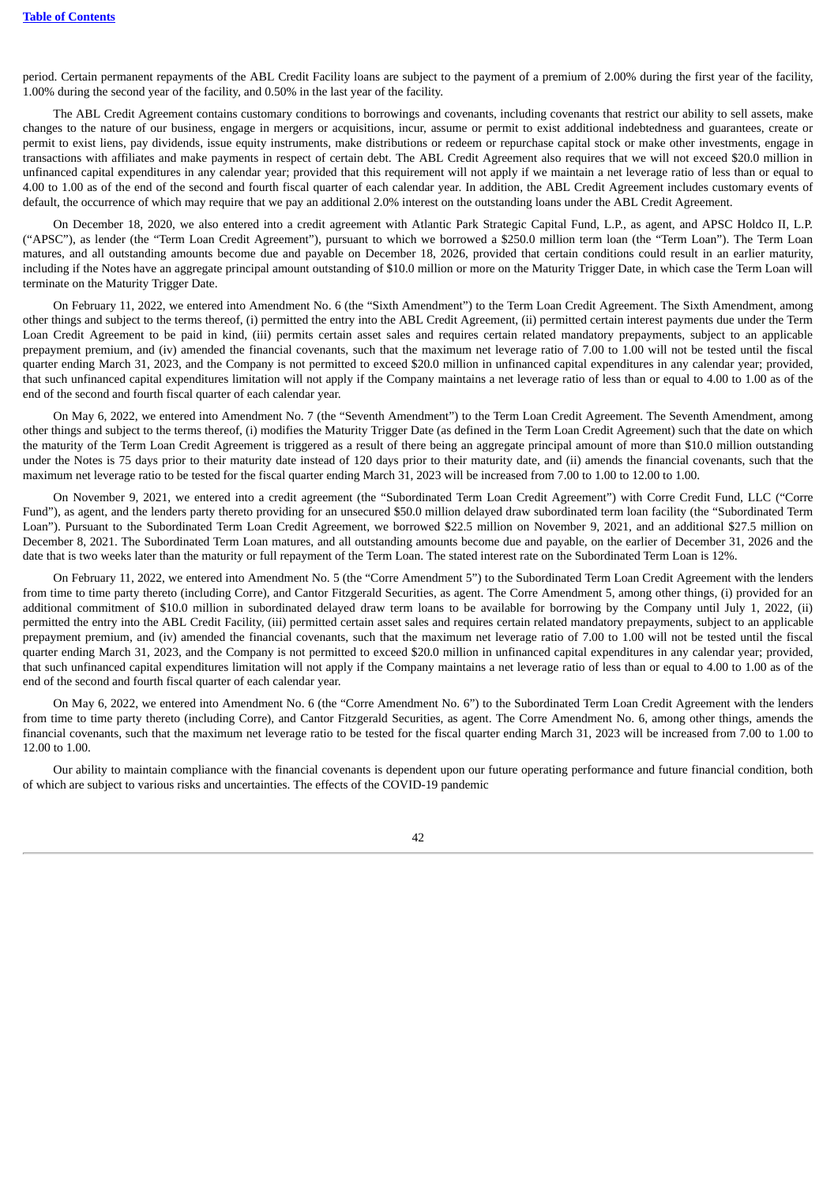period. Certain permanent repayments of the ABL Credit Facility loans are subject to the payment of a premium of 2.00% during the first year of the facility, 1.00% during the second year of the facility, and 0.50% in the last year of the facility.

The ABL Credit Agreement contains customary conditions to borrowings and covenants, including covenants that restrict our ability to sell assets, make changes to the nature of our business, engage in mergers or acquisitions, incur, assume or permit to exist additional indebtedness and guarantees, create or permit to exist liens, pay dividends, issue equity instruments, make distributions or redeem or repurchase capital stock or make other investments, engage in transactions with affiliates and make payments in respect of certain debt. The ABL Credit Agreement also requires that we will not exceed \$20.0 million in unfinanced capital expenditures in any calendar year; provided that this requirement will not apply if we maintain a net leverage ratio of less than or equal to 4.00 to 1.00 as of the end of the second and fourth fiscal quarter of each calendar year. In addition, the ABL Credit Agreement includes customary events of default, the occurrence of which may require that we pay an additional 2.0% interest on the outstanding loans under the ABL Credit Agreement.

On December 18, 2020, we also entered into a credit agreement with Atlantic Park Strategic Capital Fund, L.P., as agent, and APSC Holdco II, L.P. ("APSC"), as lender (the "Term Loan Credit Agreement"), pursuant to which we borrowed a \$250.0 million term loan (the "Term Loan"). The Term Loan matures, and all outstanding amounts become due and payable on December 18, 2026, provided that certain conditions could result in an earlier maturity, including if the Notes have an aggregate principal amount outstanding of \$10.0 million or more on the Maturity Trigger Date, in which case the Term Loan will terminate on the Maturity Trigger Date.

On February 11, 2022, we entered into Amendment No. 6 (the "Sixth Amendment") to the Term Loan Credit Agreement. The Sixth Amendment, among other things and subject to the terms thereof, (i) permitted the entry into the ABL Credit Agreement, (ii) permitted certain interest payments due under the Term Loan Credit Agreement to be paid in kind, (iii) permits certain asset sales and requires certain related mandatory prepayments, subject to an applicable prepayment premium, and (iv) amended the financial covenants, such that the maximum net leverage ratio of 7.00 to 1.00 will not be tested until the fiscal quarter ending March 31, 2023, and the Company is not permitted to exceed \$20.0 million in unfinanced capital expenditures in any calendar year; provided, that such unfinanced capital expenditures limitation will not apply if the Company maintains a net leverage ratio of less than or equal to 4.00 to 1.00 as of the end of the second and fourth fiscal quarter of each calendar year.

On May 6, 2022, we entered into Amendment No. 7 (the "Seventh Amendment") to the Term Loan Credit Agreement. The Seventh Amendment, among other things and subject to the terms thereof, (i) modifies the Maturity Trigger Date (as defined in the Term Loan Credit Agreement) such that the date on which the maturity of the Term Loan Credit Agreement is triggered as a result of there being an aggregate principal amount of more than \$10.0 million outstanding under the Notes is 75 days prior to their maturity date instead of 120 days prior to their maturity date, and (ii) amends the financial covenants, such that the maximum net leverage ratio to be tested for the fiscal quarter ending March 31, 2023 will be increased from 7.00 to 1.00 to 12.00 to 1.00.

On November 9, 2021, we entered into a credit agreement (the "Subordinated Term Loan Credit Agreement") with Corre Credit Fund, LLC ("Corre Fund"), as agent, and the lenders party thereto providing for an unsecured \$50.0 million delayed draw subordinated term loan facility (the "Subordinated Term Loan"). Pursuant to the Subordinated Term Loan Credit Agreement, we borrowed \$22.5 million on November 9, 2021, and an additional \$27.5 million on December 8, 2021. The Subordinated Term Loan matures, and all outstanding amounts become due and payable, on the earlier of December 31, 2026 and the date that is two weeks later than the maturity or full repayment of the Term Loan. The stated interest rate on the Subordinated Term Loan is 12%.

On February 11, 2022, we entered into Amendment No. 5 (the "Corre Amendment 5") to the Subordinated Term Loan Credit Agreement with the lenders from time to time party thereto (including Corre), and Cantor Fitzgerald Securities, as agent. The Corre Amendment 5, among other things, (i) provided for an additional commitment of \$10.0 million in subordinated delayed draw term loans to be available for borrowing by the Company until July 1, 2022, (ii) permitted the entry into the ABL Credit Facility, (iii) permitted certain asset sales and requires certain related mandatory prepayments, subject to an applicable prepayment premium, and (iv) amended the financial covenants, such that the maximum net leverage ratio of 7.00 to 1.00 will not be tested until the fiscal quarter ending March 31, 2023, and the Company is not permitted to exceed \$20.0 million in unfinanced capital expenditures in any calendar year; provided, that such unfinanced capital expenditures limitation will not apply if the Company maintains a net leverage ratio of less than or equal to 4.00 to 1.00 as of the end of the second and fourth fiscal quarter of each calendar year.

On May 6, 2022, we entered into Amendment No. 6 (the "Corre Amendment No. 6") to the Subordinated Term Loan Credit Agreement with the lenders from time to time party thereto (including Corre), and Cantor Fitzgerald Securities, as agent. The Corre Amendment No. 6, among other things, amends the financial covenants, such that the maximum net leverage ratio to be tested for the fiscal quarter ending March 31, 2023 will be increased from 7.00 to 1.00 to 12.00 to 1.00.

Our ability to maintain compliance with the financial covenants is dependent upon our future operating performance and future financial condition, both of which are subject to various risks and uncertainties. The effects of the COVID-19 pandemic

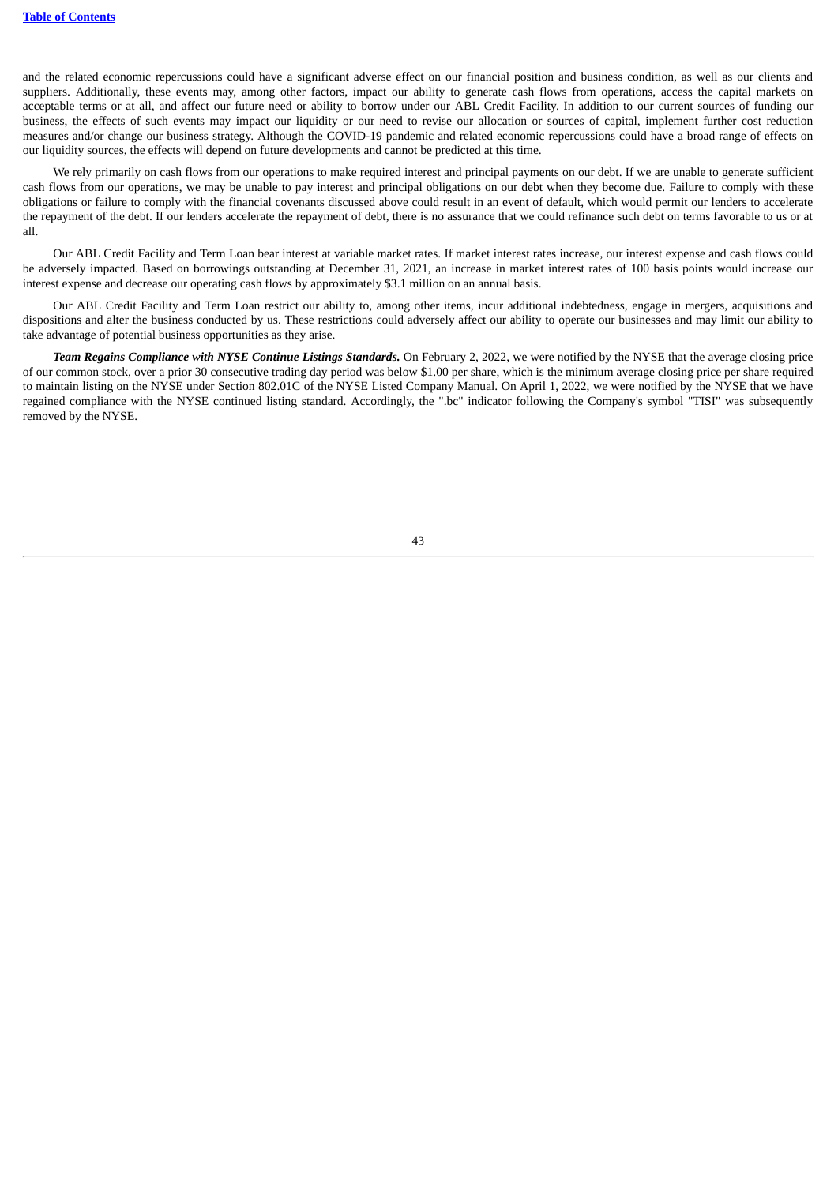and the related economic repercussions could have a significant adverse effect on our financial position and business condition, as well as our clients and suppliers. Additionally, these events may, among other factors, impact our ability to generate cash flows from operations, access the capital markets on acceptable terms or at all, and affect our future need or ability to borrow under our ABL Credit Facility. In addition to our current sources of funding our business, the effects of such events may impact our liquidity or our need to revise our allocation or sources of capital, implement further cost reduction measures and/or change our business strategy. Although the COVID-19 pandemic and related economic repercussions could have a broad range of effects on our liquidity sources, the effects will depend on future developments and cannot be predicted at this time.

We rely primarily on cash flows from our operations to make required interest and principal payments on our debt. If we are unable to generate sufficient cash flows from our operations, we may be unable to pay interest and principal obligations on our debt when they become due. Failure to comply with these obligations or failure to comply with the financial covenants discussed above could result in an event of default, which would permit our lenders to accelerate the repayment of the debt. If our lenders accelerate the repayment of debt, there is no assurance that we could refinance such debt on terms favorable to us or at all.

Our ABL Credit Facility and Term Loan bear interest at variable market rates. If market interest rates increase, our interest expense and cash flows could be adversely impacted. Based on borrowings outstanding at December 31, 2021, an increase in market interest rates of 100 basis points would increase our interest expense and decrease our operating cash flows by approximately \$3.1 million on an annual basis.

Our ABL Credit Facility and Term Loan restrict our ability to, among other items, incur additional indebtedness, engage in mergers, acquisitions and dispositions and alter the business conducted by us. These restrictions could adversely affect our ability to operate our businesses and may limit our ability to take advantage of potential business opportunities as they arise.

*Team Regains Compliance with NYSE Continue Listings Standards.* On February 2, 2022, we were notified by the NYSE that the average closing price of our common stock, over a prior 30 consecutive trading day period was below \$1.00 per share, which is the minimum average closing price per share required to maintain listing on the NYSE under Section 802.01C of the NYSE Listed Company Manual. On April 1, 2022, we were notified by the NYSE that we have regained compliance with the NYSE continued listing standard. Accordingly, the ".bc" indicator following the Company's symbol "TISI" was subsequently removed by the NYSE.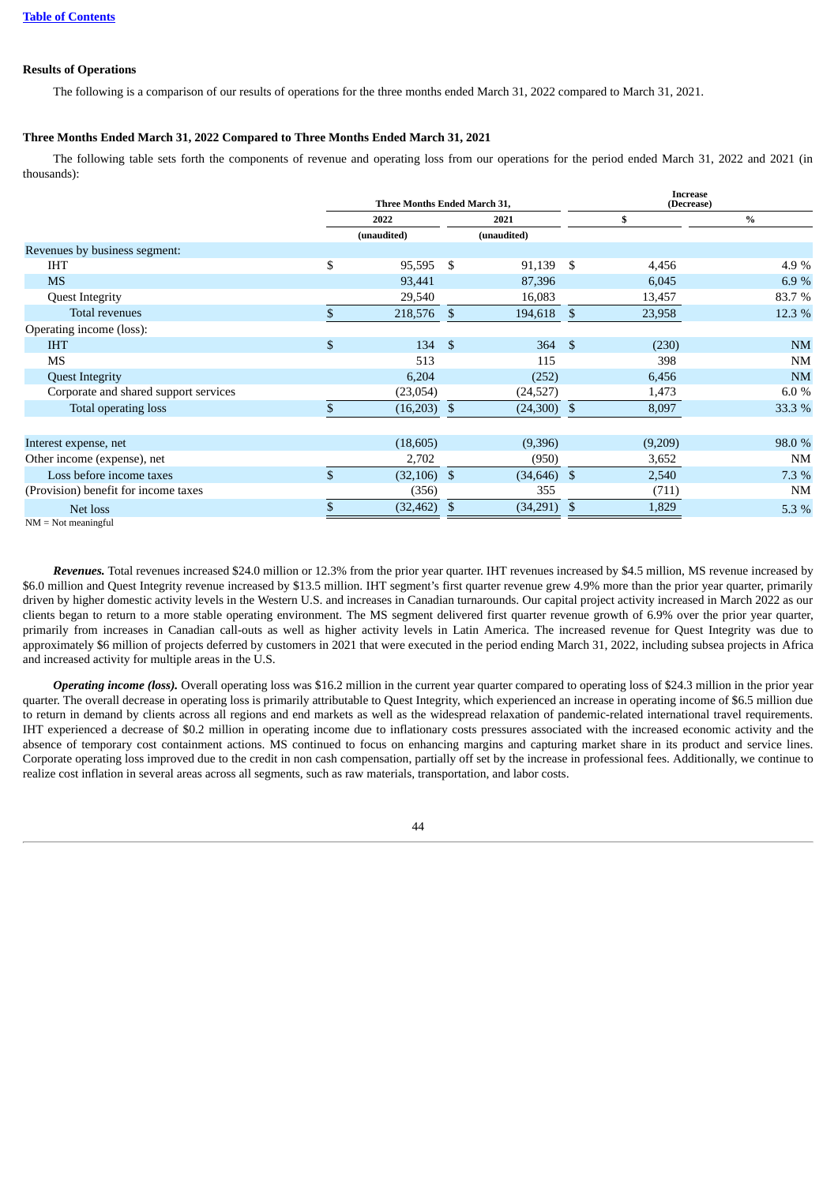### **Results of Operations**

The following is a comparison of our results of operations for the three months ended March 31, 2022 compared to March 31, 2021.

### **Three Months Ended March 31, 2022 Compared to Three Months Ended March 31, 2021**

The following table sets forth the components of revenue and operating loss from our operations for the period ended March 31, 2022 and 2021 (in thousands):

|                                              | Three Months Ended March 31, |                |                |            | <b>Increase</b><br>(Decrease) |           |  |  |
|----------------------------------------------|------------------------------|----------------|----------------|------------|-------------------------------|-----------|--|--|
|                                              | 2022                         |                | 2021           |            | \$                            | $\%$      |  |  |
|                                              | (unaudited)                  |                | (unaudited)    |            |                               |           |  |  |
| Revenues by business segment:                |                              |                |                |            |                               |           |  |  |
| <b>IHT</b>                                   | \$<br>95,595                 | \$             | 91,139         | - \$       | 4,456                         | 4.9%      |  |  |
| <b>MS</b>                                    | 93,441                       |                | 87,396         |            | 6,045                         | 6.9%      |  |  |
| <b>Quest Integrity</b>                       | 29,540                       |                | 16,083         |            | 13,457                        | 83.7 %    |  |  |
| <b>Total revenues</b>                        | 218,576                      | \$             | 194,618 \$     |            | 23,958                        | 12.3 %    |  |  |
| Operating income (loss):                     |                              |                |                |            |                               |           |  |  |
| <b>IHT</b>                                   | \$<br>134                    | $\mathfrak{L}$ | 364            | $^{\circ}$ | (230)                         | NM        |  |  |
| <b>MS</b>                                    | 513                          |                | 115            |            | 398                           | NM        |  |  |
| <b>Quest Integrity</b>                       | 6,204                        |                | (252)          |            | 6,456                         | <b>NM</b> |  |  |
| Corporate and shared support services        | (23,054)                     |                | (24, 527)      |            | 1,473                         | 6.0%      |  |  |
| Total operating loss                         | $(16,203)$ \$                |                | $(24,300)$ \$  |            | 8,097                         | 33.3 %    |  |  |
|                                              |                              |                |                |            |                               |           |  |  |
| Interest expense, net                        | (18,605)                     |                | (9,396)        |            | (9,209)                       | 98.0 %    |  |  |
| Other income (expense), net                  | 2,702                        |                | (950)          |            | 3,652                         | <b>NM</b> |  |  |
| Loss before income taxes                     | \$<br>$(32, 106)$ \$         |                | $(34, 646)$ \$ |            | 2,540                         | 7.3 %     |  |  |
| (Provision) benefit for income taxes         | (356)                        |                | 355            |            | (711)                         | <b>NM</b> |  |  |
| Net loss                                     | (32, 462)                    | \$             | (34,291)       | - \$       | 1,829                         | 5.3 %     |  |  |
| $NNA = N_{11} \dots \dots \dots \dots \dots$ |                              |                |                |            |                               |           |  |  |

 $NM = Not meaningful$ 

*Revenues.* Total revenues increased \$24.0 million or 12.3% from the prior year quarter. IHT revenues increased by \$4.5 million, MS revenue increased by \$6.0 million and Quest Integrity revenue increased by \$13.5 million. IHT segment's first quarter revenue grew 4.9% more than the prior year quarter, primarily driven by higher domestic activity levels in the Western U.S. and increases in Canadian turnarounds. Our capital project activity increased in March 2022 as our clients began to return to a more stable operating environment. The MS segment delivered first quarter revenue growth of 6.9% over the prior year quarter, primarily from increases in Canadian call-outs as well as higher activity levels in Latin America. The increased revenue for Quest Integrity was due to approximately \$6 million of projects deferred by customers in 2021 that were executed in the period ending March 31, 2022, including subsea projects in Africa and increased activity for multiple areas in the U.S.

*Operating income (loss).* Overall operating loss was \$16.2 million in the current year quarter compared to operating loss of \$24.3 million in the prior year quarter. The overall decrease in operating loss is primarily attributable to Quest Integrity, which experienced an increase in operating income of \$6.5 million due to return in demand by clients across all regions and end markets as well as the widespread relaxation of pandemic-related international travel requirements. IHT experienced a decrease of \$0.2 million in operating income due to inflationary costs pressures associated with the increased economic activity and the absence of temporary cost containment actions. MS continued to focus on enhancing margins and capturing market share in its product and service lines. Corporate operating loss improved due to the credit in non cash compensation, partially off set by the increase in professional fees. Additionally, we continue to realize cost inflation in several areas across all segments, such as raw materials, transportation, and labor costs.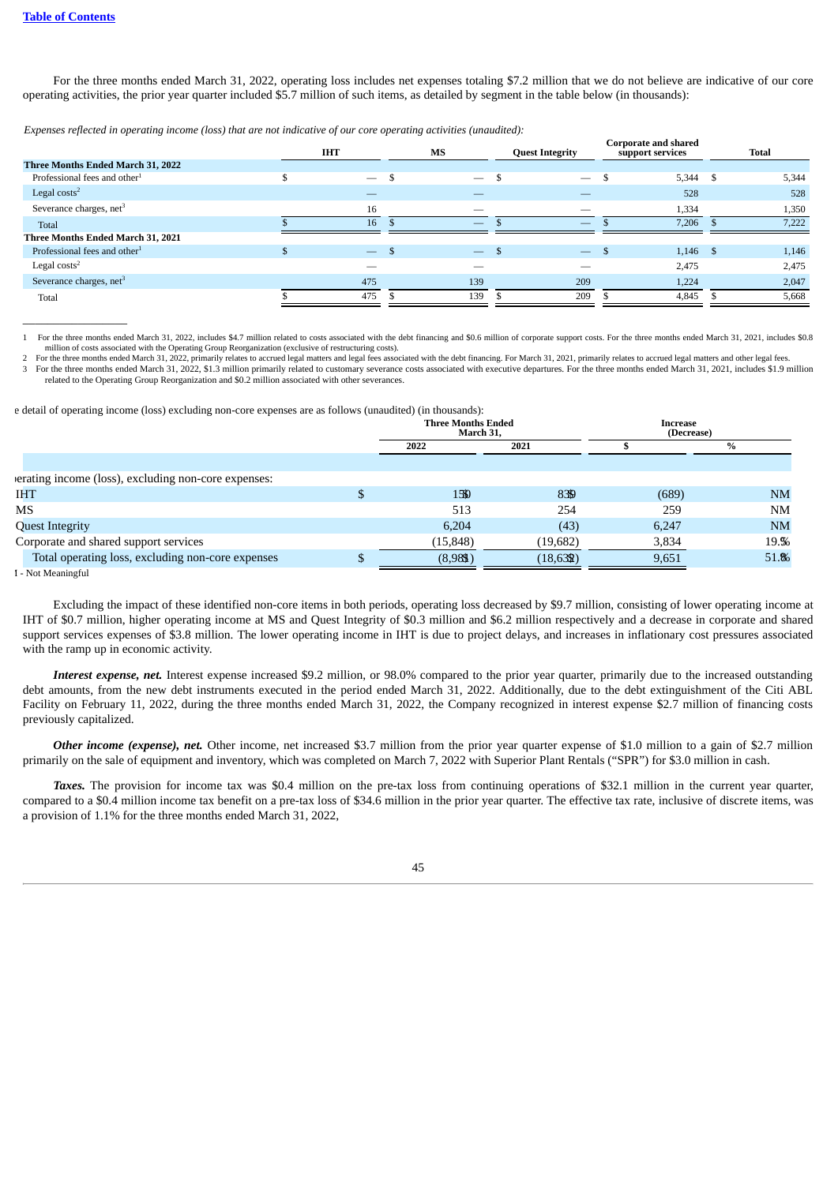*\_\_\_\_\_\_\_\_\_\_\_\_\_\_\_\_\_*

For the three months ended March 31, 2022, operating loss includes net expenses totaling \$7.2 million that we do not believe are indicative of our core operating activities, the prior year quarter included \$5.7 million of such items, as detailed by segment in the table below (in thousands):

*Expenses reflected in operating income (loss) that are not indicative of our core operating activities (unaudited):*

|                                          | <b>IHT</b>               |     | <b>MS</b>                | <b>Quest Integrity</b>                    |      | <b>Corporate and shared</b><br>support services | <b>Total</b> |
|------------------------------------------|--------------------------|-----|--------------------------|-------------------------------------------|------|-------------------------------------------------|--------------|
| Three Months Ended March 31, 2022        |                          |     |                          |                                           |      |                                                 |              |
| Professional fees and other <sup>1</sup> | $\overline{\phantom{m}}$ | \$. | $\sim$                   | $\overline{\phantom{m}}$                  | -\$  | $5,344$ \$                                      | 5,344        |
| Legal $costs2$                           | $-$                      |     |                          | $\qquad \qquad \overline{\qquad \qquad }$ |      | 528                                             | 528          |
| Severance charges, net <sup>3</sup>      | 16                       |     |                          | __                                        |      | 1,334                                           | 1,350        |
| Total                                    | 16                       |     | $\overline{\phantom{m}}$ | $\overline{\phantom{m}}$                  |      | 7.206                                           | 7,222        |
| Three Months Ended March 31, 2021        |                          |     |                          |                                           |      |                                                 |              |
| Professional fees and other <sup>1</sup> | $\overline{\phantom{a}}$ |     | $\overline{\phantom{m}}$ | $\qquad \qquad \longleftarrow$            | - \$ | $1,146$ \$                                      | 1,146        |
| Legal $costs2$                           | $-$                      |     | $\overline{\phantom{a}}$ | $-$                                       |      | 2,475                                           | 2,475        |
| Severance charges, net <sup>3</sup>      | 475                      |     | 139                      | 209                                       |      | 1,224                                           | 2,047        |
| Total                                    | 475                      |     | 139                      | 209                                       |      | 4,845                                           | 5,668        |
|                                          |                          |     |                          |                                           |      |                                                 |              |

1 For the three months ended March 31, 2022, includes \$4.7 million related to costs associated with the debt financing and \$0.6 million of corporate support costs. For the three months ended March 31, 2021, includes \$0.8 million of costs associated with the Operating Group Reorganization (exclusive of restructuring costs).

For the three months ended March 31, 2022, primarily relates to accrued legal matters and legal fees associated with the debt financing. For March 31, 2021, primarily relates to accrued legal matters and other legal fees.

3 For the three months ended March 31, 2022, \$1.3 million primarily related to customary severance costs associated with executive departures. For the three months ended March 31, 2021, includes \$1.9 million related to the Operating Group Reorganization and \$0.2 million associated with other severances.

e detail of operating income (loss) excluding non-core expenses are as follows (unaudited) (in thousands):

|                                                     | <b>Three Months Ended</b><br>March 31, |           | <b>Increase</b><br>(Decrease) |           |  |
|-----------------------------------------------------|----------------------------------------|-----------|-------------------------------|-----------|--|
|                                                     | 2022                                   | 2021      |                               |           |  |
|                                                     |                                        |           |                               |           |  |
| erating income (loss), excluding non-core expenses: |                                        |           |                               |           |  |
| <b>IHT</b>                                          | 150                                    | 839       | (689)                         | <b>NM</b> |  |
| MS                                                  | 513                                    | 254       | 259                           | <b>NM</b> |  |
| <b>Quest Integrity</b>                              | 6,204                                  | (43)      | 6,247                         | <b>NM</b> |  |
| Corporate and shared support services               | (15, 848)                              | (19,682)  | 3,834                         | 19.%      |  |
| Total operating loss, excluding non-core expenses   | (8,98)                                 | (18, 632) | 9,651                         | 51.8%     |  |
| .                                                   |                                        |           |                               |           |  |

I - Not Meaningful

Excluding the impact of these identified non-core items in both periods, operating loss decreased by \$9.7 million, consisting of lower operating income at IHT of \$0.7 million, higher operating income at MS and Quest Integrity of \$0.3 million and \$6.2 million respectively and a decrease in corporate and shared support services expenses of \$3.8 million. The lower operating income in IHT is due to project delays, and increases in inflationary cost pressures associated with the ramp up in economic activity.

*Interest expense, net.* Interest expense increased \$9.2 million, or 98.0% compared to the prior year quarter, primarily due to the increased outstanding debt amounts, from the new debt instruments executed in the period ended March 31, 2022. Additionally, due to the debt extinguishment of the Citi ABL Facility on February 11, 2022, during the three months ended March 31, 2022, the Company recognized in interest expense \$2.7 million of financing costs previously capitalized.

*Other income (expense), net.* Other income, net increased \$3.7 million from the prior year quarter expense of \$1.0 million to a gain of \$2.7 million primarily on the sale of equipment and inventory, which was completed on March 7, 2022 with Superior Plant Rentals ("SPR") for \$3.0 million in cash.

*Taxes.* The provision for income tax was \$0.4 million on the pre-tax loss from continuing operations of \$32.1 million in the current year quarter, compared to a \$0.4 million income tax benefit on a pre-tax loss of \$34.6 million in the prior year quarter. The effective tax rate, inclusive of discrete items, was a provision of 1.1% for the three months ended March 31, 2022,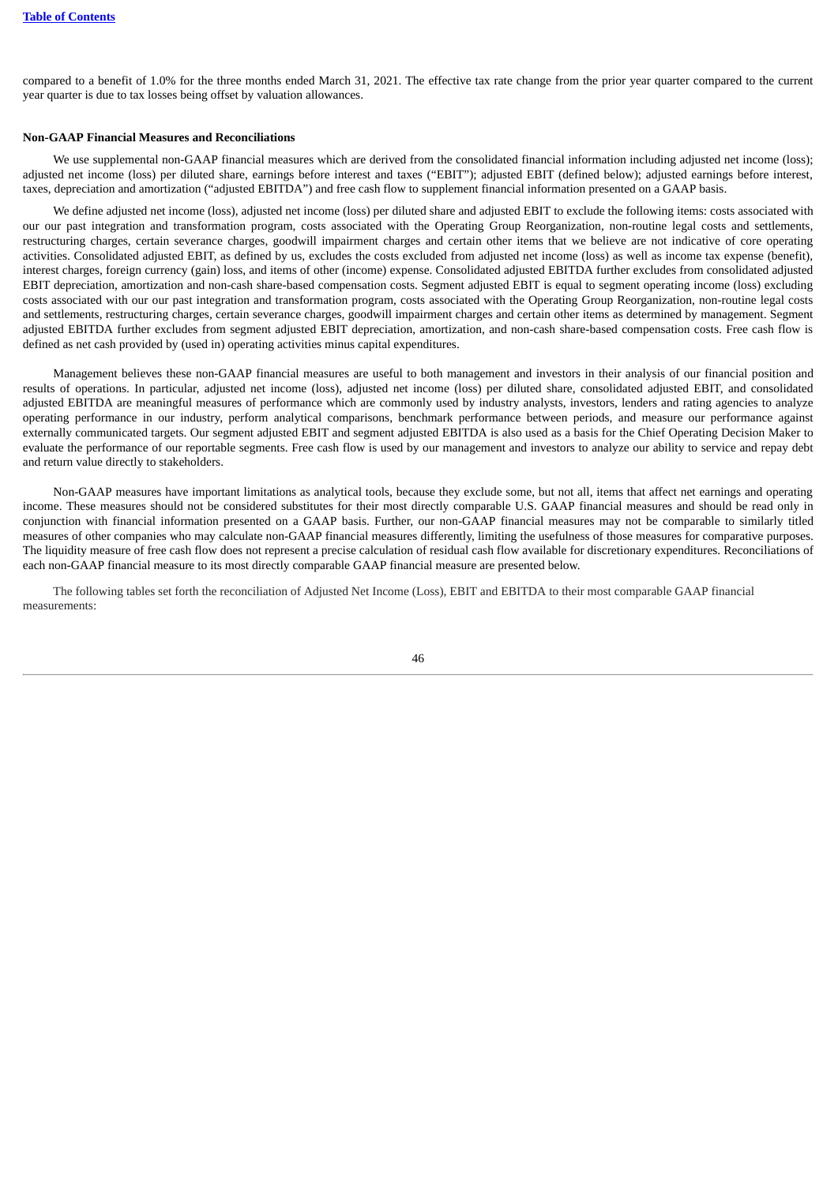compared to a benefit of 1.0% for the three months ended March 31, 2021. The effective tax rate change from the prior year quarter compared to the current year quarter is due to tax losses being offset by valuation allowances.

### **Non-GAAP Financial Measures and Reconciliations**

We use supplemental non-GAAP financial measures which are derived from the consolidated financial information including adjusted net income (loss); adjusted net income (loss) per diluted share, earnings before interest and taxes ("EBIT"); adjusted EBIT (defined below); adjusted earnings before interest, taxes, depreciation and amortization ("adjusted EBITDA") and free cash flow to supplement financial information presented on a GAAP basis.

We define adjusted net income (loss), adjusted net income (loss) per diluted share and adjusted EBIT to exclude the following items: costs associated with our our past integration and transformation program, costs associated with the Operating Group Reorganization, non-routine legal costs and settlements, restructuring charges, certain severance charges, goodwill impairment charges and certain other items that we believe are not indicative of core operating activities. Consolidated adjusted EBIT, as defined by us, excludes the costs excluded from adjusted net income (loss) as well as income tax expense (benefit), interest charges, foreign currency (gain) loss, and items of other (income) expense. Consolidated adjusted EBITDA further excludes from consolidated adjusted EBIT depreciation, amortization and non-cash share-based compensation costs. Segment adjusted EBIT is equal to segment operating income (loss) excluding costs associated with our our past integration and transformation program, costs associated with the Operating Group Reorganization, non-routine legal costs and settlements, restructuring charges, certain severance charges, goodwill impairment charges and certain other items as determined by management. Segment adjusted EBITDA further excludes from segment adjusted EBIT depreciation, amortization, and non-cash share-based compensation costs. Free cash flow is defined as net cash provided by (used in) operating activities minus capital expenditures.

Management believes these non-GAAP financial measures are useful to both management and investors in their analysis of our financial position and results of operations. In particular, adjusted net income (loss), adjusted net income (loss) per diluted share, consolidated adjusted EBIT, and consolidated adjusted EBITDA are meaningful measures of performance which are commonly used by industry analysts, investors, lenders and rating agencies to analyze operating performance in our industry, perform analytical comparisons, benchmark performance between periods, and measure our performance against externally communicated targets. Our segment adjusted EBIT and segment adjusted EBITDA is also used as a basis for the Chief Operating Decision Maker to evaluate the performance of our reportable segments. Free cash flow is used by our management and investors to analyze our ability to service and repay debt and return value directly to stakeholders.

Non-GAAP measures have important limitations as analytical tools, because they exclude some, but not all, items that affect net earnings and operating income. These measures should not be considered substitutes for their most directly comparable U.S. GAAP financial measures and should be read only in conjunction with financial information presented on a GAAP basis. Further, our non-GAAP financial measures may not be comparable to similarly titled measures of other companies who may calculate non-GAAP financial measures differently, limiting the usefulness of those measures for comparative purposes. The liquidity measure of free cash flow does not represent a precise calculation of residual cash flow available for discretionary expenditures. Reconciliations of each non-GAAP financial measure to its most directly comparable GAAP financial measure are presented below.

The following tables set forth the reconciliation of Adjusted Net Income (Loss), EBIT and EBITDA to their most comparable GAAP financial measurements:

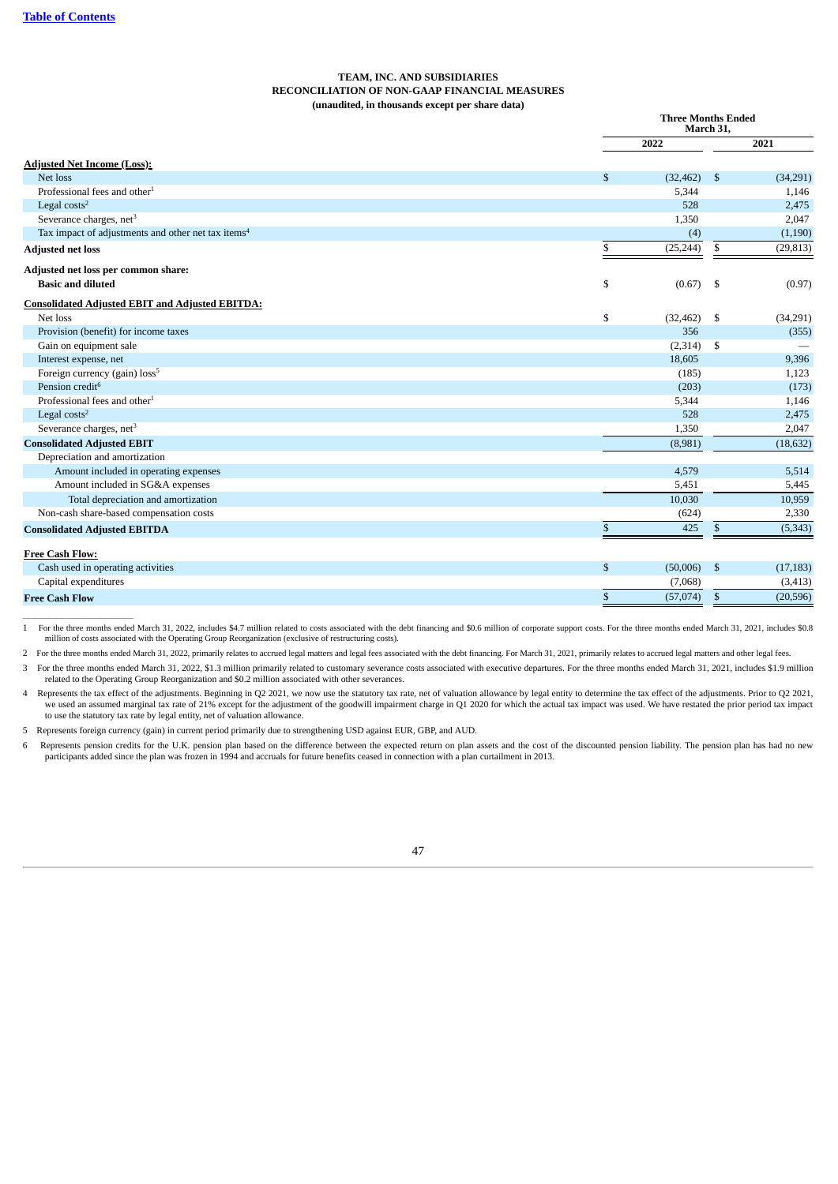\_\_\_\_\_\_\_\_\_\_\_\_\_\_\_\_\_\_\_\_\_\_\_\_\_\_\_\_\_\_\_\_\_\_\_\_

### **TEAM, INC. AND SUBSIDIARIES RECONCILIATION OF NON-GAAP FINANCIAL MEASURES (unaudited, in thousands except per share data)**

|                                                                | <b>Three Months Ended</b><br>March 31, |                           |           |
|----------------------------------------------------------------|----------------------------------------|---------------------------|-----------|
|                                                                | 2022                                   |                           | 2021      |
| <b>Adjusted Net Income (Loss):</b>                             |                                        |                           |           |
| Net loss                                                       | \$<br>(32, 462)                        | -\$                       | (34,291)  |
| Professional fees and other <sup>1</sup>                       | 5,344                                  |                           | 1,146     |
| Legal $costs2$                                                 | 528                                    |                           | 2,475     |
| Severance charges, net <sup>3</sup>                            | 1,350                                  |                           | 2,047     |
| Tax impact of adjustments and other net tax items <sup>4</sup> | (4)                                    |                           | (1,190)   |
| <b>Adjusted net loss</b>                                       | \$<br>(25, 244)                        | \$                        | (29, 813) |
| Adjusted net loss per common share:                            |                                        |                           |           |
| <b>Basic and diluted</b>                                       | \$<br>(0.67)                           | -\$                       | (0.97)    |
| <b>Consolidated Adjusted EBIT and Adjusted EBITDA:</b>         |                                        |                           |           |
| Net loss                                                       | \$<br>(32, 462)                        | -\$                       | (34,291)  |
| Provision (benefit) for income taxes                           | 356                                    |                           | (355)     |
| Gain on equipment sale                                         | (2,314)                                | -\$                       |           |
| Interest expense, net                                          | 18,605                                 |                           | 9,396     |
| Foreign currency (gain) loss <sup>5</sup>                      | (185)                                  |                           | 1,123     |
| Pension credit <sup>6</sup>                                    | (203)                                  |                           | (173)     |
| Professional fees and other <sup>1</sup>                       | 5,344                                  |                           | 1,146     |
| Legal $costs2$                                                 | 528                                    |                           | 2,475     |
| Severance charges, net <sup>3</sup>                            | 1,350                                  |                           | 2,047     |
| <b>Consolidated Adjusted EBIT</b>                              | (8,981)                                |                           | (18, 632) |
| Depreciation and amortization                                  |                                        |                           |           |
| Amount included in operating expenses                          | 4,579                                  |                           | 5,514     |
| Amount included in SG&A expenses                               | 5,451                                  |                           | 5,445     |
| Total depreciation and amortization                            | 10,030                                 |                           | 10,959    |
| Non-cash share-based compensation costs                        | (624)                                  |                           | 2,330     |
| <b>Consolidated Adjusted EBITDA</b>                            | \$<br>425                              | \$                        | (5, 343)  |
| <b>Free Cash Flow:</b>                                         |                                        |                           |           |
| Cash used in operating activities                              | \$<br>(50,006)                         | $\boldsymbol{\mathsf{s}}$ | (17, 183) |
| Capital expenditures                                           | (7,068)                                |                           | (3, 413)  |
| <b>Free Cash Flow</b>                                          | \$<br>(57,074)                         | \$                        | (20, 596) |
|                                                                |                                        |                           |           |

1 For the three months ended March 31, 2022, includes \$4.7 million related to costs associated with the debt financing and \$0.6 million of corporate support costs. For the three months ended March 31, 2021, includes \$0.8 million of costs associated with the Operating Group Reorganization (exclusive of restructuring costs).

2 For the three months ended March 31, 2022, primarily relates to accrued legal matters and legal fees associated with the debt financing. For March 31, 2021, primarily relates to accrued legal matters and other legal fees

3 For the three months ended March 31, 2022, \$1.3 million primarily related to customary severance costs associated with executive departures. For the three months ended March 31, 2021, includes \$1.9 million related to the Operating Group Reorganization and \$0.2 million associated with other severances.

4 Represents the tax effect of the adjustments. Beginning in Q2 2021, we now use the statutory tax rate, net of valuation allowance by legal entity to determine the tax effect of the adjustments. Prior to Q2 2021, we used an assumed marginal tax rate of 21% except for the adjustment of the goodwill impairment charge in Q1 2020 for which the actual tax impact was used. We have restated the prior period tax impact to use the statutory tax rate by legal entity, net of valuation allowance.

5 Represents foreign currency (gain) in current period primarily due to strengthening USD against EUR, GBP, and AUD.

6 Represents pension credits for the U.K. pension plan based on the difference between the expected return on plan assets and the cost of the discounted pension liability. The pension plan has had no new participants added since the plan was frozen in 1994 and accruals for future benefits ceased in connection with a plan curtailment in 2013.

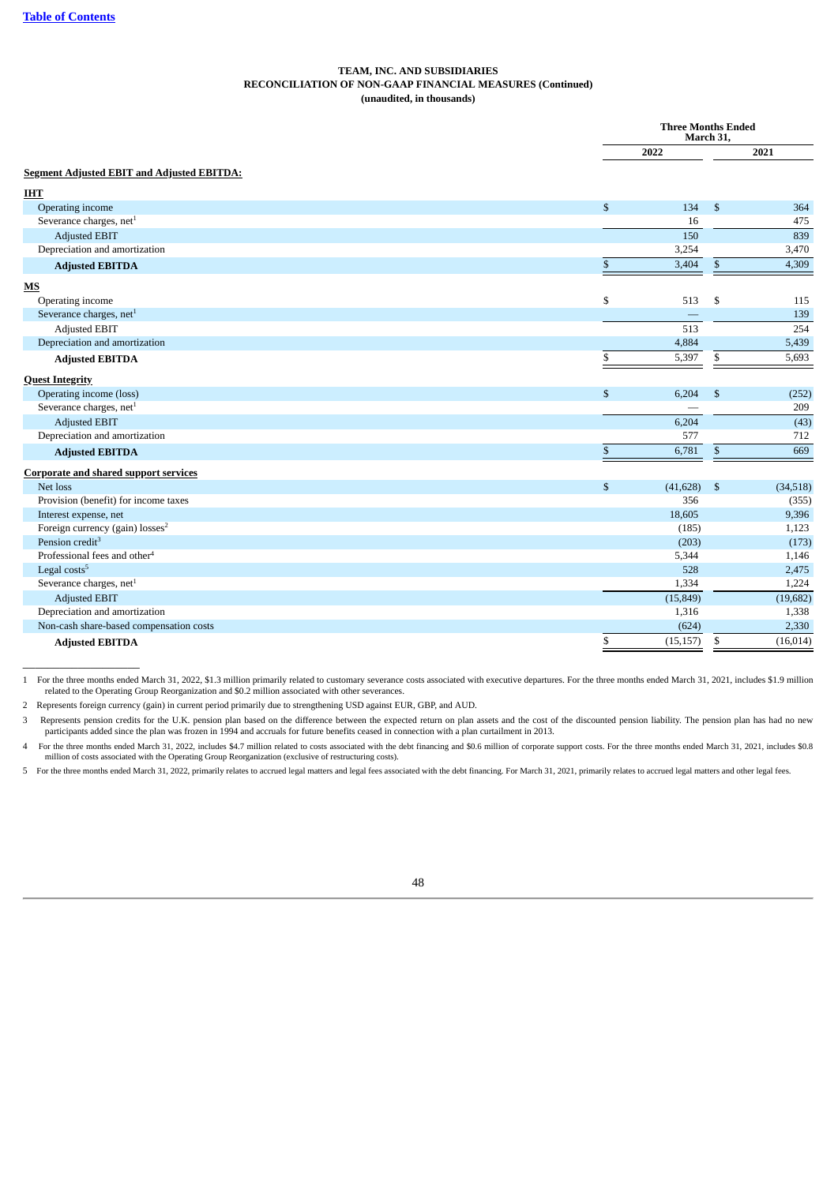$\_$ 

### **TEAM, INC. AND SUBSIDIARIES RECONCILIATION OF NON-GAAP FINANCIAL MEASURES (Continued) (unaudited, in thousands)**

|                                                   |              | <b>Three Months Ended</b><br>March 31, |                |           |
|---------------------------------------------------|--------------|----------------------------------------|----------------|-----------|
|                                                   |              | 2022                                   |                | 2021      |
| <b>Segment Adjusted EBIT and Adjusted EBITDA:</b> |              |                                        |                |           |
| <b>IHT</b>                                        |              |                                        |                |           |
| Operating income                                  | \$           | 134                                    | $\mathbf{s}$   | 364       |
| Severance charges, net <sup>1</sup>               |              | 16                                     |                | 475       |
| <b>Adjusted EBIT</b>                              |              | 150                                    |                | 839       |
| Depreciation and amortization                     |              | 3,254                                  |                | 3,470     |
| <b>Adjusted EBITDA</b>                            | $\mathbb{S}$ | 3,404                                  | $\mathfrak{F}$ | 4,309     |
| MS                                                |              |                                        |                |           |
| Operating income                                  | \$           | 513                                    | -\$            | 115       |
| Severance charges, net <sup>1</sup>               |              |                                        |                | 139       |
| <b>Adjusted EBIT</b>                              |              | 513                                    |                | 254       |
| Depreciation and amortization                     |              | 4,884                                  |                | 5,439     |
| <b>Adjusted EBITDA</b>                            | \$           | 5,397                                  | \$             | 5,693     |
| <b>Quest Integrity</b>                            |              |                                        |                |           |
| Operating income (loss)                           | $\mathbb{S}$ | 6,204                                  | $\mathfrak{s}$ | (252)     |
| Severance charges, $net1$                         |              |                                        |                | 209       |
| <b>Adjusted EBIT</b>                              |              | 6,204                                  |                | (43)      |
| Depreciation and amortization                     |              | 577                                    |                | 712       |
| <b>Adjusted EBITDA</b>                            | \$           | 6,781                                  | $\mathfrak{s}$ | 669       |
| <b>Corporate and shared support services</b>      |              |                                        |                |           |
| Net loss                                          | \$           | (41, 628)                              | $\mathbf{s}$   | (34, 518) |
| Provision (benefit) for income taxes              |              | 356                                    |                | (355)     |
| Interest expense, net                             |              | 18,605                                 |                | 9,396     |
| Foreign currency (gain) losses <sup>2</sup>       |              | (185)                                  |                | 1,123     |
| Pension credit <sup>3</sup>                       |              | (203)                                  |                | (173)     |
| Professional fees and other <sup>4</sup>          |              | 5,344                                  |                | 1,146     |
| Legal costs <sup>5</sup>                          |              | 528                                    |                | 2,475     |
| Severance charges, net <sup>1</sup>               |              | 1,334                                  |                | 1.224     |
| <b>Adjusted EBIT</b>                              |              | (15, 849)                              |                | (19, 682) |
| Depreciation and amortization                     |              | 1,316                                  |                | 1,338     |
| Non-cash share-based compensation costs           |              | (624)                                  |                | 2,330     |
| <b>Adjusted EBITDA</b>                            | \$           | (15, 157)                              | \$             | (16, 014) |

1 For the three months ended March 31, 2022, \$1.3 million primarily related to customary severance costs associated with executive departures. For the three months ended March 31, 2021, includes \$1.9 million related to the Operating Group Reorganization and \$0.2 million associated with other severances.

2 Represents foreign currency (gain) in current period primarily due to strengthening USD against EUR, GBP, and AUD.

3 Represents pension credits for the U.K. pension plan based on the difference between the expected return on plan assets and the cost of the discounted pension liability. The pension plan has had no new participants added since the plan was frozen in 1994 and accruals for future benefits ceased in connection with a plan curtailment in 2013.

4 For the three months ended March 31, 2022, includes \$4.7 million related to costs associated with the debt financing and \$0.6 million of corporate support costs. For the three months ended March 31, 2021, includes \$0.8 million of costs associated with the Operating Group Reorganization (exclusive of restructuring costs).

5 For the three months ended March 31, 2022, primarily relates to accrued legal matters and legal fees associated with the debt financing. For March 31, 2021, primarily relates to accrued legal matters and other legal fees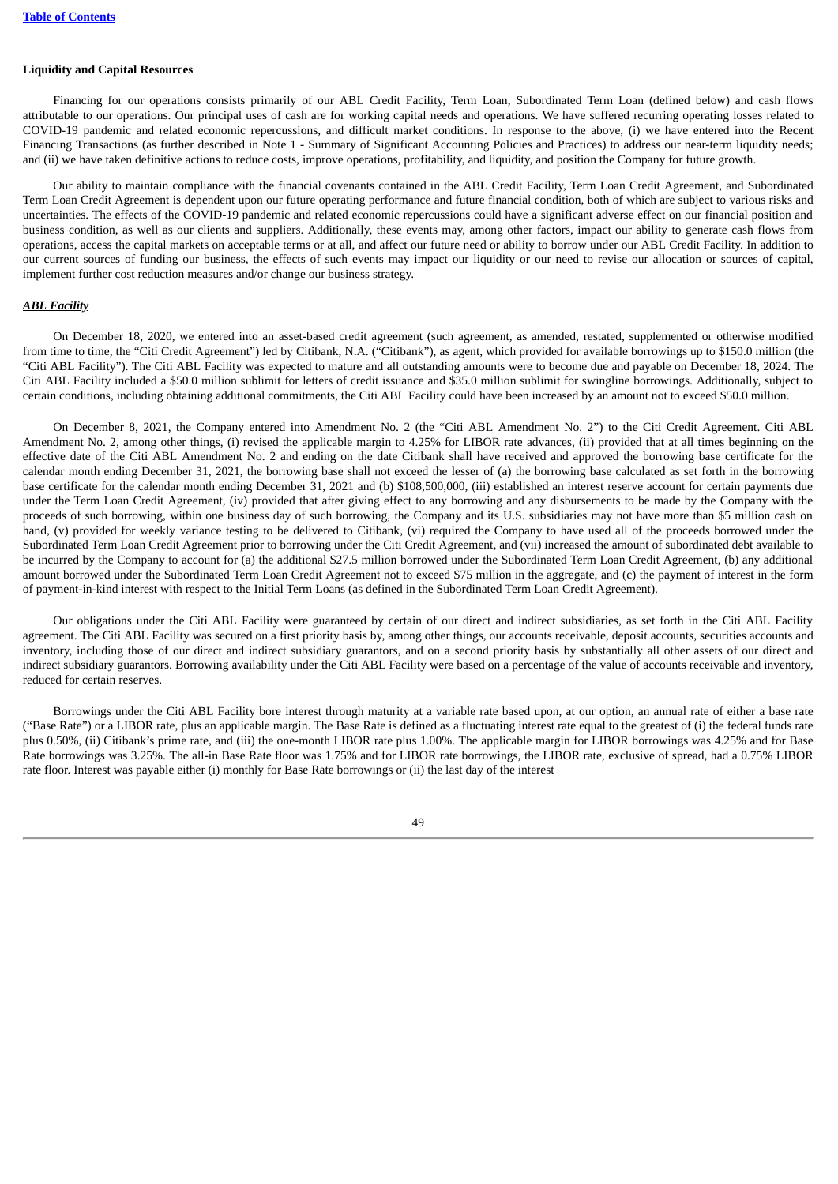# **Liquidity and Capital Resources**

Financing for our operations consists primarily of our ABL Credit Facility, Term Loan, Subordinated Term Loan (defined below) and cash flows attributable to our operations. Our principal uses of cash are for working capital needs and operations. We have suffered recurring operating losses related to COVID-19 pandemic and related economic repercussions, and difficult market conditions. In response to the above, (i) we have entered into the Recent Financing Transactions (as further described in Note 1 - Summary of Significant Accounting Policies and Practices) to address our near-term liquidity needs; and (ii) we have taken definitive actions to reduce costs, improve operations, profitability, and liquidity, and position the Company for future growth.

Our ability to maintain compliance with the financial covenants contained in the ABL Credit Facility, Term Loan Credit Agreement, and Subordinated Term Loan Credit Agreement is dependent upon our future operating performance and future financial condition, both of which are subject to various risks and uncertainties. The effects of the COVID-19 pandemic and related economic repercussions could have a significant adverse effect on our financial position and business condition, as well as our clients and suppliers. Additionally, these events may, among other factors, impact our ability to generate cash flows from operations, access the capital markets on acceptable terms or at all, and affect our future need or ability to borrow under our ABL Credit Facility. In addition to our current sources of funding our business, the effects of such events may impact our liquidity or our need to revise our allocation or sources of capital, implement further cost reduction measures and/or change our business strategy.

#### *ABL Facility*

On December 18, 2020, we entered into an asset-based credit agreement (such agreement, as amended, restated, supplemented or otherwise modified from time to time, the "Citi Credit Agreement") led by Citibank, N.A. ("Citibank"), as agent, which provided for available borrowings up to \$150.0 million (the "Citi ABL Facility"). The Citi ABL Facility was expected to mature and all outstanding amounts were to become due and payable on December 18, 2024. The Citi ABL Facility included a \$50.0 million sublimit for letters of credit issuance and \$35.0 million sublimit for swingline borrowings. Additionally, subject to certain conditions, including obtaining additional commitments, the Citi ABL Facility could have been increased by an amount not to exceed \$50.0 million.

On December 8, 2021, the Company entered into Amendment No. 2 (the "Citi ABL Amendment No. 2") to the Citi Credit Agreement. Citi ABL Amendment No. 2, among other things, (i) revised the applicable margin to 4.25% for LIBOR rate advances, (ii) provided that at all times beginning on the effective date of the Citi ABL Amendment No. 2 and ending on the date Citibank shall have received and approved the borrowing base certificate for the calendar month ending December 31, 2021, the borrowing base shall not exceed the lesser of (a) the borrowing base calculated as set forth in the borrowing base certificate for the calendar month ending December 31, 2021 and (b) \$108,500,000, (iii) established an interest reserve account for certain payments due under the Term Loan Credit Agreement, (iv) provided that after giving effect to any borrowing and any disbursements to be made by the Company with the proceeds of such borrowing, within one business day of such borrowing, the Company and its U.S. subsidiaries may not have more than \$5 million cash on hand, (v) provided for weekly variance testing to be delivered to Citibank, (vi) required the Company to have used all of the proceeds borrowed under the Subordinated Term Loan Credit Agreement prior to borrowing under the Citi Credit Agreement, and (vii) increased the amount of subordinated debt available to be incurred by the Company to account for (a) the additional \$27.5 million borrowed under the Subordinated Term Loan Credit Agreement, (b) any additional amount borrowed under the Subordinated Term Loan Credit Agreement not to exceed \$75 million in the aggregate, and (c) the payment of interest in the form of payment-in-kind interest with respect to the Initial Term Loans (as defined in the Subordinated Term Loan Credit Agreement).

Our obligations under the Citi ABL Facility were guaranteed by certain of our direct and indirect subsidiaries, as set forth in the Citi ABL Facility agreement. The Citi ABL Facility was secured on a first priority basis by, among other things, our accounts receivable, deposit accounts, securities accounts and inventory, including those of our direct and indirect subsidiary guarantors, and on a second priority basis by substantially all other assets of our direct and indirect subsidiary guarantors. Borrowing availability under the Citi ABL Facility were based on a percentage of the value of accounts receivable and inventory, reduced for certain reserves.

Borrowings under the Citi ABL Facility bore interest through maturity at a variable rate based upon, at our option, an annual rate of either a base rate ("Base Rate") or a LIBOR rate, plus an applicable margin. The Base Rate is defined as a fluctuating interest rate equal to the greatest of (i) the federal funds rate plus 0.50%, (ii) Citibank's prime rate, and (iii) the one-month LIBOR rate plus 1.00%. The applicable margin for LIBOR borrowings was 4.25% and for Base Rate borrowings was 3.25%. The all-in Base Rate floor was 1.75% and for LIBOR rate borrowings, the LIBOR rate, exclusive of spread, had a 0.75% LIBOR rate floor. Interest was payable either (i) monthly for Base Rate borrowings or (ii) the last day of the interest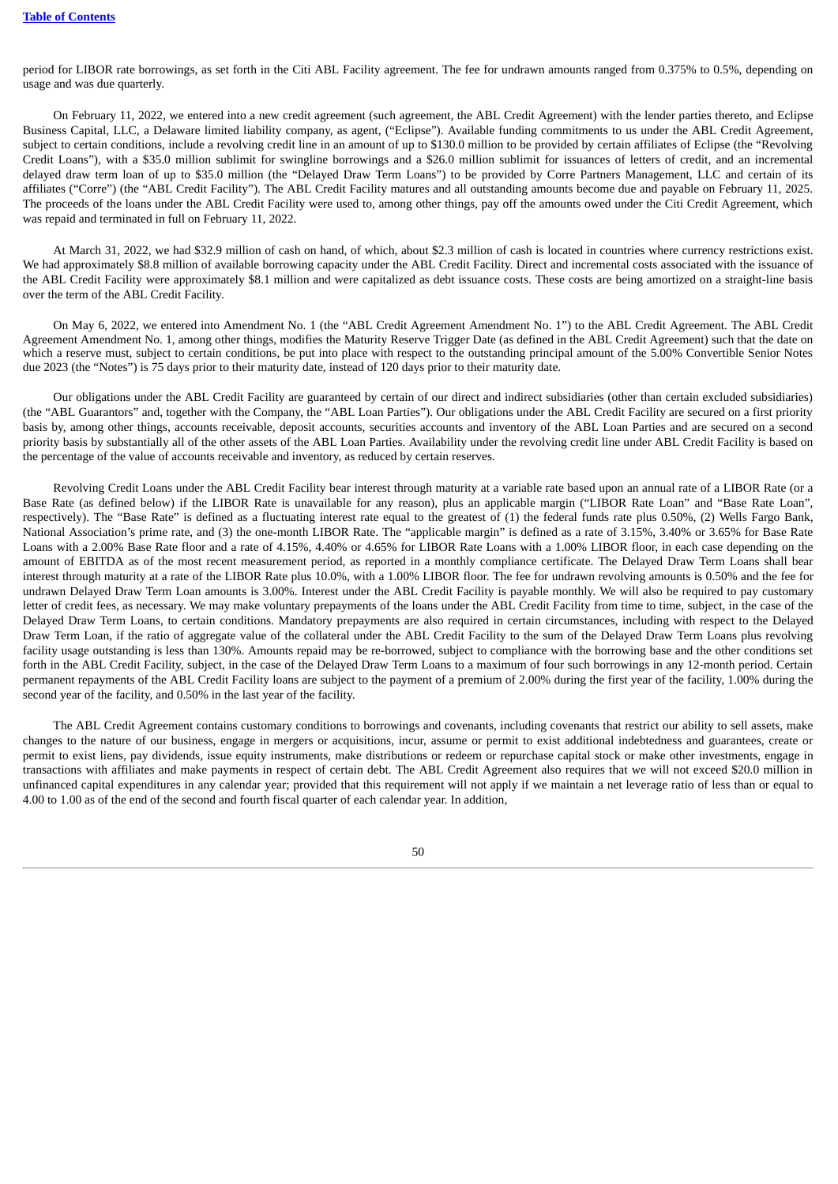period for LIBOR rate borrowings, as set forth in the Citi ABL Facility agreement. The fee for undrawn amounts ranged from 0.375% to 0.5%, depending on usage and was due quarterly.

On February 11, 2022, we entered into a new credit agreement (such agreement, the ABL Credit Agreement) with the lender parties thereto, and Eclipse Business Capital, LLC, a Delaware limited liability company, as agent, ("Eclipse"). Available funding commitments to us under the ABL Credit Agreement, subject to certain conditions, include a revolving credit line in an amount of up to \$130.0 million to be provided by certain affiliates of Eclipse (the "Revolving Credit Loans"), with a \$35.0 million sublimit for swingline borrowings and a \$26.0 million sublimit for issuances of letters of credit, and an incremental delayed draw term loan of up to \$35.0 million (the "Delayed Draw Term Loans") to be provided by Corre Partners Management, LLC and certain of its affiliates ("Corre") (the "ABL Credit Facility"). The ABL Credit Facility matures and all outstanding amounts become due and payable on February 11, 2025. The proceeds of the loans under the ABL Credit Facility were used to, among other things, pay off the amounts owed under the Citi Credit Agreement, which was repaid and terminated in full on February 11, 2022.

At March 31, 2022, we had \$32.9 million of cash on hand, of which, about \$2.3 million of cash is located in countries where currency restrictions exist. We had approximately \$8.8 million of available borrowing capacity under the ABL Credit Facility. Direct and incremental costs associated with the issuance of the ABL Credit Facility were approximately \$8.1 million and were capitalized as debt issuance costs. These costs are being amortized on a straight-line basis over the term of the ABL Credit Facility.

On May 6, 2022, we entered into Amendment No. 1 (the "ABL Credit Agreement Amendment No. 1") to the ABL Credit Agreement. The ABL Credit Agreement Amendment No. 1, among other things, modifies the Maturity Reserve Trigger Date (as defined in the ABL Credit Agreement) such that the date on which a reserve must, subject to certain conditions, be put into place with respect to the outstanding principal amount of the 5.00% Convertible Senior Notes due 2023 (the "Notes") is 75 days prior to their maturity date, instead of 120 days prior to their maturity date.

Our obligations under the ABL Credit Facility are guaranteed by certain of our direct and indirect subsidiaries (other than certain excluded subsidiaries) (the "ABL Guarantors" and, together with the Company, the "ABL Loan Parties"). Our obligations under the ABL Credit Facility are secured on a first priority basis by, among other things, accounts receivable, deposit accounts, securities accounts and inventory of the ABL Loan Parties and are secured on a second priority basis by substantially all of the other assets of the ABL Loan Parties. Availability under the revolving credit line under ABL Credit Facility is based on the percentage of the value of accounts receivable and inventory, as reduced by certain reserves.

Revolving Credit Loans under the ABL Credit Facility bear interest through maturity at a variable rate based upon an annual rate of a LIBOR Rate (or a Base Rate (as defined below) if the LIBOR Rate is unavailable for any reason), plus an applicable margin ("LIBOR Rate Loan" and "Base Rate Loan", respectively). The "Base Rate" is defined as a fluctuating interest rate equal to the greatest of (1) the federal funds rate plus 0.50%, (2) Wells Fargo Bank, National Association's prime rate, and (3) the one-month LIBOR Rate. The "applicable margin" is defined as a rate of 3.15%, 3.40% or 3.65% for Base Rate Loans with a 2.00% Base Rate floor and a rate of 4.15%, 4.40% or 4.65% for LIBOR Rate Loans with a 1.00% LIBOR floor, in each case depending on the amount of EBITDA as of the most recent measurement period, as reported in a monthly compliance certificate. The Delayed Draw Term Loans shall bear interest through maturity at a rate of the LIBOR Rate plus 10.0%, with a 1.00% LIBOR floor. The fee for undrawn revolving amounts is 0.50% and the fee for undrawn Delayed Draw Term Loan amounts is 3.00%. Interest under the ABL Credit Facility is payable monthly. We will also be required to pay customary letter of credit fees, as necessary. We may make voluntary prepayments of the loans under the ABL Credit Facility from time to time, subject, in the case of the Delayed Draw Term Loans, to certain conditions. Mandatory prepayments are also required in certain circumstances, including with respect to the Delayed Draw Term Loan, if the ratio of aggregate value of the collateral under the ABL Credit Facility to the sum of the Delayed Draw Term Loans plus revolving facility usage outstanding is less than 130%. Amounts repaid may be re-borrowed, subject to compliance with the borrowing base and the other conditions set forth in the ABL Credit Facility, subject, in the case of the Delayed Draw Term Loans to a maximum of four such borrowings in any 12-month period. Certain permanent repayments of the ABL Credit Facility loans are subject to the payment of a premium of 2.00% during the first year of the facility, 1.00% during the second year of the facility, and 0.50% in the last year of the facility.

The ABL Credit Agreement contains customary conditions to borrowings and covenants, including covenants that restrict our ability to sell assets, make changes to the nature of our business, engage in mergers or acquisitions, incur, assume or permit to exist additional indebtedness and guarantees, create or permit to exist liens, pay dividends, issue equity instruments, make distributions or redeem or repurchase capital stock or make other investments, engage in transactions with affiliates and make payments in respect of certain debt. The ABL Credit Agreement also requires that we will not exceed \$20.0 million in unfinanced capital expenditures in any calendar year; provided that this requirement will not apply if we maintain a net leverage ratio of less than or equal to 4.00 to 1.00 as of the end of the second and fourth fiscal quarter of each calendar year. In addition,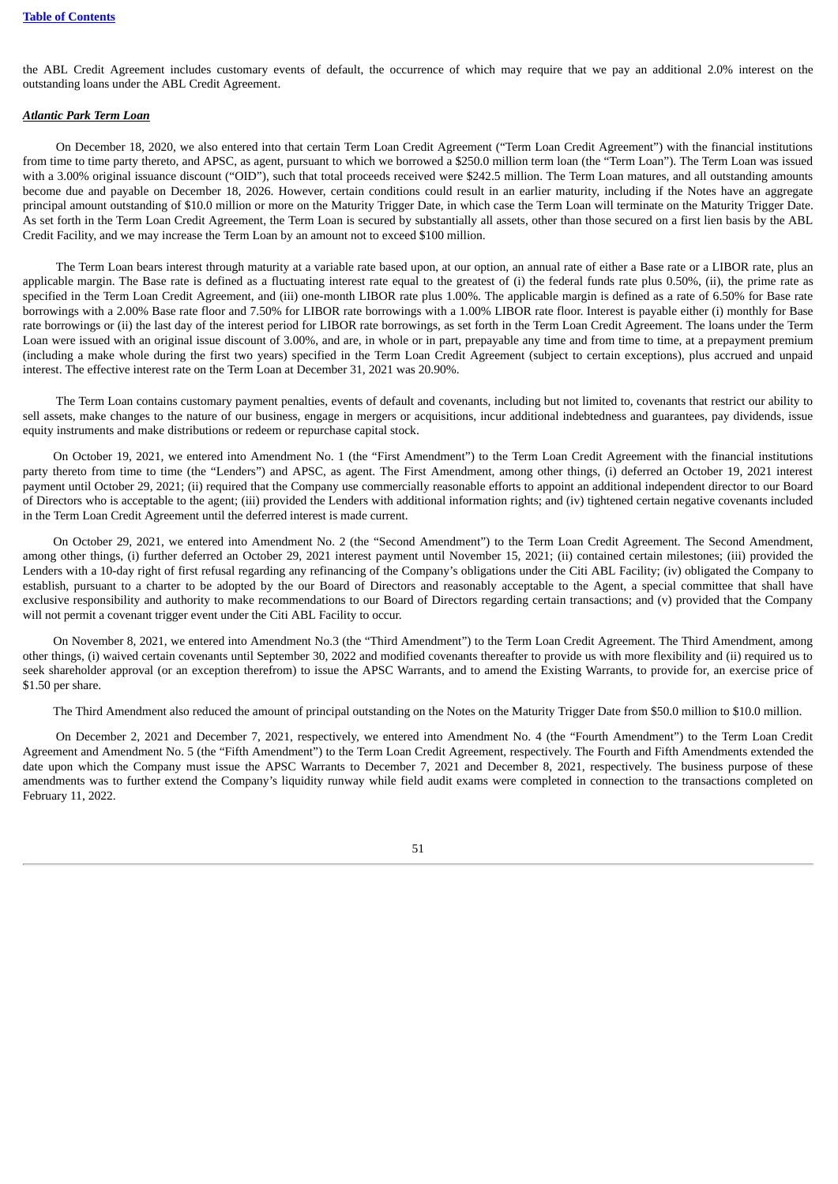the ABL Credit Agreement includes customary events of default, the occurrence of which may require that we pay an additional 2.0% interest on the outstanding loans under the ABL Credit Agreement.

# *Atlantic Park Term Loan*

On December 18, 2020, we also entered into that certain Term Loan Credit Agreement ("Term Loan Credit Agreement") with the financial institutions from time to time party thereto, and APSC, as agent, pursuant to which we borrowed a \$250.0 million term loan (the "Term Loan"). The Term Loan was issued with a 3.00% original issuance discount ("OID"), such that total proceeds received were \$242.5 million. The Term Loan matures, and all outstanding amounts become due and payable on December 18, 2026. However, certain conditions could result in an earlier maturity, including if the Notes have an aggregate principal amount outstanding of \$10.0 million or more on the Maturity Trigger Date, in which case the Term Loan will terminate on the Maturity Trigger Date. As set forth in the Term Loan Credit Agreement, the Term Loan is secured by substantially all assets, other than those secured on a first lien basis by the ABL Credit Facility, and we may increase the Term Loan by an amount not to exceed \$100 million.

The Term Loan bears interest through maturity at a variable rate based upon, at our option, an annual rate of either a Base rate or a LIBOR rate, plus an applicable margin. The Base rate is defined as a fluctuating interest rate equal to the greatest of (i) the federal funds rate plus 0.50%, (ii), the prime rate as specified in the Term Loan Credit Agreement, and (iii) one-month LIBOR rate plus 1.00%. The applicable margin is defined as a rate of 6.50% for Base rate borrowings with a 2.00% Base rate floor and 7.50% for LIBOR rate borrowings with a 1.00% LIBOR rate floor. Interest is payable either (i) monthly for Base rate borrowings or (ii) the last day of the interest period for LIBOR rate borrowings, as set forth in the Term Loan Credit Agreement. The loans under the Term Loan were issued with an original issue discount of 3.00%, and are, in whole or in part, prepayable any time and from time to time, at a prepayment premium (including a make whole during the first two years) specified in the Term Loan Credit Agreement (subject to certain exceptions), plus accrued and unpaid interest. The effective interest rate on the Term Loan at December 31, 2021 was 20.90%.

The Term Loan contains customary payment penalties, events of default and covenants, including but not limited to, covenants that restrict our ability to sell assets, make changes to the nature of our business, engage in mergers or acquisitions, incur additional indebtedness and guarantees, pay dividends, issue equity instruments and make distributions or redeem or repurchase capital stock.

On October 19, 2021, we entered into Amendment No. 1 (the "First Amendment") to the Term Loan Credit Agreement with the financial institutions party thereto from time to time (the "Lenders") and APSC, as agent. The First Amendment, among other things, (i) deferred an October 19, 2021 interest payment until October 29, 2021; (ii) required that the Company use commercially reasonable efforts to appoint an additional independent director to our Board of Directors who is acceptable to the agent; (iii) provided the Lenders with additional information rights; and (iv) tightened certain negative covenants included in the Term Loan Credit Agreement until the deferred interest is made current.

On October 29, 2021, we entered into Amendment No. 2 (the "Second Amendment") to the Term Loan Credit Agreement. The Second Amendment, among other things, (i) further deferred an October 29, 2021 interest payment until November 15, 2021; (ii) contained certain milestones; (iii) provided the Lenders with a 10-day right of first refusal regarding any refinancing of the Company's obligations under the Citi ABL Facility; (iv) obligated the Company to establish, pursuant to a charter to be adopted by the our Board of Directors and reasonably acceptable to the Agent, a special committee that shall have exclusive responsibility and authority to make recommendations to our Board of Directors regarding certain transactions; and (v) provided that the Company will not permit a covenant trigger event under the Citi ABL Facility to occur.

On November 8, 2021, we entered into Amendment No.3 (the "Third Amendment") to the Term Loan Credit Agreement. The Third Amendment, among other things, (i) waived certain covenants until September 30, 2022 and modified covenants thereafter to provide us with more flexibility and (ii) required us to seek shareholder approval (or an exception therefrom) to issue the APSC Warrants, and to amend the Existing Warrants, to provide for, an exercise price of \$1.50 per share.

The Third Amendment also reduced the amount of principal outstanding on the Notes on the Maturity Trigger Date from \$50.0 million to \$10.0 million.

On December 2, 2021 and December 7, 2021, respectively, we entered into Amendment No. 4 (the "Fourth Amendment") to the Term Loan Credit Agreement and Amendment No. 5 (the "Fifth Amendment") to the Term Loan Credit Agreement, respectively. The Fourth and Fifth Amendments extended the date upon which the Company must issue the APSC Warrants to December 7, 2021 and December 8, 2021, respectively. The business purpose of these amendments was to further extend the Company's liquidity runway while field audit exams were completed in connection to the transactions completed on February 11, 2022.

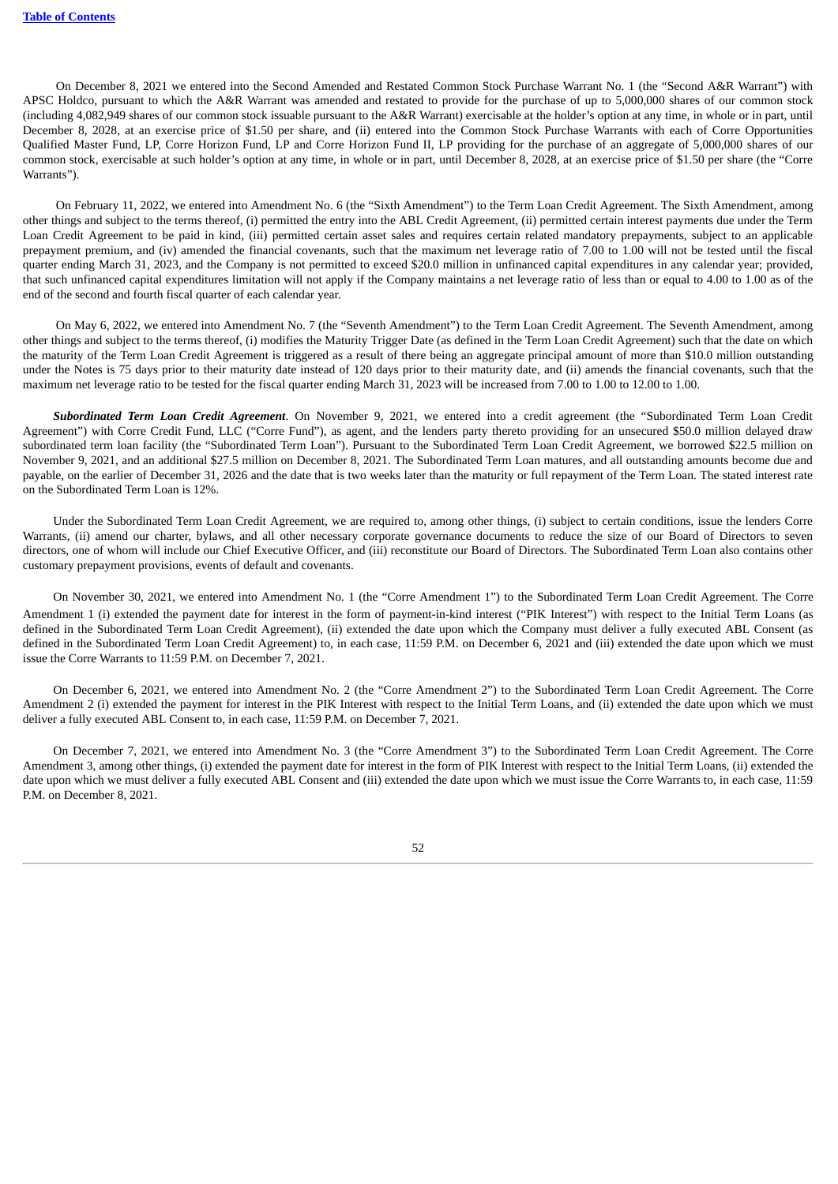On December 8, 2021 we entered into the Second Amended and Restated Common Stock Purchase Warrant No. 1 (the "Second A&R Warrant") with APSC Holdco, pursuant to which the A&R Warrant was amended and restated to provide for the purchase of up to 5,000,000 shares of our common stock (including 4,082,949 shares of our common stock issuable pursuant to the A&R Warrant) exercisable at the holder's option at any time, in whole or in part, until December 8, 2028, at an exercise price of \$1.50 per share, and (ii) entered into the Common Stock Purchase Warrants with each of Corre Opportunities Qualified Master Fund, LP, Corre Horizon Fund, LP and Corre Horizon Fund II, LP providing for the purchase of an aggregate of 5,000,000 shares of our common stock, exercisable at such holder's option at any time, in whole or in part, until December 8, 2028, at an exercise price of \$1.50 per share (the "Corre Warrants").

On February 11, 2022, we entered into Amendment No. 6 (the "Sixth Amendment") to the Term Loan Credit Agreement. The Sixth Amendment, among other things and subject to the terms thereof, (i) permitted the entry into the ABL Credit Agreement, (ii) permitted certain interest payments due under the Term Loan Credit Agreement to be paid in kind, (iii) permitted certain asset sales and requires certain related mandatory prepayments, subject to an applicable prepayment premium, and (iv) amended the financial covenants, such that the maximum net leverage ratio of 7.00 to 1.00 will not be tested until the fiscal quarter ending March 31, 2023, and the Company is not permitted to exceed \$20.0 million in unfinanced capital expenditures in any calendar year; provided, that such unfinanced capital expenditures limitation will not apply if the Company maintains a net leverage ratio of less than or equal to 4.00 to 1.00 as of the end of the second and fourth fiscal quarter of each calendar year.

On May 6, 2022, we entered into Amendment No. 7 (the "Seventh Amendment") to the Term Loan Credit Agreement. The Seventh Amendment, among other things and subject to the terms thereof, (i) modifies the Maturity Trigger Date (as defined in the Term Loan Credit Agreement) such that the date on which the maturity of the Term Loan Credit Agreement is triggered as a result of there being an aggregate principal amount of more than \$10.0 million outstanding under the Notes is 75 days prior to their maturity date instead of 120 days prior to their maturity date, and (ii) amends the financial covenants, such that the maximum net leverage ratio to be tested for the fiscal quarter ending March 31, 2023 will be increased from 7.00 to 1.00 to 12.00 to 1.00.

*Subordinated Term Loan Credit Agreement*. On November 9, 2021, we entered into a credit agreement (the "Subordinated Term Loan Credit Agreement") with Corre Credit Fund, LLC ("Corre Fund"), as agent, and the lenders party thereto providing for an unsecured \$50.0 million delayed draw subordinated term loan facility (the "Subordinated Term Loan"). Pursuant to the Subordinated Term Loan Credit Agreement, we borrowed \$22.5 million on November 9, 2021, and an additional \$27.5 million on December 8, 2021. The Subordinated Term Loan matures, and all outstanding amounts become due and payable, on the earlier of December 31, 2026 and the date that is two weeks later than the maturity or full repayment of the Term Loan. The stated interest rate on the Subordinated Term Loan is 12%.

Under the Subordinated Term Loan Credit Agreement, we are required to, among other things, (i) subject to certain conditions, issue the lenders Corre Warrants, (ii) amend our charter, bylaws, and all other necessary corporate governance documents to reduce the size of our Board of Directors to seven directors, one of whom will include our Chief Executive Officer, and (iii) reconstitute our Board of Directors. The Subordinated Term Loan also contains other customary prepayment provisions, events of default and covenants.

On November 30, 2021, we entered into Amendment No. 1 (the "Corre Amendment 1") to the Subordinated Term Loan Credit Agreement. The Corre Amendment 1 (i) extended the payment date for interest in the form of payment-in-kind interest ("PIK Interest") with respect to the Initial Term Loans (as defined in the Subordinated Term Loan Credit Agreement), (ii) extended the date upon which the Company must deliver a fully executed ABL Consent (as defined in the Subordinated Term Loan Credit Agreement) to, in each case, 11:59 P.M. on December 6, 2021 and (iii) extended the date upon which we must issue the Corre Warrants to 11:59 P.M. on December 7, 2021.

On December 6, 2021, we entered into Amendment No. 2 (the "Corre Amendment 2") to the Subordinated Term Loan Credit Agreement. The Corre Amendment 2 (i) extended the payment for interest in the PIK Interest with respect to the Initial Term Loans, and (ii) extended the date upon which we must deliver a fully executed ABL Consent to, in each case, 11:59 P.M. on December 7, 2021.

On December 7, 2021, we entered into Amendment No. 3 (the "Corre Amendment 3") to the Subordinated Term Loan Credit Agreement. The Corre Amendment 3, among other things, (i) extended the payment date for interest in the form of PIK Interest with respect to the Initial Term Loans, (ii) extended the date upon which we must deliver a fully executed ABL Consent and (iii) extended the date upon which we must issue the Corre Warrants to, in each case, 11:59 P.M. on December 8, 2021.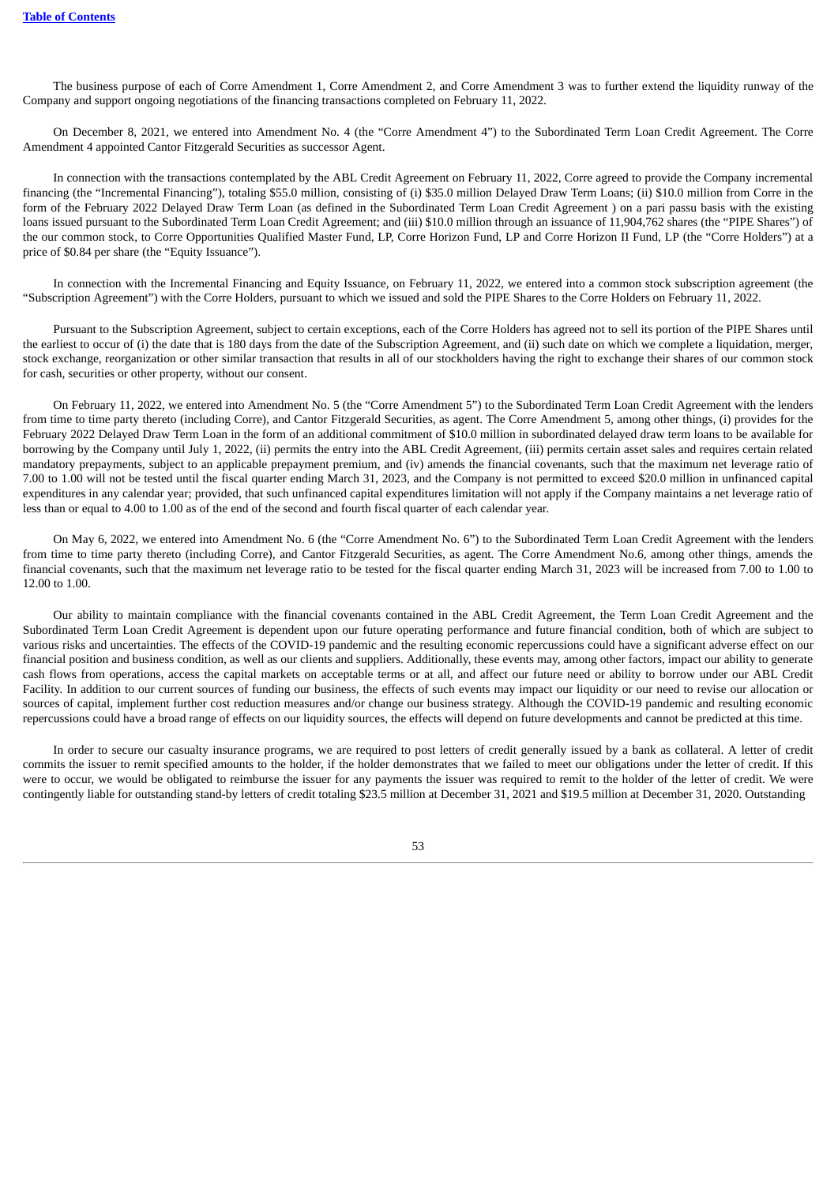The business purpose of each of Corre Amendment 1, Corre Amendment 2, and Corre Amendment 3 was to further extend the liquidity runway of the Company and support ongoing negotiations of the financing transactions completed on February 11, 2022.

On December 8, 2021, we entered into Amendment No. 4 (the "Corre Amendment 4") to the Subordinated Term Loan Credit Agreement. The Corre Amendment 4 appointed Cantor Fitzgerald Securities as successor Agent.

In connection with the transactions contemplated by the ABL Credit Agreement on February 11, 2022, Corre agreed to provide the Company incremental financing (the "Incremental Financing"), totaling \$55.0 million, consisting of (i) \$35.0 million Delayed Draw Term Loans; (ii) \$10.0 million from Corre in the form of the February 2022 Delayed Draw Term Loan (as defined in the Subordinated Term Loan Credit Agreement ) on a pari passu basis with the existing loans issued pursuant to the Subordinated Term Loan Credit Agreement; and (iii) \$10.0 million through an issuance of 11,904,762 shares (the "PIPE Shares") of the our common stock, to Corre Opportunities Qualified Master Fund, LP, Corre Horizon Fund, LP and Corre Horizon II Fund, LP (the "Corre Holders") at a price of \$0.84 per share (the "Equity Issuance").

In connection with the Incremental Financing and Equity Issuance, on February 11, 2022, we entered into a common stock subscription agreement (the "Subscription Agreement") with the Corre Holders, pursuant to which we issued and sold the PIPE Shares to the Corre Holders on February 11, 2022.

Pursuant to the Subscription Agreement, subject to certain exceptions, each of the Corre Holders has agreed not to sell its portion of the PIPE Shares until the earliest to occur of (i) the date that is 180 days from the date of the Subscription Agreement, and (ii) such date on which we complete a liquidation, merger, stock exchange, reorganization or other similar transaction that results in all of our stockholders having the right to exchange their shares of our common stock for cash, securities or other property, without our consent.

On February 11, 2022, we entered into Amendment No. 5 (the "Corre Amendment 5") to the Subordinated Term Loan Credit Agreement with the lenders from time to time party thereto (including Corre), and Cantor Fitzgerald Securities, as agent. The Corre Amendment 5, among other things, (i) provides for the February 2022 Delayed Draw Term Loan in the form of an additional commitment of \$10.0 million in subordinated delayed draw term loans to be available for borrowing by the Company until July 1, 2022, (ii) permits the entry into the ABL Credit Agreement, (iii) permits certain asset sales and requires certain related mandatory prepayments, subject to an applicable prepayment premium, and (iv) amends the financial covenants, such that the maximum net leverage ratio of 7.00 to 1.00 will not be tested until the fiscal quarter ending March 31, 2023, and the Company is not permitted to exceed \$20.0 million in unfinanced capital expenditures in any calendar year; provided, that such unfinanced capital expenditures limitation will not apply if the Company maintains a net leverage ratio of less than or equal to 4.00 to 1.00 as of the end of the second and fourth fiscal quarter of each calendar year.

On May 6, 2022, we entered into Amendment No. 6 (the "Corre Amendment No. 6") to the Subordinated Term Loan Credit Agreement with the lenders from time to time party thereto (including Corre), and Cantor Fitzgerald Securities, as agent. The Corre Amendment No.6, among other things, amends the financial covenants, such that the maximum net leverage ratio to be tested for the fiscal quarter ending March 31, 2023 will be increased from 7.00 to 1.00 to 12.00 to 1.00.

Our ability to maintain compliance with the financial covenants contained in the ABL Credit Agreement, the Term Loan Credit Agreement and the Subordinated Term Loan Credit Agreement is dependent upon our future operating performance and future financial condition, both of which are subject to various risks and uncertainties. The effects of the COVID-19 pandemic and the resulting economic repercussions could have a significant adverse effect on our financial position and business condition, as well as our clients and suppliers. Additionally, these events may, among other factors, impact our ability to generate cash flows from operations, access the capital markets on acceptable terms or at all, and affect our future need or ability to borrow under our ABL Credit Facility. In addition to our current sources of funding our business, the effects of such events may impact our liquidity or our need to revise our allocation or sources of capital, implement further cost reduction measures and/or change our business strategy. Although the COVID-19 pandemic and resulting economic repercussions could have a broad range of effects on our liquidity sources, the effects will depend on future developments and cannot be predicted at this time.

In order to secure our casualty insurance programs, we are required to post letters of credit generally issued by a bank as collateral. A letter of credit commits the issuer to remit specified amounts to the holder, if the holder demonstrates that we failed to meet our obligations under the letter of credit. If this were to occur, we would be obligated to reimburse the issuer for any payments the issuer was required to remit to the holder of the letter of credit. We were contingently liable for outstanding stand-by letters of credit totaling \$23.5 million at December 31, 2021 and \$19.5 million at December 31, 2020. Outstanding

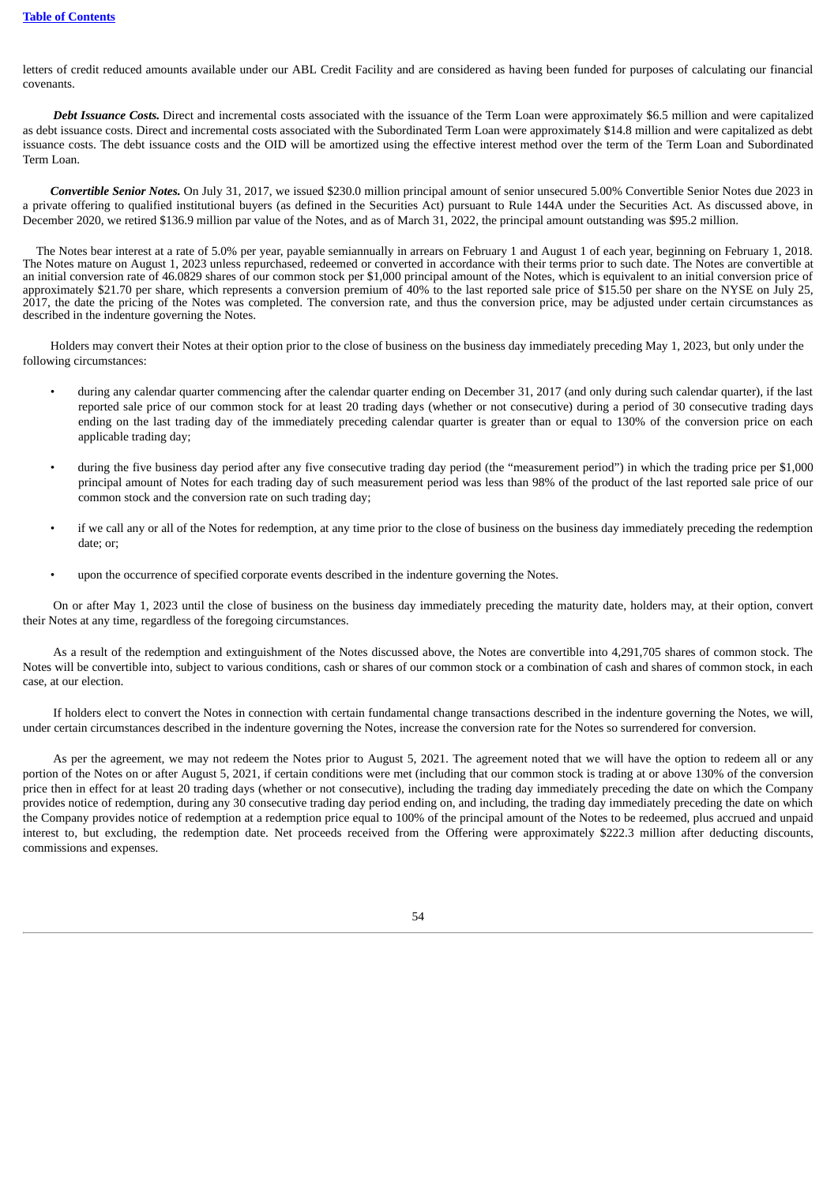letters of credit reduced amounts available under our ABL Credit Facility and are considered as having been funded for purposes of calculating our financial covenants.

*Debt Issuance Costs.* Direct and incremental costs associated with the issuance of the Term Loan were approximately \$6.5 million and were capitalized as debt issuance costs. Direct and incremental costs associated with the Subordinated Term Loan were approximately \$14.8 million and were capitalized as debt issuance costs. The debt issuance costs and the OID will be amortized using the effective interest method over the term of the Term Loan and Subordinated Term Loan.

*Convertible Senior Notes.* On July 31, 2017, we issued \$230.0 million principal amount of senior unsecured 5.00% Convertible Senior Notes due 2023 in a private offering to qualified institutional buyers (as defined in the Securities Act) pursuant to Rule 144A under the Securities Act. As discussed above, in December 2020, we retired \$136.9 million par value of the Notes, and as of March 31, 2022, the principal amount outstanding was \$95.2 million.

The Notes bear interest at a rate of 5.0% per year, payable semiannually in arrears on February 1 and August 1 of each year, beginning on February 1, 2018. The Notes mature on August 1, 2023 unless repurchased, redeemed or converted in accordance with their terms prior to such date. The Notes are convertible at an initial conversion rate of 46.0829 shares of our common stock per \$1,000 principal amount of the Notes, which is equivalent to an initial conversion price of approximately \$21.70 per share, which represents a conversion premium of 40% to the last reported sale price of \$15.50 per share on the NYSE on July 25, 2017, the date the pricing of the Notes was completed. The conversion rate, and thus the conversion price, may be adjusted under certain circumstances as described in the indenture governing the Notes.

Holders may convert their Notes at their option prior to the close of business on the business day immediately preceding May 1, 2023, but only under the following circumstances:

- during any calendar quarter commencing after the calendar quarter ending on December 31, 2017 (and only during such calendar quarter), if the last reported sale price of our common stock for at least 20 trading days (whether or not consecutive) during a period of 30 consecutive trading days ending on the last trading day of the immediately preceding calendar quarter is greater than or equal to 130% of the conversion price on each applicable trading day;
- during the five business day period after any five consecutive trading day period (the "measurement period") in which the trading price per \$1,000 principal amount of Notes for each trading day of such measurement period was less than 98% of the product of the last reported sale price of our common stock and the conversion rate on such trading day;
- if we call any or all of the Notes for redemption, at any time prior to the close of business on the business day immediately preceding the redemption date; or;
- upon the occurrence of specified corporate events described in the indenture governing the Notes.

On or after May 1, 2023 until the close of business on the business day immediately preceding the maturity date, holders may, at their option, convert their Notes at any time, regardless of the foregoing circumstances.

As a result of the redemption and extinguishment of the Notes discussed above, the Notes are convertible into 4,291,705 shares of common stock. The Notes will be convertible into, subject to various conditions, cash or shares of our common stock or a combination of cash and shares of common stock, in each case, at our election.

If holders elect to convert the Notes in connection with certain fundamental change transactions described in the indenture governing the Notes, we will, under certain circumstances described in the indenture governing the Notes, increase the conversion rate for the Notes so surrendered for conversion.

As per the agreement, we may not redeem the Notes prior to August 5, 2021. The agreement noted that we will have the option to redeem all or any portion of the Notes on or after August 5, 2021, if certain conditions were met (including that our common stock is trading at or above 130% of the conversion price then in effect for at least 20 trading days (whether or not consecutive), including the trading day immediately preceding the date on which the Company provides notice of redemption, during any 30 consecutive trading day period ending on, and including, the trading day immediately preceding the date on which the Company provides notice of redemption at a redemption price equal to 100% of the principal amount of the Notes to be redeemed, plus accrued and unpaid interest to, but excluding, the redemption date. Net proceeds received from the Offering were approximately \$222.3 million after deducting discounts, commissions and expenses.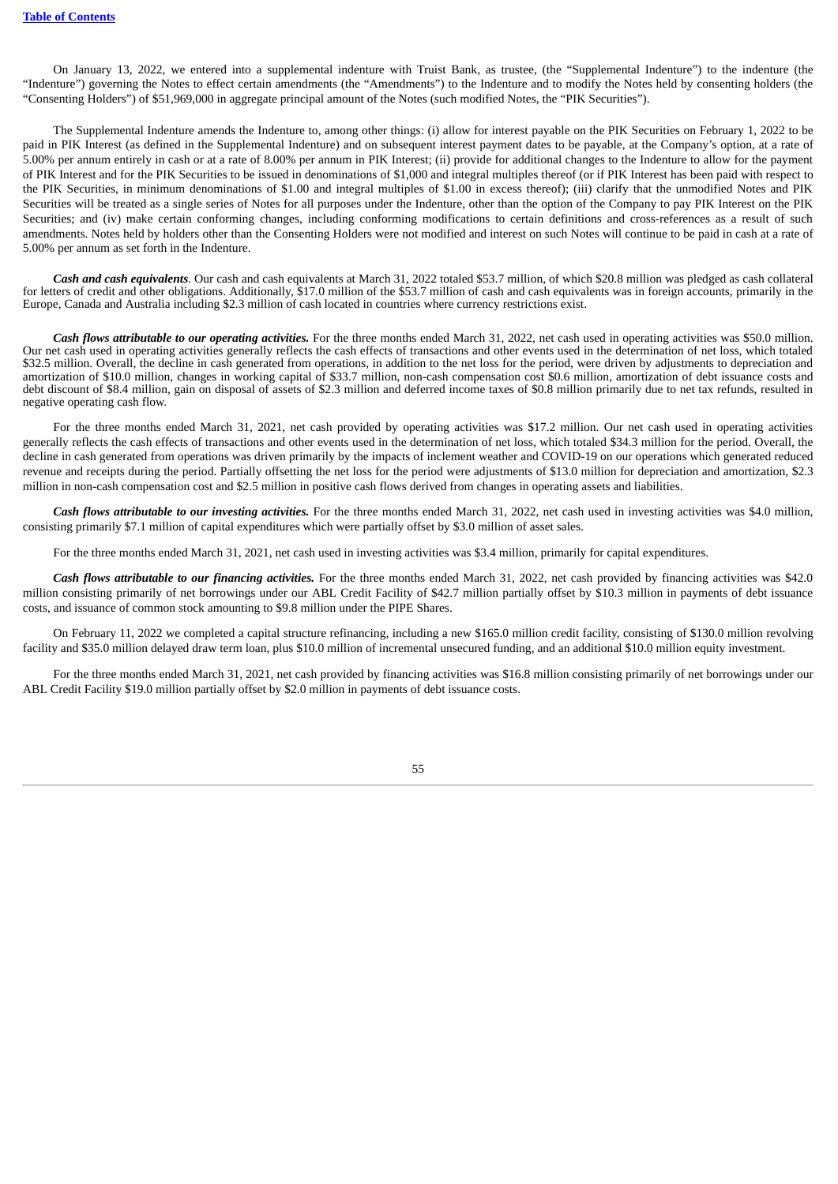On January 13, 2022, we entered into a supplemental indenture with Truist Bank, as trustee, (the "Supplemental Indenture") to the indenture (the "Indenture") governing the Notes to effect certain amendments (the "Amendments") to the Indenture and to modify the Notes held by consenting holders (the "Consenting Holders") of \$51,969,000 in aggregate principal amount of the Notes (such modified Notes, the "PIK Securities").

The Supplemental Indenture amends the Indenture to, among other things: (i) allow for interest payable on the PIK Securities on February 1, 2022 to be paid in PIK Interest (as defined in the Supplemental Indenture) and on subsequent interest payment dates to be payable, at the Company's option, at a rate of 5.00% per annum entirely in cash or at a rate of 8.00% per annum in PIK Interest; (ii) provide for additional changes to the Indenture to allow for the payment of PIK Interest and for the PIK Securities to be issued in denominations of \$1,000 and integral multiples thereof (or if PIK Interest has been paid with respect to the PIK Securities, in minimum denominations of \$1.00 and integral multiples of \$1.00 in excess thereof); (iii) clarify that the unmodified Notes and PIK Securities will be treated as a single series of Notes for all purposes under the Indenture, other than the option of the Company to pay PIK Interest on the PIK Securities; and (iv) make certain conforming changes, including conforming modifications to certain definitions and cross-references as a result of such amendments. Notes held by holders other than the Consenting Holders were not modified and interest on such Notes will continue to be paid in cash at a rate of 5.00% per annum as set forth in the Indenture.

*Cash and cash equivalents*. Our cash and cash equivalents at March 31, 2022 totaled \$53.7 million, of which \$20.8 million was pledged as cash collateral for letters of credit and other obligations. Additionally, \$17.0 million of the \$53.7 million of cash and cash equivalents was in foreign accounts, primarily in the Europe, Canada and Australia including \$2.3 million of cash located in countries where currency restrictions exist.

*Cash flows attributable to our operating activities.* For the three months ended March 31, 2022, net cash used in operating activities was \$50.0 million. Our net cash used in operating activities generally reflects the cash effects of transactions and other events used in the determination of net loss, which totaled \$32.5 million. Overall, the decline in cash generated from operations, in addition to the net loss for the period, were driven by adjustments to depreciation and amortization of \$10.0 million, changes in working capital of \$33.7 million, non-cash compensation cost \$0.6 million, amortization of debt issuance costs and debt discount of \$8.4 million, gain on disposal of assets of \$2.3 million and deferred income taxes of \$0.8 million primarily due to net tax refunds, resulted in negative operating cash flow.

For the three months ended March 31, 2021, net cash provided by operating activities was \$17.2 million. Our net cash used in operating activities generally reflects the cash effects of transactions and other events used in the determination of net loss, which totaled \$34.3 million for the period. Overall, the decline in cash generated from operations was driven primarily by the impacts of inclement weather and COVID-19 on our operations which generated reduced revenue and receipts during the period. Partially offsetting the net loss for the period were adjustments of \$13.0 million for depreciation and amortization, \$2.3 million in non-cash compensation cost and \$2.5 million in positive cash flows derived from changes in operating assets and liabilities.

*Cash flows attributable to our investing activities.* For the three months ended March 31, 2022, net cash used in investing activities was \$4.0 million, consisting primarily \$7.1 million of capital expenditures which were partially offset by \$3.0 million of asset sales.

For the three months ended March 31, 2021, net cash used in investing activities was \$3.4 million, primarily for capital expenditures.

*Cash flows attributable to our financing activities.* For the three months ended March 31, 2022, net cash provided by financing activities was \$42.0 million consisting primarily of net borrowings under our ABL Credit Facility of \$42.7 million partially offset by \$10.3 million in payments of debt issuance costs, and issuance of common stock amounting to \$9.8 million under the PIPE Shares.

On February 11, 2022 we completed a capital structure refinancing, including a new \$165.0 million credit facility, consisting of \$130.0 million revolving facility and \$35.0 million delayed draw term loan, plus \$10.0 million of incremental unsecured funding, and an additional \$10.0 million equity investment.

For the three months ended March 31, 2021, net cash provided by financing activities was \$16.8 million consisting primarily of net borrowings under our ABL Credit Facility \$19.0 million partially offset by \$2.0 million in payments of debt issuance costs.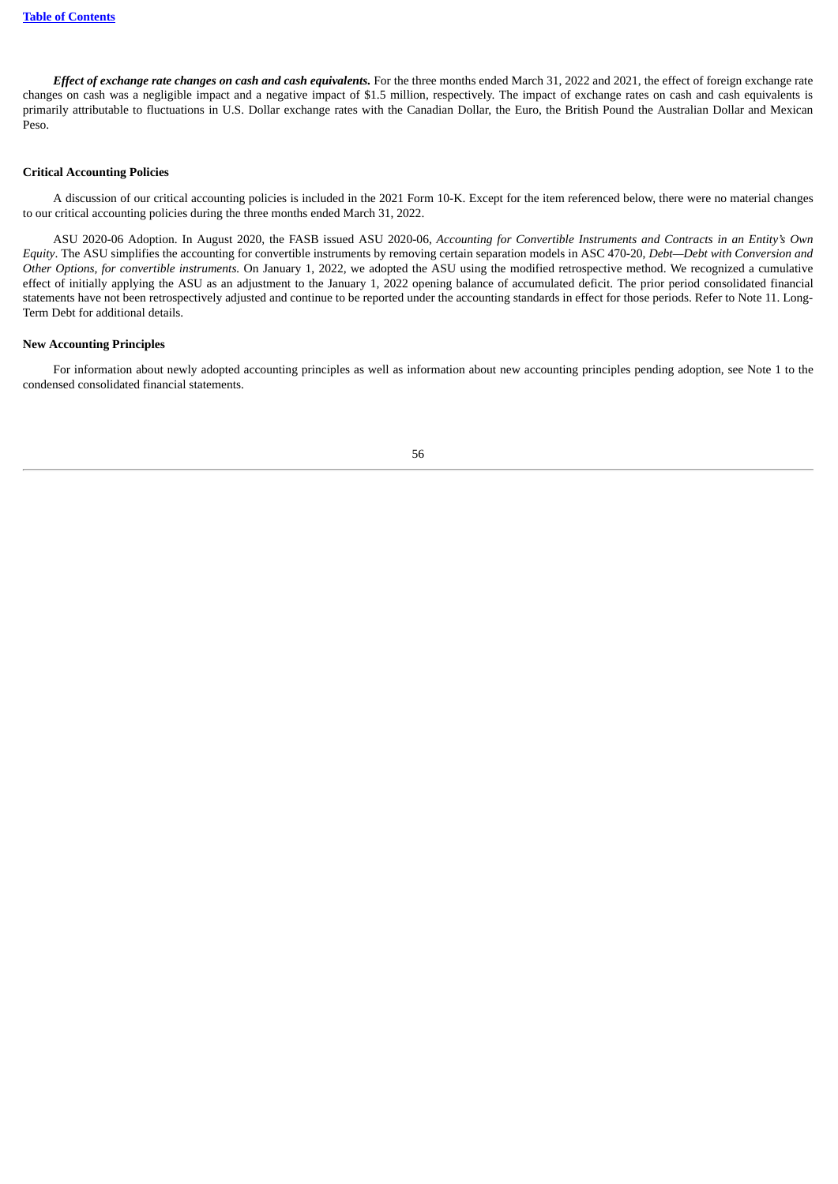*Effect of exchange rate changes on cash and cash equivalents.* For the three months ended March 31, 2022 and 2021, the effect of foreign exchange rate changes on cash was a negligible impact and a negative impact of \$1.5 million, respectively. The impact of exchange rates on cash and cash equivalents is primarily attributable to fluctuations in U.S. Dollar exchange rates with the Canadian Dollar, the Euro, the British Pound the Australian Dollar and Mexican Peso.

#### **Critical Accounting Policies**

A discussion of our critical accounting policies is included in the 2021 Form 10-K. Except for the item referenced below, there were no material changes to our critical accounting policies during the three months ended March 31, 2022.

ASU 2020-06 Adoption. In August 2020, the FASB issued ASU 2020-06, *Accounting for Convertible Instruments and Contracts in an Entity's Own Equity*. The ASU simplifies the accounting for convertible instruments by removing certain separation models in ASC 470-20, *Debt—Debt with Conversion and Other Options, for convertible instruments.* On January 1, 2022, we adopted the ASU using the modified retrospective method. We recognized a cumulative effect of initially applying the ASU as an adjustment to the January 1, 2022 opening balance of accumulated deficit. The prior period consolidated financial statements have not been retrospectively adjusted and continue to be reported under the accounting standards in effect for those periods. Refer to Note 11. Long-Term Debt for additional details.

# **New Accounting Principles**

For information about newly adopted accounting principles as well as information about new accounting principles pending adoption, see Note 1 to the condensed consolidated financial statements.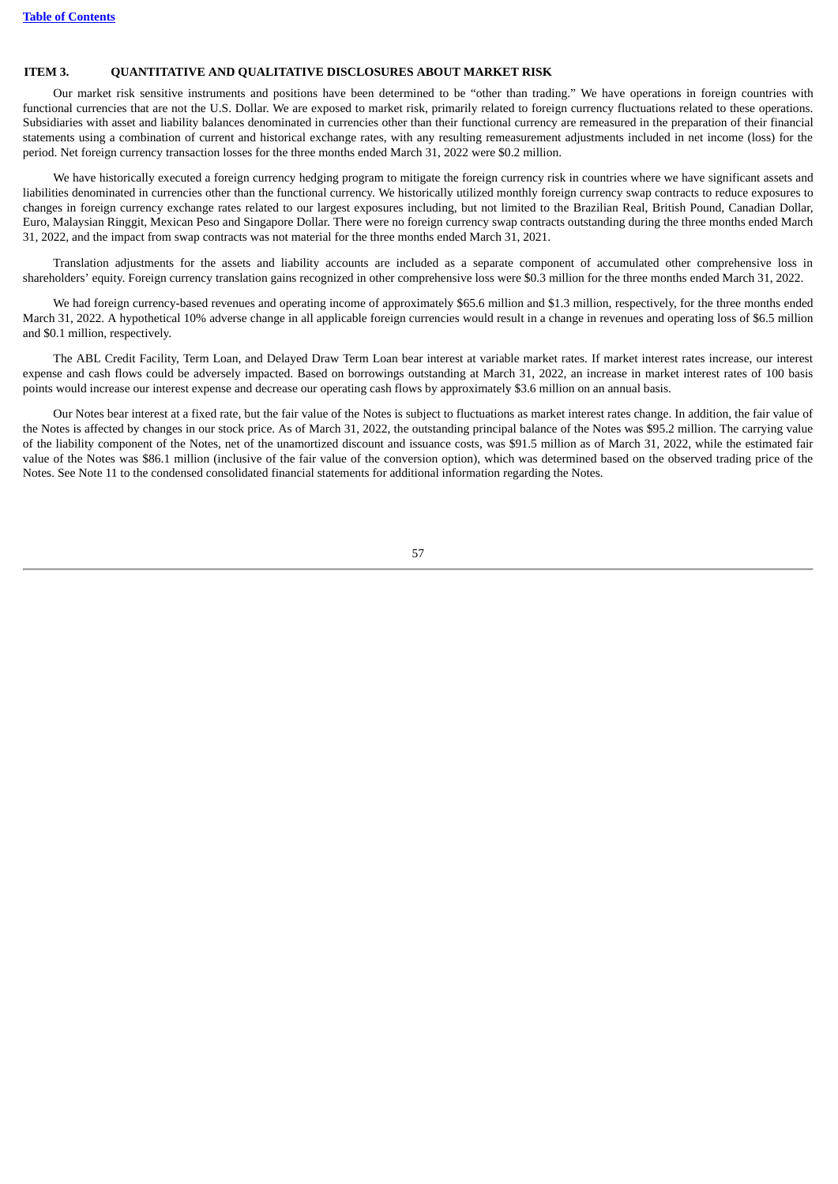### **ITEM 3. QUANTITATIVE AND QUALITATIVE DISCLOSURES ABOUT MARKET RISK**

Our market risk sensitive instruments and positions have been determined to be "other than trading." We have operations in foreign countries with functional currencies that are not the U.S. Dollar. We are exposed to market risk, primarily related to foreign currency fluctuations related to these operations. Subsidiaries with asset and liability balances denominated in currencies other than their functional currency are remeasured in the preparation of their financial statements using a combination of current and historical exchange rates, with any resulting remeasurement adjustments included in net income (loss) for the period. Net foreign currency transaction losses for the three months ended March 31, 2022 were \$0.2 million.

We have historically executed a foreign currency hedging program to mitigate the foreign currency risk in countries where we have significant assets and liabilities denominated in currencies other than the functional currency. We historically utilized monthly foreign currency swap contracts to reduce exposures to changes in foreign currency exchange rates related to our largest exposures including, but not limited to the Brazilian Real, British Pound, Canadian Dollar, Euro, Malaysian Ringgit, Mexican Peso and Singapore Dollar. There were no foreign currency swap contracts outstanding during the three months ended March 31, 2022, and the impact from swap contracts was not material for the three months ended March 31, 2021.

Translation adjustments for the assets and liability accounts are included as a separate component of accumulated other comprehensive loss in shareholders' equity. Foreign currency translation gains recognized in other comprehensive loss were \$0.3 million for the three months ended March 31, 2022.

We had foreign currency-based revenues and operating income of approximately \$65.6 million and \$1.3 million, respectively, for the three months ended March 31, 2022. A hypothetical 10% adverse change in all applicable foreign currencies would result in a change in revenues and operating loss of \$6.5 million and \$0.1 million, respectively.

The ABL Credit Facility, Term Loan, and Delayed Draw Term Loan bear interest at variable market rates. If market interest rates increase, our interest expense and cash flows could be adversely impacted. Based on borrowings outstanding at March 31, 2022, an increase in market interest rates of 100 basis points would increase our interest expense and decrease our operating cash flows by approximately \$3.6 million on an annual basis.

Our Notes bear interest at a fixed rate, but the fair value of the Notes is subject to fluctuations as market interest rates change. In addition, the fair value of the Notes is affected by changes in our stock price. As of March 31, 2022, the outstanding principal balance of the Notes was \$95.2 million. The carrying value of the liability component of the Notes, net of the unamortized discount and issuance costs, was \$91.5 million as of March 31, 2022, while the estimated fair value of the Notes was \$86.1 million (inclusive of the fair value of the conversion option), which was determined based on the observed trading price of the Notes. See Note 11 to the condensed consolidated financial statements for additional information regarding the Notes.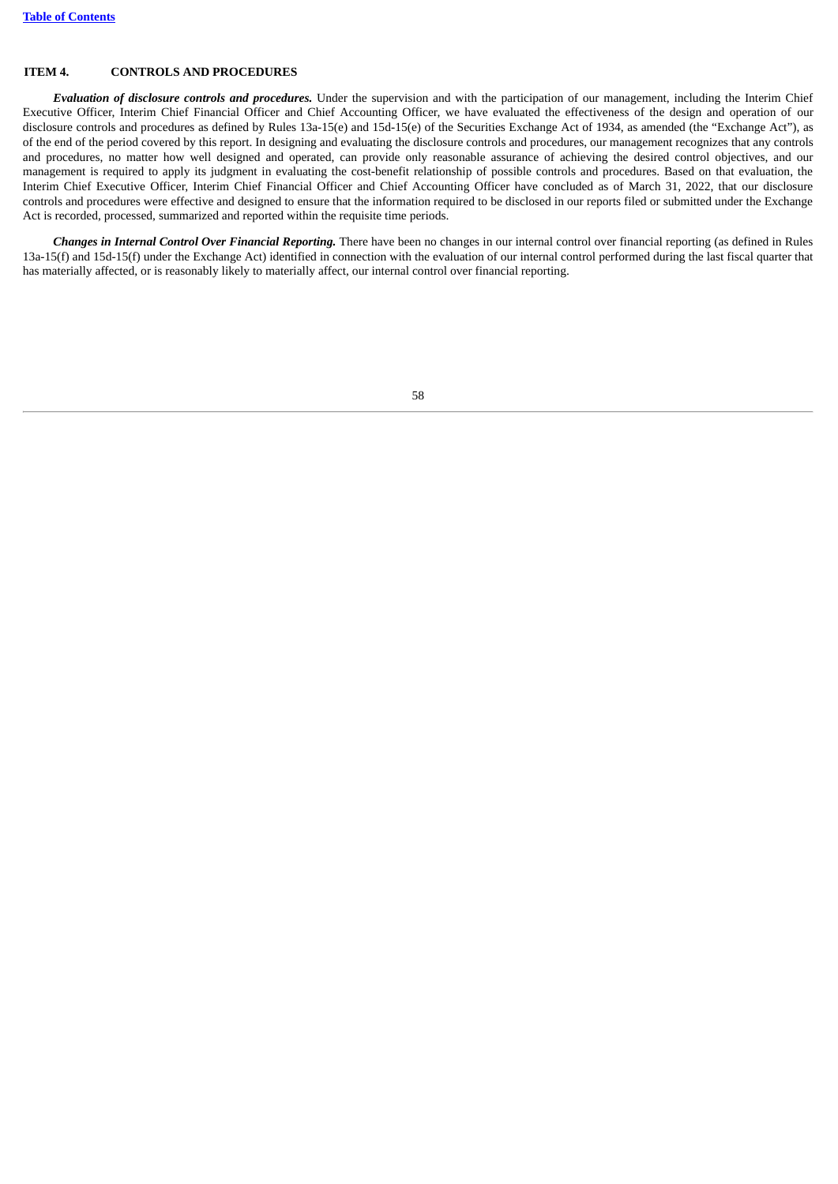# **ITEM 4. CONTROLS AND PROCEDURES**

*Evaluation of disclosure controls and procedures.* Under the supervision and with the participation of our management, including the Interim Chief Executive Officer, Interim Chief Financial Officer and Chief Accounting Officer, we have evaluated the effectiveness of the design and operation of our disclosure controls and procedures as defined by Rules 13a-15(e) and 15d-15(e) of the Securities Exchange Act of 1934, as amended (the "Exchange Act"), as of the end of the period covered by this report. In designing and evaluating the disclosure controls and procedures, our management recognizes that any controls and procedures, no matter how well designed and operated, can provide only reasonable assurance of achieving the desired control objectives, and our management is required to apply its judgment in evaluating the cost-benefit relationship of possible controls and procedures. Based on that evaluation, the Interim Chief Executive Officer, Interim Chief Financial Officer and Chief Accounting Officer have concluded as of March 31, 2022, that our disclosure controls and procedures were effective and designed to ensure that the information required to be disclosed in our reports filed or submitted under the Exchange Act is recorded, processed, summarized and reported within the requisite time periods.

*Changes in Internal Control Over Financial Reporting.* There have been no changes in our internal control over financial reporting (as defined in Rules 13a-15(f) and 15d-15(f) under the Exchange Act) identified in connection with the evaluation of our internal control performed during the last fiscal quarter that has materially affected, or is reasonably likely to materially affect, our internal control over financial reporting.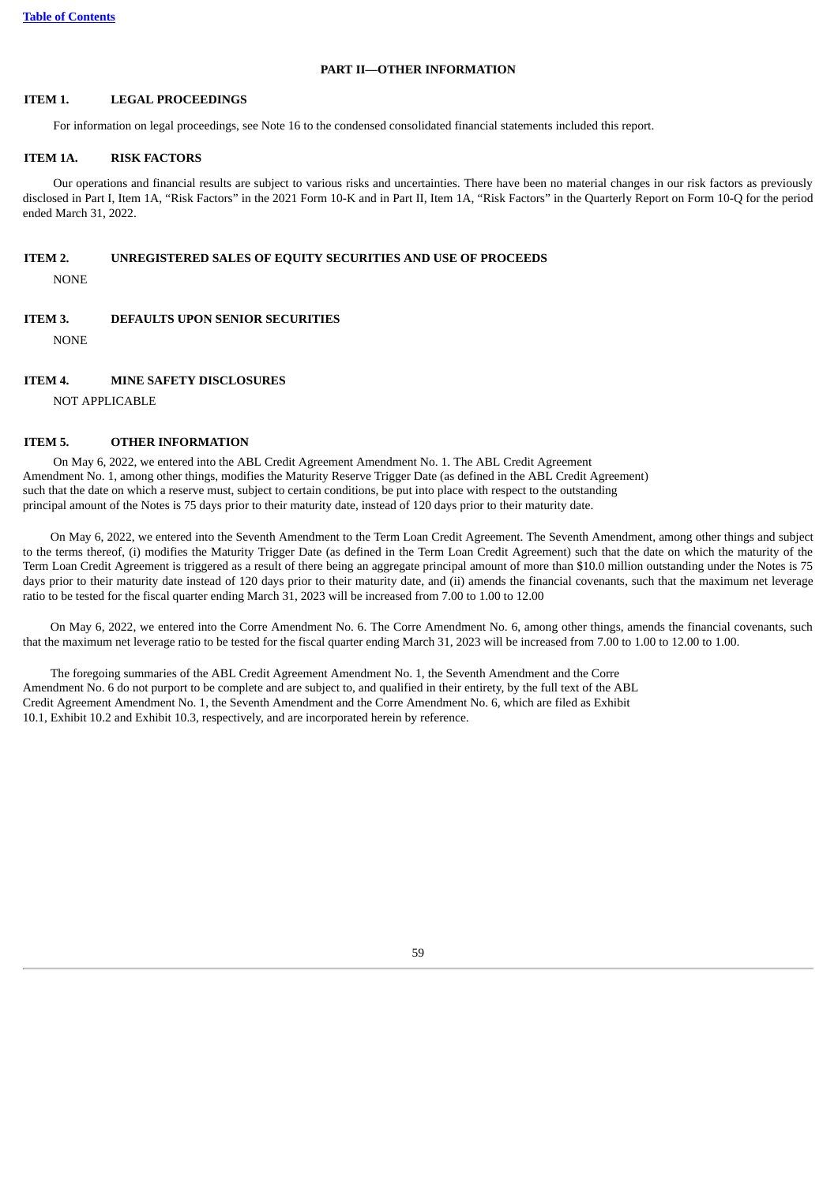# **PART II—OTHER INFORMATION**

# **ITEM 1. LEGAL PROCEEDINGS**

For information on legal proceedings, see Note 16 to the condensed consolidated financial statements included this report.

#### **ITEM 1A. RISK FACTORS**

Our operations and financial results are subject to various risks and uncertainties. There have been no material changes in our risk factors as previously disclosed in Part I, Item 1A, "Risk Factors" in the 2021 Form 10-K and in Part II, Item 1A, "Risk Factors" in the Quarterly Report on Form 10-Q for the period ended March 31, 2022.

# **ITEM 2. UNREGISTERED SALES OF EQUITY SECURITIES AND USE OF PROCEEDS**

NONE

# **ITEM 3. DEFAULTS UPON SENIOR SECURITIES**

**NONE** 

# **ITEM 4. MINE SAFETY DISCLOSURES**

NOT APPLICABLE

#### **ITEM 5. OTHER INFORMATION**

On May 6, 2022, we entered into the ABL Credit Agreement Amendment No. 1. The ABL Credit Agreement Amendment No. 1, among other things, modifies the Maturity Reserve Trigger Date (as defined in the ABL Credit Agreement) such that the date on which a reserve must, subject to certain conditions, be put into place with respect to the outstanding principal amount of the Notes is 75 days prior to their maturity date, instead of 120 days prior to their maturity date.

On May 6, 2022, we entered into the Seventh Amendment to the Term Loan Credit Agreement. The Seventh Amendment, among other things and subject to the terms thereof, (i) modifies the Maturity Trigger Date (as defined in the Term Loan Credit Agreement) such that the date on which the maturity of the Term Loan Credit Agreement is triggered as a result of there being an aggregate principal amount of more than \$10.0 million outstanding under the Notes is 75 days prior to their maturity date instead of 120 days prior to their maturity date, and (ii) amends the financial covenants, such that the maximum net leverage ratio to be tested for the fiscal quarter ending March 31, 2023 will be increased from 7.00 to 1.00 to 12.00

On May 6, 2022, we entered into the Corre Amendment No. 6. The Corre Amendment No. 6, among other things, amends the financial covenants, such that the maximum net leverage ratio to be tested for the fiscal quarter ending March 31, 2023 will be increased from 7.00 to 1.00 to 12.00 to 1.00.

The foregoing summaries of the ABL Credit Agreement Amendment No. 1, the Seventh Amendment and the Corre Amendment No. 6 do not purport to be complete and are subject to, and qualified in their entirety, by the full text of the ABL Credit Agreement Amendment No. 1, the Seventh Amendment and the Corre Amendment No. 6, which are filed as Exhibit 10.1, Exhibit 10.2 and Exhibit 10.3, respectively, and are incorporated herein by reference.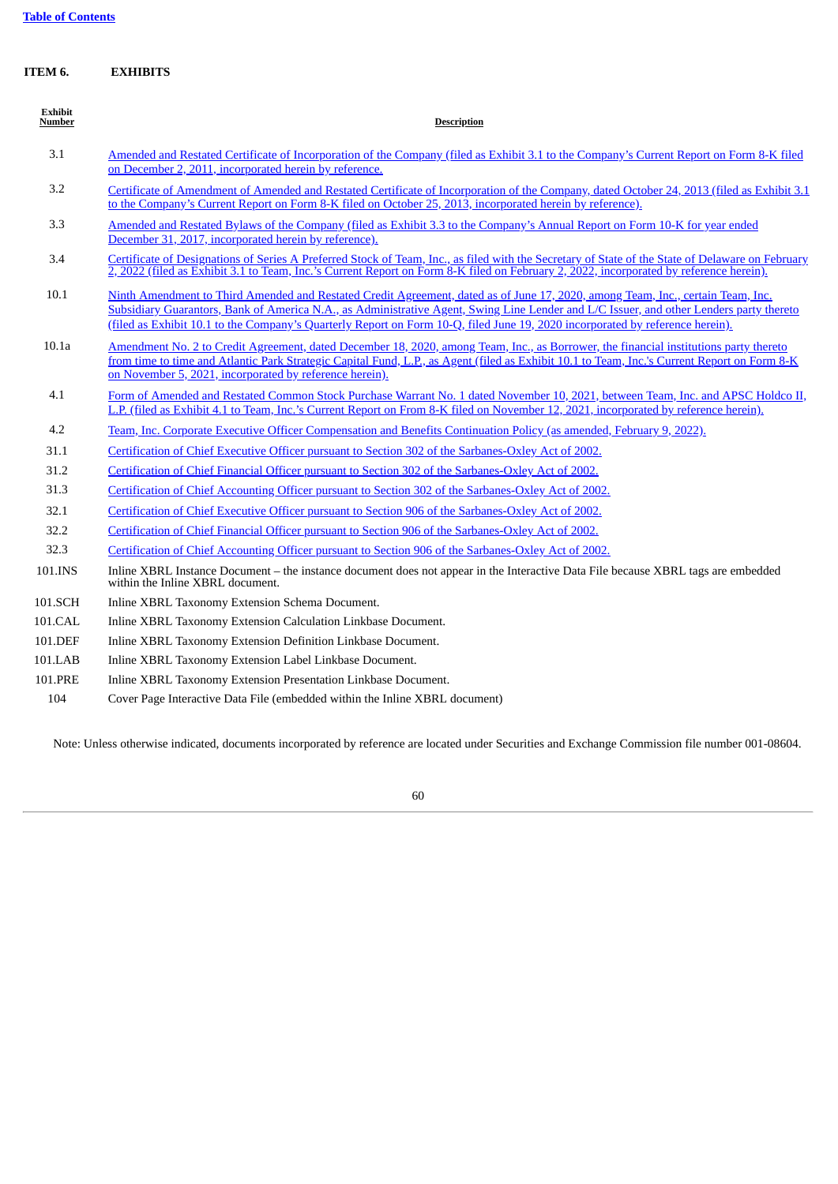# **Table of [Contents](#page-0-0)**

| ITEM 6.           | <b>EXHIBITS</b>                                                                                                                                                                                                                                                                                                                                                                                             |
|-------------------|-------------------------------------------------------------------------------------------------------------------------------------------------------------------------------------------------------------------------------------------------------------------------------------------------------------------------------------------------------------------------------------------------------------|
| Exhibit<br>Number | <b>Description</b>                                                                                                                                                                                                                                                                                                                                                                                          |
| 3.1               | Amended and Restated Certificate of Incorporation of the Company (filed as Exhibit 3.1 to the Company's Current Report on Form 8-K filed<br>on December 2, 2011, incorporated herein by reference.                                                                                                                                                                                                          |
| 3.2               | Certificate of Amendment of Amended and Restated Certificate of Incorporation of the Company, dated October 24, 2013 (filed as Exhibit 3.1)<br>to the Company's Current Report on Form 8-K filed on October 25, 2013, incorporated herein by reference).                                                                                                                                                    |
| 3.3               | Amended and Restated Bylaws of the Company (filed as Exhibit 3.3 to the Company's Annual Report on Form 10-K for year ended<br>December 31, 2017, incorporated herein by reference).                                                                                                                                                                                                                        |
| 3.4               | Certificate of Designations of Series A Preferred Stock of Team, Inc., as filed with the Secretary of State of the State of Delaware on February 2, 2022 (filed as Exhibit 3.1 to Team, Inc.'s Current Report on Form 8-K file                                                                                                                                                                              |
| 10.1              | Ninth Amendment to Third Amended and Restated Credit Agreement, dated as of June 17, 2020, among Team, Inc., certain Team, Inc.<br>Subsidiary Guarantors, Bank of America N.A., as Administrative Agent, Swing Line Lender and L/C Issuer, and other Lenders party thereto<br>(filed as Exhibit 10.1 to the Company's Quarterly Report on Form 10-Q, filed June 19, 2020 incorporated by reference herein). |
| 10.1a             | Amendment No. 2 to Credit Agreement, dated December 18, 2020, among Team, Inc., as Borrower, the financial institutions party thereto<br>from time to time and Atlantic Park Strategic Capital Fund, L.P., as Agent (filed as Exhibit 10.1 to Team, Inc.'s Current Report on Form 8-K<br>on November 5, 2021, incorporated by reference herein).                                                            |
| 4.1               | Form of Amended and Restated Common Stock Purchase Warrant No. 1 dated November 10, 2021, between Team, Inc. and APSC Holdco II,<br>L.P. (filed as Exhibit 4.1 to Team, Inc.'s Current Report on From 8-K filed on November 12, 2021, incorporated by reference herein),                                                                                                                                    |
| 4.2               | Team, Inc. Corporate Executive Officer Compensation and Benefits Continuation Policy (as amended, February 9, 2022).                                                                                                                                                                                                                                                                                        |
| 31.1              | Certification of Chief Executive Officer pursuant to Section 302 of the Sarbanes-Oxley Act of 2002.                                                                                                                                                                                                                                                                                                         |
| 31.2              | Certification of Chief Financial Officer pursuant to Section 302 of the Sarbanes-Oxley Act of 2002.                                                                                                                                                                                                                                                                                                         |
| 31.3              | Certification of Chief Accounting Officer pursuant to Section 302 of the Sarbanes-Oxley Act of 2002.                                                                                                                                                                                                                                                                                                        |
| 32.1              | Certification of Chief Executive Officer pursuant to Section 906 of the Sarbanes-Oxley Act of 2002.                                                                                                                                                                                                                                                                                                         |
| 32.2              | Certification of Chief Financial Officer pursuant to Section 906 of the Sarbanes-Oxley Act of 2002.                                                                                                                                                                                                                                                                                                         |
| 32.3              | Certification of Chief Accounting Officer pursuant to Section 906 of the Sarbanes-Oxley Act of 2002.                                                                                                                                                                                                                                                                                                        |
| 101.INS           | Inline XBRL Instance Document - the instance document does not appear in the Interactive Data File because XBRL tags are embedded<br>within the Inline XBRL document.                                                                                                                                                                                                                                       |
| 101.SCH           | Inline XBRL Taxonomy Extension Schema Document.                                                                                                                                                                                                                                                                                                                                                             |
| 101.CAL           | Inline XBRL Taxonomy Extension Calculation Linkbase Document.                                                                                                                                                                                                                                                                                                                                               |
| 101.DEF           | Inline XBRL Taxonomy Extension Definition Linkbase Document.                                                                                                                                                                                                                                                                                                                                                |
| 101.LAB           | Inline XBRL Taxonomy Extension Label Linkbase Document.                                                                                                                                                                                                                                                                                                                                                     |
| 101.PRE           | Inline XBRL Taxonomy Extension Presentation Linkbase Document.                                                                                                                                                                                                                                                                                                                                              |
| 104               | Cover Page Interactive Data File (embedded within the Inline XBRL document)                                                                                                                                                                                                                                                                                                                                 |

Note: Unless otherwise indicated, documents incorporated by reference are located under Securities and Exchange Commission file number 001-08604.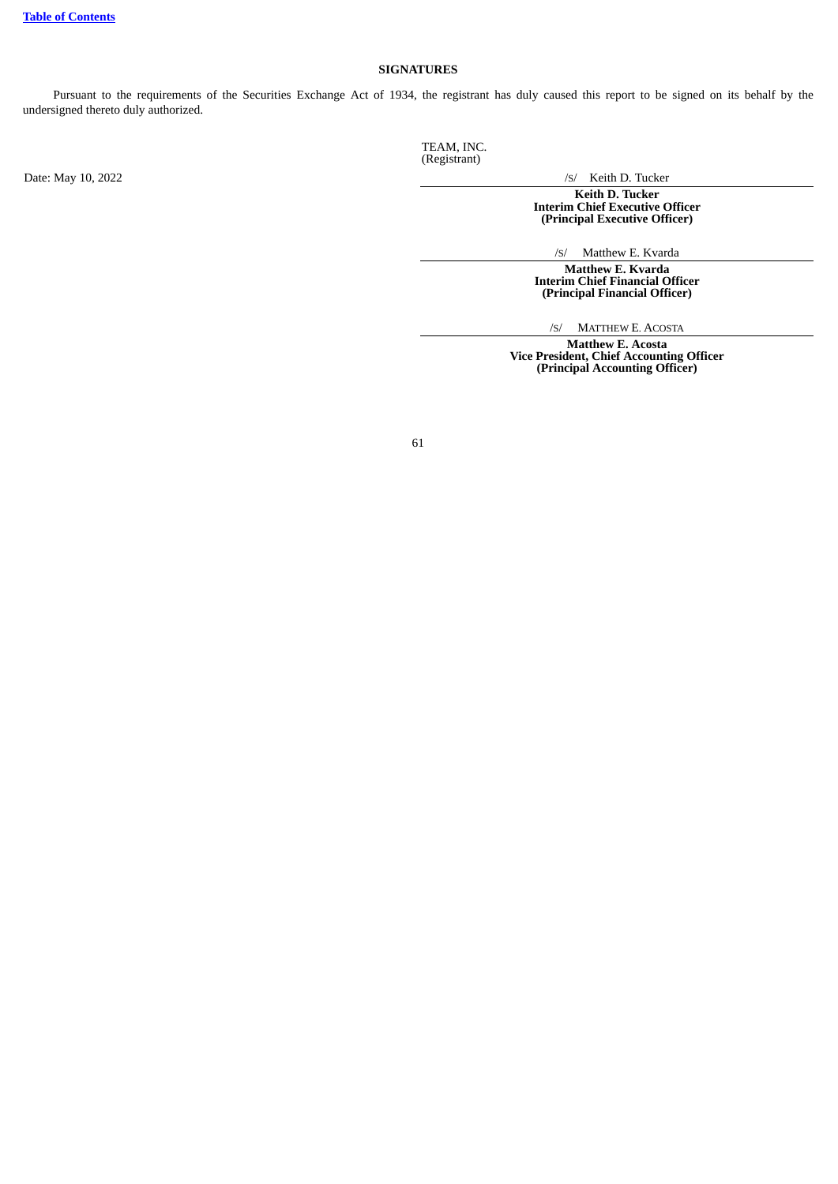# **SIGNATURES**

Pursuant to the requirements of the Securities Exchange Act of 1934, the registrant has duly caused this report to be signed on its behalf by the undersigned thereto duly authorized.

TEAM, INC. (Registrant)

Date: May 10, 2022 /S/ Keith D. Tucker

**Keith D. Tucker Interim Chief Executive Officer (Principal Executive Officer)**

/S/ Matthew E. Kvarda

**Matthew E. Kvarda Interim Chief Financial Officer (Principal Financial Officer)**

/S/ MATTHEW E. ACOSTA

**Matthew E. Acosta Vice President, Chief Accounting Officer (Principal Accounting Officer)**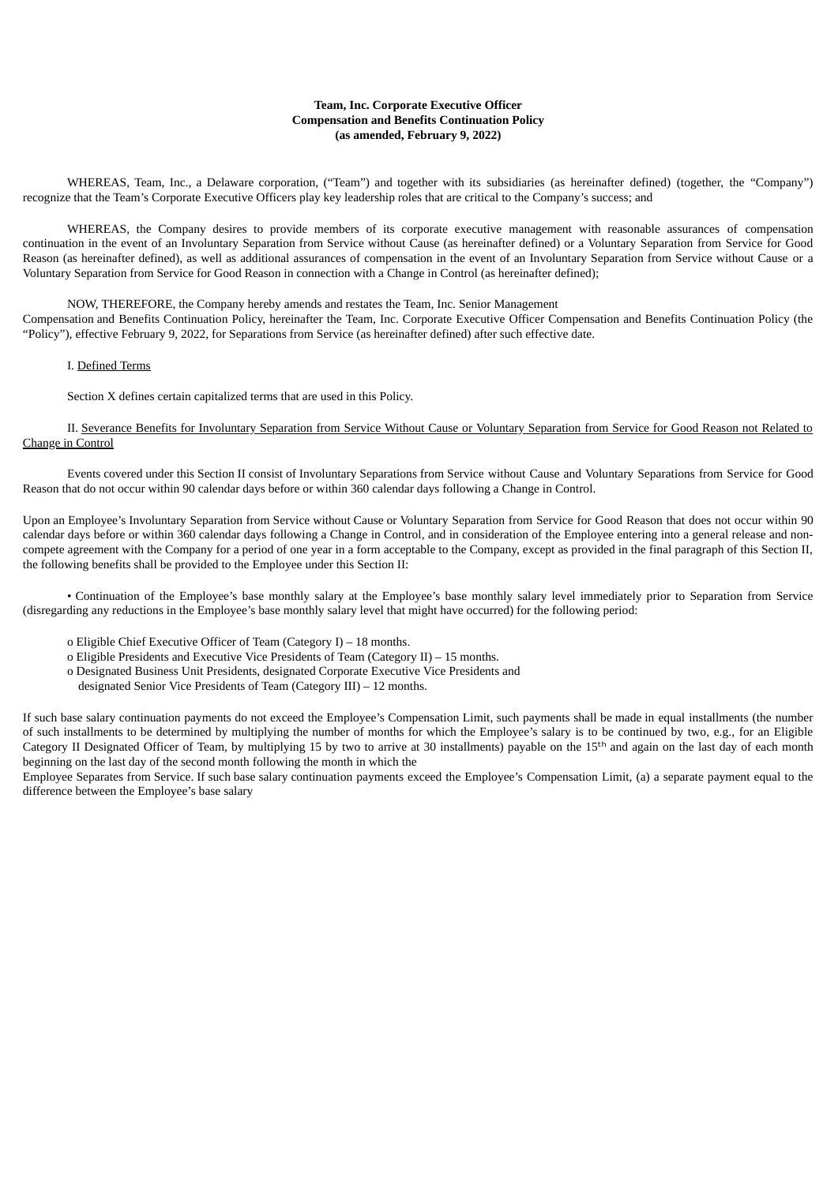# **Team, Inc. Corporate Executive Officer Compensation and Benefits Continuation Policy (as amended, February 9, 2022)**

<span id="page-62-0"></span>WHEREAS, Team, Inc., a Delaware corporation, ("Team") and together with its subsidiaries (as hereinafter defined) (together, the "Company") recognize that the Team's Corporate Executive Officers play key leadership roles that are critical to the Company's success; and

WHEREAS, the Company desires to provide members of its corporate executive management with reasonable assurances of compensation continuation in the event of an Involuntary Separation from Service without Cause (as hereinafter defined) or a Voluntary Separation from Service for Good Reason (as hereinafter defined), as well as additional assurances of compensation in the event of an Involuntary Separation from Service without Cause or a Voluntary Separation from Service for Good Reason in connection with a Change in Control (as hereinafter defined);

NOW, THEREFORE, the Company hereby amends and restates the Team, Inc. Senior Management

Compensation and Benefits Continuation Policy, hereinafter the Team, Inc. Corporate Executive Officer Compensation and Benefits Continuation Policy (the "Policy"), effective February 9, 2022, for Separations from Service (as hereinafter defined) after such effective date.

#### I. Defined Terms

Section X defines certain capitalized terms that are used in this Policy.

II. Severance Benefits for Involuntary Separation from Service Without Cause or Voluntary Separation from Service for Good Reason not Related to Change in Control

Events covered under this Section II consist of Involuntary Separations from Service without Cause and Voluntary Separations from Service for Good Reason that do not occur within 90 calendar days before or within 360 calendar days following a Change in Control.

Upon an Employee's Involuntary Separation from Service without Cause or Voluntary Separation from Service for Good Reason that does not occur within 90 calendar days before or within 360 calendar days following a Change in Control, and in consideration of the Employee entering into a general release and noncompete agreement with the Company for a period of one year in a form acceptable to the Company, except as provided in the final paragraph of this Section II, the following benefits shall be provided to the Employee under this Section II:

• Continuation of the Employee's base monthly salary at the Employee's base monthly salary level immediately prior to Separation from Service (disregarding any reductions in the Employee's base monthly salary level that might have occurred) for the following period:

- o Eligible Chief Executive Officer of Team (Category I) 18 months.
- o Eligible Presidents and Executive Vice Presidents of Team (Category II) 15 months.
- o Designated Business Unit Presidents, designated Corporate Executive Vice Presidents and
- designated Senior Vice Presidents of Team (Category III) 12 months.

If such base salary continuation payments do not exceed the Employee's Compensation Limit, such payments shall be made in equal installments (the number of such installments to be determined by multiplying the number of months for which the Employee's salary is to be continued by two, e.g., for an Eligible Category II Designated Officer of Team, by multiplying 15 by two to arrive at 30 installments) payable on the 15<sup>th</sup> and again on the last day of each month beginning on the last day of the second month following the month in which the

Employee Separates from Service. If such base salary continuation payments exceed the Employee's Compensation Limit, (a) a separate payment equal to the difference between the Employee's base salary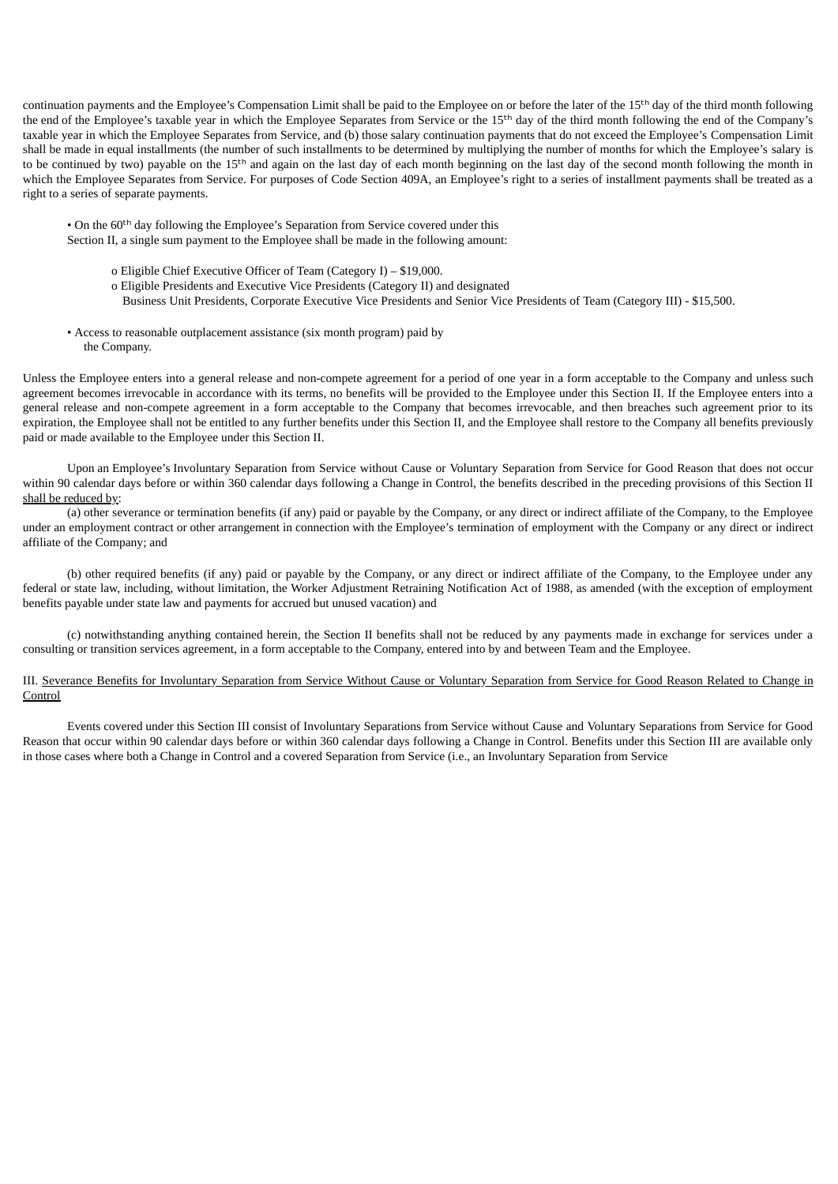continuation payments and the Employee's Compensation Limit shall be paid to the Employee on or before the later of the 15<sup>th</sup> day of the third month following the end of the Employee's taxable year in which the Employee Separates from Service or the 15<sup>th</sup> day of the third month following the end of the Company's taxable year in which the Employee Separates from Service, and (b) those salary continuation payments that do not exceed the Employee's Compensation Limit shall be made in equal installments (the number of such installments to be determined by multiplying the number of months for which the Employee's salary is to be continued by two) payable on the  $15<sup>th</sup>$  and again on the last day of each month beginning on the last day of the second month following the month in which the Employee Separates from Service. For purposes of Code Section 409A, an Employee's right to a series of installment payments shall be treated as a right to a series of separate payments.

• On the 60<sup>th</sup> day following the Employee's Separation from Service covered under this Section II, a single sum payment to the Employee shall be made in the following amount:

- o Eligible Chief Executive Officer of Team (Category I) \$19,000.
- o Eligible Presidents and Executive Vice Presidents (Category II) and designated
- Business Unit Presidents, Corporate Executive Vice Presidents and Senior Vice Presidents of Team (Category III) \$15,500.
- Access to reasonable outplacement assistance (six month program) paid by the Company.

Unless the Employee enters into a general release and non-compete agreement for a period of one year in a form acceptable to the Company and unless such agreement becomes irrevocable in accordance with its terms, no benefits will be provided to the Employee under this Section II. If the Employee enters into a general release and non-compete agreement in a form acceptable to the Company that becomes irrevocable, and then breaches such agreement prior to its expiration, the Employee shall not be entitled to any further benefits under this Section II, and the Employee shall restore to the Company all benefits previously paid or made available to the Employee under this Section II.

Upon an Employee's Involuntary Separation from Service without Cause or Voluntary Separation from Service for Good Reason that does not occur within 90 calendar days before or within 360 calendar days following a Change in Control, the benefits described in the preceding provisions of this Section II shall be reduced by:

(a) other severance or termination benefits (if any) paid or payable by the Company, or any direct or indirect affiliate of the Company, to the Employee under an employment contract or other arrangement in connection with the Employee's termination of employment with the Company or any direct or indirect affiliate of the Company; and

(b) other required benefits (if any) paid or payable by the Company, or any direct or indirect affiliate of the Company, to the Employee under any federal or state law, including, without limitation, the Worker Adjustment Retraining Notification Act of 1988, as amended (with the exception of employment benefits payable under state law and payments for accrued but unused vacation) and

(c) notwithstanding anything contained herein, the Section II benefits shall not be reduced by any payments made in exchange for services under a consulting or transition services agreement, in a form acceptable to the Company, entered into by and between Team and the Employee.

### III. Severance Benefits for Involuntary Separation from Service Without Cause or Voluntary Separation from Service for Good Reason Related to Change in Control

Events covered under this Section III consist of Involuntary Separations from Service without Cause and Voluntary Separations from Service for Good Reason that occur within 90 calendar days before or within 360 calendar days following a Change in Control. Benefits under this Section III are available only in those cases where both a Change in Control and a covered Separation from Service (i.e., an Involuntary Separation from Service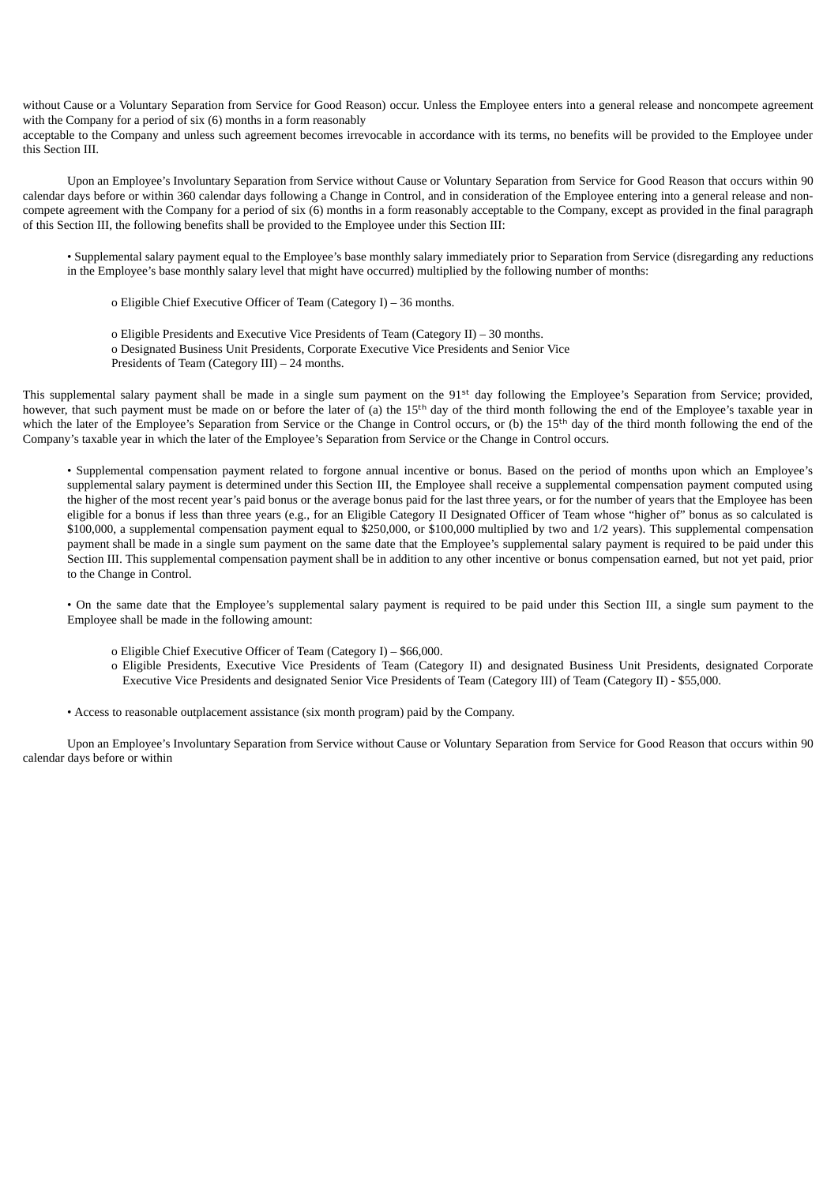without Cause or a Voluntary Separation from Service for Good Reason) occur. Unless the Employee enters into a general release and noncompete agreement with the Company for a period of six (6) months in a form reasonably

acceptable to the Company and unless such agreement becomes irrevocable in accordance with its terms, no benefits will be provided to the Employee under this Section III.

Upon an Employee's Involuntary Separation from Service without Cause or Voluntary Separation from Service for Good Reason that occurs within 90 calendar days before or within 360 calendar days following a Change in Control, and in consideration of the Employee entering into a general release and noncompete agreement with the Company for a period of six (6) months in a form reasonably acceptable to the Company, except as provided in the final paragraph of this Section III, the following benefits shall be provided to the Employee under this Section III:

• Supplemental salary payment equal to the Employee's base monthly salary immediately prior to Separation from Service (disregarding any reductions in the Employee's base monthly salary level that might have occurred) multiplied by the following number of months:

- o Eligible Chief Executive Officer of Team (Category I) 36 months.
- o Eligible Presidents and Executive Vice Presidents of Team (Category II) 30 months.
- o Designated Business Unit Presidents, Corporate Executive Vice Presidents and Senior Vice
- Presidents of Team (Category III) 24 months.

This supplemental salary payment shall be made in a single sum payment on the 91<sup>st</sup> day following the Employee's Separation from Service; provided, however, that such payment must be made on or before the later of (a) the 15<sup>th</sup> day of the third month following the end of the Employee's taxable year in which the later of the Employee's Separation from Service or the Change in Control occurs, or (b) the 15<sup>th</sup> day of the third month following the end of the Company's taxable year in which the later of the Employee's Separation from Service or the Change in Control occurs.

• Supplemental compensation payment related to forgone annual incentive or bonus. Based on the period of months upon which an Employee's supplemental salary payment is determined under this Section III, the Employee shall receive a supplemental compensation payment computed using the higher of the most recent year's paid bonus or the average bonus paid for the last three years, or for the number of years that the Employee has been eligible for a bonus if less than three years (e.g., for an Eligible Category II Designated Officer of Team whose "higher of" bonus as so calculated is \$100,000, a supplemental compensation payment equal to \$250,000, or \$100,000 multiplied by two and 1/2 years). This supplemental compensation payment shall be made in a single sum payment on the same date that the Employee's supplemental salary payment is required to be paid under this Section III. This supplemental compensation payment shall be in addition to any other incentive or bonus compensation earned, but not yet paid, prior to the Change in Control.

• On the same date that the Employee's supplemental salary payment is required to be paid under this Section III, a single sum payment to the Employee shall be made in the following amount:

- o Eligible Chief Executive Officer of Team (Category I) \$66,000.
- o Eligible Presidents, Executive Vice Presidents of Team (Category II) and designated Business Unit Presidents, designated Corporate Executive Vice Presidents and designated Senior Vice Presidents of Team (Category III) of Team (Category II) - \$55,000.

• Access to reasonable outplacement assistance (six month program) paid by the Company.

Upon an Employee's Involuntary Separation from Service without Cause or Voluntary Separation from Service for Good Reason that occurs within 90 calendar days before or within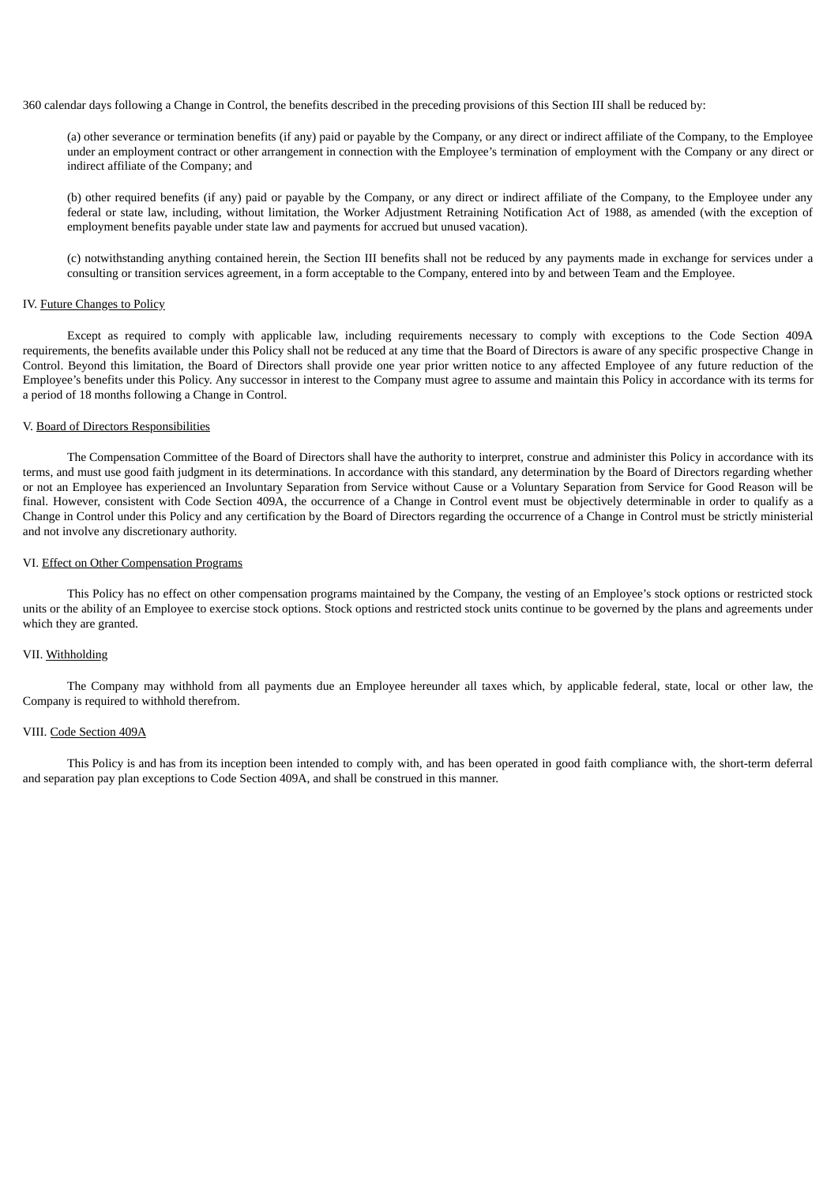360 calendar days following a Change in Control, the benefits described in the preceding provisions of this Section III shall be reduced by:

(a) other severance or termination benefits (if any) paid or payable by the Company, or any direct or indirect affiliate of the Company, to the Employee under an employment contract or other arrangement in connection with the Employee's termination of employment with the Company or any direct or indirect affiliate of the Company; and

(b) other required benefits (if any) paid or payable by the Company, or any direct or indirect affiliate of the Company, to the Employee under any federal or state law, including, without limitation, the Worker Adjustment Retraining Notification Act of 1988, as amended (with the exception of employment benefits payable under state law and payments for accrued but unused vacation).

(c) notwithstanding anything contained herein, the Section III benefits shall not be reduced by any payments made in exchange for services under a consulting or transition services agreement, in a form acceptable to the Company, entered into by and between Team and the Employee.

### IV. Future Changes to Policy

Except as required to comply with applicable law, including requirements necessary to comply with exceptions to the Code Section 409A requirements, the benefits available under this Policy shall not be reduced at any time that the Board of Directors is aware of any specific prospective Change in Control. Beyond this limitation, the Board of Directors shall provide one year prior written notice to any affected Employee of any future reduction of the Employee's benefits under this Policy. Any successor in interest to the Company must agree to assume and maintain this Policy in accordance with its terms for a period of 18 months following a Change in Control.

# V. Board of Directors Responsibilities

The Compensation Committee of the Board of Directors shall have the authority to interpret, construe and administer this Policy in accordance with its terms, and must use good faith judgment in its determinations. In accordance with this standard, any determination by the Board of Directors regarding whether or not an Employee has experienced an Involuntary Separation from Service without Cause or a Voluntary Separation from Service for Good Reason will be final. However, consistent with Code Section 409A, the occurrence of a Change in Control event must be objectively determinable in order to qualify as a Change in Control under this Policy and any certification by the Board of Directors regarding the occurrence of a Change in Control must be strictly ministerial and not involve any discretionary authority.

### VI. Effect on Other Compensation Programs

This Policy has no effect on other compensation programs maintained by the Company, the vesting of an Employee's stock options or restricted stock units or the ability of an Employee to exercise stock options. Stock options and restricted stock units continue to be governed by the plans and agreements under which they are granted.

# VII. Withholding

The Company may withhold from all payments due an Employee hereunder all taxes which, by applicable federal, state, local or other law, the Company is required to withhold therefrom.

# VIII. Code Section 409A

This Policy is and has from its inception been intended to comply with, and has been operated in good faith compliance with, the short-term deferral and separation pay plan exceptions to Code Section 409A, and shall be construed in this manner.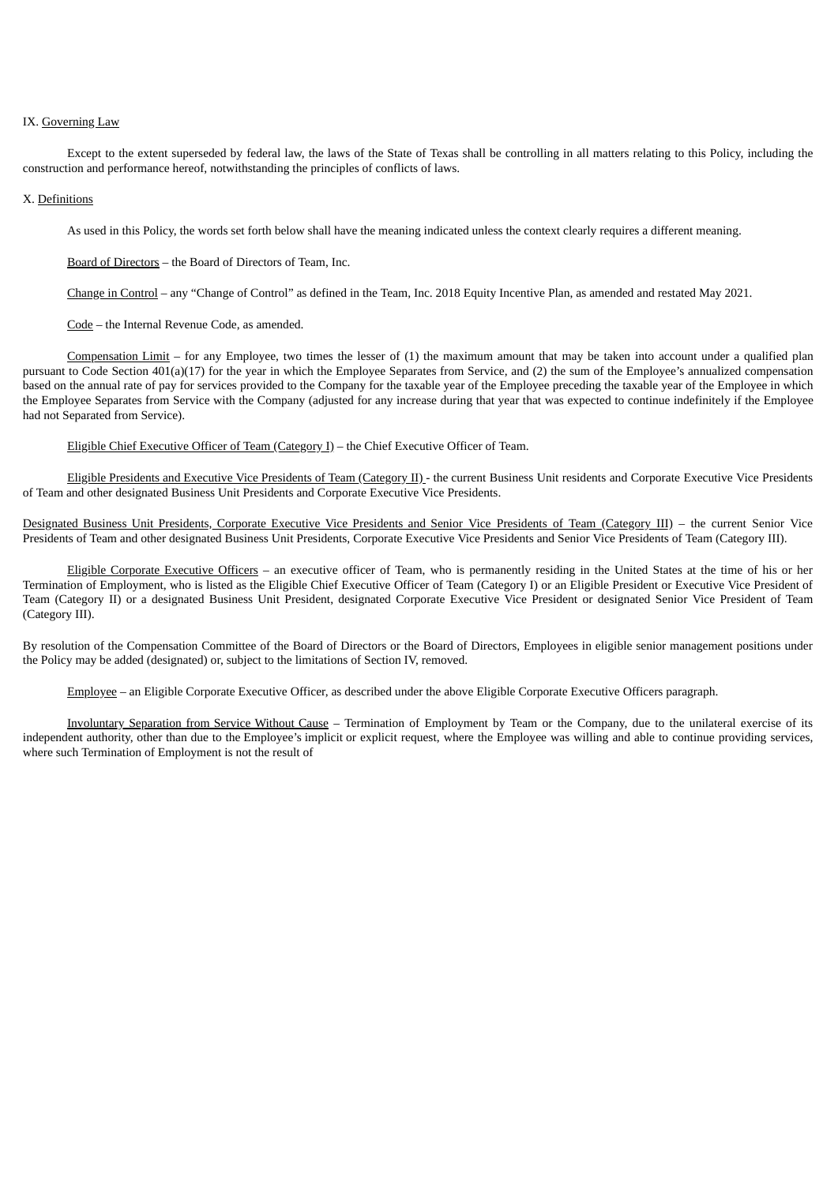# IX. Governing Law

Except to the extent superseded by federal law, the laws of the State of Texas shall be controlling in all matters relating to this Policy, including the construction and performance hereof, notwithstanding the principles of conflicts of laws.

### X. Definitions

As used in this Policy, the words set forth below shall have the meaning indicated unless the context clearly requires a different meaning.

Board of Directors – the Board of Directors of Team, Inc.

Change in Control – any "Change of Control" as defined in the Team, Inc. 2018 Equity Incentive Plan, as amended and restated May 2021.

Code – the Internal Revenue Code, as amended.

Compensation Limit – for any Employee, two times the lesser of (1) the maximum amount that may be taken into account under a qualified plan pursuant to Code Section 401(a)(17) for the year in which the Employee Separates from Service, and (2) the sum of the Employee's annualized compensation based on the annual rate of pay for services provided to the Company for the taxable year of the Employee preceding the taxable year of the Employee in which the Employee Separates from Service with the Company (adjusted for any increase during that year that was expected to continue indefinitely if the Employee had not Separated from Service).

Eligible Chief Executive Officer of Team (Category I) – the Chief Executive Officer of Team.

Eligible Presidents and Executive Vice Presidents of Team (Category II) - the current Business Unit residents and Corporate Executive Vice Presidents of Team and other designated Business Unit Presidents and Corporate Executive Vice Presidents.

Designated Business Unit Presidents, Corporate Executive Vice Presidents and Senior Vice Presidents of Team (Category III) – the current Senior Vice Presidents of Team and other designated Business Unit Presidents, Corporate Executive Vice Presidents and Senior Vice Presidents of Team (Category III).

Eligible Corporate Executive Officers - an executive officer of Team, who is permanently residing in the United States at the time of his or her Termination of Employment, who is listed as the Eligible Chief Executive Officer of Team (Category I) or an Eligible President or Executive Vice President of Team (Category II) or a designated Business Unit President, designated Corporate Executive Vice President or designated Senior Vice President of Team (Category III).

By resolution of the Compensation Committee of the Board of Directors or the Board of Directors, Employees in eligible senior management positions under the Policy may be added (designated) or, subject to the limitations of Section IV, removed.

Employee – an Eligible Corporate Executive Officer, as described under the above Eligible Corporate Executive Officers paragraph.

Involuntary Separation from Service Without Cause – Termination of Employment by Team or the Company, due to the unilateral exercise of its independent authority, other than due to the Employee's implicit or explicit request, where the Employee was willing and able to continue providing services, where such Termination of Employment is not the result of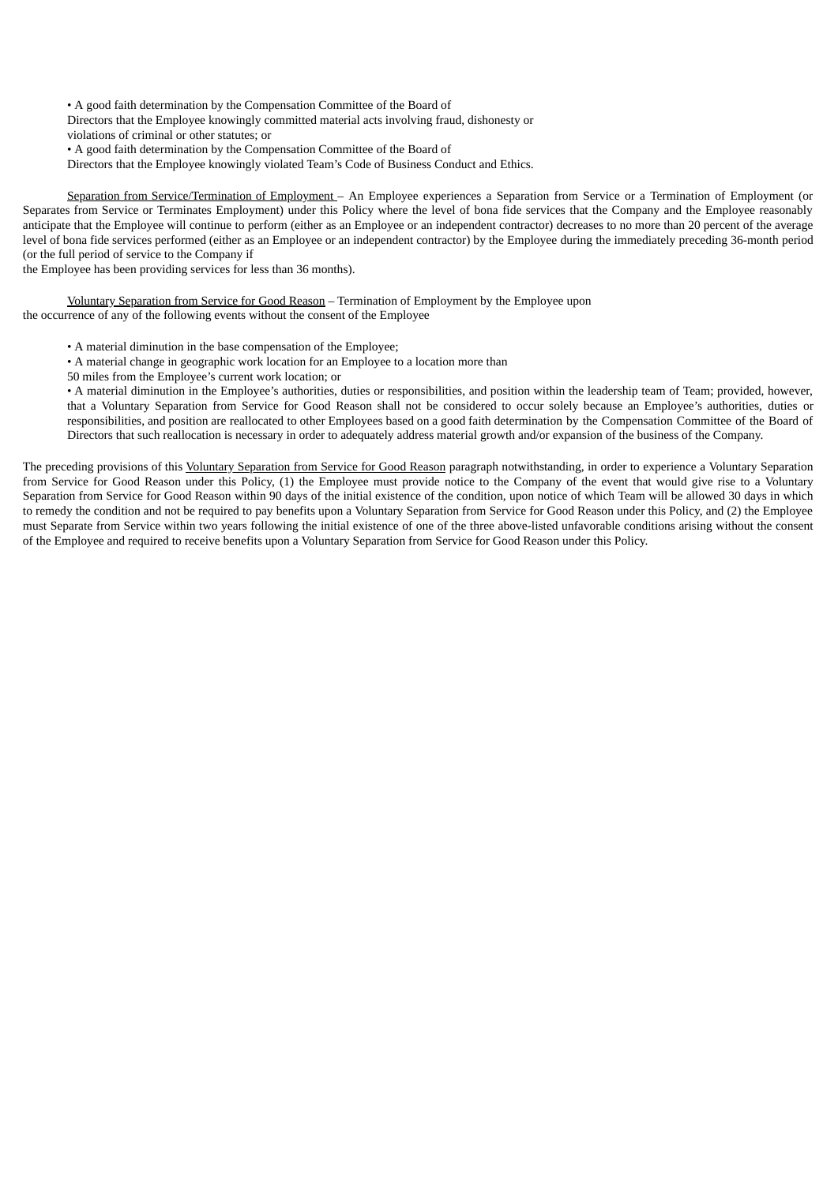• A good faith determination by the Compensation Committee of the Board of

Directors that the Employee knowingly committed material acts involving fraud, dishonesty or

violations of criminal or other statutes; or

• A good faith determination by the Compensation Committee of the Board of

Directors that the Employee knowingly violated Team's Code of Business Conduct and Ethics.

Separation from Service/Termination of Employment – An Employee experiences a Separation from Service or a Termination of Employment (or Separates from Service or Terminates Employment) under this Policy where the level of bona fide services that the Company and the Employee reasonably anticipate that the Employee will continue to perform (either as an Employee or an independent contractor) decreases to no more than 20 percent of the average level of bona fide services performed (either as an Employee or an independent contractor) by the Employee during the immediately preceding 36-month period (or the full period of service to the Company if

the Employee has been providing services for less than 36 months).

Voluntary Separation from Service for Good Reason – Termination of Employment by the Employee upon the occurrence of any of the following events without the consent of the Employee

• A material diminution in the base compensation of the Employee;

• A material change in geographic work location for an Employee to a location more than

50 miles from the Employee's current work location; or

• A material diminution in the Employee's authorities, duties or responsibilities, and position within the leadership team of Team; provided, however, that a Voluntary Separation from Service for Good Reason shall not be considered to occur solely because an Employee's authorities, duties or responsibilities, and position are reallocated to other Employees based on a good faith determination by the Compensation Committee of the Board of Directors that such reallocation is necessary in order to adequately address material growth and/or expansion of the business of the Company.

The preceding provisions of this *Voluntary Separation from Service for Good Reason* paragraph notwithstanding, in order to experience a Voluntary Separation from Service for Good Reason under this Policy, (1) the Employee must provide notice to the Company of the event that would give rise to a Voluntary Separation from Service for Good Reason within 90 days of the initial existence of the condition, upon notice of which Team will be allowed 30 days in which to remedy the condition and not be required to pay benefits upon a Voluntary Separation from Service for Good Reason under this Policy, and (2) the Employee must Separate from Service within two years following the initial existence of one of the three above-listed unfavorable conditions arising without the consent of the Employee and required to receive benefits upon a Voluntary Separation from Service for Good Reason under this Policy.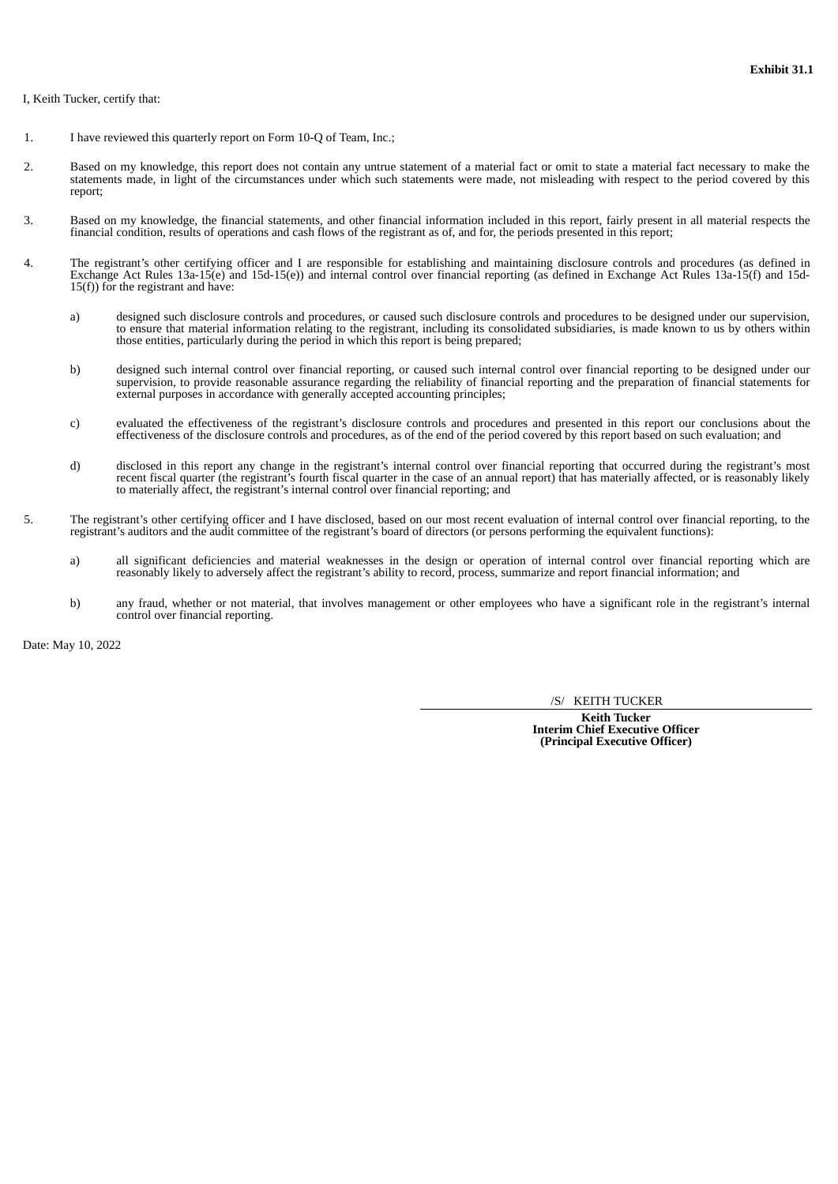# <span id="page-68-0"></span>I, Keith Tucker, certify that:

- 1. I have reviewed this quarterly report on Form 10-Q of Team, Inc.;
- 2. Based on my knowledge, this report does not contain any untrue statement of a material fact or omit to state a material fact necessary to make the statements made, in light of the circumstances under which such statements were made, not misleading with respect to the period covered by this report;
- 3. Based on my knowledge, the financial statements, and other financial information included in this report, fairly present in all material respects the financial condition, results of operations and cash flows of the registrant as of, and for, the periods presented in this report;
- 4. The registrant's other certifying officer and I are responsible for establishing and maintaining disclosure controls and procedures (as defined in Exchange Act Rules 13a-15(e) and 15d-15(e)) and internal control over financial reporting (as defined in Exchange Act Rules 13a-15(f) and 15d-15(f)) for the registrant and have:
	- a) designed such disclosure controls and procedures, or caused such disclosure controls and procedures to be designed under our supervision, to ensure that material information relating to the registrant, including its consolidated subsidiaries, is made known to us by others within those entities, particularly during the period in which this report is being prepared;
	- b) designed such internal control over financial reporting, or caused such internal control over financial reporting to be designed under our supervision, to provide reasonable assurance regarding the reliability of financial reporting and the preparation of financial statements for external purposes in accordance with generally accepted accounting principles;
	- c) evaluated the effectiveness of the registrant's disclosure controls and procedures and presented in this report our conclusions about the effectiveness of the disclosure controls and procedures, as of the end of the period covered by this report based on such evaluation; and
	- d) disclosed in this report any change in the registrant's internal control over financial reporting that occurred during the registrant's most recent fiscal quarter (the registrant's fourth fiscal quarter in the case of an annual report) that has materially affected, or is reasonably likely to materially affect, the registrant's internal control over financial reporting; and
- 5. The registrant's other certifying officer and I have disclosed, based on our most recent evaluation of internal control over financial reporting, to the registrant's auditors and the audit committee of the registrant's board of directors (or persons performing the equivalent functions):
	- a) all significant deficiencies and material weaknesses in the design or operation of internal control over financial reporting which are reasonably likely to adversely affect the registrant's ability to record, process, summarize and report financial information; and
	- b) any fraud, whether or not material, that involves management or other employees who have a significant role in the registrant's internal control over financial reporting.

Date: May 10, 2022

/S/ KEITH TUCKER

**Keith Tucker Interim Chief Executive Officer (Principal Executive Officer)**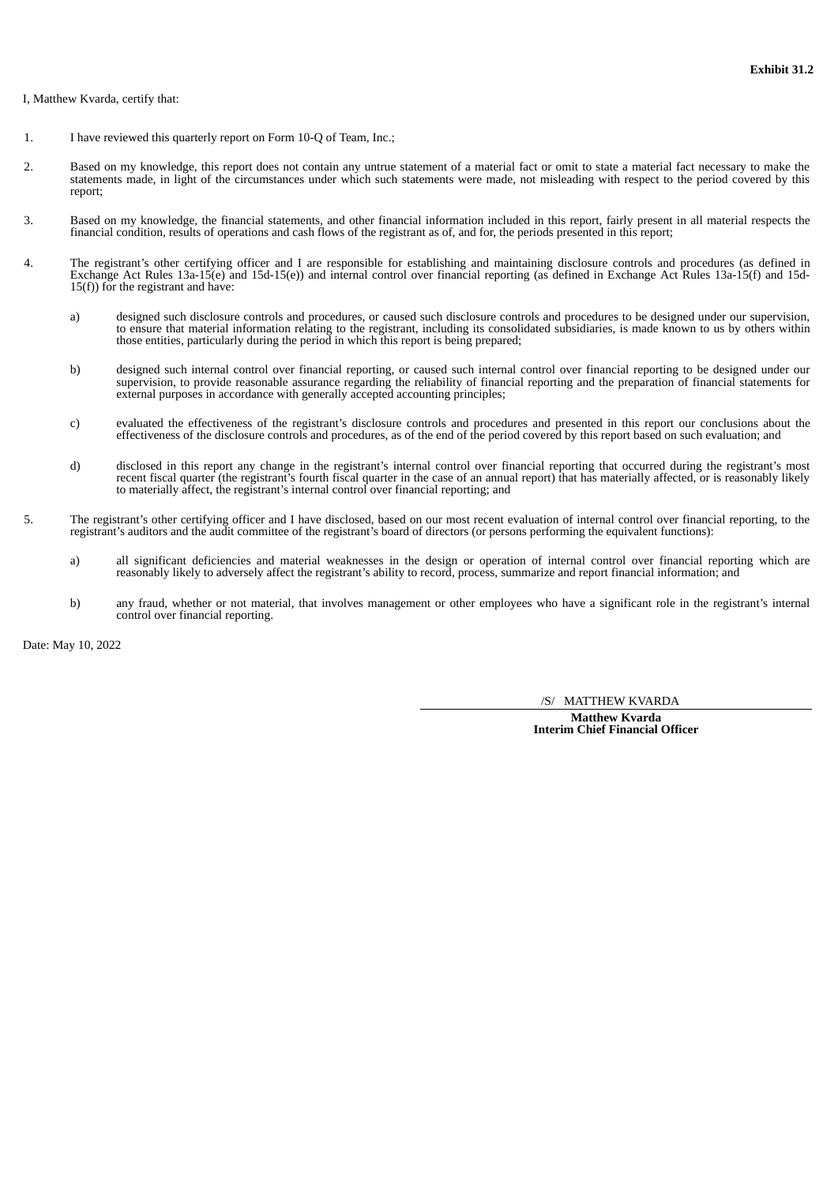<span id="page-69-0"></span>I, Matthew Kvarda, certify that:

- 1. I have reviewed this quarterly report on Form 10-Q of Team, Inc.;
- 2. Based on my knowledge, this report does not contain any untrue statement of a material fact or omit to state a material fact necessary to make the statements made, in light of the circumstances under which such statements were made, not misleading with respect to the period covered by this report;
- 3. Based on my knowledge, the financial statements, and other financial information included in this report, fairly present in all material respects the financial condition, results of operations and cash flows of the registrant as of, and for, the periods presented in this report;
- 4. The registrant's other certifying officer and I are responsible for establishing and maintaining disclosure controls and procedures (as defined in Exchange Act Rules 13a-15(e) and 15d-15(e)) and internal control over financial reporting (as defined in Exchange Act Rules 13a-15(f) and 15d-15(f)) for the registrant and have:
	- a) designed such disclosure controls and procedures, or caused such disclosure controls and procedures to be designed under our supervision, to ensure that material information relating to the registrant, including its consolidated subsidiaries, is made known to us by others within those entities, particularly during the period in which this report is being prepared;
	- b) designed such internal control over financial reporting, or caused such internal control over financial reporting to be designed under our supervision, to provide reasonable assurance regarding the reliability of financial reporting and the preparation of financial statements for external purposes in accordance with generally accepted accounting principles;
	- c) evaluated the effectiveness of the registrant's disclosure controls and procedures and presented in this report our conclusions about the effectiveness of the disclosure controls and procedures, as of the end of the period covered by this report based on such evaluation; and
	- d) disclosed in this report any change in the registrant's internal control over financial reporting that occurred during the registrant's most recent fiscal quarter (the registrant's fourth fiscal quarter in the case of an annual report) that has materially affected, or is reasonably likely to materially affect, the registrant's internal control over financial reporting; and
- 5. The registrant's other certifying officer and I have disclosed, based on our most recent evaluation of internal control over financial reporting, to the registrant's auditors and the audit committee of the registrant's board of directors (or persons performing the equivalent functions):
	- a) all significant deficiencies and material weaknesses in the design or operation of internal control over financial reporting which are reasonably likely to adversely affect the registrant's ability to record, process, summarize and report financial information; and
	- b) any fraud, whether or not material, that involves management or other employees who have a significant role in the registrant's internal control over financial reporting.

Date: May 10, 2022

/S/ MATTHEW KVARDA

**Matthew Kvarda Interim Chief Financial Officer**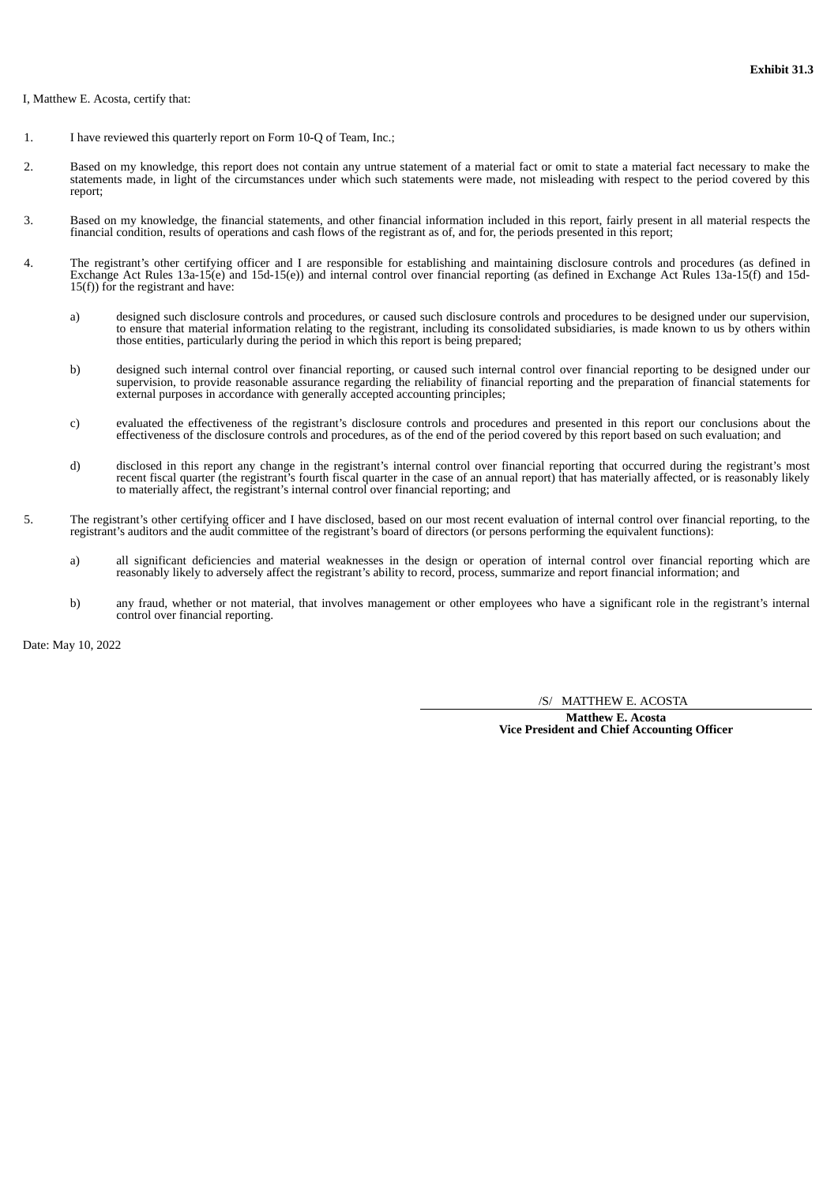### <span id="page-70-0"></span>I, Matthew E. Acosta, certify that:

- 1. I have reviewed this quarterly report on Form 10-Q of Team, Inc.;
- 2. Based on my knowledge, this report does not contain any untrue statement of a material fact or omit to state a material fact necessary to make the statements made, in light of the circumstances under which such statements were made, not misleading with respect to the period covered by this report;
- 3. Based on my knowledge, the financial statements, and other financial information included in this report, fairly present in all material respects the financial condition, results of operations and cash flows of the registrant as of, and for, the periods presented in this report;
- 4. The registrant's other certifying officer and I are responsible for establishing and maintaining disclosure controls and procedures (as defined in Exchange Act Rules 13a-15(e) and 15d-15(e)) and internal control over financial reporting (as defined in Exchange Act Rules 13a-15(f) and 15d-15(f)) for the registrant and have:
	- a) designed such disclosure controls and procedures, or caused such disclosure controls and procedures to be designed under our supervision, to ensure that material information relating to the registrant, including its consolidated subsidiaries, is made known to us by others within those entities, particularly during the period in which this report is being prepared;
	- b) designed such internal control over financial reporting, or caused such internal control over financial reporting to be designed under our supervision, to provide reasonable assurance regarding the reliability of financial reporting and the preparation of financial statements for external purposes in accordance with generally accepted accounting principles;
	- c) evaluated the effectiveness of the registrant's disclosure controls and procedures and presented in this report our conclusions about the effectiveness of the disclosure controls and procedures, as of the end of the period covered by this report based on such evaluation; and
	- d) disclosed in this report any change in the registrant's internal control over financial reporting that occurred during the registrant's most recent fiscal quarter (the registrant's fourth fiscal quarter in the case of an annual report) that has materially affected, or is reasonably likely to materially affect, the registrant's internal control over financial reporting; and
- 5. The registrant's other certifying officer and I have disclosed, based on our most recent evaluation of internal control over financial reporting, to the registrant's auditors and the audit committee of the registrant's board of directors (or persons performing the equivalent functions):
	- a) all significant deficiencies and material weaknesses in the design or operation of internal control over financial reporting which are reasonably likely to adversely affect the registrant's ability to record, process, summarize and report financial information; and
	- b) any fraud, whether or not material, that involves management or other employees who have a significant role in the registrant's internal control over financial reporting.

Date: May 10, 2022

/S/ MATTHEW E. ACOSTA

**Matthew E. Acosta Vice President and Chief Accounting Officer**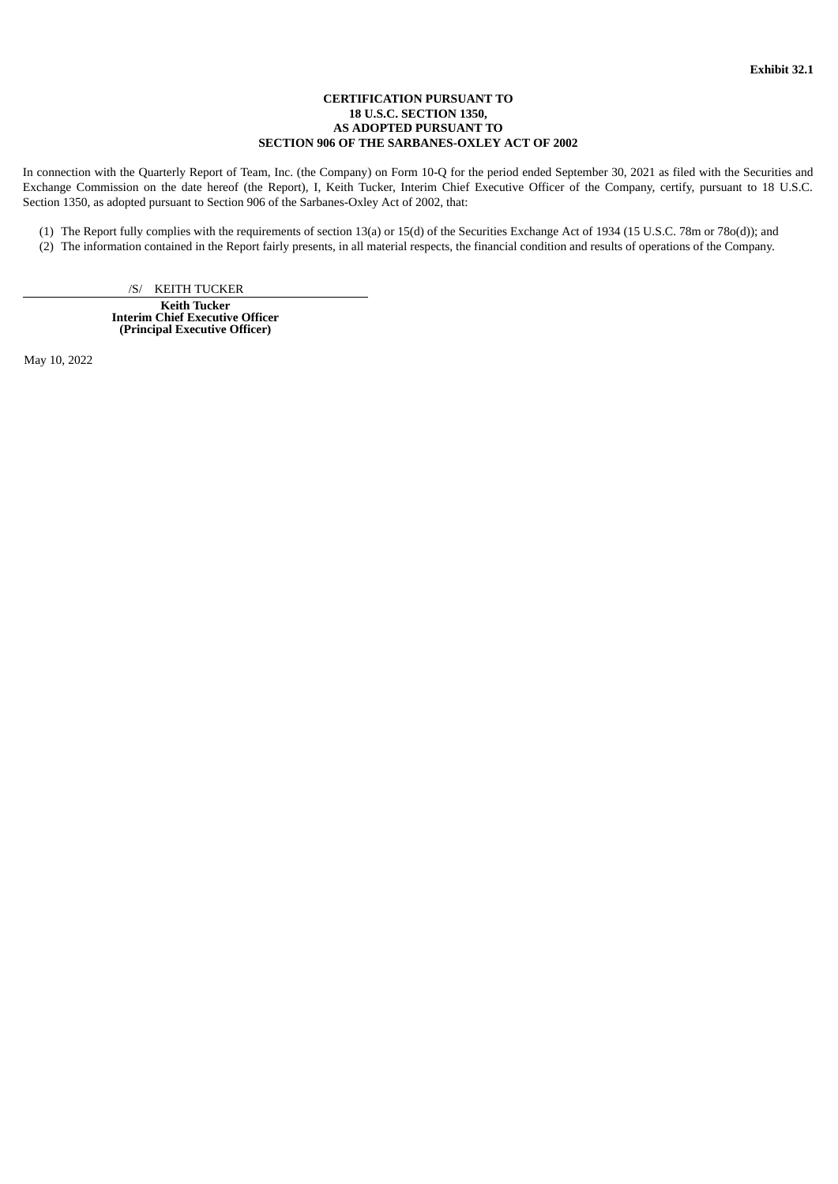# **CERTIFICATION PURSUANT TO 18 U.S.C. SECTION 1350, AS ADOPTED PURSUANT TO SECTION 906 OF THE SARBANES-OXLEY ACT OF 2002**

<span id="page-71-0"></span>In connection with the Quarterly Report of Team, Inc. (the Company) on Form 10-Q for the period ended September 30, 2021 as filed with the Securities and Exchange Commission on the date hereof (the Report), I, Keith Tucker, Interim Chief Executive Officer of the Company, certify, pursuant to 18 U.S.C. Section 1350, as adopted pursuant to Section 906 of the Sarbanes-Oxley Act of 2002, that:

(1) The Report fully complies with the requirements of section 13(a) or 15(d) of the Securities Exchange Act of 1934 (15 U.S.C. 78m or 78o(d)); and

(2) The information contained in the Report fairly presents, in all material respects, the financial condition and results of operations of the Company.

/S/ KEITH TUCKER

**Keith Tucker Interim Chief Executive Officer (Principal Executive Officer)**

May 10, 2022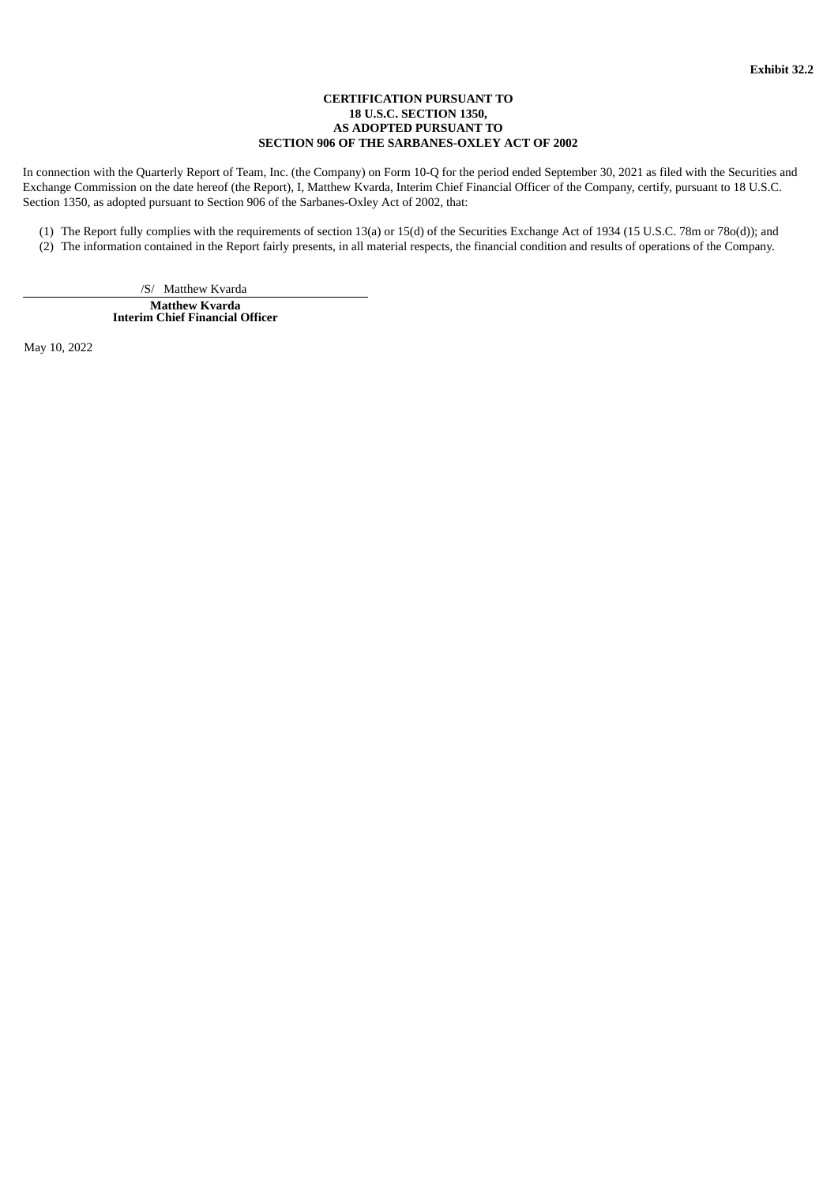## **CERTIFICATION PURSUANT TO 18 U.S.C. SECTION 1350, AS ADOPTED PURSUANT TO SECTION 906 OF THE SARBANES-OXLEY ACT OF 2002**

In connection with the Quarterly Report of Team, Inc. (the Company) on Form 10-Q for the period ended September 30, 2021 as filed with the Securities and Exchange Commission on the date hereof (the Report), I, Matthew Kvarda, Interim Chief Financial Officer of the Company, certify, pursuant to 18 U.S.C. Section 1350, as adopted pursuant to Section 906 of the Sarbanes-Oxley Act of 2002, that:

(1) The Report fully complies with the requirements of section 13(a) or 15(d) of the Securities Exchange Act of 1934 (15 U.S.C. 78m or 78o(d)); and

(2) The information contained in the Report fairly presents, in all material respects, the financial condition and results of operations of the Company.

/S/ Matthew Kvarda **Matthew Kvarda Interim Chief Financial Officer**

May 10, 2022